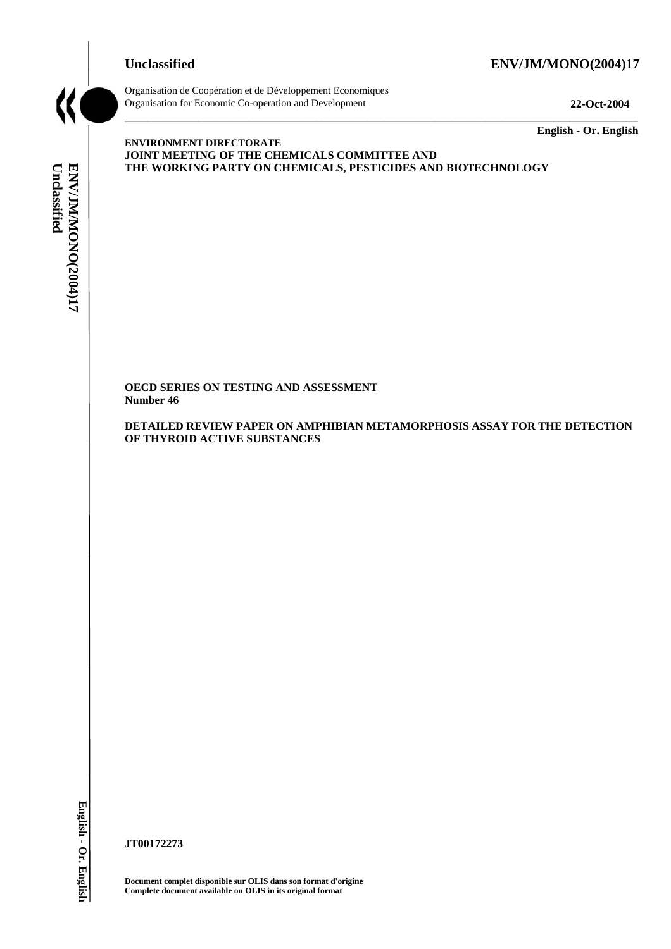# **Unclassified ENV/JM/MONO(2004)17**



Organisation de Coopération et de Développement Economiques Organisation for Economic Co-operation and Development **22-Oct-2004** 

\_\_\_\_\_\_\_\_\_\_\_\_\_ **English - Or. English** 

# Unclassified ENV/JM/MONO(2004)17 **Unclassified ENV/JM/MONO(2004)17 English - Or. English**

**ENVIRONMENT DIRECTORATE JOINT MEETING OF THE CHEMICALS COMMITTEE AND THE WORKING PARTY ON CHEMICALS, PESTICIDES AND BIOTECHNOLOGY** 

\_\_\_\_\_\_\_\_\_\_\_\_\_\_\_\_\_\_\_\_\_\_\_\_\_\_\_\_\_\_\_\_\_\_\_\_\_\_\_\_\_\_\_\_\_\_\_\_\_\_\_\_\_\_\_\_\_\_\_\_\_\_\_\_\_\_\_\_\_\_\_\_\_\_\_\_\_\_\_\_\_\_\_\_\_\_\_\_\_\_\_

**OECD SERIES ON TESTING AND ASSESSMENT Number 46** 

**DETAILED REVIEW PAPER ON AMPHIBIAN METAMORPHOSIS ASSAY FOR THE DETECTION OF THYROID ACTIVE SUBSTANCES** 

**JT00172273** 

**Document complet disponible sur OLIS dans son format d'origine Complete document available on OLIS in its original format**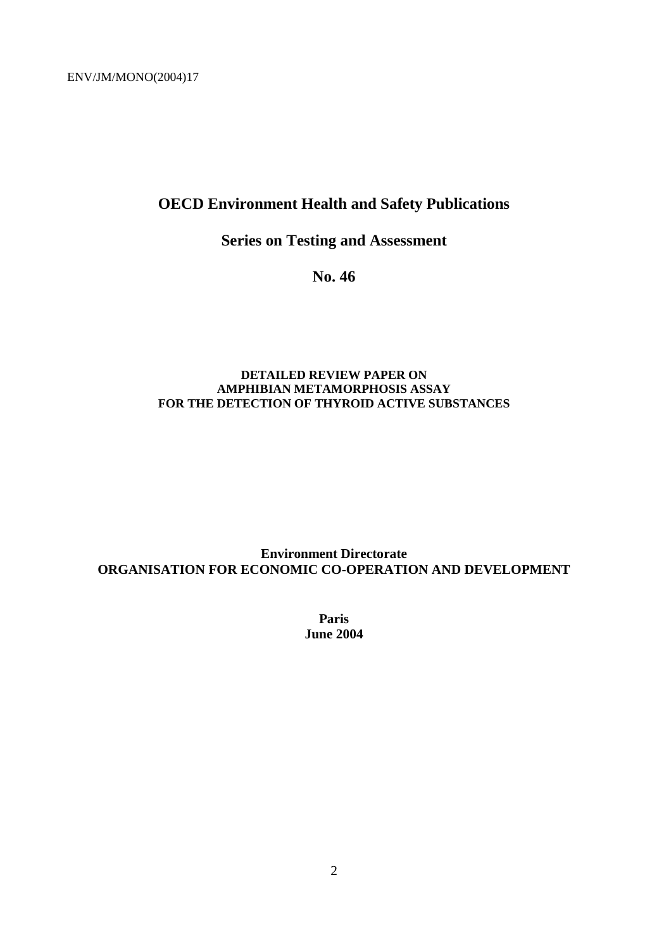# **OECD Environment Health and Safety Publications**

# **Series on Testing and Assessment**

**No. 46** 

# **DETAILED REVIEW PAPER ON AMPHIBIAN METAMORPHOSIS ASSAY FOR THE DETECTION OF THYROID ACTIVE SUBSTANCES**

# **Environment Directorate ORGANISATION FOR ECONOMIC CO-OPERATION AND DEVELOPMENT**

**Paris June 2004**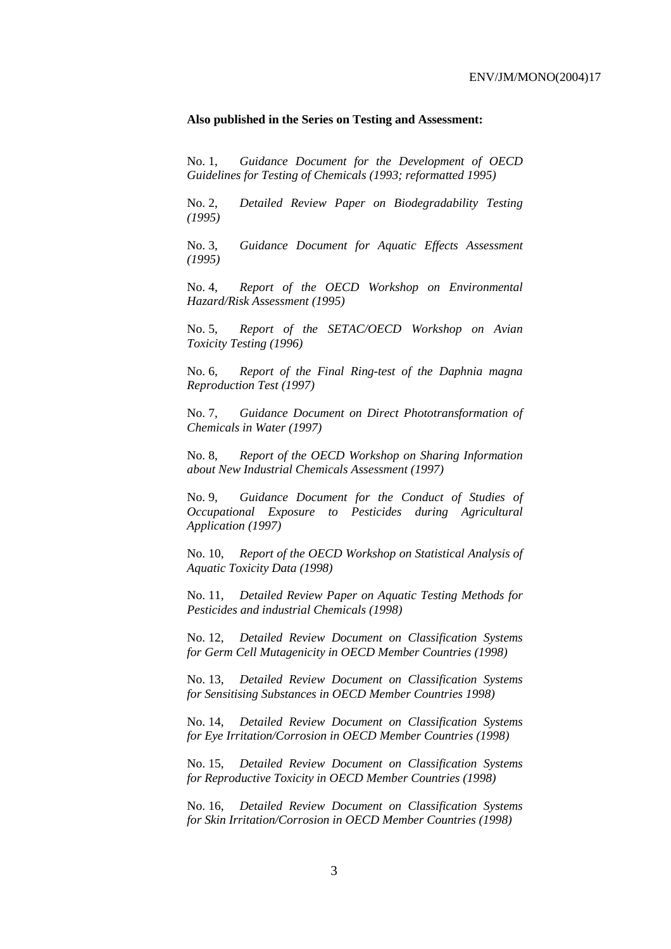#### **Also published in the Series on Testing and Assessment:**

No. 1, *Guidance Document for the Development of OECD Guidelines for Testing of Chemicals (1993; reformatted 1995)*

No. 2, *Detailed Review Paper on Biodegradability Testing (1995)*

No. 3, *Guidance Document for Aquatic Effects Assessment (1995)* 

No. 4, *Report of the OECD Workshop on Environmental Hazard/Risk Assessment (1995)*

No. 5, *Report of the SETAC/OECD Workshop on Avian Toxicity Testing (1996)*

No. 6, *Report of the Final Ring-test of the Daphnia magna Reproduction Test (1997)*

No. 7, *Guidance Document on Direct Phototransformation of Chemicals in Water (1997)* 

No. 8, *Report of the OECD Workshop on Sharing Information about New Industrial Chemicals Assessment (1997)*

No. 9, *Guidance Document for the Conduct of Studies of Occupational Exposure to Pesticides during Agricultural Application (1997)*

No. 10, *Report of the OECD Workshop on Statistical Analysis of Aquatic Toxicity Data (1998)*

No. 11, *Detailed Review Paper on Aquatic Testing Methods for Pesticides and industrial Chemicals (1998)*

No. 12, *Detailed Review Document on Classification Systems for Germ Cell Mutagenicity in OECD Member Countries (1998)*

No. 13, *Detailed Review Document on Classification Systems for Sensitising Substances in OECD Member Countries 1998)*

No. 14, *Detailed Review Document on Classification Systems for Eye Irritation/Corrosion in OECD Member Countries (1998)*

No. 15, *Detailed Review Document on Classification Systems for Reproductive Toxicity in OECD Member Countries (1998)*

No. 16, *Detailed Review Document on Classification Systems for Skin Irritation/Corrosion in OECD Member Countries (1998)*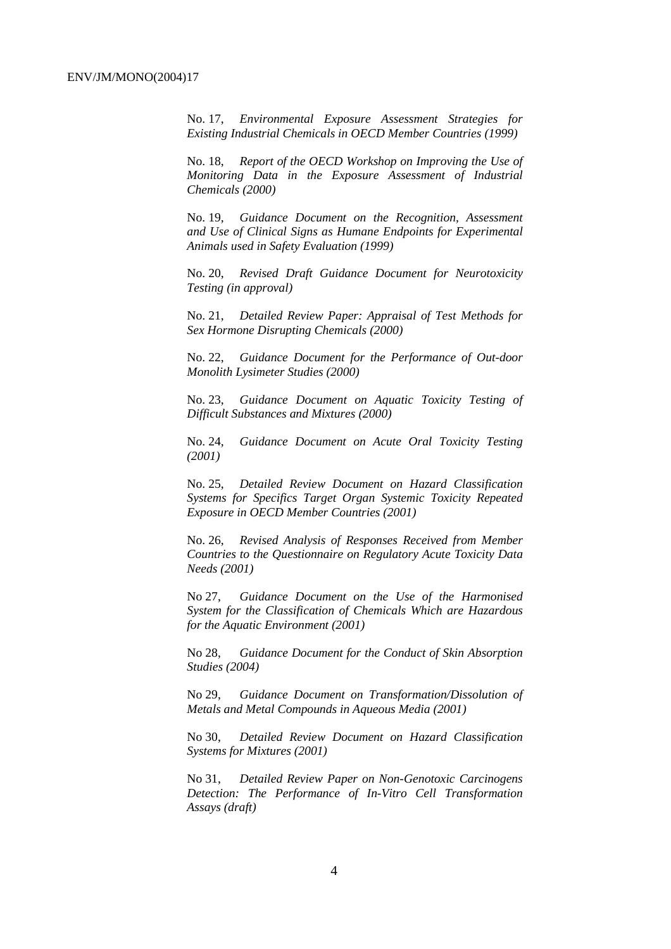No. 17, *Environmental Exposure Assessment Strategies for Existing Industrial Chemicals in OECD Member Countries (1999)*

No. 18, *Report of the OECD Workshop on Improving the Use of Monitoring Data in the Exposure Assessment of Industrial Chemicals (2000)*

No. 19, *Guidance Document on the Recognition, Assessment and Use of Clinical Signs as Humane Endpoints for Experimental Animals used in Safety Evaluation (1999)*

No. 20, *Revised Draft Guidance Document for Neurotoxicity Testing (in approval)*

No. 21, *Detailed Review Paper: Appraisal of Test Methods for Sex Hormone Disrupting Chemicals (2000)*

No. 22, *Guidance Document for the Performance of Out-door Monolith Lysimeter Studies (2000)*

No. 23, *Guidance Document on Aquatic Toxicity Testing of Difficult Substances and Mixtures (2000)*

No. 24, *Guidance Document on Acute Oral Toxicity Testing (2001)*

No. 25, *Detailed Review Document on Hazard Classification Systems for Specifics Target Organ Systemic Toxicity Repeated Exposure in OECD Member Countries (2001)*

No. 26, *Revised Analysis of Responses Received from Member Countries to the Questionnaire on Regulatory Acute Toxicity Data Needs (2001)*

No 27, *Guidance Document on the Use of the Harmonised System for the Classification of Chemicals Which are Hazardous for the Aquatic Environment (2001)*

No 28, *Guidance Document for the Conduct of Skin Absorption Studies (2004)*

No 29, *Guidance Document on Transformation/Dissolution of Metals and Metal Compounds in Aqueous Media (2001)*

No 30, *Detailed Review Document on Hazard Classification Systems for Mixtures (2001)*

No 31, *Detailed Review Paper on Non-Genotoxic Carcinogens Detection: The Performance of In-Vitro Cell Transformation Assays (draft)*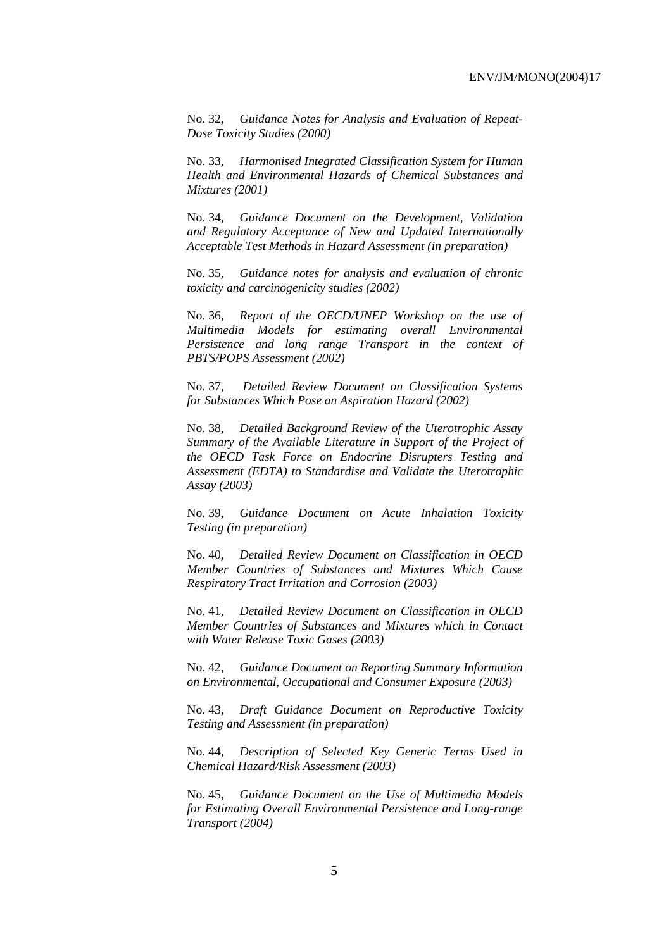No. 32, *Guidance Notes for Analysis and Evaluation of Repeat-Dose Toxicity Studies (2000)*

No. 33, *Harmonised Integrated Classification System for Human Health and Environmental Hazards of Chemical Substances and Mixtures (2001)*

No. 34, *Guidance Document on the Development, Validation and Regulatory Acceptance of New and Updated Internationally Acceptable Test Methods in Hazard Assessment (in preparation)*

No. 35, *Guidance notes for analysis and evaluation of chronic toxicity and carcinogenicity studies (2002)*

No. 36, *Report of the OECD/UNEP Workshop on the use of Multimedia Models for estimating overall Environmental Persistence and long range Transport in the context of PBTS/POPS Assessment (2002)*

No. 37, *Detailed Review Document on Classification Systems for Substances Which Pose an Aspiration Hazard (2002)*

No. 38, *Detailed Background Review of the Uterotrophic Assay Summary of the Available Literature in Support of the Project of the OECD Task Force on Endocrine Disrupters Testing and Assessment (EDTA) to Standardise and Validate the Uterotrophic Assay (2003)*

No. 39, *Guidance Document on Acute Inhalation Toxicity Testing (in preparation)*

No. 40, *Detailed Review Document on Classification in OECD Member Countries of Substances and Mixtures Which Cause Respiratory Tract Irritation and Corrosion (2003)*

No. 41, *Detailed Review Document on Classification in OECD Member Countries of Substances and Mixtures which in Contact with Water Release Toxic Gases (2003)*

No. 42, *Guidance Document on Reporting Summary Information on Environmental, Occupational and Consumer Exposure (2003)*

No. 43, *Draft Guidance Document on Reproductive Toxicity Testing and Assessment (in preparation)*

No. 44, *Description of Selected Key Generic Terms Used in Chemical Hazard/Risk Assessment (2003)* 

No. 45, *Guidance Document on the Use of Multimedia Models for Estimating Overall Environmental Persistence and Long-range Transport (2004)*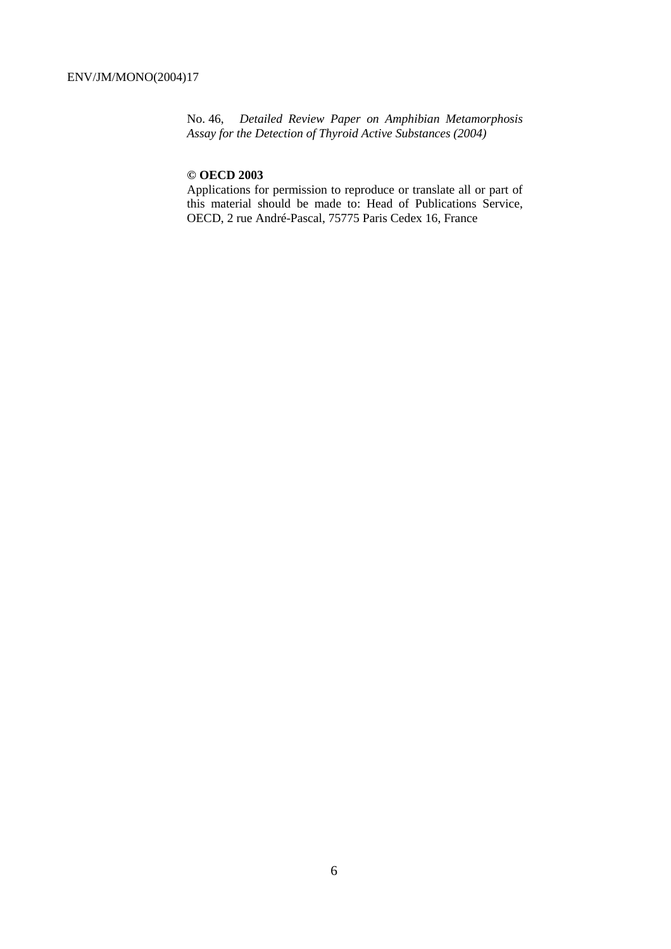No. 46, *Detailed Review Paper on Amphibian Metamorphosis Assay for the Detection of Thyroid Active Substances (2004)* 

# **© OECD 2003**

Applications for permission to reproduce or translate all or part of this material should be made to: Head of Publications Service, OECD, 2 rue André-Pascal, 75775 Paris Cedex 16, France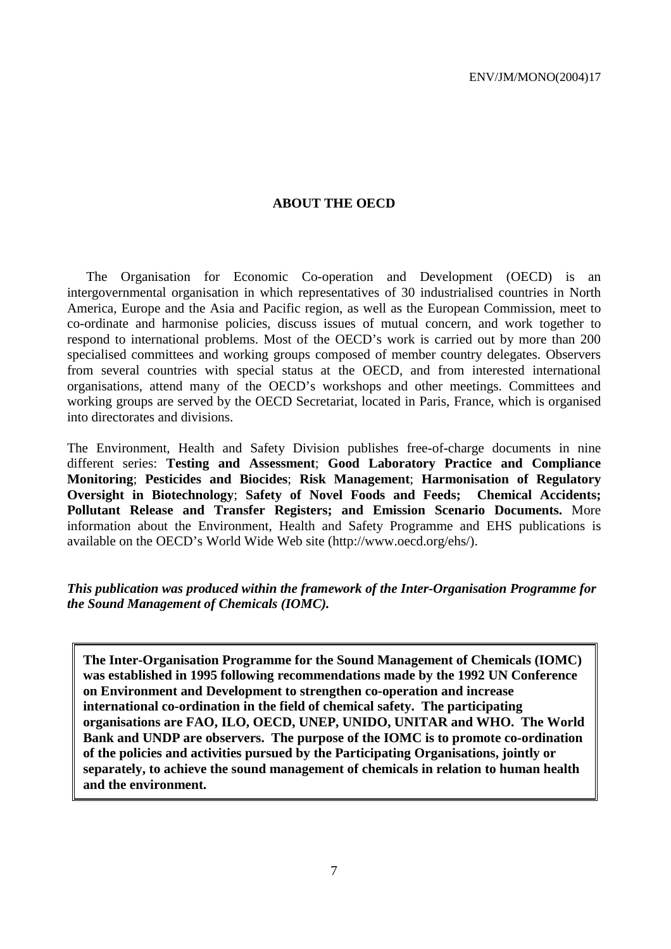# **ABOUT THE OECD**

The Organisation for Economic Co-operation and Development (OECD) is an intergovernmental organisation in which representatives of 30 industrialised countries in North America, Europe and the Asia and Pacific region, as well as the European Commission, meet to co-ordinate and harmonise policies, discuss issues of mutual concern, and work together to respond to international problems. Most of the OECD's work is carried out by more than 200 specialised committees and working groups composed of member country delegates. Observers from several countries with special status at the OECD, and from interested international organisations, attend many of the OECD's workshops and other meetings. Committees and working groups are served by the OECD Secretariat, located in Paris, France, which is organised into directorates and divisions.

The Environment, Health and Safety Division publishes free-of-charge documents in nine different series: **Testing and Assessment**; **Good Laboratory Practice and Compliance Monitoring**; **Pesticides and Biocides**; **Risk Management**; **Harmonisation of Regulatory Oversight in Biotechnology**; **Safety of Novel Foods and Feeds; Chemical Accidents; Pollutant Release and Transfer Registers; and Emission Scenario Documents.** More information about the Environment, Health and Safety Programme and EHS publications is available on the OECD's World Wide Web site (http://www.oecd.org/ehs/).

*This publication was produced within the framework of the Inter-Organisation Programme for the Sound Management of Chemicals (IOMC).* 

**The Inter-Organisation Programme for the Sound Management of Chemicals (IOMC) was established in 1995 following recommendations made by the 1992 UN Conference on Environment and Development to strengthen co-operation and increase international co-ordination in the field of chemical safety. The participating organisations are FAO, ILO, OECD, UNEP, UNIDO, UNITAR and WHO. The World Bank and UNDP are observers. The purpose of the IOMC is to promote co-ordination of the policies and activities pursued by the Participating Organisations, jointly or separately, to achieve the sound management of chemicals in relation to human health and the environment.**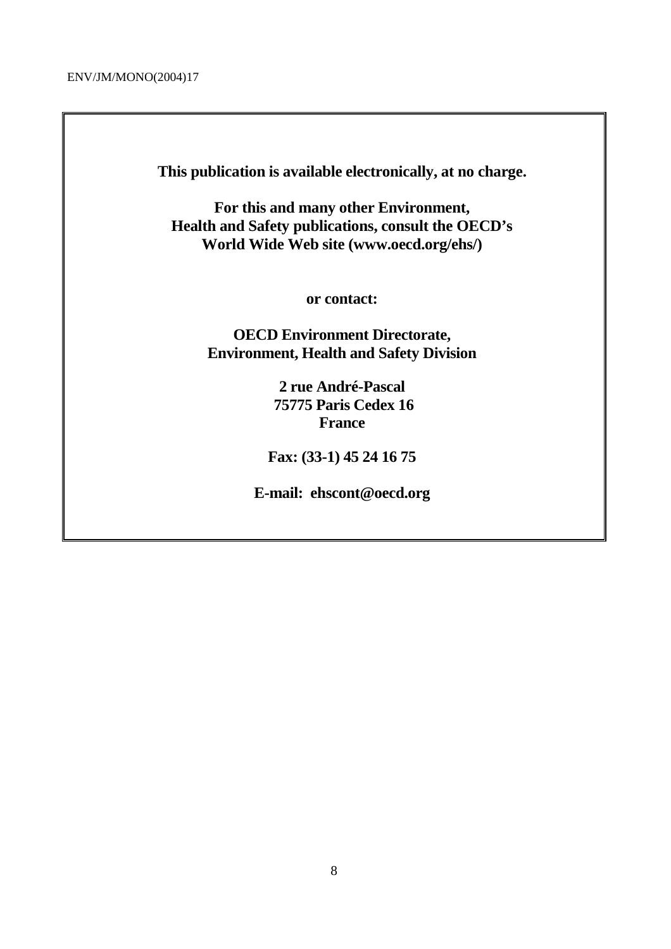**This publication is available electronically, at no charge.** 

**For this and many other Environment, Health and Safety publications, consult the OECD's World Wide Web site (www.oecd.org/ehs/)** 

**or contact:** 

**OECD Environment Directorate, Environment, Health and Safety Division**

> **2 rue André-Pascal 75775 Paris Cedex 16 France**

**Fax: (33-1) 45 24 16 75** 

**E-mail: ehscont@oecd.org**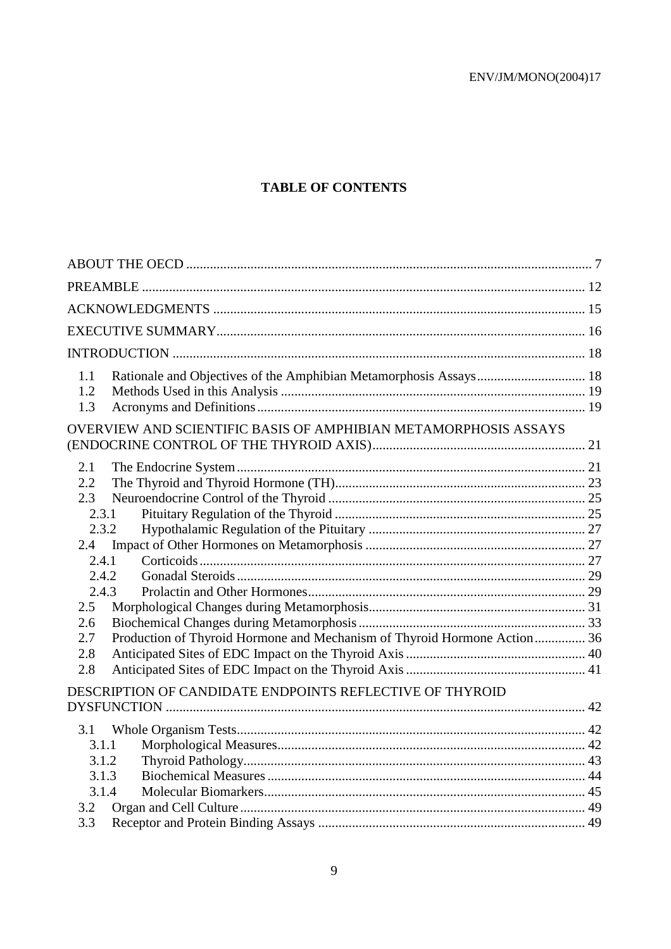# **TABLE OF CONTENTS**

| Rationale and Objectives of the Amphibian Metamorphosis Assays 18<br>1.1<br>1.2<br>1.3                                                                                               |  |
|--------------------------------------------------------------------------------------------------------------------------------------------------------------------------------------|--|
| OVERVIEW AND SCIENTIFIC BASIS OF AMPHIBIAN METAMORPHOSIS ASSAYS                                                                                                                      |  |
| 2.1<br>2.2<br>2.3<br>2.3.1<br>2.3.2<br>2.4<br>2.4.1<br>2.4.2<br>2.4.3<br>2.5<br>2.6<br>Production of Thyroid Hormone and Mechanism of Thyroid Hormone Action 36<br>2.7<br>2.8<br>2.8 |  |
| DESCRIPTION OF CANDIDATE ENDPOINTS REFLECTIVE OF THYROID                                                                                                                             |  |
| 3.1<br>3.1.1<br>3.1.2<br>3.1.3<br>3.1.4                                                                                                                                              |  |
| 3.2<br>3.3                                                                                                                                                                           |  |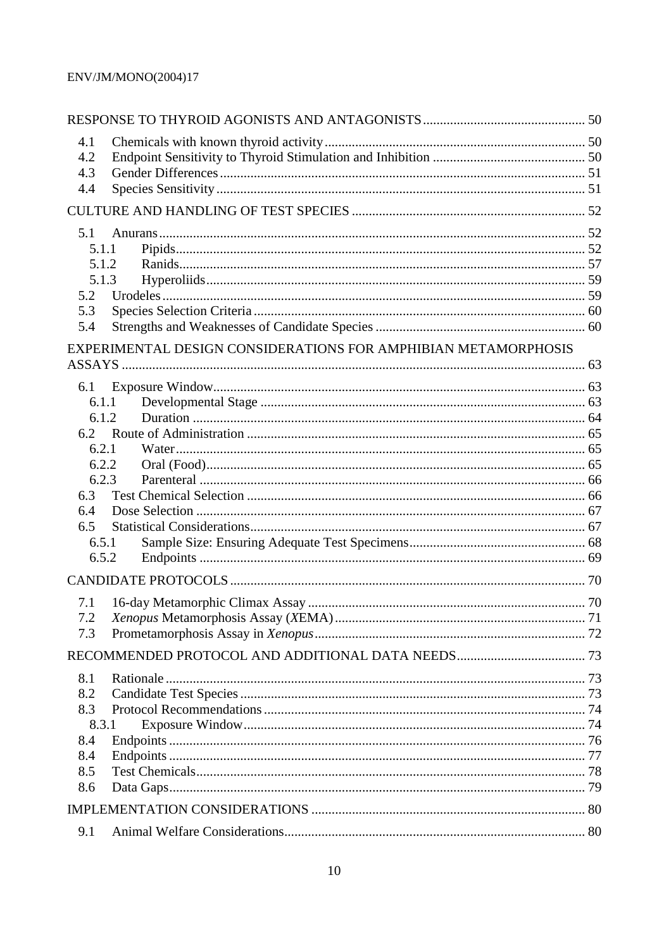| 4.1   |                                                                |  |
|-------|----------------------------------------------------------------|--|
| 4.2   |                                                                |  |
| 4.3   |                                                                |  |
| 4.4   |                                                                |  |
|       |                                                                |  |
| 5.1   |                                                                |  |
| 5.1.1 |                                                                |  |
| 5.1.2 |                                                                |  |
| 5.1.3 |                                                                |  |
| 5.2   |                                                                |  |
| 5.3   |                                                                |  |
| 5.4   |                                                                |  |
|       | EXPERIMENTAL DESIGN CONSIDERATIONS FOR AMPHIBIAN METAMORPHOSIS |  |
|       |                                                                |  |
| 6.1   |                                                                |  |
| 6.1.1 |                                                                |  |
| 6.1.2 |                                                                |  |
| 6.2   |                                                                |  |
| 6.2.1 |                                                                |  |
| 6.2.2 |                                                                |  |
| 6.2.3 |                                                                |  |
| 6.3   |                                                                |  |
| 6.4   |                                                                |  |
| 6.5   |                                                                |  |
| 6.5.1 |                                                                |  |
| 6.5.2 |                                                                |  |
|       |                                                                |  |
| 7.1   |                                                                |  |
| 7.2   |                                                                |  |
| 7.3   |                                                                |  |
|       |                                                                |  |
| 8.1   |                                                                |  |
| 8.2   |                                                                |  |
| 8.3   |                                                                |  |
| 8.3.1 |                                                                |  |
| 8.4   |                                                                |  |
| 8.4   |                                                                |  |
| 8.5   |                                                                |  |
| 8.6   |                                                                |  |
|       |                                                                |  |
| 9.1   |                                                                |  |
|       |                                                                |  |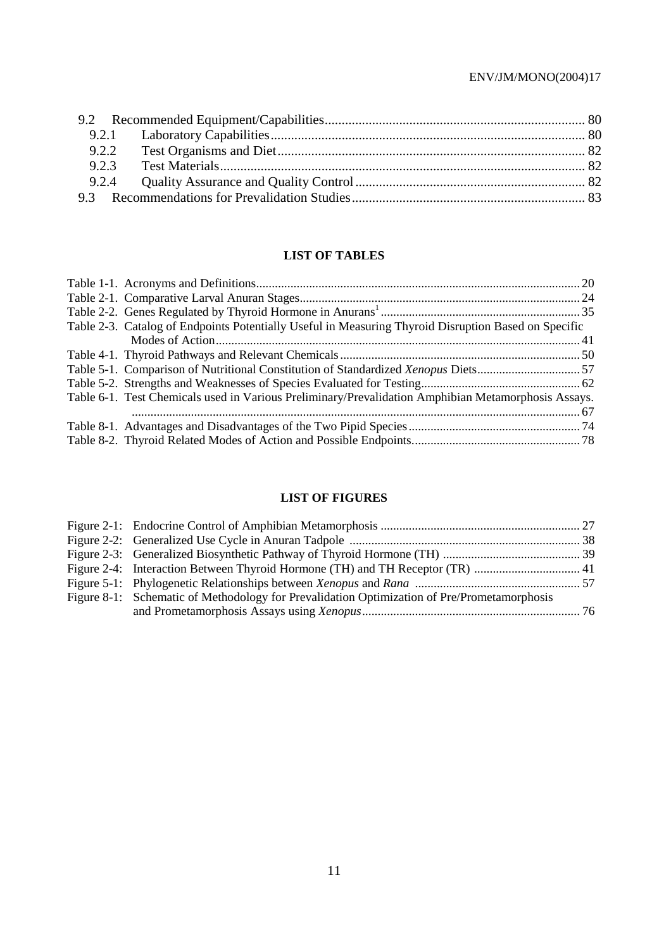# **LIST OF TABLES**

| Table 2-3. Catalog of Endpoints Potentially Useful in Measuring Thyroid Disruption Based on Specific |  |
|------------------------------------------------------------------------------------------------------|--|
|                                                                                                      |  |
|                                                                                                      |  |
|                                                                                                      |  |
|                                                                                                      |  |
| Table 6-1. Test Chemicals used in Various Preliminary/Prevalidation Amphibian Metamorphosis Assays.  |  |
|                                                                                                      |  |
|                                                                                                      |  |
|                                                                                                      |  |

# **LIST OF FIGURES**

| Figure 8-1: Schematic of Methodology for Prevalidation Optimization of Pre/Prometamorphosis |  |
|---------------------------------------------------------------------------------------------|--|
|                                                                                             |  |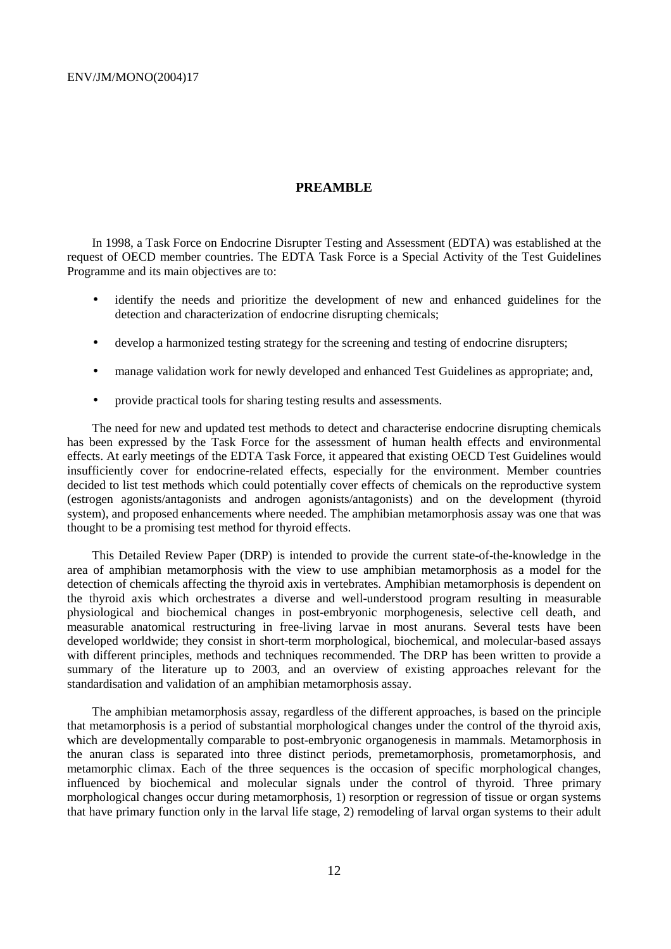#### **PREAMBLE**

In 1998, a Task Force on Endocrine Disrupter Testing and Assessment (EDTA) was established at the request of OECD member countries. The EDTA Task Force is a Special Activity of the Test Guidelines Programme and its main objectives are to:

- identify the needs and prioritize the development of new and enhanced guidelines for the detection and characterization of endocrine disrupting chemicals;
- develop a harmonized testing strategy for the screening and testing of endocrine disrupters;
- manage validation work for newly developed and enhanced Test Guidelines as appropriate; and,
- provide practical tools for sharing testing results and assessments.

The need for new and updated test methods to detect and characterise endocrine disrupting chemicals has been expressed by the Task Force for the assessment of human health effects and environmental effects. At early meetings of the EDTA Task Force, it appeared that existing OECD Test Guidelines would insufficiently cover for endocrine-related effects, especially for the environment. Member countries decided to list test methods which could potentially cover effects of chemicals on the reproductive system (estrogen agonists/antagonists and androgen agonists/antagonists) and on the development (thyroid system), and proposed enhancements where needed. The amphibian metamorphosis assay was one that was thought to be a promising test method for thyroid effects.

This Detailed Review Paper (DRP) is intended to provide the current state-of-the-knowledge in the area of amphibian metamorphosis with the view to use amphibian metamorphosis as a model for the detection of chemicals affecting the thyroid axis in vertebrates. Amphibian metamorphosis is dependent on the thyroid axis which orchestrates a diverse and well-understood program resulting in measurable physiological and biochemical changes in post-embryonic morphogenesis, selective cell death, and measurable anatomical restructuring in free-living larvae in most anurans. Several tests have been developed worldwide; they consist in short-term morphological, biochemical, and molecular-based assays with different principles, methods and techniques recommended. The DRP has been written to provide a summary of the literature up to 2003, and an overview of existing approaches relevant for the standardisation and validation of an amphibian metamorphosis assay.

The amphibian metamorphosis assay, regardless of the different approaches, is based on the principle that metamorphosis is a period of substantial morphological changes under the control of the thyroid axis, which are developmentally comparable to post-embryonic organogenesis in mammals. Metamorphosis in the anuran class is separated into three distinct periods, premetamorphosis, prometamorphosis, and metamorphic climax. Each of the three sequences is the occasion of specific morphological changes, influenced by biochemical and molecular signals under the control of thyroid. Three primary morphological changes occur during metamorphosis, 1) resorption or regression of tissue or organ systems that have primary function only in the larval life stage, 2) remodeling of larval organ systems to their adult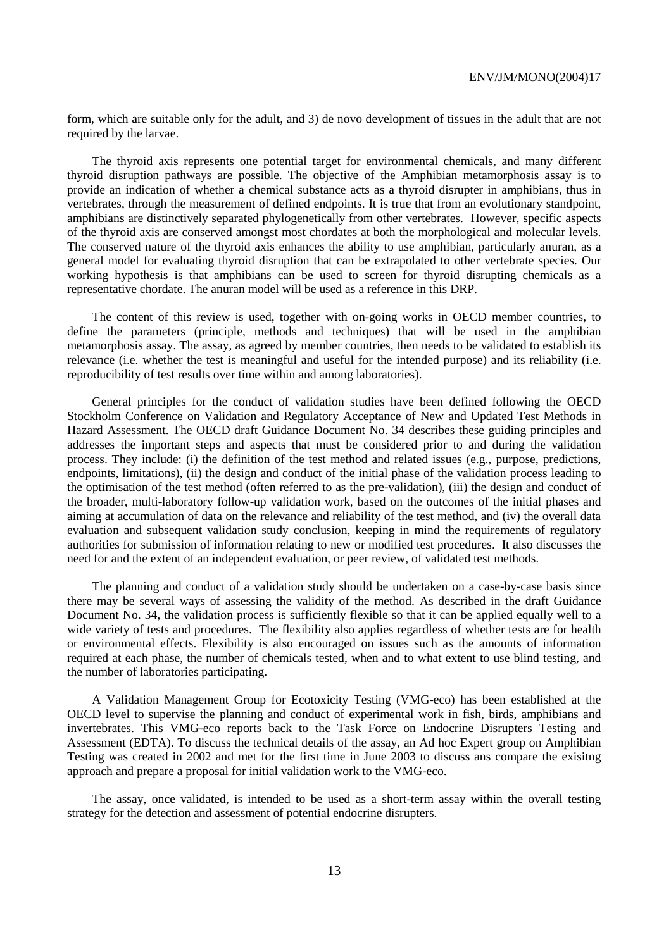form, which are suitable only for the adult, and 3) de novo development of tissues in the adult that are not required by the larvae.

The thyroid axis represents one potential target for environmental chemicals, and many different thyroid disruption pathways are possible. The objective of the Amphibian metamorphosis assay is to provide an indication of whether a chemical substance acts as a thyroid disrupter in amphibians, thus in vertebrates, through the measurement of defined endpoints. It is true that from an evolutionary standpoint, amphibians are distinctively separated phylogenetically from other vertebrates. However, specific aspects of the thyroid axis are conserved amongst most chordates at both the morphological and molecular levels. The conserved nature of the thyroid axis enhances the ability to use amphibian, particularly anuran, as a general model for evaluating thyroid disruption that can be extrapolated to other vertebrate species. Our working hypothesis is that amphibians can be used to screen for thyroid disrupting chemicals as a representative chordate. The anuran model will be used as a reference in this DRP.

The content of this review is used, together with on-going works in OECD member countries, to define the parameters (principle, methods and techniques) that will be used in the amphibian metamorphosis assay. The assay, as agreed by member countries, then needs to be validated to establish its relevance (i.e. whether the test is meaningful and useful for the intended purpose) and its reliability (i.e. reproducibility of test results over time within and among laboratories).

General principles for the conduct of validation studies have been defined following the OECD Stockholm Conference on Validation and Regulatory Acceptance of New and Updated Test Methods in Hazard Assessment. The OECD draft Guidance Document No. 34 describes these guiding principles and addresses the important steps and aspects that must be considered prior to and during the validation process. They include: (i) the definition of the test method and related issues (e.g., purpose, predictions, endpoints, limitations), (ii) the design and conduct of the initial phase of the validation process leading to the optimisation of the test method (often referred to as the pre-validation), (iii) the design and conduct of the broader, multi-laboratory follow-up validation work, based on the outcomes of the initial phases and aiming at accumulation of data on the relevance and reliability of the test method, and (iv) the overall data evaluation and subsequent validation study conclusion, keeping in mind the requirements of regulatory authorities for submission of information relating to new or modified test procedures. It also discusses the need for and the extent of an independent evaluation, or peer review, of validated test methods.

The planning and conduct of a validation study should be undertaken on a case-by-case basis since there may be several ways of assessing the validity of the method. As described in the draft Guidance Document No. 34, the validation process is sufficiently flexible so that it can be applied equally well to a wide variety of tests and procedures. The flexibility also applies regardless of whether tests are for health or environmental effects. Flexibility is also encouraged on issues such as the amounts of information required at each phase, the number of chemicals tested, when and to what extent to use blind testing, and the number of laboratories participating.

A Validation Management Group for Ecotoxicity Testing (VMG-eco) has been established at the OECD level to supervise the planning and conduct of experimental work in fish, birds, amphibians and invertebrates. This VMG-eco reports back to the Task Force on Endocrine Disrupters Testing and Assessment (EDTA). To discuss the technical details of the assay, an Ad hoc Expert group on Amphibian Testing was created in 2002 and met for the first time in June 2003 to discuss ans compare the exisitng approach and prepare a proposal for initial validation work to the VMG-eco.

The assay, once validated, is intended to be used as a short-term assay within the overall testing strategy for the detection and assessment of potential endocrine disrupters.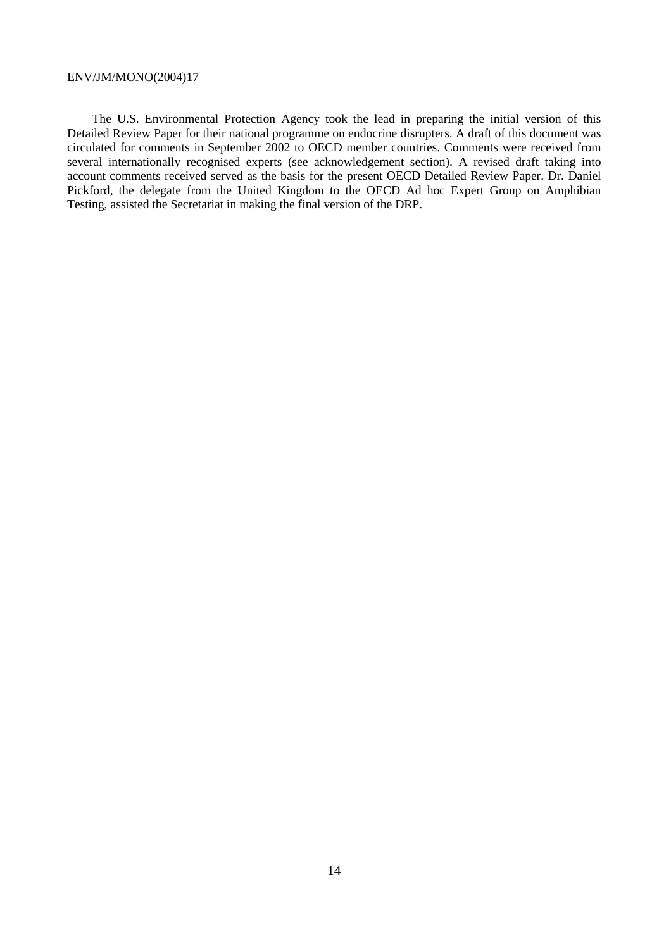The U.S. Environmental Protection Agency took the lead in preparing the initial version of this Detailed Review Paper for their national programme on endocrine disrupters. A draft of this document was circulated for comments in September 2002 to OECD member countries. Comments were received from several internationally recognised experts (see acknowledgement section). A revised draft taking into account comments received served as the basis for the present OECD Detailed Review Paper. Dr. Daniel Pickford, the delegate from the United Kingdom to the OECD Ad hoc Expert Group on Amphibian Testing, assisted the Secretariat in making the final version of the DRP.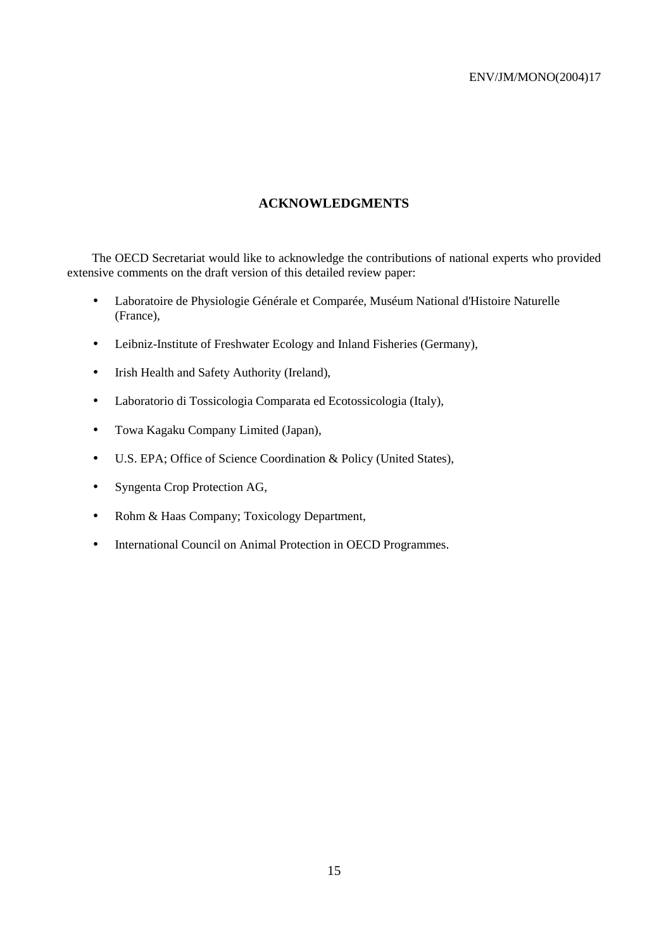# **ACKNOWLEDGMENTS**

The OECD Secretariat would like to acknowledge the contributions of national experts who provided extensive comments on the draft version of this detailed review paper:

- Laboratoire de Physiologie Générale et Comparée, Muséum National d'Histoire Naturelle (France),
- Leibniz-Institute of Freshwater Ecology and Inland Fisheries (Germany),
- Irish Health and Safety Authority (Ireland),
- Laboratorio di Tossicologia Comparata ed Ecotossicologia (Italy),
- Towa Kagaku Company Limited (Japan),
- U.S. EPA; Office of Science Coordination & Policy (United States),
- Syngenta Crop Protection AG,
- Rohm & Haas Company; Toxicology Department,
- International Council on Animal Protection in OECD Programmes.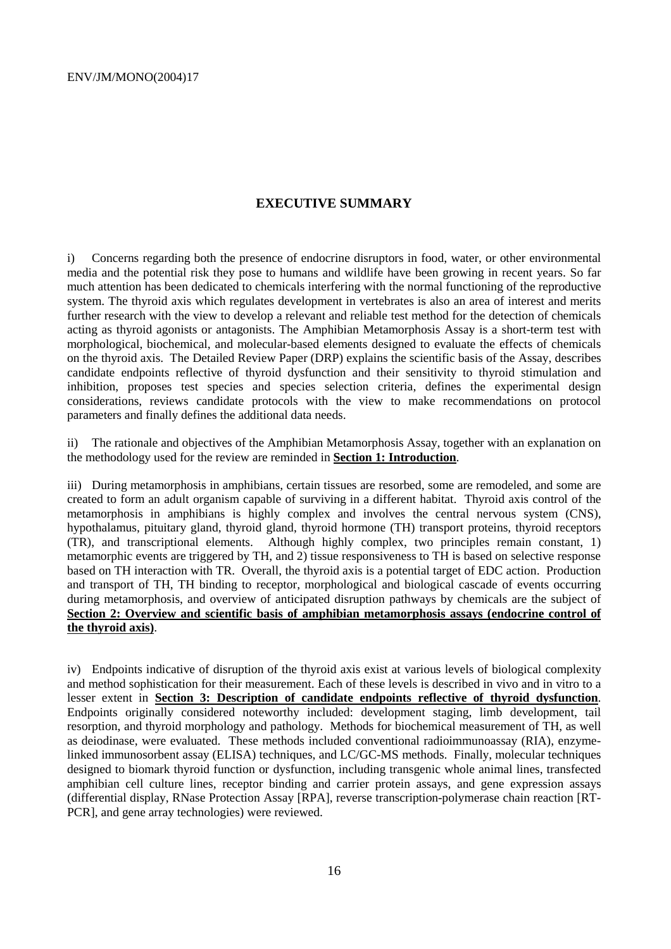# **EXECUTIVE SUMMARY**

i) Concerns regarding both the presence of endocrine disruptors in food, water, or other environmental media and the potential risk they pose to humans and wildlife have been growing in recent years. So far much attention has been dedicated to chemicals interfering with the normal functioning of the reproductive system. The thyroid axis which regulates development in vertebrates is also an area of interest and merits further research with the view to develop a relevant and reliable test method for the detection of chemicals acting as thyroid agonists or antagonists. The Amphibian Metamorphosis Assay is a short-term test with morphological, biochemical, and molecular-based elements designed to evaluate the effects of chemicals on the thyroid axis. The Detailed Review Paper (DRP) explains the scientific basis of the Assay, describes candidate endpoints reflective of thyroid dysfunction and their sensitivity to thyroid stimulation and inhibition, proposes test species and species selection criteria, defines the experimental design considerations, reviews candidate protocols with the view to make recommendations on protocol parameters and finally defines the additional data needs.

ii) The rationale and objectives of the Amphibian Metamorphosis Assay, together with an explanation on the methodology used for the review are reminded in **Section 1: Introduction**.

iii) During metamorphosis in amphibians, certain tissues are resorbed, some are remodeled, and some are created to form an adult organism capable of surviving in a different habitat. Thyroid axis control of the metamorphosis in amphibians is highly complex and involves the central nervous system (CNS), hypothalamus, pituitary gland, thyroid gland, thyroid hormone (TH) transport proteins, thyroid receptors (TR), and transcriptional elements. Although highly complex, two principles remain constant, 1) metamorphic events are triggered by TH, and 2) tissue responsiveness to TH is based on selective response based on TH interaction with TR. Overall, the thyroid axis is a potential target of EDC action. Production and transport of TH, TH binding to receptor, morphological and biological cascade of events occurring during metamorphosis, and overview of anticipated disruption pathways by chemicals are the subject of **Section 2: Overview and scientific basis of amphibian metamorphosis assays (endocrine control of the thyroid axis)**.

iv) Endpoints indicative of disruption of the thyroid axis exist at various levels of biological complexity and method sophistication for their measurement. Each of these levels is described in vivo and in vitro to a lesser extent in **Section 3: Description of candidate endpoints reflective of thyroid dysfunction**. Endpoints originally considered noteworthy included: development staging, limb development, tail resorption, and thyroid morphology and pathology. Methods for biochemical measurement of TH, as well as deiodinase, were evaluated. These methods included conventional radioimmunoassay (RIA), enzymelinked immunosorbent assay (ELISA) techniques, and LC/GC-MS methods. Finally, molecular techniques designed to biomark thyroid function or dysfunction, including transgenic whole animal lines, transfected amphibian cell culture lines, receptor binding and carrier protein assays, and gene expression assays (differential display, RNase Protection Assay [RPA], reverse transcription-polymerase chain reaction [RT-PCR], and gene array technologies) were reviewed.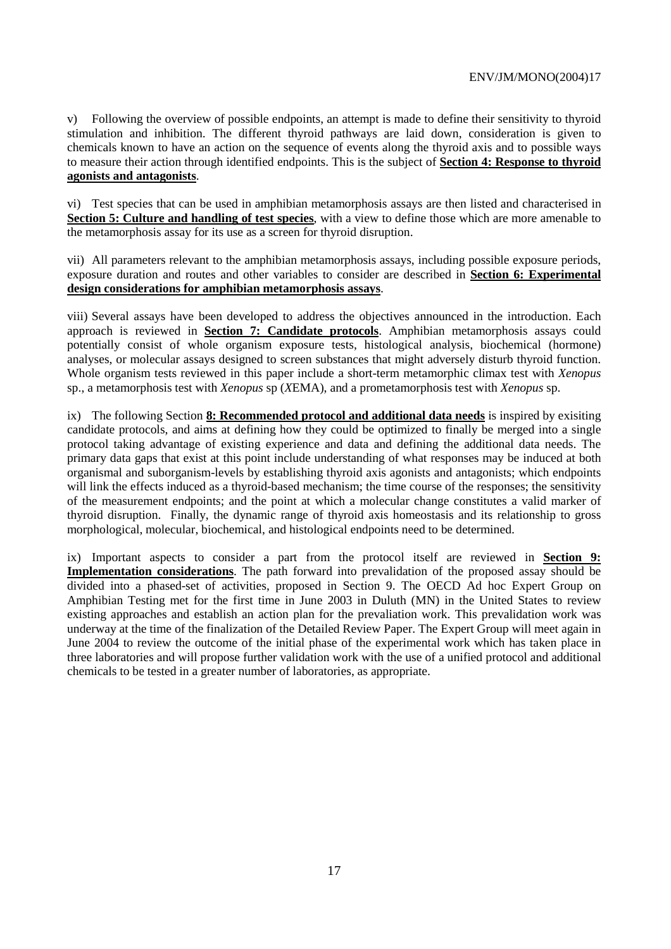v) Following the overview of possible endpoints, an attempt is made to define their sensitivity to thyroid stimulation and inhibition. The different thyroid pathways are laid down, consideration is given to chemicals known to have an action on the sequence of events along the thyroid axis and to possible ways to measure their action through identified endpoints. This is the subject of **Section 4: Response to thyroid agonists and antagonists**.

vi) Test species that can be used in amphibian metamorphosis assays are then listed and characterised in **Section 5: Culture and handling of test species**, with a view to define those which are more amenable to the metamorphosis assay for its use as a screen for thyroid disruption.

vii) All parameters relevant to the amphibian metamorphosis assays, including possible exposure periods, exposure duration and routes and other variables to consider are described in **Section 6: Experimental design considerations for amphibian metamorphosis assays**.

viii) Several assays have been developed to address the objectives announced in the introduction. Each approach is reviewed in **Section 7: Candidate protocols**. Amphibian metamorphosis assays could potentially consist of whole organism exposure tests, histological analysis, biochemical (hormone) analyses, or molecular assays designed to screen substances that might adversely disturb thyroid function. Whole organism tests reviewed in this paper include a short-term metamorphic climax test with *Xenopus* sp., a metamorphosis test with *Xenopus* sp (*X*EMA), and a prometamorphosis test with *Xenopus* sp.

ix) The following Section **8: Recommended protocol and additional data needs** is inspired by exisiting candidate protocols, and aims at defining how they could be optimized to finally be merged into a single protocol taking advantage of existing experience and data and defining the additional data needs. The primary data gaps that exist at this point include understanding of what responses may be induced at both organismal and suborganism-levels by establishing thyroid axis agonists and antagonists; which endpoints will link the effects induced as a thyroid-based mechanism; the time course of the responses; the sensitivity of the measurement endpoints; and the point at which a molecular change constitutes a valid marker of thyroid disruption. Finally, the dynamic range of thyroid axis homeostasis and its relationship to gross morphological, molecular, biochemical, and histological endpoints need to be determined.

ix) Important aspects to consider a part from the protocol itself are reviewed in **Section 9: Implementation considerations**. The path forward into prevalidation of the proposed assay should be divided into a phased-set of activities, proposed in Section 9. The OECD Ad hoc Expert Group on Amphibian Testing met for the first time in June 2003 in Duluth (MN) in the United States to review existing approaches and establish an action plan for the prevaliation work. This prevalidation work was underway at the time of the finalization of the Detailed Review Paper. The Expert Group will meet again in June 2004 to review the outcome of the initial phase of the experimental work which has taken place in three laboratories and will propose further validation work with the use of a unified protocol and additional chemicals to be tested in a greater number of laboratories, as appropriate.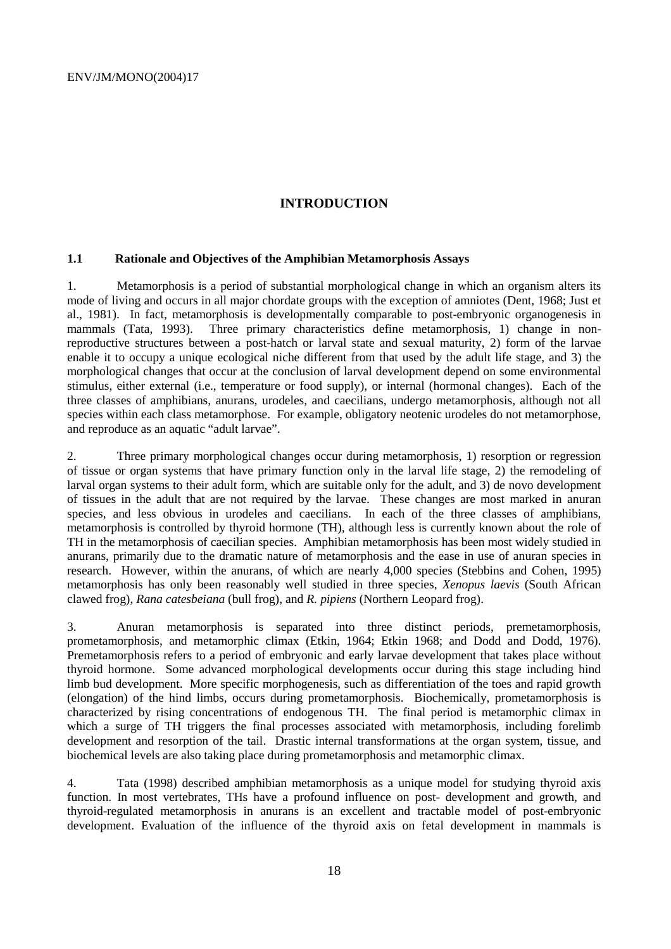# **INTRODUCTION**

#### **1.1 Rationale and Objectives of the Amphibian Metamorphosis Assays**

1. Metamorphosis is a period of substantial morphological change in which an organism alters its mode of living and occurs in all major chordate groups with the exception of amniotes (Dent, 1968; Just et al., 1981). In fact, metamorphosis is developmentally comparable to post-embryonic organogenesis in mammals (Tata, 1993). Three primary characteristics define metamorphosis, 1) change in nonreproductive structures between a post-hatch or larval state and sexual maturity, 2) form of the larvae enable it to occupy a unique ecological niche different from that used by the adult life stage, and 3) the morphological changes that occur at the conclusion of larval development depend on some environmental stimulus, either external (i.e., temperature or food supply), or internal (hormonal changes). Each of the three classes of amphibians, anurans, urodeles, and caecilians, undergo metamorphosis, although not all species within each class metamorphose. For example, obligatory neotenic urodeles do not metamorphose, and reproduce as an aquatic "adult larvae".

2. Three primary morphological changes occur during metamorphosis, 1) resorption or regression of tissue or organ systems that have primary function only in the larval life stage, 2) the remodeling of larval organ systems to their adult form, which are suitable only for the adult, and 3) de novo development of tissues in the adult that are not required by the larvae. These changes are most marked in anuran species, and less obvious in urodeles and caecilians. In each of the three classes of amphibians, metamorphosis is controlled by thyroid hormone (TH), although less is currently known about the role of TH in the metamorphosis of caecilian species. Amphibian metamorphosis has been most widely studied in anurans, primarily due to the dramatic nature of metamorphosis and the ease in use of anuran species in research. However, within the anurans, of which are nearly 4,000 species (Stebbins and Cohen, 1995) metamorphosis has only been reasonably well studied in three species, *Xenopus laevis* (South African clawed frog), *Rana catesbeiana* (bull frog), and *R. pipiens* (Northern Leopard frog).

3. Anuran metamorphosis is separated into three distinct periods, premetamorphosis, prometamorphosis, and metamorphic climax (Etkin, 1964; Etkin 1968; and Dodd and Dodd, 1976). Premetamorphosis refers to a period of embryonic and early larvae development that takes place without thyroid hormone. Some advanced morphological developments occur during this stage including hind limb bud development. More specific morphogenesis, such as differentiation of the toes and rapid growth (elongation) of the hind limbs, occurs during prometamorphosis. Biochemically, prometamorphosis is characterized by rising concentrations of endogenous TH. The final period is metamorphic climax in which a surge of TH triggers the final processes associated with metamorphosis, including forelimb development and resorption of the tail. Drastic internal transformations at the organ system, tissue, and biochemical levels are also taking place during prometamorphosis and metamorphic climax.

4. Tata (1998) described amphibian metamorphosis as a unique model for studying thyroid axis function. In most vertebrates, THs have a profound influence on post- development and growth, and thyroid-regulated metamorphosis in anurans is an excellent and tractable model of post-embryonic development. Evaluation of the influence of the thyroid axis on fetal development in mammals is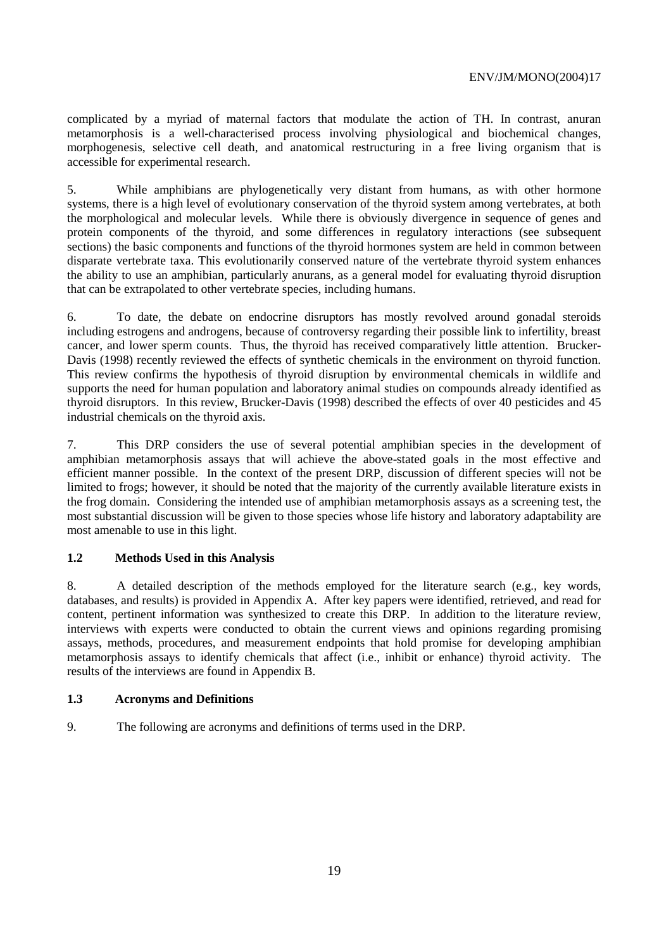complicated by a myriad of maternal factors that modulate the action of TH. In contrast, anuran metamorphosis is a well-characterised process involving physiological and biochemical changes, morphogenesis, selective cell death, and anatomical restructuring in a free living organism that is accessible for experimental research.

5. While amphibians are phylogenetically very distant from humans, as with other hormone systems, there is a high level of evolutionary conservation of the thyroid system among vertebrates, at both the morphological and molecular levels. While there is obviously divergence in sequence of genes and protein components of the thyroid, and some differences in regulatory interactions (see subsequent sections) the basic components and functions of the thyroid hormones system are held in common between disparate vertebrate taxa. This evolutionarily conserved nature of the vertebrate thyroid system enhances the ability to use an amphibian, particularly anurans, as a general model for evaluating thyroid disruption that can be extrapolated to other vertebrate species, including humans.

6. To date, the debate on endocrine disruptors has mostly revolved around gonadal steroids including estrogens and androgens, because of controversy regarding their possible link to infertility, breast cancer, and lower sperm counts. Thus, the thyroid has received comparatively little attention. Brucker-Davis (1998) recently reviewed the effects of synthetic chemicals in the environment on thyroid function. This review confirms the hypothesis of thyroid disruption by environmental chemicals in wildlife and supports the need for human population and laboratory animal studies on compounds already identified as thyroid disruptors. In this review, Brucker-Davis (1998) described the effects of over 40 pesticides and 45 industrial chemicals on the thyroid axis.

7. This DRP considers the use of several potential amphibian species in the development of amphibian metamorphosis assays that will achieve the above-stated goals in the most effective and efficient manner possible. In the context of the present DRP, discussion of different species will not be limited to frogs; however, it should be noted that the majority of the currently available literature exists in the frog domain. Considering the intended use of amphibian metamorphosis assays as a screening test, the most substantial discussion will be given to those species whose life history and laboratory adaptability are most amenable to use in this light.

# **1.2 Methods Used in this Analysis**

8. A detailed description of the methods employed for the literature search (e.g., key words, databases, and results) is provided in Appendix A. After key papers were identified, retrieved, and read for content, pertinent information was synthesized to create this DRP. In addition to the literature review, interviews with experts were conducted to obtain the current views and opinions regarding promising assays, methods, procedures, and measurement endpoints that hold promise for developing amphibian metamorphosis assays to identify chemicals that affect (i.e., inhibit or enhance) thyroid activity. The results of the interviews are found in Appendix B.

# **1.3 Acronyms and Definitions**

9. The following are acronyms and definitions of terms used in the DRP.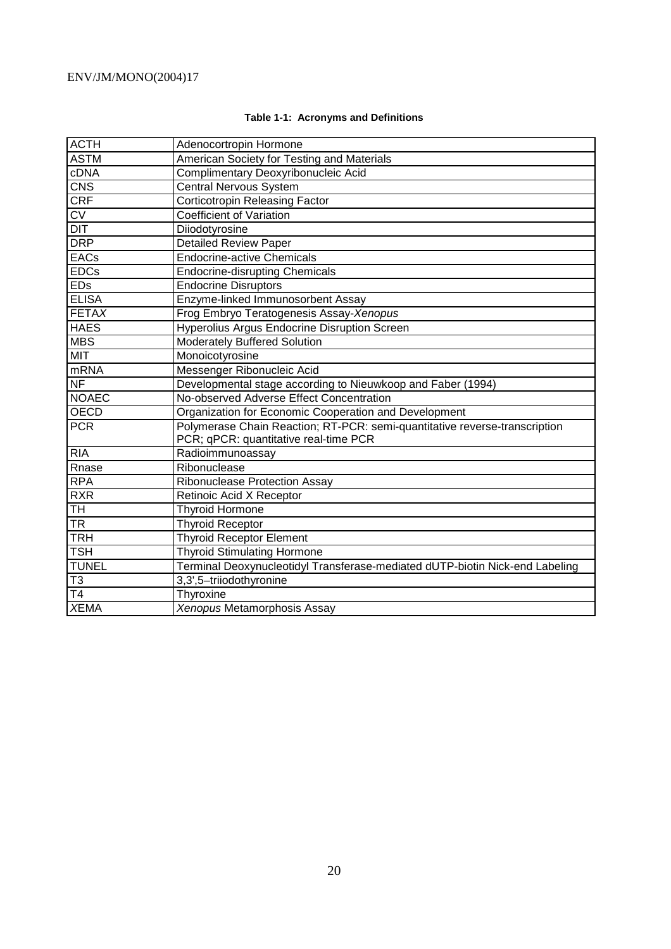| <b>ACTH</b>                   | Adenocortropin Hormone                                                       |
|-------------------------------|------------------------------------------------------------------------------|
| <b>ASTM</b>                   | American Society for Testing and Materials                                   |
| cDNA                          | Complimentary Deoxyribonucleic Acid                                          |
| <b>CNS</b>                    | Central Nervous System                                                       |
| CRF                           | <b>Corticotropin Releasing Factor</b>                                        |
| $\overline{\text{cv}}$        | <b>Coefficient of Variation</b>                                              |
| <b>DIT</b>                    | Diiodotyrosine                                                               |
| <b>DRP</b>                    | <b>Detailed Review Paper</b>                                                 |
| <b>EACs</b>                   | <b>Endocrine-active Chemicals</b>                                            |
| <b>EDCs</b>                   | <b>Endocrine-disrupting Chemicals</b>                                        |
| <b>EDs</b>                    | <b>Endocrine Disruptors</b>                                                  |
| <b>ELISA</b>                  | Enzyme-linked Immunosorbent Assay                                            |
| <b>FETAX</b>                  | Frog Embryo Teratogenesis Assay-Xenopus                                      |
| <b>HAES</b>                   | Hyperolius Argus Endocrine Disruption Screen                                 |
| <b>MBS</b>                    | <b>Moderately Buffered Solution</b>                                          |
| <b>MIT</b>                    | Monoicotyrosine                                                              |
| <b>mRNA</b>                   | Messenger Ribonucleic Acid                                                   |
|                               |                                                                              |
| N <sub>F</sub>                | Developmental stage according to Nieuwkoop and Faber (1994)                  |
| <b>NOAEC</b>                  | No-observed Adverse Effect Concentration                                     |
| <b>OECD</b>                   | Organization for Economic Cooperation and Development                        |
| <b>PCR</b>                    | Polymerase Chain Reaction; RT-PCR: semi-quantitative reverse-transcription   |
|                               | PCR; qPCR: quantitative real-time PCR                                        |
| <b>RIA</b>                    | Radioimmunoassay                                                             |
| Rnase                         | Ribonuclease                                                                 |
| <b>RPA</b>                    | <b>Ribonuclease Protection Assay</b>                                         |
| <b>RXR</b>                    | Retinoic Acid X Receptor                                                     |
| <b>TH</b>                     | <b>Thyroid Hormone</b>                                                       |
| $\overline{\mathsf{TR}}$      | <b>Thyroid Receptor</b>                                                      |
| <b>TRH</b>                    | <b>Thyroid Receptor Element</b>                                              |
| $\overline{\text{TSH}}$       | <b>Thyroid Stimulating Hormone</b>                                           |
| <b>TUNEL</b>                  | Terminal Deoxynucleotidyl Transferase-mediated dUTP-biotin Nick-end Labeling |
| T <sub>3</sub>                | 3,3',5-triiodothyronine                                                      |
| T <sub>4</sub><br><b>XEMA</b> | Thyroxine                                                                    |

# **Table 1-1: Acronyms and Definitions**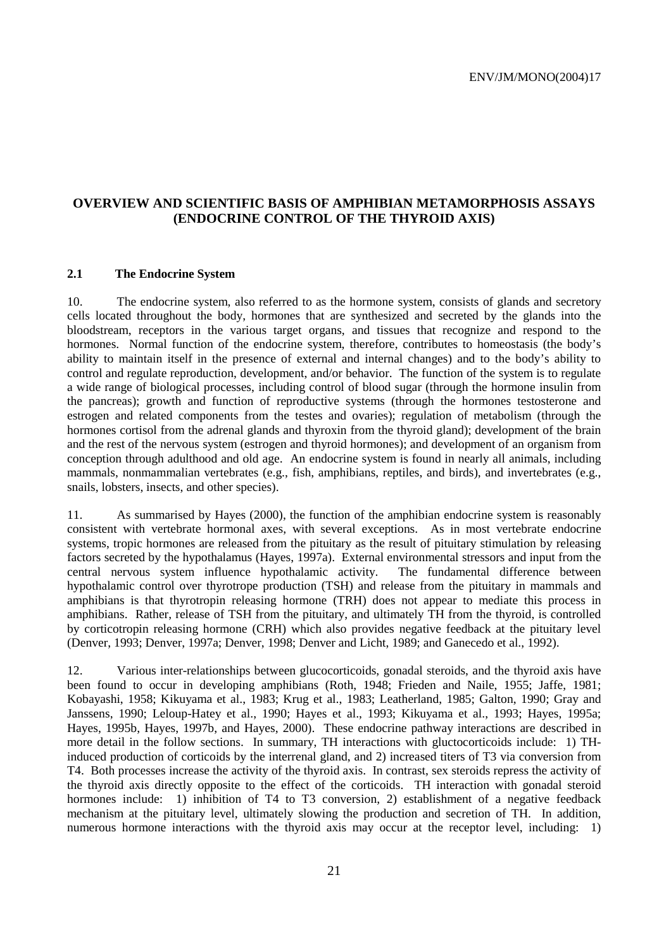# **OVERVIEW AND SCIENTIFIC BASIS OF AMPHIBIAN METAMORPHOSIS ASSAYS (ENDOCRINE CONTROL OF THE THYROID AXIS)**

### **2.1 The Endocrine System**

10. The endocrine system, also referred to as the hormone system, consists of glands and secretory cells located throughout the body, hormones that are synthesized and secreted by the glands into the bloodstream, receptors in the various target organs, and tissues that recognize and respond to the hormones. Normal function of the endocrine system, therefore, contributes to homeostasis (the body's ability to maintain itself in the presence of external and internal changes) and to the body's ability to control and regulate reproduction, development, and/or behavior. The function of the system is to regulate a wide range of biological processes, including control of blood sugar (through the hormone insulin from the pancreas); growth and function of reproductive systems (through the hormones testosterone and estrogen and related components from the testes and ovaries); regulation of metabolism (through the hormones cortisol from the adrenal glands and thyroxin from the thyroid gland); development of the brain and the rest of the nervous system (estrogen and thyroid hormones); and development of an organism from conception through adulthood and old age. An endocrine system is found in nearly all animals, including mammals, nonmammalian vertebrates (e.g., fish, amphibians, reptiles, and birds), and invertebrates (e.g., snails, lobsters, insects, and other species).

11. As summarised by Hayes (2000), the function of the amphibian endocrine system is reasonably consistent with vertebrate hormonal axes, with several exceptions. As in most vertebrate endocrine systems, tropic hormones are released from the pituitary as the result of pituitary stimulation by releasing factors secreted by the hypothalamus (Hayes, 1997a). External environmental stressors and input from the central nervous system influence hypothalamic activity. The fundamental difference between hypothalamic control over thyrotrope production (TSH) and release from the pituitary in mammals and amphibians is that thyrotropin releasing hormone (TRH) does not appear to mediate this process in amphibians. Rather, release of TSH from the pituitary, and ultimately TH from the thyroid, is controlled by corticotropin releasing hormone (CRH) which also provides negative feedback at the pituitary level (Denver, 1993; Denver, 1997a; Denver, 1998; Denver and Licht, 1989; and Ganecedo et al., 1992).

12. Various inter-relationships between glucocorticoids, gonadal steroids, and the thyroid axis have been found to occur in developing amphibians (Roth, 1948; Frieden and Naile, 1955; Jaffe, 1981; Kobayashi, 1958; Kikuyama et al., 1983; Krug et al., 1983; Leatherland, 1985; Galton, 1990; Gray and Janssens, 1990; Leloup-Hatey et al., 1990; Hayes et al., 1993; Kikuyama et al., 1993; Hayes, 1995a; Hayes, 1995b, Hayes, 1997b, and Hayes, 2000). These endocrine pathway interactions are described in more detail in the follow sections. In summary, TH interactions with gluctocorticoids include: 1) THinduced production of corticoids by the interrenal gland, and 2) increased titers of T3 via conversion from T4. Both processes increase the activity of the thyroid axis. In contrast, sex steroids repress the activity of the thyroid axis directly opposite to the effect of the corticoids. TH interaction with gonadal steroid hormones include: 1) inhibition of T4 to T3 conversion, 2) establishment of a negative feedback mechanism at the pituitary level, ultimately slowing the production and secretion of TH. In addition, numerous hormone interactions with the thyroid axis may occur at the receptor level, including: 1)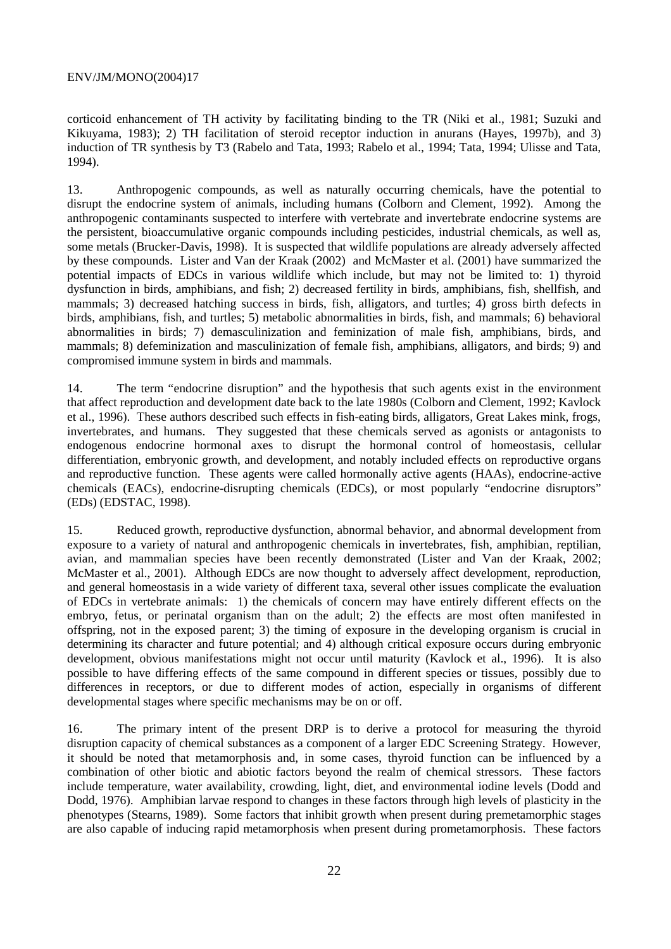corticoid enhancement of TH activity by facilitating binding to the TR (Niki et al., 1981; Suzuki and Kikuyama, 1983); 2) TH facilitation of steroid receptor induction in anurans (Hayes, 1997b), and 3) induction of TR synthesis by T3 (Rabelo and Tata, 1993; Rabelo et al., 1994; Tata, 1994; Ulisse and Tata, 1994).

13. Anthropogenic compounds, as well as naturally occurring chemicals, have the potential to disrupt the endocrine system of animals, including humans (Colborn and Clement, 1992). Among the anthropogenic contaminants suspected to interfere with vertebrate and invertebrate endocrine systems are the persistent, bioaccumulative organic compounds including pesticides, industrial chemicals, as well as, some metals (Brucker-Davis, 1998). It is suspected that wildlife populations are already adversely affected by these compounds. Lister and Van der Kraak (2002) and McMaster et al. (2001) have summarized the potential impacts of EDCs in various wildlife which include, but may not be limited to: 1) thyroid dysfunction in birds, amphibians, and fish; 2) decreased fertility in birds, amphibians, fish, shellfish, and mammals; 3) decreased hatching success in birds, fish, alligators, and turtles; 4) gross birth defects in birds, amphibians, fish, and turtles; 5) metabolic abnormalities in birds, fish, and mammals; 6) behavioral abnormalities in birds; 7) demasculinization and feminization of male fish, amphibians, birds, and mammals; 8) defeminization and masculinization of female fish, amphibians, alligators, and birds; 9) and compromised immune system in birds and mammals.

14. The term "endocrine disruption" and the hypothesis that such agents exist in the environment that affect reproduction and development date back to the late 1980s (Colborn and Clement, 1992; Kavlock et al., 1996). These authors described such effects in fish-eating birds, alligators, Great Lakes mink, frogs, invertebrates, and humans. They suggested that these chemicals served as agonists or antagonists to endogenous endocrine hormonal axes to disrupt the hormonal control of homeostasis, cellular differentiation, embryonic growth, and development, and notably included effects on reproductive organs and reproductive function. These agents were called hormonally active agents (HAAs), endocrine-active chemicals (EACs), endocrine-disrupting chemicals (EDCs), or most popularly "endocrine disruptors" (EDs) (EDSTAC, 1998).

15. Reduced growth, reproductive dysfunction, abnormal behavior, and abnormal development from exposure to a variety of natural and anthropogenic chemicals in invertebrates, fish, amphibian, reptilian, avian, and mammalian species have been recently demonstrated (Lister and Van der Kraak, 2002; McMaster et al., 2001). Although EDCs are now thought to adversely affect development, reproduction, and general homeostasis in a wide variety of different taxa, several other issues complicate the evaluation of EDCs in vertebrate animals: 1) the chemicals of concern may have entirely different effects on the embryo, fetus, or perinatal organism than on the adult; 2) the effects are most often manifested in offspring, not in the exposed parent; 3) the timing of exposure in the developing organism is crucial in determining its character and future potential; and 4) although critical exposure occurs during embryonic development, obvious manifestations might not occur until maturity (Kavlock et al., 1996). It is also possible to have differing effects of the same compound in different species or tissues, possibly due to differences in receptors, or due to different modes of action, especially in organisms of different developmental stages where specific mechanisms may be on or off.

16. The primary intent of the present DRP is to derive a protocol for measuring the thyroid disruption capacity of chemical substances as a component of a larger EDC Screening Strategy. However, it should be noted that metamorphosis and, in some cases, thyroid function can be influenced by a combination of other biotic and abiotic factors beyond the realm of chemical stressors. These factors include temperature, water availability, crowding, light, diet, and environmental iodine levels (Dodd and Dodd, 1976). Amphibian larvae respond to changes in these factors through high levels of plasticity in the phenotypes (Stearns, 1989). Some factors that inhibit growth when present during premetamorphic stages are also capable of inducing rapid metamorphosis when present during prometamorphosis. These factors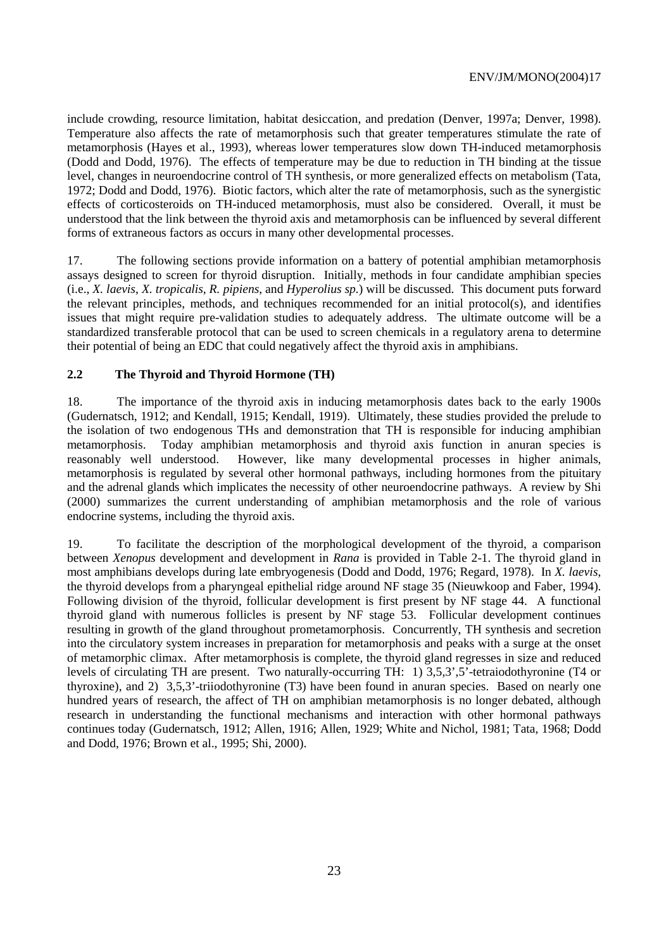include crowding, resource limitation, habitat desiccation, and predation (Denver, 1997a; Denver, 1998). Temperature also affects the rate of metamorphosis such that greater temperatures stimulate the rate of metamorphosis (Hayes et al., 1993), whereas lower temperatures slow down TH-induced metamorphosis (Dodd and Dodd, 1976). The effects of temperature may be due to reduction in TH binding at the tissue level, changes in neuroendocrine control of TH synthesis, or more generalized effects on metabolism (Tata, 1972; Dodd and Dodd, 1976). Biotic factors, which alter the rate of metamorphosis, such as the synergistic effects of corticosteroids on TH-induced metamorphosis, must also be considered. Overall, it must be understood that the link between the thyroid axis and metamorphosis can be influenced by several different forms of extraneous factors as occurs in many other developmental processes.

17. The following sections provide information on a battery of potential amphibian metamorphosis assays designed to screen for thyroid disruption. Initially, methods in four candidate amphibian species (i.e., *X. laevis*, *X. tropicalis*, *R. pipiens*, and *Hyperolius sp.*) will be discussed. This document puts forward the relevant principles, methods, and techniques recommended for an initial protocol(s), and identifies issues that might require pre-validation studies to adequately address. The ultimate outcome will be a standardized transferable protocol that can be used to screen chemicals in a regulatory arena to determine their potential of being an EDC that could negatively affect the thyroid axis in amphibians.

# **2.2 The Thyroid and Thyroid Hormone (TH)**

18. The importance of the thyroid axis in inducing metamorphosis dates back to the early 1900s (Gudernatsch, 1912; and Kendall, 1915; Kendall, 1919). Ultimately, these studies provided the prelude to the isolation of two endogenous THs and demonstration that TH is responsible for inducing amphibian metamorphosis. Today amphibian metamorphosis and thyroid axis function in anuran species is reasonably well understood. However, like many developmental processes in higher animals, metamorphosis is regulated by several other hormonal pathways, including hormones from the pituitary and the adrenal glands which implicates the necessity of other neuroendocrine pathways. A review by Shi (2000) summarizes the current understanding of amphibian metamorphosis and the role of various endocrine systems, including the thyroid axis.

19. To facilitate the description of the morphological development of the thyroid, a comparison between *Xenopus* development and development in *Rana* is provided in Table 2-1. The thyroid gland in most amphibians develops during late embryogenesis (Dodd and Dodd, 1976; Regard, 1978). In *X. laevis*, the thyroid develops from a pharyngeal epithelial ridge around NF stage 35 (Nieuwkoop and Faber, 1994). Following division of the thyroid, follicular development is first present by NF stage 44. A functional thyroid gland with numerous follicles is present by NF stage 53. Follicular development continues resulting in growth of the gland throughout prometamorphosis. Concurrently, TH synthesis and secretion into the circulatory system increases in preparation for metamorphosis and peaks with a surge at the onset of metamorphic climax. After metamorphosis is complete, the thyroid gland regresses in size and reduced levels of circulating TH are present. Two naturally-occurring TH: 1) 3,5,3',5'-tetraiodothyronine (T4 or thyroxine), and 2) 3,5,3'-triiodothyronine (T3) have been found in anuran species. Based on nearly one hundred years of research, the affect of TH on amphibian metamorphosis is no longer debated, although research in understanding the functional mechanisms and interaction with other hormonal pathways continues today (Gudernatsch, 1912; Allen, 1916; Allen, 1929; White and Nichol, 1981; Tata, 1968; Dodd and Dodd, 1976; Brown et al., 1995; Shi, 2000).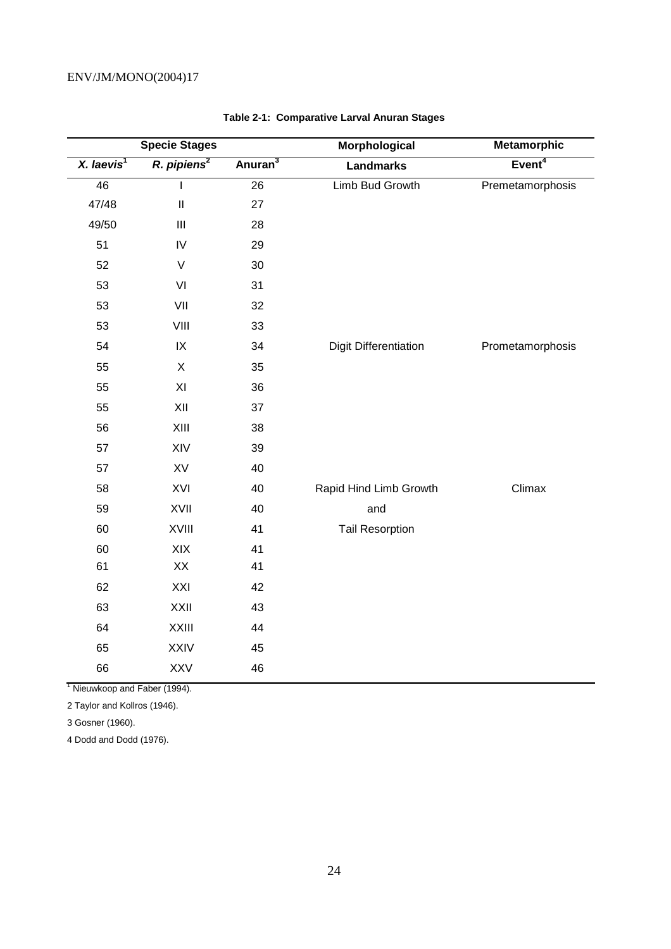|                        | <b>Specie Stages</b>       |                     | Morphological                | <b>Metamorphic</b> |
|------------------------|----------------------------|---------------------|------------------------------|--------------------|
| X. laevis <sup>1</sup> | R. pipiens <sup>2</sup>    | Anuran <sup>3</sup> | <b>Landmarks</b>             | Event <sup>4</sup> |
| 46                     | $\overline{1}$             | $\overline{26}$     | Limb Bud Growth              | Premetamorphosis   |
| 47/48                  | $\ensuremath{\mathsf{II}}$ | 27                  |                              |                    |
| 49/50                  | $\mathop{\rm III}$         | 28                  |                              |                    |
| 51                     | IV                         | 29                  |                              |                    |
| 52                     | $\sf V$                    | 30                  |                              |                    |
| 53                     | VI                         | 31                  |                              |                    |
| 53                     | VII                        | 32                  |                              |                    |
| 53                     | VIII                       | 33                  |                              |                    |
| 54                     | IX                         | 34                  | <b>Digit Differentiation</b> | Prometamorphosis   |
| 55                     | $\mathsf X$                | 35                  |                              |                    |
| 55                     | XI                         | 36                  |                              |                    |
| 55                     | XII                        | 37                  |                              |                    |
| 56                     | XIII                       | 38                  |                              |                    |
| 57                     | XIV                        | 39                  |                              |                    |
| 57                     | XV                         | 40                  |                              |                    |
| 58                     | XVI                        | 40                  | Rapid Hind Limb Growth       | Climax             |
| 59                     | XVII                       | 40                  | and                          |                    |
| 60                     | XVIII                      | 41                  | <b>Tail Resorption</b>       |                    |
| 60                     | XIX                        | 41                  |                              |                    |
| 61                     | XX                         | 41                  |                              |                    |
| 62                     | XXI                        | 42                  |                              |                    |
| 63                     | XXII                       | 43                  |                              |                    |
| 64                     | XXIII                      | 44                  |                              |                    |
| 65                     | XXIV                       | 45                  |                              |                    |
| 66                     | <b>XXV</b>                 | 46                  |                              |                    |

# **Table 2-1: Comparative Larval Anuran Stages**

<sup>1</sup> Nieuwkoop and Faber (1994).

2 Taylor and Kollros (1946).

3 Gosner (1960).

4 Dodd and Dodd (1976).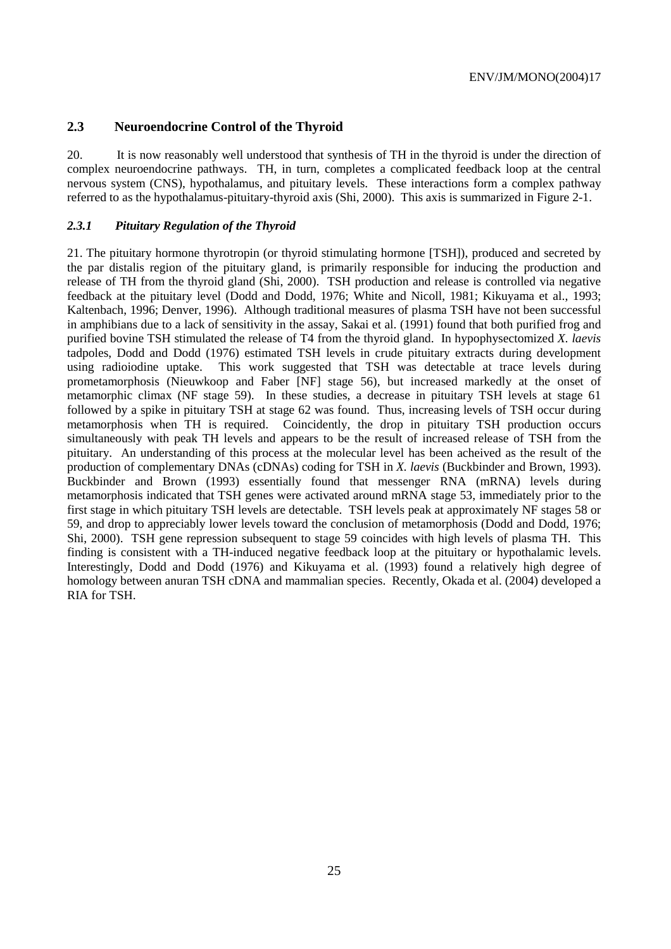# **2.3 Neuroendocrine Control of the Thyroid**

20. It is now reasonably well understood that synthesis of TH in the thyroid is under the direction of complex neuroendocrine pathways. TH, in turn, completes a complicated feedback loop at the central nervous system (CNS), hypothalamus, and pituitary levels. These interactions form a complex pathway referred to as the hypothalamus-pituitary-thyroid axis (Shi, 2000). This axis is summarized in Figure 2-1.

# *2.3.1 Pituitary Regulation of the Thyroid*

21. The pituitary hormone thyrotropin (or thyroid stimulating hormone [TSH]), produced and secreted by the par distalis region of the pituitary gland, is primarily responsible for inducing the production and release of TH from the thyroid gland (Shi, 2000). TSH production and release is controlled via negative feedback at the pituitary level (Dodd and Dodd, 1976; White and Nicoll, 1981; Kikuyama et al., 1993; Kaltenbach, 1996; Denver, 1996). Although traditional measures of plasma TSH have not been successful in amphibians due to a lack of sensitivity in the assay, Sakai et al. (1991) found that both purified frog and purified bovine TSH stimulated the release of T4 from the thyroid gland. In hypophysectomized *X. laevis* tadpoles, Dodd and Dodd (1976) estimated TSH levels in crude pituitary extracts during development using radioiodine uptake. This work suggested that TSH was detectable at trace levels during prometamorphosis (Nieuwkoop and Faber [NF] stage 56), but increased markedly at the onset of metamorphic climax (NF stage 59). In these studies, a decrease in pituitary TSH levels at stage 61 followed by a spike in pituitary TSH at stage 62 was found. Thus, increasing levels of TSH occur during metamorphosis when TH is required. Coincidently, the drop in pituitary TSH production occurs simultaneously with peak TH levels and appears to be the result of increased release of TSH from the pituitary. An understanding of this process at the molecular level has been acheived as the result of the production of complementary DNAs (cDNAs) coding for TSH in *X. laevis* (Buckbinder and Brown, 1993). Buckbinder and Brown (1993) essentially found that messenger RNA (mRNA) levels during metamorphosis indicated that TSH genes were activated around mRNA stage 53, immediately prior to the first stage in which pituitary TSH levels are detectable. TSH levels peak at approximately NF stages 58 or 59, and drop to appreciably lower levels toward the conclusion of metamorphosis (Dodd and Dodd, 1976; Shi, 2000). TSH gene repression subsequent to stage 59 coincides with high levels of plasma TH. This finding is consistent with a TH-induced negative feedback loop at the pituitary or hypothalamic levels. Interestingly, Dodd and Dodd (1976) and Kikuyama et al. (1993) found a relatively high degree of homology between anuran TSH cDNA and mammalian species. Recently, Okada et al. (2004) developed a RIA for TSH.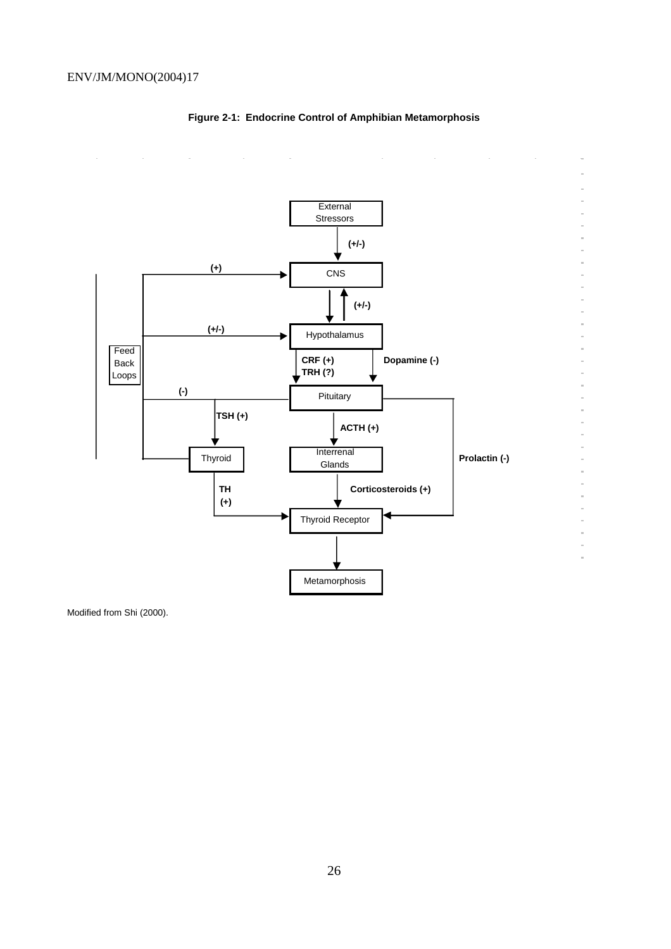

**Figure 2-1: Endocrine Control of Amphibian Metamorphosis** 

Modified from Shi (2000).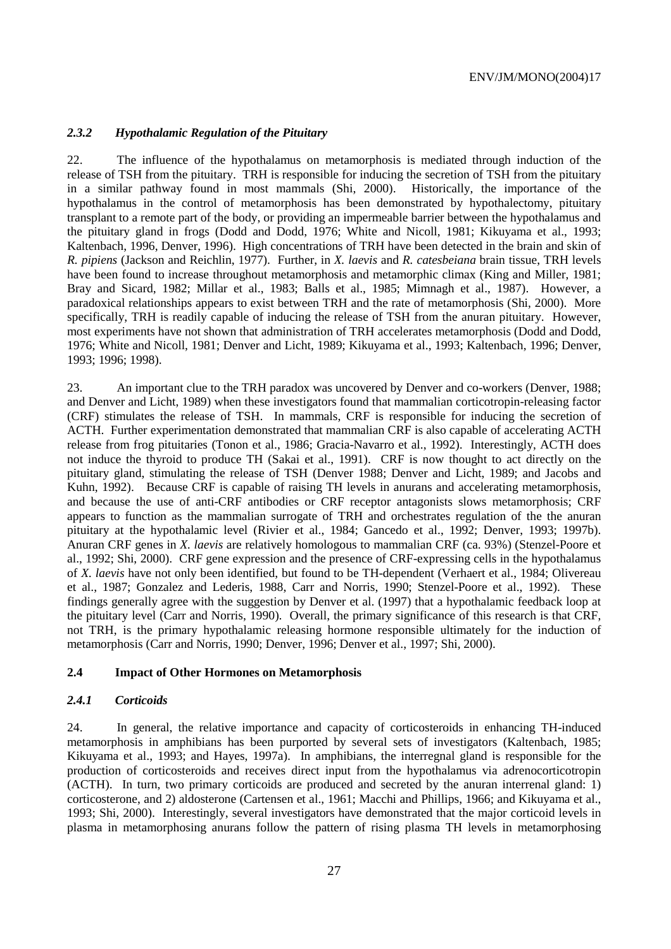#### *2.3.2 Hypothalamic Regulation of the Pituitary*

22. The influence of the hypothalamus on metamorphosis is mediated through induction of the release of TSH from the pituitary. TRH is responsible for inducing the secretion of TSH from the pituitary in a similar pathway found in most mammals (Shi, 2000). Historically, the importance of the hypothalamus in the control of metamorphosis has been demonstrated by hypothalectomy, pituitary transplant to a remote part of the body, or providing an impermeable barrier between the hypothalamus and the pituitary gland in frogs (Dodd and Dodd, 1976; White and Nicoll, 1981; Kikuyama et al., 1993; Kaltenbach, 1996, Denver, 1996). High concentrations of TRH have been detected in the brain and skin of *R. pipiens* (Jackson and Reichlin, 1977). Further, in *X. laevis* and *R. catesbeiana* brain tissue, TRH levels have been found to increase throughout metamorphosis and metamorphic climax (King and Miller, 1981; Bray and Sicard, 1982; Millar et al., 1983; Balls et al., 1985; Mimnagh et al., 1987). However, a paradoxical relationships appears to exist between TRH and the rate of metamorphosis (Shi, 2000). More specifically, TRH is readily capable of inducing the release of TSH from the anuran pituitary. However, most experiments have not shown that administration of TRH accelerates metamorphosis (Dodd and Dodd, 1976; White and Nicoll, 1981; Denver and Licht, 1989; Kikuyama et al., 1993; Kaltenbach, 1996; Denver, 1993; 1996; 1998).

23. An important clue to the TRH paradox was uncovered by Denver and co-workers (Denver, 1988; and Denver and Licht, 1989) when these investigators found that mammalian corticotropin-releasing factor (CRF) stimulates the release of TSH. In mammals, CRF is responsible for inducing the secretion of ACTH. Further experimentation demonstrated that mammalian CRF is also capable of accelerating ACTH release from frog pituitaries (Tonon et al., 1986; Gracia-Navarro et al., 1992). Interestingly, ACTH does not induce the thyroid to produce TH (Sakai et al., 1991). CRF is now thought to act directly on the pituitary gland, stimulating the release of TSH (Denver 1988; Denver and Licht, 1989; and Jacobs and Kuhn, 1992). Because CRF is capable of raising TH levels in anurans and accelerating metamorphosis, and because the use of anti-CRF antibodies or CRF receptor antagonists slows metamorphosis; CRF appears to function as the mammalian surrogate of TRH and orchestrates regulation of the the anuran pituitary at the hypothalamic level (Rivier et al., 1984; Gancedo et al., 1992; Denver, 1993; 1997b). Anuran CRF genes in *X. laevis* are relatively homologous to mammalian CRF (ca. 93%) (Stenzel-Poore et al., 1992; Shi, 2000). CRF gene expression and the presence of CRF-expressing cells in the hypothalamus of *X. laevis* have not only been identified, but found to be TH-dependent (Verhaert et al., 1984; Olivereau et al., 1987; Gonzalez and Lederis, 1988, Carr and Norris, 1990; Stenzel-Poore et al., 1992). These findings generally agree with the suggestion by Denver et al. (1997) that a hypothalamic feedback loop at the pituitary level (Carr and Norris, 1990). Overall, the primary significance of this research is that CRF, not TRH, is the primary hypothalamic releasing hormone responsible ultimately for the induction of metamorphosis (Carr and Norris, 1990; Denver, 1996; Denver et al., 1997; Shi, 2000).

# **2.4 Impact of Other Hormones on Metamorphosis**

#### *2.4.1 Corticoids*

24. In general, the relative importance and capacity of corticosteroids in enhancing TH-induced metamorphosis in amphibians has been purported by several sets of investigators (Kaltenbach, 1985; Kikuyama et al., 1993; and Hayes, 1997a). In amphibians, the interregnal gland is responsible for the production of corticosteroids and receives direct input from the hypothalamus via adrenocorticotropin (ACTH). In turn, two primary corticoids are produced and secreted by the anuran interrenal gland: 1) corticosterone, and 2) aldosterone (Cartensen et al., 1961; Macchi and Phillips, 1966; and Kikuyama et al., 1993; Shi, 2000). Interestingly, several investigators have demonstrated that the major corticoid levels in plasma in metamorphosing anurans follow the pattern of rising plasma TH levels in metamorphosing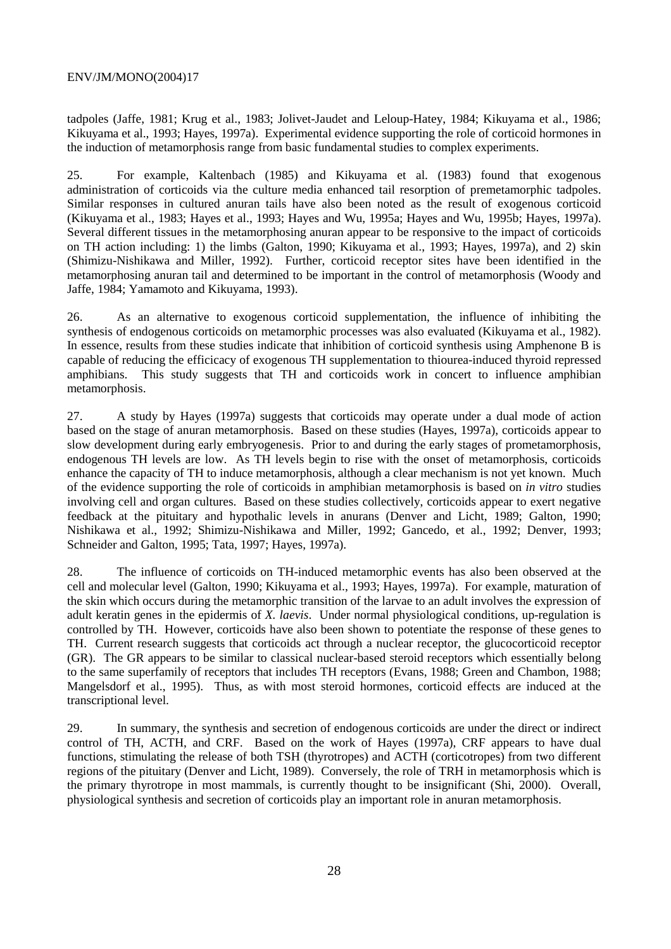tadpoles (Jaffe, 1981; Krug et al., 1983; Jolivet-Jaudet and Leloup-Hatey, 1984; Kikuyama et al., 1986; Kikuyama et al., 1993; Hayes, 1997a). Experimental evidence supporting the role of corticoid hormones in the induction of metamorphosis range from basic fundamental studies to complex experiments.

25. For example, Kaltenbach (1985) and Kikuyama et al. (1983) found that exogenous administration of corticoids via the culture media enhanced tail resorption of premetamorphic tadpoles. Similar responses in cultured anuran tails have also been noted as the result of exogenous corticoid (Kikuyama et al., 1983; Hayes et al., 1993; Hayes and Wu, 1995a; Hayes and Wu, 1995b; Hayes, 1997a). Several different tissues in the metamorphosing anuran appear to be responsive to the impact of corticoids on TH action including: 1) the limbs (Galton, 1990; Kikuyama et al., 1993; Hayes, 1997a), and 2) skin (Shimizu-Nishikawa and Miller, 1992). Further, corticoid receptor sites have been identified in the metamorphosing anuran tail and determined to be important in the control of metamorphosis (Woody and Jaffe, 1984; Yamamoto and Kikuyama, 1993).

26. As an alternative to exogenous corticoid supplementation, the influence of inhibiting the synthesis of endogenous corticoids on metamorphic processes was also evaluated (Kikuyama et al., 1982). In essence, results from these studies indicate that inhibition of corticoid synthesis using Amphenone B is capable of reducing the efficicacy of exogenous TH supplementation to thiourea-induced thyroid repressed amphibians. This study suggests that TH and corticoids work in concert to influence amphibian metamorphosis.

27. A study by Hayes (1997a) suggests that corticoids may operate under a dual mode of action based on the stage of anuran metamorphosis. Based on these studies (Hayes, 1997a), corticoids appear to slow development during early embryogenesis. Prior to and during the early stages of prometamorphosis, endogenous TH levels are low. As TH levels begin to rise with the onset of metamorphosis, corticoids enhance the capacity of TH to induce metamorphosis, although a clear mechanism is not yet known. Much of the evidence supporting the role of corticoids in amphibian metamorphosis is based on *in vitro* studies involving cell and organ cultures. Based on these studies collectively, corticoids appear to exert negative feedback at the pituitary and hypothalic levels in anurans (Denver and Licht, 1989; Galton, 1990; Nishikawa et al., 1992; Shimizu-Nishikawa and Miller, 1992; Gancedo, et al., 1992; Denver, 1993; Schneider and Galton, 1995; Tata, 1997; Hayes, 1997a).

28. The influence of corticoids on TH-induced metamorphic events has also been observed at the cell and molecular level (Galton, 1990; Kikuyama et al., 1993; Hayes, 1997a). For example, maturation of the skin which occurs during the metamorphic transition of the larvae to an adult involves the expression of adult keratin genes in the epidermis of *X. laevis*. Under normal physiological conditions, up-regulation is controlled by TH. However, corticoids have also been shown to potentiate the response of these genes to TH. Current research suggests that corticoids act through a nuclear receptor, the glucocorticoid receptor (GR). The GR appears to be similar to classical nuclear-based steroid receptors which essentially belong to the same superfamily of receptors that includes TH receptors (Evans, 1988; Green and Chambon, 1988; Mangelsdorf et al., 1995). Thus, as with most steroid hormones, corticoid effects are induced at the transcriptional level.

29. In summary, the synthesis and secretion of endogenous corticoids are under the direct or indirect control of TH, ACTH, and CRF. Based on the work of Hayes (1997a), CRF appears to have dual functions, stimulating the release of both TSH (thyrotropes) and ACTH (corticotropes) from two different regions of the pituitary (Denver and Licht, 1989). Conversely, the role of TRH in metamorphosis which is the primary thyrotrope in most mammals, is currently thought to be insignificant (Shi, 2000). Overall, physiological synthesis and secretion of corticoids play an important role in anuran metamorphosis.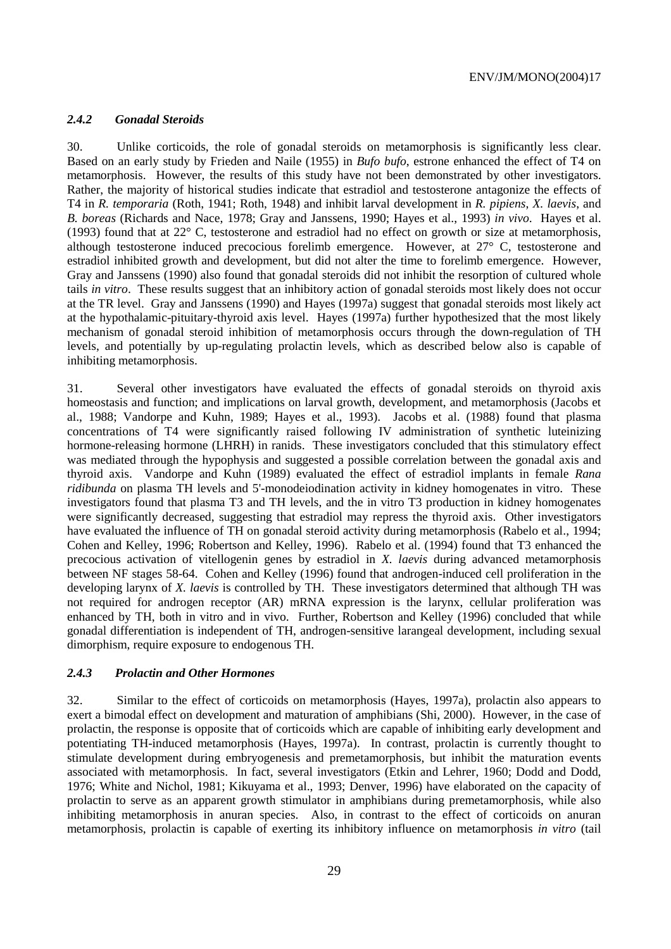#### *2.4.2 Gonadal Steroids*

30. Unlike corticoids, the role of gonadal steroids on metamorphosis is significantly less clear. Based on an early study by Frieden and Naile (1955) in *Bufo bufo*, estrone enhanced the effect of T4 on metamorphosis. However, the results of this study have not been demonstrated by other investigators. Rather, the majority of historical studies indicate that estradiol and testosterone antagonize the effects of T4 in *R. temporaria* (Roth, 1941; Roth, 1948) and inhibit larval development in *R. pipiens*, *X. laevis*, and *B. boreas* (Richards and Nace, 1978; Gray and Janssens, 1990; Hayes et al., 1993) *in vivo*. Hayes et al. (1993) found that at 22° C, testosterone and estradiol had no effect on growth or size at metamorphosis, although testosterone induced precocious forelimb emergence. However, at 27° C, testosterone and estradiol inhibited growth and development, but did not alter the time to forelimb emergence. However, Gray and Janssens (1990) also found that gonadal steroids did not inhibit the resorption of cultured whole tails *in vitro*. These results suggest that an inhibitory action of gonadal steroids most likely does not occur at the TR level. Gray and Janssens (1990) and Hayes (1997a) suggest that gonadal steroids most likely act at the hypothalamic-pituitary-thyroid axis level. Hayes (1997a) further hypothesized that the most likely mechanism of gonadal steroid inhibition of metamorphosis occurs through the down-regulation of TH levels, and potentially by up-regulating prolactin levels, which as described below also is capable of inhibiting metamorphosis.

31. Several other investigators have evaluated the effects of gonadal steroids on thyroid axis homeostasis and function; and implications on larval growth, development, and metamorphosis (Jacobs et al., 1988; Vandorpe and Kuhn, 1989; Hayes et al., 1993). Jacobs et al. (1988) found that plasma concentrations of T4 were significantly raised following IV administration of synthetic luteinizing hormone-releasing hormone (LHRH) in ranids. These investigators concluded that this stimulatory effect was mediated through the hypophysis and suggested a possible correlation between the gonadal axis and thyroid axis. Vandorpe and Kuhn (1989) evaluated the effect of estradiol implants in female *Rana ridibunda* on plasma TH levels and 5'-monodeiodination activity in kidney homogenates in vitro. These investigators found that plasma T3 and TH levels, and the in vitro T3 production in kidney homogenates were significantly decreased, suggesting that estradiol may repress the thyroid axis. Other investigators have evaluated the influence of TH on gonadal steroid activity during metamorphosis (Rabelo et al., 1994; Cohen and Kelley, 1996; Robertson and Kelley, 1996). Rabelo et al. (1994) found that T3 enhanced the precocious activation of vitellogenin genes by estradiol in *X. laevis* during advanced metamorphosis between NF stages 58-64. Cohen and Kelley (1996) found that androgen-induced cell proliferation in the developing larynx of *X. laevis* is controlled by TH. These investigators determined that although TH was not required for androgen receptor (AR) mRNA expression is the larynx, cellular proliferation was enhanced by TH, both in vitro and in vivo. Further, Robertson and Kelley (1996) concluded that while gonadal differentiation is independent of TH, androgen-sensitive larangeal development, including sexual dimorphism, require exposure to endogenous TH.

#### *2.4.3 Prolactin and Other Hormones*

32. Similar to the effect of corticoids on metamorphosis (Hayes, 1997a), prolactin also appears to exert a bimodal effect on development and maturation of amphibians (Shi, 2000). However, in the case of prolactin, the response is opposite that of corticoids which are capable of inhibiting early development and potentiating TH-induced metamorphosis (Hayes, 1997a). In contrast, prolactin is currently thought to stimulate development during embryogenesis and premetamorphosis, but inhibit the maturation events associated with metamorphosis. In fact, several investigators (Etkin and Lehrer, 1960; Dodd and Dodd, 1976; White and Nichol, 1981; Kikuyama et al., 1993; Denver, 1996) have elaborated on the capacity of prolactin to serve as an apparent growth stimulator in amphibians during premetamorphosis, while also inhibiting metamorphosis in anuran species. Also, in contrast to the effect of corticoids on anuran metamorphosis, prolactin is capable of exerting its inhibitory influence on metamorphosis *in vitro* (tail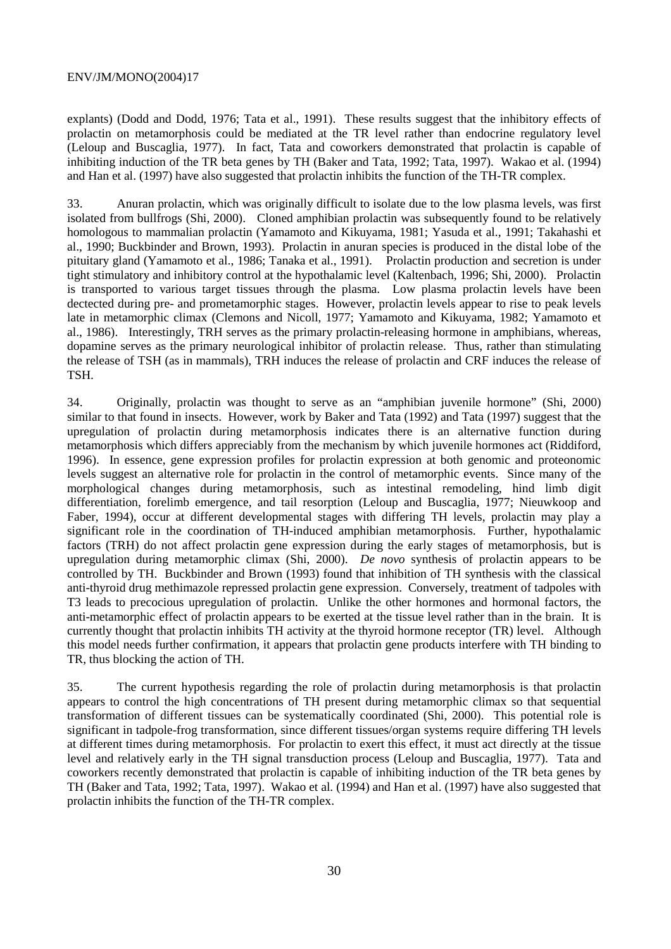explants) (Dodd and Dodd, 1976; Tata et al., 1991). These results suggest that the inhibitory effects of prolactin on metamorphosis could be mediated at the TR level rather than endocrine regulatory level (Leloup and Buscaglia, 1977). In fact, Tata and coworkers demonstrated that prolactin is capable of inhibiting induction of the TR beta genes by TH (Baker and Tata, 1992; Tata, 1997). Wakao et al. (1994) and Han et al. (1997) have also suggested that prolactin inhibits the function of the TH-TR complex.

33. Anuran prolactin, which was originally difficult to isolate due to the low plasma levels, was first isolated from bullfrogs (Shi, 2000). Cloned amphibian prolactin was subsequently found to be relatively homologous to mammalian prolactin (Yamamoto and Kikuyama, 1981; Yasuda et al., 1991; Takahashi et al., 1990; Buckbinder and Brown, 1993). Prolactin in anuran species is produced in the distal lobe of the pituitary gland (Yamamoto et al., 1986; Tanaka et al., 1991). Prolactin production and secretion is under tight stimulatory and inhibitory control at the hypothalamic level (Kaltenbach, 1996; Shi, 2000). Prolactin is transported to various target tissues through the plasma. Low plasma prolactin levels have been dectected during pre- and prometamorphic stages. However, prolactin levels appear to rise to peak levels late in metamorphic climax (Clemons and Nicoll, 1977; Yamamoto and Kikuyama, 1982; Yamamoto et al., 1986). Interestingly, TRH serves as the primary prolactin-releasing hormone in amphibians, whereas, dopamine serves as the primary neurological inhibitor of prolactin release. Thus, rather than stimulating the release of TSH (as in mammals), TRH induces the release of prolactin and CRF induces the release of TSH.

34. Originally, prolactin was thought to serve as an "amphibian juvenile hormone" (Shi, 2000) similar to that found in insects. However, work by Baker and Tata (1992) and Tata (1997) suggest that the upregulation of prolactin during metamorphosis indicates there is an alternative function during metamorphosis which differs appreciably from the mechanism by which juvenile hormones act (Riddiford, 1996). In essence, gene expression profiles for prolactin expression at both genomic and proteonomic levels suggest an alternative role for prolactin in the control of metamorphic events. Since many of the morphological changes during metamorphosis, such as intestinal remodeling, hind limb digit differentiation, forelimb emergence, and tail resorption (Leloup and Buscaglia, 1977; Nieuwkoop and Faber, 1994), occur at different developmental stages with differing TH levels, prolactin may play a significant role in the coordination of TH-induced amphibian metamorphosis. Further, hypothalamic factors (TRH) do not affect prolactin gene expression during the early stages of metamorphosis, but is upregulation during metamorphic climax (Shi, 2000). *De novo* synthesis of prolactin appears to be controlled by TH. Buckbinder and Brown (1993) found that inhibition of TH synthesis with the classical anti-thyroid drug methimazole repressed prolactin gene expression. Conversely, treatment of tadpoles with T3 leads to precocious upregulation of prolactin. Unlike the other hormones and hormonal factors, the anti-metamorphic effect of prolactin appears to be exerted at the tissue level rather than in the brain. It is currently thought that prolactin inhibits TH activity at the thyroid hormone receptor (TR) level. Although this model needs further confirmation, it appears that prolactin gene products interfere with TH binding to TR, thus blocking the action of TH.

35. The current hypothesis regarding the role of prolactin during metamorphosis is that prolactin appears to control the high concentrations of TH present during metamorphic climax so that sequential transformation of different tissues can be systematically coordinated (Shi, 2000). This potential role is significant in tadpole-frog transformation, since different tissues/organ systems require differing TH levels at different times during metamorphosis. For prolactin to exert this effect, it must act directly at the tissue level and relatively early in the TH signal transduction process (Leloup and Buscaglia, 1977). Tata and coworkers recently demonstrated that prolactin is capable of inhibiting induction of the TR beta genes by TH (Baker and Tata, 1992; Tata, 1997). Wakao et al. (1994) and Han et al. (1997) have also suggested that prolactin inhibits the function of the TH-TR complex.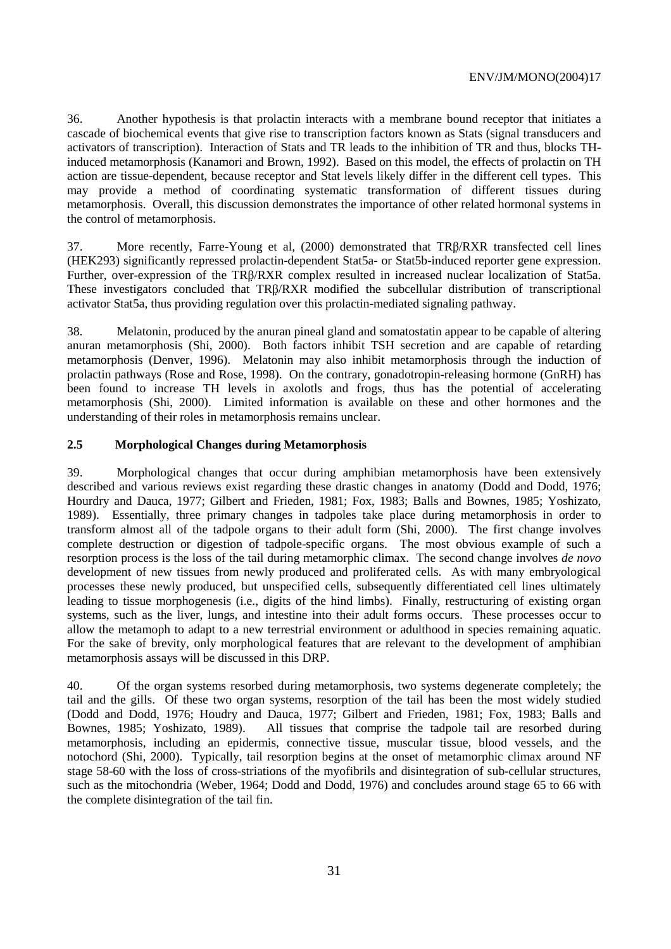36. Another hypothesis is that prolactin interacts with a membrane bound receptor that initiates a cascade of biochemical events that give rise to transcription factors known as Stats (signal transducers and activators of transcription). Interaction of Stats and TR leads to the inhibition of TR and thus, blocks THinduced metamorphosis (Kanamori and Brown, 1992). Based on this model, the effects of prolactin on TH action are tissue-dependent, because receptor and Stat levels likely differ in the different cell types. This may provide a method of coordinating systematic transformation of different tissues during metamorphosis. Overall, this discussion demonstrates the importance of other related hormonal systems in the control of metamorphosis.

37. More recently, Farre-Young et al, (2000) demonstrated that TRβ/RXR transfected cell lines (HEK293) significantly repressed prolactin-dependent Stat5a- or Stat5b-induced reporter gene expression. Further, over-expression of the TRβҚ/RXR complex resulted in increased nuclear localization of Stat5a. These investigators concluded that TRβҚ/RXR modified the subcellular distribution of transcriptional activator Stat5a, thus providing regulation over this prolactin-mediated signaling pathway.

38. Melatonin, produced by the anuran pineal gland and somatostatin appear to be capable of altering anuran metamorphosis (Shi, 2000). Both factors inhibit TSH secretion and are capable of retarding metamorphosis (Denver, 1996). Melatonin may also inhibit metamorphosis through the induction of prolactin pathways (Rose and Rose, 1998). On the contrary, gonadotropin-releasing hormone (GnRH) has been found to increase TH levels in axolotls and frogs, thus has the potential of accelerating metamorphosis (Shi, 2000). Limited information is available on these and other hormones and the understanding of their roles in metamorphosis remains unclear.

# **2.5 Morphological Changes during Metamorphosis**

39. Morphological changes that occur during amphibian metamorphosis have been extensively described and various reviews exist regarding these drastic changes in anatomy (Dodd and Dodd, 1976; Hourdry and Dauca, 1977; Gilbert and Frieden, 1981; Fox, 1983; Balls and Bownes, 1985; Yoshizato, 1989). Essentially, three primary changes in tadpoles take place during metamorphosis in order to transform almost all of the tadpole organs to their adult form (Shi, 2000). The first change involves complete destruction or digestion of tadpole-specific organs. The most obvious example of such a resorption process is the loss of the tail during metamorphic climax. The second change involves *de novo* development of new tissues from newly produced and proliferated cells. As with many embryological processes these newly produced, but unspecified cells, subsequently differentiated cell lines ultimately leading to tissue morphogenesis (i.e., digits of the hind limbs). Finally, restructuring of existing organ systems, such as the liver, lungs, and intestine into their adult forms occurs. These processes occur to allow the metamoph to adapt to a new terrestrial environment or adulthood in species remaining aquatic. For the sake of brevity, only morphological features that are relevant to the development of amphibian metamorphosis assays will be discussed in this DRP.

40. Of the organ systems resorbed during metamorphosis, two systems degenerate completely; the tail and the gills. Of these two organ systems, resorption of the tail has been the most widely studied (Dodd and Dodd, 1976; Houdry and Dauca, 1977; Gilbert and Frieden, 1981; Fox, 1983; Balls and Bownes, 1985; Yoshizato, 1989). All tissues that comprise the tadpole tail are resorbed during metamorphosis, including an epidermis, connective tissue, muscular tissue, blood vessels, and the notochord (Shi, 2000). Typically, tail resorption begins at the onset of metamorphic climax around NF stage 58-60 with the loss of cross-striations of the myofibrils and disintegration of sub-cellular structures, such as the mitochondria (Weber, 1964; Dodd and Dodd, 1976) and concludes around stage 65 to 66 with the complete disintegration of the tail fin.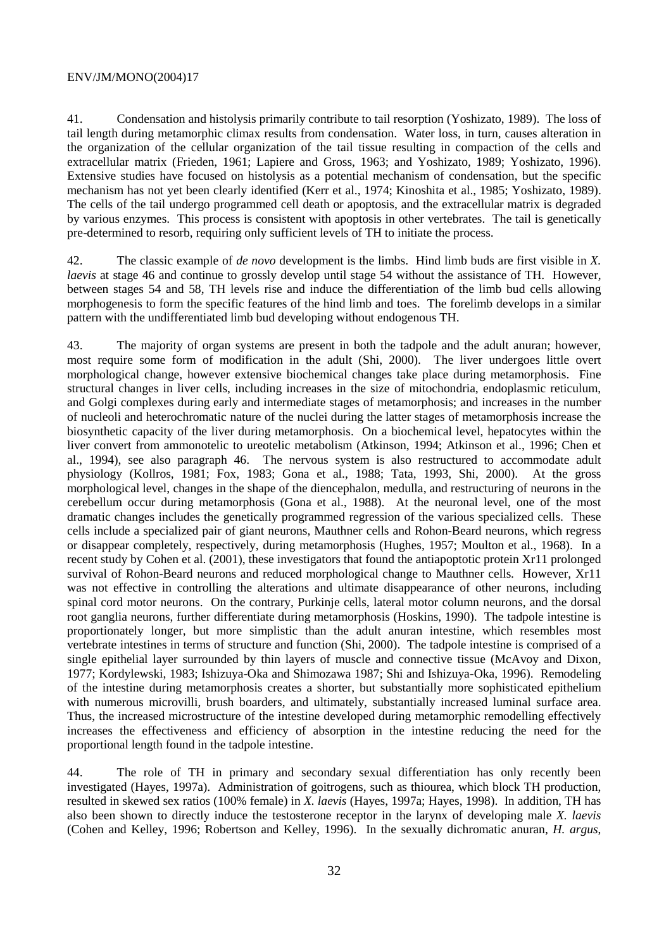41. Condensation and histolysis primarily contribute to tail resorption (Yoshizato, 1989). The loss of tail length during metamorphic climax results from condensation. Water loss, in turn, causes alteration in the organization of the cellular organization of the tail tissue resulting in compaction of the cells and extracellular matrix (Frieden, 1961; Lapiere and Gross, 1963; and Yoshizato, 1989; Yoshizato, 1996). Extensive studies have focused on histolysis as a potential mechanism of condensation, but the specific mechanism has not yet been clearly identified (Kerr et al., 1974; Kinoshita et al., 1985; Yoshizato, 1989). The cells of the tail undergo programmed cell death or apoptosis, and the extracellular matrix is degraded by various enzymes. This process is consistent with apoptosis in other vertebrates. The tail is genetically pre-determined to resorb, requiring only sufficient levels of TH to initiate the process.

42. The classic example of *de novo* development is the limbs. Hind limb buds are first visible in *X. laevis* at stage 46 and continue to grossly develop until stage 54 without the assistance of TH. However, between stages 54 and 58, TH levels rise and induce the differentiation of the limb bud cells allowing morphogenesis to form the specific features of the hind limb and toes. The forelimb develops in a similar pattern with the undifferentiated limb bud developing without endogenous TH.

43. The majority of organ systems are present in both the tadpole and the adult anuran; however, most require some form of modification in the adult (Shi, 2000). The liver undergoes little overt morphological change, however extensive biochemical changes take place during metamorphosis. Fine structural changes in liver cells, including increases in the size of mitochondria, endoplasmic reticulum, and Golgi complexes during early and intermediate stages of metamorphosis; and increases in the number of nucleoli and heterochromatic nature of the nuclei during the latter stages of metamorphosis increase the biosynthetic capacity of the liver during metamorphosis. On a biochemical level, hepatocytes within the liver convert from ammonotelic to ureotelic metabolism (Atkinson, 1994; Atkinson et al., 1996; Chen et al., 1994), see also paragraph 46. The nervous system is also restructured to accommodate adult physiology (Kollros, 1981; Fox, 1983; Gona et al., 1988; Tata, 1993, Shi, 2000). At the gross morphological level, changes in the shape of the diencephalon, medulla, and restructuring of neurons in the cerebellum occur during metamorphosis (Gona et al., 1988). At the neuronal level, one of the most dramatic changes includes the genetically programmed regression of the various specialized cells. These cells include a specialized pair of giant neurons, Mauthner cells and Rohon-Beard neurons, which regress or disappear completely, respectively, during metamorphosis (Hughes, 1957; Moulton et al., 1968). In a recent study by Cohen et al. (2001), these investigators that found the antiapoptotic protein Xr11 prolonged survival of Rohon-Beard neurons and reduced morphological change to Mauthner cells. However, Xr11 was not effective in controlling the alterations and ultimate disappearance of other neurons, including spinal cord motor neurons. On the contrary, Purkinje cells, lateral motor column neurons, and the dorsal root ganglia neurons, further differentiate during metamorphosis (Hoskins, 1990). The tadpole intestine is proportionately longer, but more simplistic than the adult anuran intestine, which resembles most vertebrate intestines in terms of structure and function (Shi, 2000). The tadpole intestine is comprised of a single epithelial layer surrounded by thin layers of muscle and connective tissue (McAvoy and Dixon, 1977; Kordylewski, 1983; Ishizuya-Oka and Shimozawa 1987; Shi and Ishizuya-Oka, 1996). Remodeling of the intestine during metamorphosis creates a shorter, but substantially more sophisticated epithelium with numerous microvilli, brush boarders, and ultimately, substantially increased luminal surface area. Thus, the increased microstructure of the intestine developed during metamorphic remodelling effectively increases the effectiveness and efficiency of absorption in the intestine reducing the need for the proportional length found in the tadpole intestine.

44. The role of TH in primary and secondary sexual differentiation has only recently been investigated (Hayes, 1997a). Administration of goitrogens, such as thiourea, which block TH production, resulted in skewed sex ratios (100% female) in *X. laevis* (Hayes, 1997a; Hayes, 1998). In addition, TH has also been shown to directly induce the testosterone receptor in the larynx of developing male *X. laevis* (Cohen and Kelley, 1996; Robertson and Kelley, 1996). In the sexually dichromatic anuran, *H. argus*,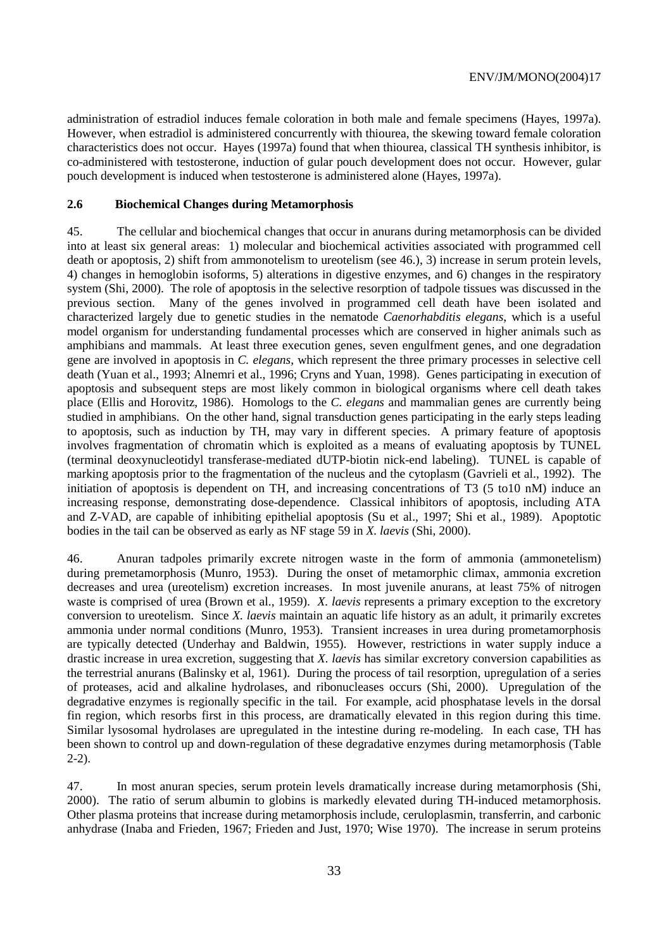administration of estradiol induces female coloration in both male and female specimens (Hayes, 1997a). However, when estradiol is administered concurrently with thiourea, the skewing toward female coloration characteristics does not occur. Hayes (1997a) found that when thiourea, classical TH synthesis inhibitor, is co-administered with testosterone, induction of gular pouch development does not occur. However, gular pouch development is induced when testosterone is administered alone (Hayes, 1997a).

# **2.6 Biochemical Changes during Metamorphosis**

45. The cellular and biochemical changes that occur in anurans during metamorphosis can be divided into at least six general areas: 1) molecular and biochemical activities associated with programmed cell death or apoptosis, 2) shift from ammonotelism to ureotelism (see 46.), 3) increase in serum protein levels, 4) changes in hemoglobin isoforms, 5) alterations in digestive enzymes, and 6) changes in the respiratory system (Shi, 2000). The role of apoptosis in the selective resorption of tadpole tissues was discussed in the previous section. Many of the genes involved in programmed cell death have been isolated and characterized largely due to genetic studies in the nematode *Caenorhabditis elegans*, which is a useful model organism for understanding fundamental processes which are conserved in higher animals such as amphibians and mammals. At least three execution genes, seven engulfment genes, and one degradation gene are involved in apoptosis in *C. elegans*, which represent the three primary processes in selective cell death (Yuan et al., 1993; Alnemri et al., 1996; Cryns and Yuan, 1998). Genes participating in execution of apoptosis and subsequent steps are most likely common in biological organisms where cell death takes place (Ellis and Horovitz, 1986). Homologs to the *C. elegans* and mammalian genes are currently being studied in amphibians. On the other hand, signal transduction genes participating in the early steps leading to apoptosis, such as induction by TH, may vary in different species. A primary feature of apoptosis involves fragmentation of chromatin which is exploited as a means of evaluating apoptosis by TUNEL (terminal deoxynucleotidyl transferase-mediated dUTP-biotin nick-end labeling). TUNEL is capable of marking apoptosis prior to the fragmentation of the nucleus and the cytoplasm (Gavrieli et al., 1992). The initiation of apoptosis is dependent on TH, and increasing concentrations of T3 (5 to10 nM) induce an increasing response, demonstrating dose-dependence. Classical inhibitors of apoptosis, including ATA and Z-VAD, are capable of inhibiting epithelial apoptosis (Su et al., 1997; Shi et al., 1989). Apoptotic bodies in the tail can be observed as early as NF stage 59 in *X. laevis* (Shi, 2000).

46. Anuran tadpoles primarily excrete nitrogen waste in the form of ammonia (ammonetelism) during premetamorphosis (Munro, 1953). During the onset of metamorphic climax, ammonia excretion decreases and urea (ureotelism) excretion increases. In most juvenile anurans, at least 75% of nitrogen waste is comprised of urea (Brown et al., 1959). *X. laevis* represents a primary exception to the excretory conversion to ureotelism. Since *X. laevis* maintain an aquatic life history as an adult, it primarily excretes ammonia under normal conditions (Munro, 1953). Transient increases in urea during prometamorphosis are typically detected (Underhay and Baldwin, 1955). However, restrictions in water supply induce a drastic increase in urea excretion, suggesting that *X. laevis* has similar excretory conversion capabilities as the terrestrial anurans (Balinsky et al, 1961). During the process of tail resorption, upregulation of a series of proteases, acid and alkaline hydrolases, and ribonucleases occurs (Shi, 2000). Upregulation of the degradative enzymes is regionally specific in the tail. For example, acid phosphatase levels in the dorsal fin region, which resorbs first in this process, are dramatically elevated in this region during this time. Similar lysosomal hydrolases are upregulated in the intestine during re-modeling. In each case, TH has been shown to control up and down-regulation of these degradative enzymes during metamorphosis (Table 2-2).

47. In most anuran species, serum protein levels dramatically increase during metamorphosis (Shi, 2000). The ratio of serum albumin to globins is markedly elevated during TH-induced metamorphosis. Other plasma proteins that increase during metamorphosis include, ceruloplasmin, transferrin, and carbonic anhydrase (Inaba and Frieden, 1967; Frieden and Just, 1970; Wise 1970). The increase in serum proteins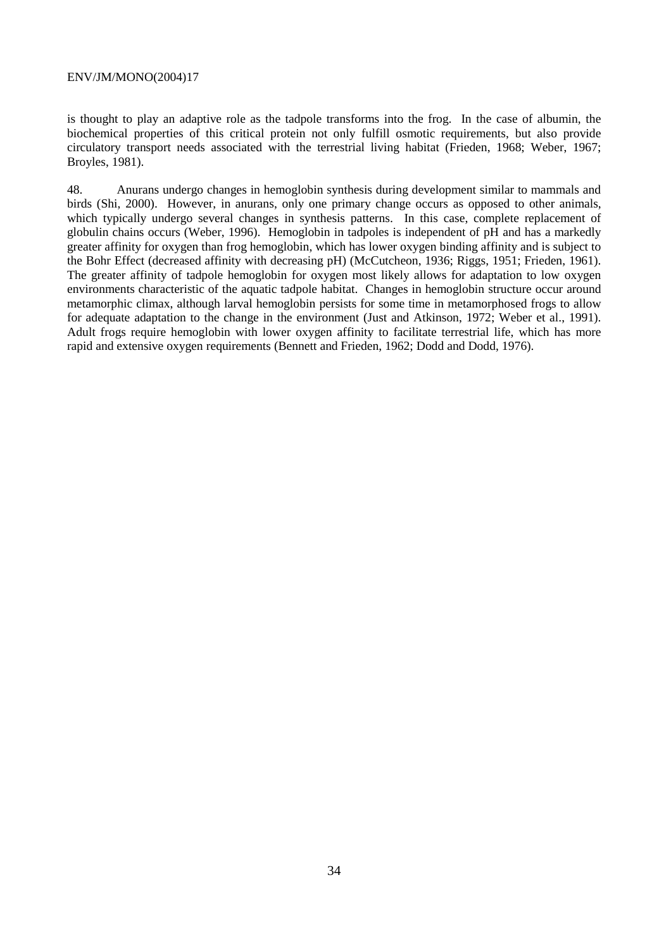is thought to play an adaptive role as the tadpole transforms into the frog. In the case of albumin, the biochemical properties of this critical protein not only fulfill osmotic requirements, but also provide circulatory transport needs associated with the terrestrial living habitat (Frieden, 1968; Weber, 1967; Broyles, 1981).

48. Anurans undergo changes in hemoglobin synthesis during development similar to mammals and birds (Shi, 2000). However, in anurans, only one primary change occurs as opposed to other animals, which typically undergo several changes in synthesis patterns. In this case, complete replacement of globulin chains occurs (Weber, 1996). Hemoglobin in tadpoles is independent of pH and has a markedly greater affinity for oxygen than frog hemoglobin, which has lower oxygen binding affinity and is subject to the Bohr Effect (decreased affinity with decreasing pH) (McCutcheon, 1936; Riggs, 1951; Frieden, 1961). The greater affinity of tadpole hemoglobin for oxygen most likely allows for adaptation to low oxygen environments characteristic of the aquatic tadpole habitat. Changes in hemoglobin structure occur around metamorphic climax, although larval hemoglobin persists for some time in metamorphosed frogs to allow for adequate adaptation to the change in the environment (Just and Atkinson, 1972; Weber et al., 1991). Adult frogs require hemoglobin with lower oxygen affinity to facilitate terrestrial life, which has more rapid and extensive oxygen requirements (Bennett and Frieden, 1962; Dodd and Dodd, 1976).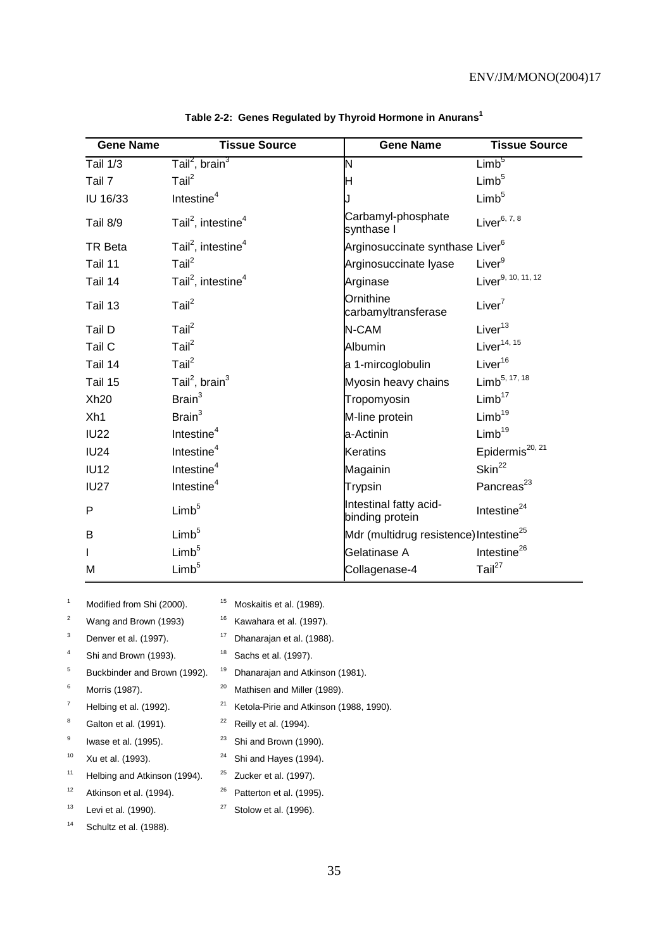| <b>Gene Name</b> | <b>Tissue Source</b>                       | <b>Gene Name</b>                                   | <b>Tissue Source</b>           |
|------------------|--------------------------------------------|----------------------------------------------------|--------------------------------|
| Tail $1/3$       | Tail <sup>2</sup> , brain <sup>3</sup>     | N                                                  | Limb <sup>5</sup>              |
| Tail 7           | Tail <sup>2</sup>                          | Η                                                  | Limb <sup>5</sup>              |
| IU 16/33         | Intestine <sup>4</sup>                     | J.                                                 | Limb <sup>5</sup>              |
| Tail 8/9         | Tail <sup>2</sup> , intestine <sup>4</sup> | Carbamyl-phosphate<br>synthase I                   | Liver $^{6, 7, 8}$             |
| TR Beta          | Tail <sup>2</sup> , intestine <sup>4</sup> | Arginosuccinate synthase Liver <sup>6</sup>        |                                |
| Tail 11          | Tail <sup>2</sup>                          | Arginosuccinate Iyase                              | Liver <sup>9</sup>             |
| Tail 14          | Tail <sup>2</sup> , intestine <sup>4</sup> | Arginase                                           | Liver <sup>9, 10, 11, 12</sup> |
| Tail 13          | Tail <sup>2</sup>                          | Ornithine<br>carbamyltransferase                   | Liver <sup>7</sup>             |
| Tail D           | Tail <sup>2</sup>                          | N-CAM                                              | Liver <sup>13</sup>            |
| Tail C           | Tail <sup>2</sup>                          | Albumin                                            | Liver <sup>14, 15</sup>        |
| Tail 14          | Tail <sup>2</sup>                          | a 1-mircoglobulin                                  | Liver <sup>16</sup>            |
| Tail 15          | Tail <sup>2</sup> , brain <sup>3</sup>     | Myosin heavy chains                                | Limb <sup>5, 17, 18</sup>      |
| <b>Xh20</b>      | Brain <sup>3</sup>                         | Tropomyosin                                        | Limb <sup>17</sup>             |
| Xh1              | Brain <sup>3</sup>                         | M-line protein                                     | Limb <sup>19</sup>             |
| <b>IU22</b>      | Intestine <sup>4</sup>                     | a-Actinin                                          | Limb <sup>19</sup>             |
| <b>IU24</b>      | Intestine <sup>4</sup>                     | Keratins                                           | Epidermis <sup>20, 21</sup>    |
| <b>IU12</b>      | Intestine <sup>4</sup>                     | Magainin                                           | $\text{Skin}^{22}$             |
| <b>IU27</b>      | Intestine <sup>4</sup>                     | <b>Trypsin</b>                                     | Pancreas <sup>23</sup>         |
| P                | Limb <sup>5</sup>                          | Intestinal fatty acid-<br>binding protein          | Intestine <sup>24</sup>        |
| B                | Limb <sup>5</sup>                          | Mdr (multidrug resistence) Intestine <sup>25</sup> |                                |
| I                | Limb <sup>5</sup>                          | Gelatinase A                                       | Intestine <sup>26</sup>        |
| M                | Limb <sup>5</sup>                          | Collagenase-4                                      | Tail <sup>27</sup>             |

**Table 2-2: Genes Regulated by Thyroid Hormone in Anurans<sup>1</sup>**

3 Denver et al. (1997). <sup>17</sup> Dhanarajan et al. (1988).

4 Shi and Brown (1993).  $18$  Sachs et al. (1997).

5 Buckbinder and Brown (1992). <sup>19</sup> Dhanarajan and Atkinson (1981).

6 Morris (1987). 20 Mathisen and Miller (1989).

2

7 Helbing et al. (1992). <sup>21</sup> Ketola-Pirie and Atkinson (1988, 1990).

8 Galton et al. (1991). <sup>22</sup> Reilly et al. (1994).

9 Iwase et al. (1995).  $^{23}$  Shi and Brown (1990).

<sup>10</sup> Xu et al. (1993). <sup>24</sup> Shi and Hayes (1994).

<sup>11</sup> Helbing and Atkinson (1994). <sup>25</sup> Zucker et al. (1997).

<sup>12</sup> Atkinson et al. (1994). <sup>26</sup> Patterton et al. (1995).

<sup>13</sup> Levi et al. (1990). <sup>27</sup> Stolow et al. (1996).

 $14$  Schultz et al. (1988).

35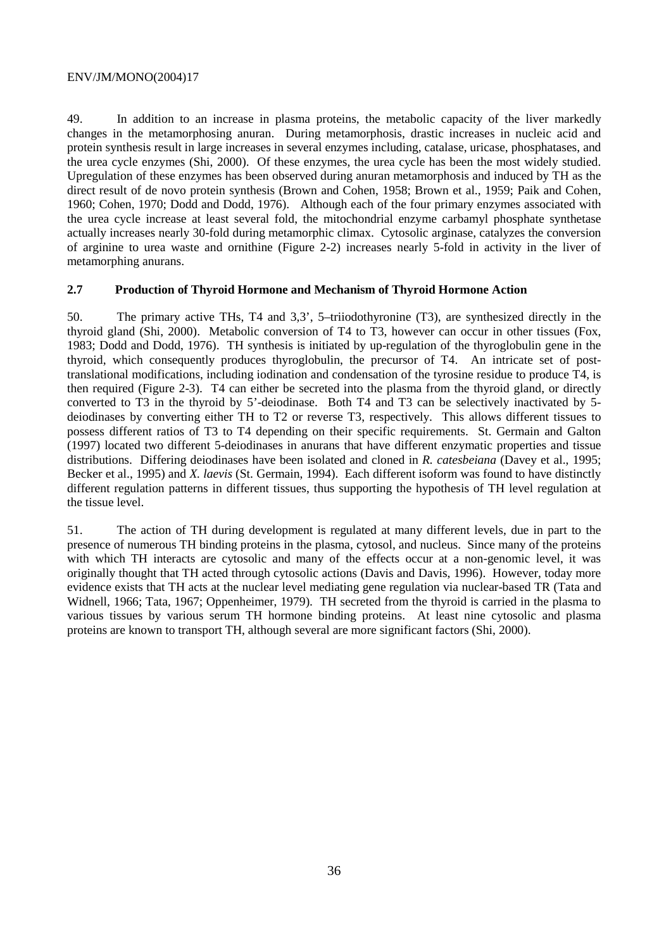49. In addition to an increase in plasma proteins, the metabolic capacity of the liver markedly changes in the metamorphosing anuran. During metamorphosis, drastic increases in nucleic acid and protein synthesis result in large increases in several enzymes including, catalase, uricase, phosphatases, and the urea cycle enzymes (Shi, 2000). Of these enzymes, the urea cycle has been the most widely studied. Upregulation of these enzymes has been observed during anuran metamorphosis and induced by TH as the direct result of de novo protein synthesis (Brown and Cohen, 1958; Brown et al., 1959; Paik and Cohen, 1960; Cohen, 1970; Dodd and Dodd, 1976). Although each of the four primary enzymes associated with the urea cycle increase at least several fold, the mitochondrial enzyme carbamyl phosphate synthetase actually increases nearly 30-fold during metamorphic climax. Cytosolic arginase, catalyzes the conversion of arginine to urea waste and ornithine (Figure 2-2) increases nearly 5-fold in activity in the liver of metamorphing anurans.

# **2.7 Production of Thyroid Hormone and Mechanism of Thyroid Hormone Action**

50. The primary active THs, T4 and 3,3', 5–triiodothyronine (T3), are synthesized directly in the thyroid gland (Shi, 2000). Metabolic conversion of T4 to T3, however can occur in other tissues (Fox, 1983; Dodd and Dodd, 1976). TH synthesis is initiated by up-regulation of the thyroglobulin gene in the thyroid, which consequently produces thyroglobulin, the precursor of T4. An intricate set of posttranslational modifications, including iodination and condensation of the tyrosine residue to produce T4, is then required (Figure 2-3). T4 can either be secreted into the plasma from the thyroid gland, or directly converted to T3 in the thyroid by 5'-deiodinase. Both T4 and T3 can be selectively inactivated by 5 deiodinases by converting either TH to T2 or reverse T3, respectively. This allows different tissues to possess different ratios of T3 to T4 depending on their specific requirements. St. Germain and Galton (1997) located two different 5-deiodinases in anurans that have different enzymatic properties and tissue distributions. Differing deiodinases have been isolated and cloned in *R. catesbeiana* (Davey et al., 1995; Becker et al., 1995) and *X. laevis* (St. Germain, 1994). Each different isoform was found to have distinctly different regulation patterns in different tissues, thus supporting the hypothesis of TH level regulation at the tissue level.

51. The action of TH during development is regulated at many different levels, due in part to the presence of numerous TH binding proteins in the plasma, cytosol, and nucleus. Since many of the proteins with which TH interacts are cytosolic and many of the effects occur at a non-genomic level, it was originally thought that TH acted through cytosolic actions (Davis and Davis, 1996). However, today more evidence exists that TH acts at the nuclear level mediating gene regulation via nuclear-based TR (Tata and Widnell, 1966; Tata, 1967; Oppenheimer, 1979). TH secreted from the thyroid is carried in the plasma to various tissues by various serum TH hormone binding proteins. At least nine cytosolic and plasma proteins are known to transport TH, although several are more significant factors (Shi, 2000).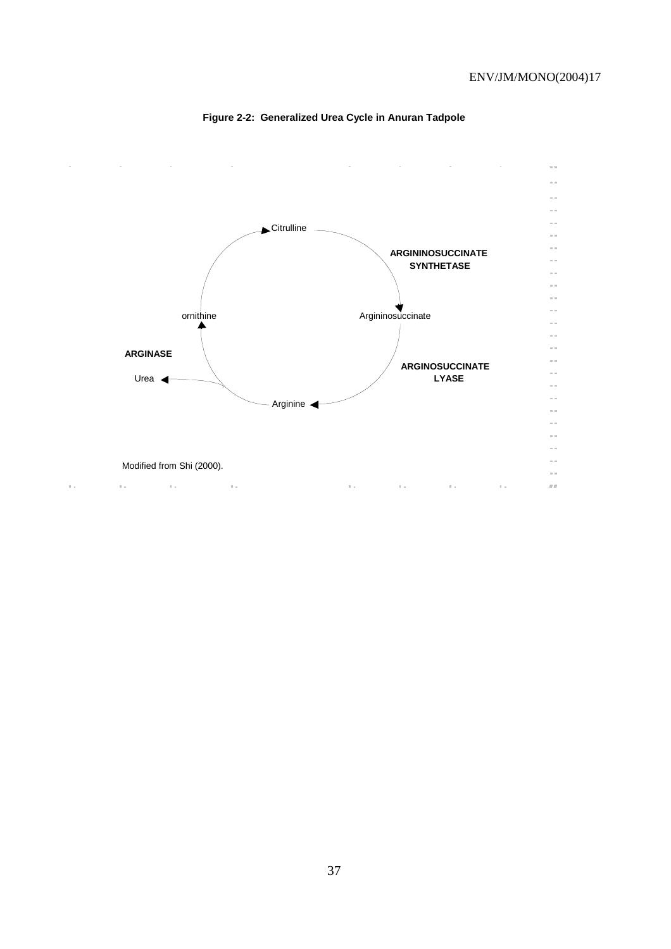

**Figure 2-2: Generalized Urea Cycle in Anuran Tadpole** 

 $\mathcal{L}$ 

 $\bar{\nu}$  .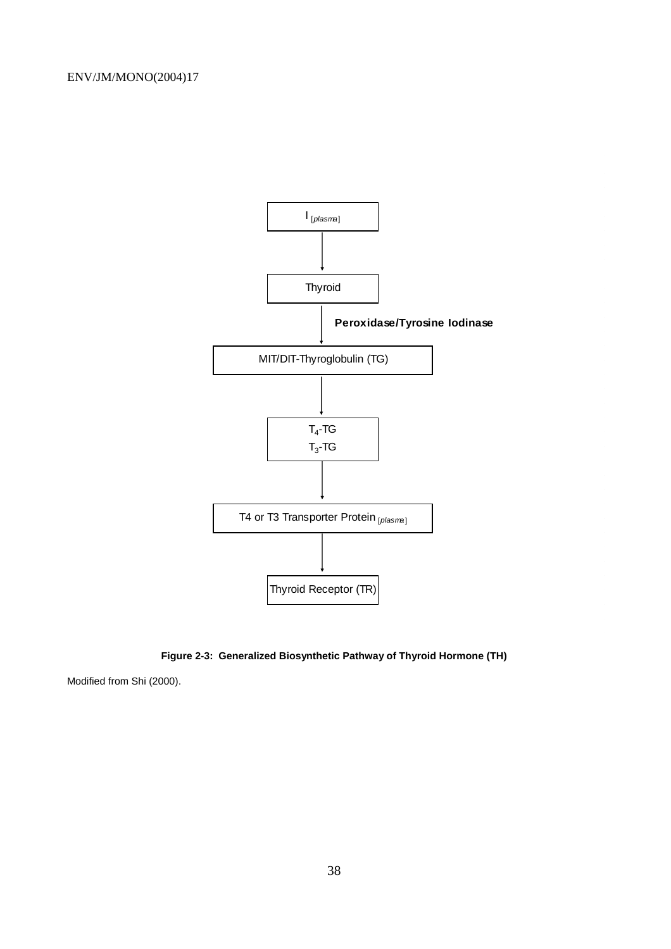

**Figure 2-3: Generalized Biosynthetic Pathway of Thyroid Hormone (TH)** 

Modified from Shi (2000).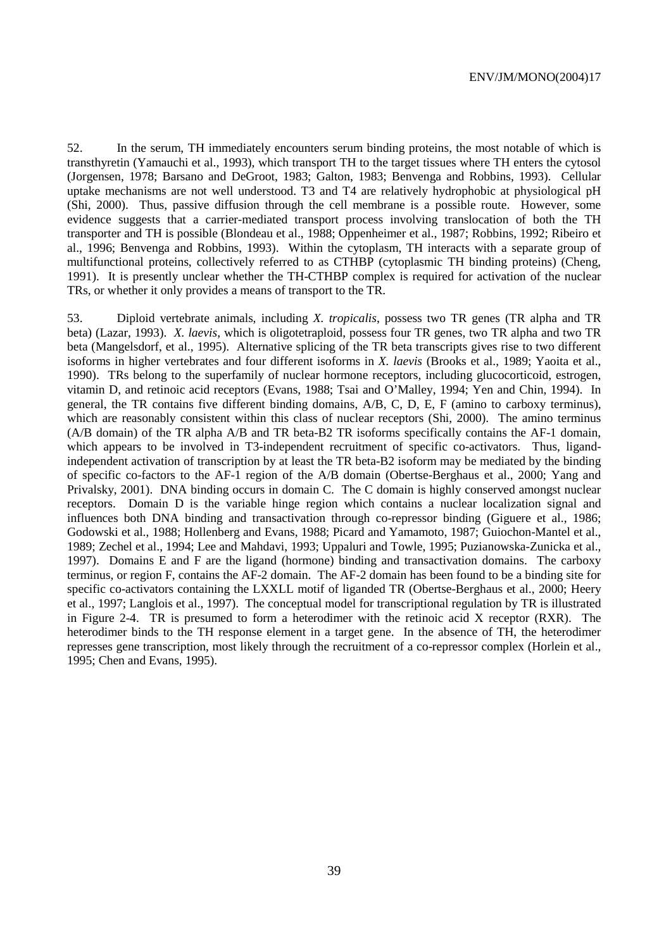52. In the serum, TH immediately encounters serum binding proteins, the most notable of which is transthyretin (Yamauchi et al., 1993), which transport TH to the target tissues where TH enters the cytosol (Jorgensen, 1978; Barsano and DeGroot, 1983; Galton, 1983; Benvenga and Robbins, 1993). Cellular uptake mechanisms are not well understood. T3 and T4 are relatively hydrophobic at physiological pH (Shi, 2000). Thus, passive diffusion through the cell membrane is a possible route. However, some evidence suggests that a carrier-mediated transport process involving translocation of both the TH transporter and TH is possible (Blondeau et al., 1988; Oppenheimer et al., 1987; Robbins, 1992; Ribeiro et al., 1996; Benvenga and Robbins, 1993). Within the cytoplasm, TH interacts with a separate group of multifunctional proteins, collectively referred to as CTHBP (cytoplasmic TH binding proteins) (Cheng, 1991). It is presently unclear whether the TH-CTHBP complex is required for activation of the nuclear TRs, or whether it only provides a means of transport to the TR.

53. Diploid vertebrate animals, including *X. tropicalis*, possess two TR genes (TR alpha and TR beta) (Lazar, 1993). *X. laevis*, which is oligotetraploid, possess four TR genes, two TR alpha and two TR beta (Mangelsdorf, et al., 1995). Alternative splicing of the TR beta transcripts gives rise to two different isoforms in higher vertebrates and four different isoforms in *X. laevis* (Brooks et al., 1989; Yaoita et al., 1990). TRs belong to the superfamily of nuclear hormone receptors, including glucocorticoid, estrogen, vitamin D, and retinoic acid receptors (Evans, 1988; Tsai and O'Malley, 1994; Yen and Chin, 1994). In general, the TR contains five different binding domains, A/B, C, D, E, F (amino to carboxy terminus), which are reasonably consistent within this class of nuclear receptors (Shi, 2000). The amino terminus (A/B domain) of the TR alpha A/B and TR beta-B2 TR isoforms specifically contains the AF-1 domain, which appears to be involved in T3-independent recruitment of specific co-activators. Thus, ligandindependent activation of transcription by at least the TR beta-B2 isoform may be mediated by the binding of specific co-factors to the AF-1 region of the A/B domain (Obertse-Berghaus et al., 2000; Yang and Privalsky, 2001). DNA binding occurs in domain C. The C domain is highly conserved amongst nuclear receptors. Domain D is the variable hinge region which contains a nuclear localization signal and influences both DNA binding and transactivation through co-repressor binding (Giguere et al., 1986; Godowski et al., 1988; Hollenberg and Evans, 1988; Picard and Yamamoto, 1987; Guiochon-Mantel et al., 1989; Zechel et al., 1994; Lee and Mahdavi, 1993; Uppaluri and Towle, 1995; Puzianowska-Zunicka et al., 1997). Domains E and F are the ligand (hormone) binding and transactivation domains. The carboxy terminus, or region F, contains the AF-2 domain. The AF-2 domain has been found to be a binding site for specific co-activators containing the LXXLL motif of liganded TR (Obertse-Berghaus et al., 2000; Heery et al., 1997; Langlois et al., 1997). The conceptual model for transcriptional regulation by TR is illustrated in Figure 2-4. TR is presumed to form a heterodimer with the retinoic acid X receptor (RXR). The heterodimer binds to the TH response element in a target gene. In the absence of TH, the heterodimer represses gene transcription, most likely through the recruitment of a co-repressor complex (Horlein et al., 1995; Chen and Evans, 1995).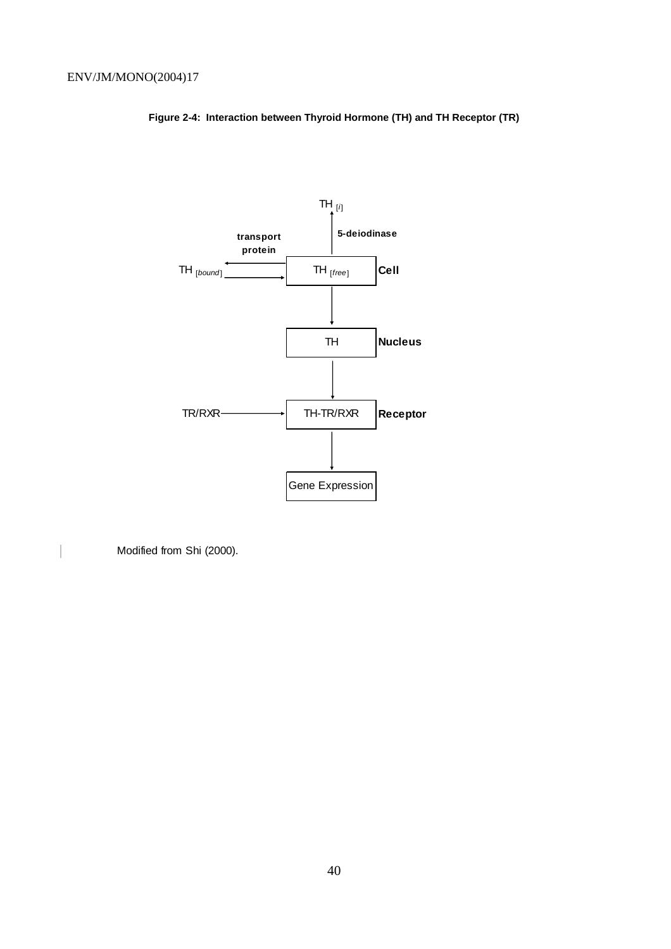

**Figure 2-4: Interaction between Thyroid Hormone (TH) and TH Receptor (TR)** 

Modified from Shi (2000).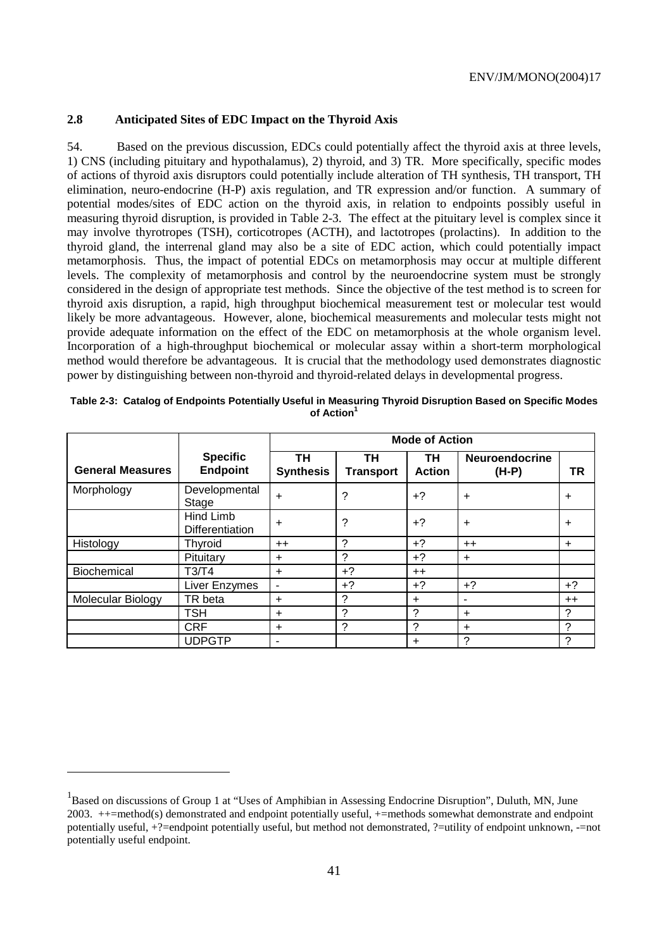### **2.8 Anticipated Sites of EDC Impact on the Thyroid Axis**

54. Based on the previous discussion, EDCs could potentially affect the thyroid axis at three levels, 1) CNS (including pituitary and hypothalamus), 2) thyroid, and 3) TR. More specifically, specific modes of actions of thyroid axis disruptors could potentially include alteration of TH synthesis, TH transport, TH elimination, neuro-endocrine (H-P) axis regulation, and TR expression and/or function. A summary of potential modes/sites of EDC action on the thyroid axis, in relation to endpoints possibly useful in measuring thyroid disruption, is provided in Table 2-3. The effect at the pituitary level is complex since it may involve thyrotropes (TSH), corticotropes (ACTH), and lactotropes (prolactins). In addition to the thyroid gland, the interrenal gland may also be a site of EDC action, which could potentially impact metamorphosis. Thus, the impact of potential EDCs on metamorphosis may occur at multiple different levels. The complexity of metamorphosis and control by the neuroendocrine system must be strongly considered in the design of appropriate test methods. Since the objective of the test method is to screen for thyroid axis disruption, a rapid, high throughput biochemical measurement test or molecular test would likely be more advantageous. However, alone, biochemical measurements and molecular tests might not provide adequate information on the effect of the EDC on metamorphosis at the whole organism level. Incorporation of a high-throughput biochemical or molecular assay within a short-term morphological method would therefore be advantageous. It is crucial that the methodology used demonstrates diagnostic power by distinguishing between non-thyroid and thyroid-related delays in developmental progress.

|                         |                                    | <b>Mode of Action</b>         |                        |                     |                                  |               |
|-------------------------|------------------------------------|-------------------------------|------------------------|---------------------|----------------------------------|---------------|
| <b>General Measures</b> | <b>Specific</b><br><b>Endpoint</b> | <b>TH</b><br><b>Synthesis</b> | TН<br><b>Transport</b> | ΤН<br><b>Action</b> | <b>Neuroendocrine</b><br>$(H-P)$ | TR            |
| Morphology              | Developmental<br>Stage             | ÷                             | 2                      | $+?$                | $\ddot{}$                        | ٠             |
|                         | Hind Limb<br>Differentiation       | ÷                             | ?                      | $+?$                | $\ddot{}$                        | +             |
| Histology               | Thyroid                            | $++$                          | 2                      | $+?$                | $++$                             | +             |
|                         | Pituitary                          | $\ddot{}$                     | ?                      | $+?$                | $\pm$                            |               |
| Biochemical             | T3/T4                              | $\ddot{}$                     | $+?$                   | $^{++}$             |                                  |               |
|                         | Liver Enzymes                      |                               | $+?$                   | $+?$                | $+?$                             | $+?$          |
| Molecular Biology       | TR beta                            | $\ddot{}$                     | ?                      | ÷                   | ۰                                | $++$          |
|                         | <b>TSH</b>                         | $\ddot{}$                     | 2                      | 2                   | $\ddot{}$                        | っ             |
|                         | <b>CRF</b>                         | $\ddot{}$                     | ?                      | ?                   | $\ddot{}$                        | $\mathcal{P}$ |
|                         | <b>UDPGTP</b>                      | ٠                             |                        | +                   | 2                                | 2             |

| Table 2-3: Catalog of Endpoints Potentially Useful in Measuring Thyroid Disruption Based on Specific Modes |
|------------------------------------------------------------------------------------------------------------|
| of Action                                                                                                  |

 $\overline{a}$ 

<sup>&</sup>lt;sup>1</sup>Based on discussions of Group 1 at "Uses of Amphibian in Assessing Endocrine Disruption", Duluth, MN, June 2003. ++=method(s) demonstrated and endpoint potentially useful, +=methods somewhat demonstrate and endpoint potentially useful, +?=endpoint potentially useful, but method not demonstrated, ?=utility of endpoint unknown, -=not potentially useful endpoint.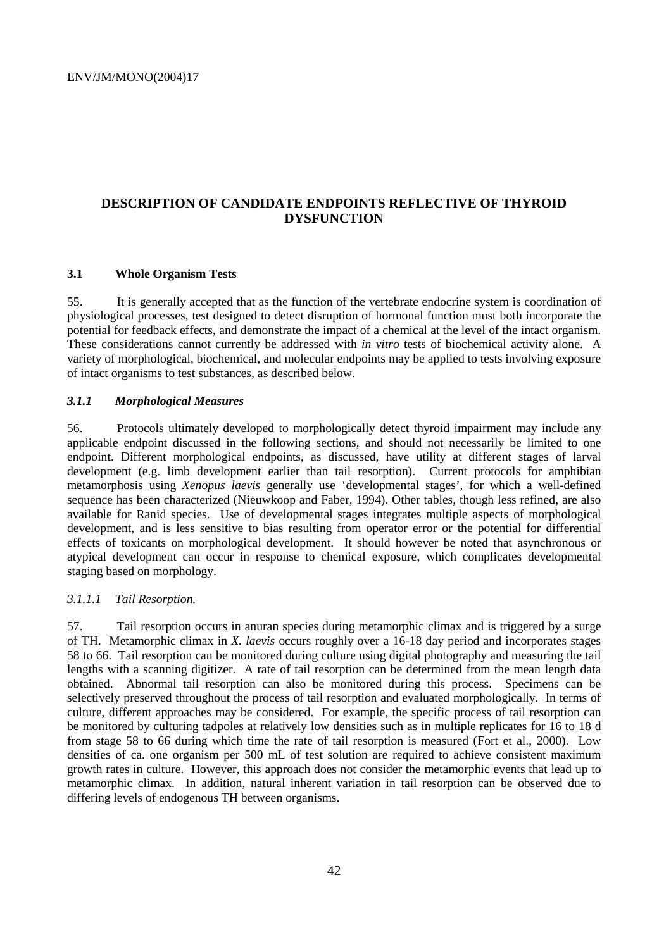# **DESCRIPTION OF CANDIDATE ENDPOINTS REFLECTIVE OF THYROID DYSFUNCTION**

### **3.1 Whole Organism Tests**

55. It is generally accepted that as the function of the vertebrate endocrine system is coordination of physiological processes, test designed to detect disruption of hormonal function must both incorporate the potential for feedback effects, and demonstrate the impact of a chemical at the level of the intact organism. These considerations cannot currently be addressed with *in vitro* tests of biochemical activity alone. A variety of morphological, biochemical, and molecular endpoints may be applied to tests involving exposure of intact organisms to test substances, as described below.

### *3.1.1 Morphological Measures*

56. Protocols ultimately developed to morphologically detect thyroid impairment may include any applicable endpoint discussed in the following sections, and should not necessarily be limited to one endpoint. Different morphological endpoints, as discussed, have utility at different stages of larval development (e.g. limb development earlier than tail resorption). Current protocols for amphibian metamorphosis using *Xenopus laevis* generally use 'developmental stages', for which a well-defined sequence has been characterized (Nieuwkoop and Faber, 1994). Other tables, though less refined, are also available for Ranid species. Use of developmental stages integrates multiple aspects of morphological development, and is less sensitive to bias resulting from operator error or the potential for differential effects of toxicants on morphological development. It should however be noted that asynchronous or atypical development can occur in response to chemical exposure, which complicates developmental staging based on morphology.

## *3.1.1.1 Tail Resorption.*

57. Tail resorption occurs in anuran species during metamorphic climax and is triggered by a surge of TH. Metamorphic climax in *X. laevis* occurs roughly over a 16-18 day period and incorporates stages 58 to 66. Tail resorption can be monitored during culture using digital photography and measuring the tail lengths with a scanning digitizer. A rate of tail resorption can be determined from the mean length data obtained. Abnormal tail resorption can also be monitored during this process. Specimens can be selectively preserved throughout the process of tail resorption and evaluated morphologically. In terms of culture, different approaches may be considered. For example, the specific process of tail resorption can be monitored by culturing tadpoles at relatively low densities such as in multiple replicates for 16 to 18 d from stage 58 to 66 during which time the rate of tail resorption is measured (Fort et al., 2000). Low densities of ca. one organism per 500 mL of test solution are required to achieve consistent maximum growth rates in culture. However, this approach does not consider the metamorphic events that lead up to metamorphic climax. In addition, natural inherent variation in tail resorption can be observed due to differing levels of endogenous TH between organisms.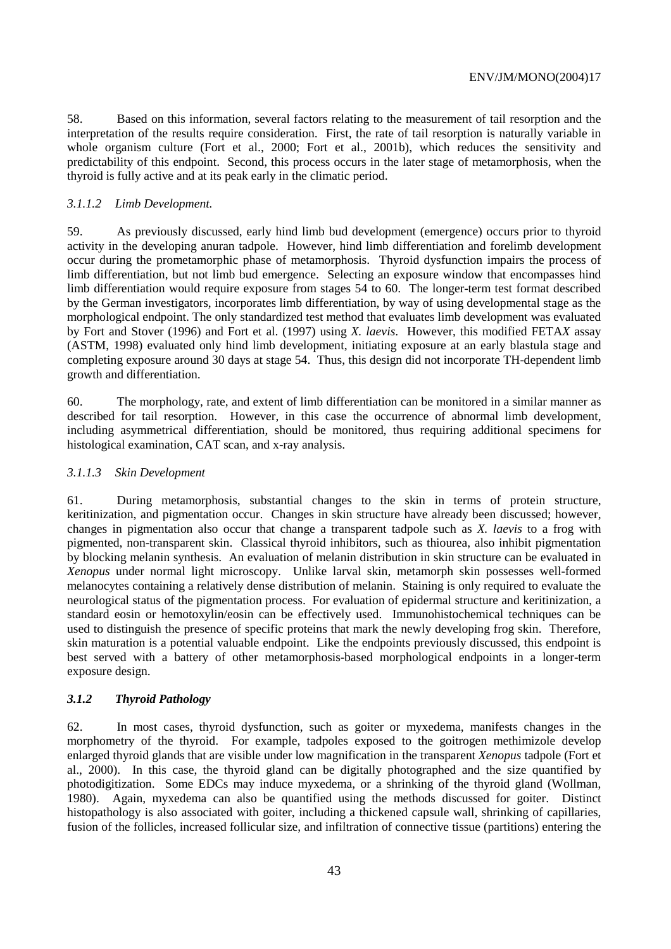58. Based on this information, several factors relating to the measurement of tail resorption and the interpretation of the results require consideration. First, the rate of tail resorption is naturally variable in whole organism culture (Fort et al., 2000; Fort et al., 2001b), which reduces the sensitivity and predictability of this endpoint. Second, this process occurs in the later stage of metamorphosis, when the thyroid is fully active and at its peak early in the climatic period.

## *3.1.1.2 Limb Development.*

59. As previously discussed, early hind limb bud development (emergence) occurs prior to thyroid activity in the developing anuran tadpole. However, hind limb differentiation and forelimb development occur during the prometamorphic phase of metamorphosis. Thyroid dysfunction impairs the process of limb differentiation, but not limb bud emergence. Selecting an exposure window that encompasses hind limb differentiation would require exposure from stages 54 to 60. The longer-term test format described by the German investigators, incorporates limb differentiation, by way of using developmental stage as the morphological endpoint. The only standardized test method that evaluates limb development was evaluated by Fort and Stover (1996) and Fort et al. (1997) using *X. laevis*. However, this modified FETA*X* assay (ASTM, 1998) evaluated only hind limb development, initiating exposure at an early blastula stage and completing exposure around 30 days at stage 54. Thus, this design did not incorporate TH-dependent limb growth and differentiation.

60. The morphology, rate, and extent of limb differentiation can be monitored in a similar manner as described for tail resorption. However, in this case the occurrence of abnormal limb development, including asymmetrical differentiation, should be monitored, thus requiring additional specimens for histological examination, CAT scan, and x-ray analysis.

## *3.1.1.3 Skin Development*

61. During metamorphosis, substantial changes to the skin in terms of protein structure, keritinization, and pigmentation occur. Changes in skin structure have already been discussed; however, changes in pigmentation also occur that change a transparent tadpole such as *X. laevis* to a frog with pigmented, non-transparent skin. Classical thyroid inhibitors, such as thiourea, also inhibit pigmentation by blocking melanin synthesis. An evaluation of melanin distribution in skin structure can be evaluated in *Xenopus* under normal light microscopy. Unlike larval skin, metamorph skin possesses well-formed melanocytes containing a relatively dense distribution of melanin. Staining is only required to evaluate the neurological status of the pigmentation process. For evaluation of epidermal structure and keritinization, a standard eosin or hemotoxylin/eosin can be effectively used. Immunohistochemical techniques can be used to distinguish the presence of specific proteins that mark the newly developing frog skin. Therefore, skin maturation is a potential valuable endpoint. Like the endpoints previously discussed, this endpoint is best served with a battery of other metamorphosis-based morphological endpoints in a longer-term exposure design.

## *3.1.2 Thyroid Pathology*

62. In most cases, thyroid dysfunction, such as goiter or myxedema, manifests changes in the morphometry of the thyroid. For example, tadpoles exposed to the goitrogen methimizole develop enlarged thyroid glands that are visible under low magnification in the transparent *Xenopus* tadpole (Fort et al., 2000). In this case, the thyroid gland can be digitally photographed and the size quantified by photodigitization. Some EDCs may induce myxedema, or a shrinking of the thyroid gland (Wollman, 1980). Again, myxedema can also be quantified using the methods discussed for goiter. Distinct histopathology is also associated with goiter, including a thickened capsule wall, shrinking of capillaries, fusion of the follicles, increased follicular size, and infiltration of connective tissue (partitions) entering the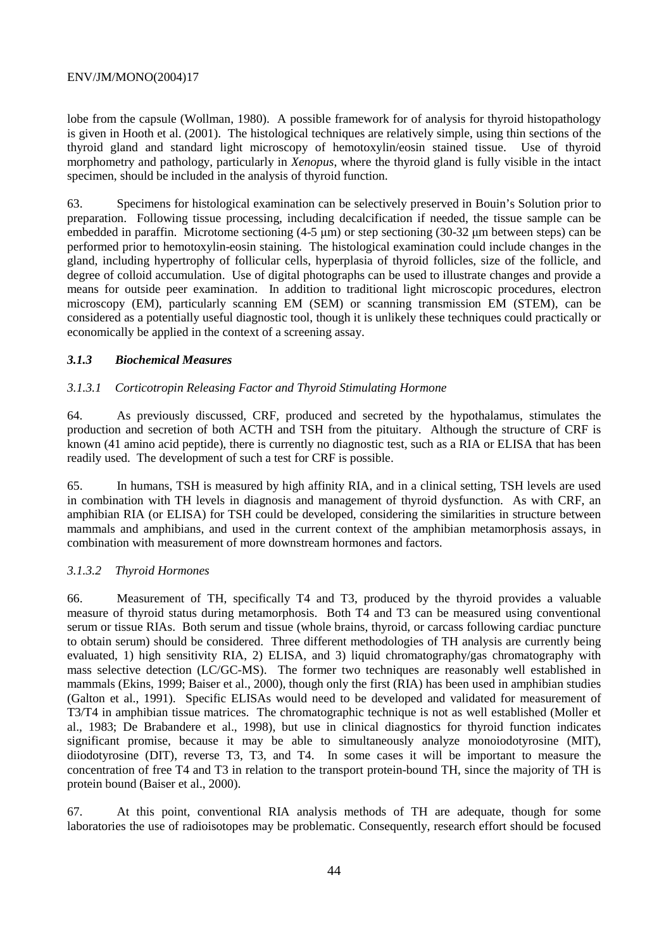lobe from the capsule (Wollman, 1980). A possible framework for of analysis for thyroid histopathology is given in Hooth et al. (2001). The histological techniques are relatively simple, using thin sections of the thyroid gland and standard light microscopy of hemotoxylin/eosin stained tissue. Use of thyroid morphometry and pathology, particularly in *Xenopus*, where the thyroid gland is fully visible in the intact specimen, should be included in the analysis of thyroid function.

63. Specimens for histological examination can be selectively preserved in Bouin's Solution prior to preparation. Following tissue processing, including decalcification if needed, the tissue sample can be embedded in paraffin. Microtome sectioning (4-5 µm) or step sectioning (30-32 µm between steps) can be performed prior to hemotoxylin-eosin staining. The histological examination could include changes in the gland, including hypertrophy of follicular cells, hyperplasia of thyroid follicles, size of the follicle, and degree of colloid accumulation. Use of digital photographs can be used to illustrate changes and provide a means for outside peer examination. In addition to traditional light microscopic procedures, electron microscopy (EM), particularly scanning EM (SEM) or scanning transmission EM (STEM), can be considered as a potentially useful diagnostic tool, though it is unlikely these techniques could practically or economically be applied in the context of a screening assay.

## *3.1.3 Biochemical Measures*

### *3.1.3.1 Corticotropin Releasing Factor and Thyroid Stimulating Hormone*

64. As previously discussed, CRF, produced and secreted by the hypothalamus, stimulates the production and secretion of both ACTH and TSH from the pituitary. Although the structure of CRF is known (41 amino acid peptide), there is currently no diagnostic test, such as a RIA or ELISA that has been readily used. The development of such a test for CRF is possible.

65. In humans, TSH is measured by high affinity RIA, and in a clinical setting, TSH levels are used in combination with TH levels in diagnosis and management of thyroid dysfunction. As with CRF, an amphibian RIA (or ELISA) for TSH could be developed, considering the similarities in structure between mammals and amphibians, and used in the current context of the amphibian metamorphosis assays, in combination with measurement of more downstream hormones and factors.

## *3.1.3.2 Thyroid Hormones*

66. Measurement of TH, specifically T4 and T3, produced by the thyroid provides a valuable measure of thyroid status during metamorphosis. Both T4 and T3 can be measured using conventional serum or tissue RIAs. Both serum and tissue (whole brains, thyroid, or carcass following cardiac puncture to obtain serum) should be considered. Three different methodologies of TH analysis are currently being evaluated, 1) high sensitivity RIA, 2) ELISA, and 3) liquid chromatography/gas chromatography with mass selective detection (LC/GC-MS). The former two techniques are reasonably well established in mammals (Ekins, 1999; Baiser et al., 2000), though only the first (RIA) has been used in amphibian studies (Galton et al., 1991). Specific ELISAs would need to be developed and validated for measurement of T3/T4 in amphibian tissue matrices. The chromatographic technique is not as well established (Moller et al., 1983; De Brabandere et al., 1998), but use in clinical diagnostics for thyroid function indicates significant promise, because it may be able to simultaneously analyze monoiodotyrosine (MIT), diiodotyrosine (DIT), reverse T3, T3, and T4. In some cases it will be important to measure the concentration of free T4 and T3 in relation to the transport protein-bound TH, since the majority of TH is protein bound (Baiser et al., 2000).

67. At this point, conventional RIA analysis methods of TH are adequate, though for some laboratories the use of radioisotopes may be problematic. Consequently, research effort should be focused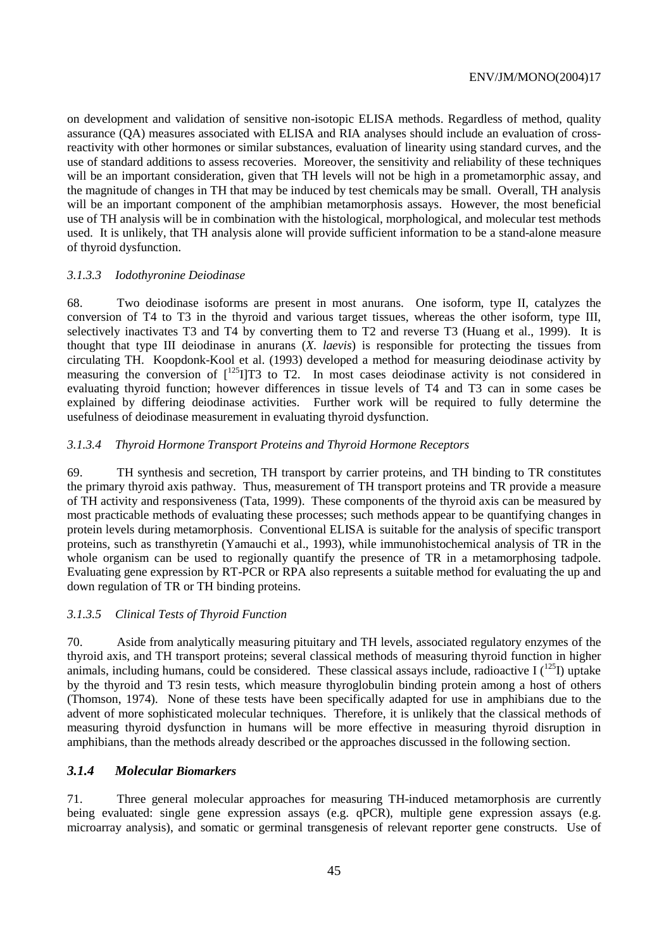on development and validation of sensitive non-isotopic ELISA methods. Regardless of method, quality assurance (QA) measures associated with ELISA and RIA analyses should include an evaluation of crossreactivity with other hormones or similar substances, evaluation of linearity using standard curves, and the use of standard additions to assess recoveries. Moreover, the sensitivity and reliability of these techniques will be an important consideration, given that TH levels will not be high in a prometamorphic assay, and the magnitude of changes in TH that may be induced by test chemicals may be small. Overall, TH analysis will be an important component of the amphibian metamorphosis assays. However, the most beneficial use of TH analysis will be in combination with the histological, morphological, and molecular test methods used. It is unlikely, that TH analysis alone will provide sufficient information to be a stand-alone measure of thyroid dysfunction.

### *3.1.3.3 Iodothyronine Deiodinase*

68. Two deiodinase isoforms are present in most anurans. One isoform, type II, catalyzes the conversion of T4 to T3 in the thyroid and various target tissues, whereas the other isoform, type III, selectively inactivates T3 and T4 by converting them to T2 and reverse T3 (Huang et al., 1999). It is thought that type III deiodinase in anurans (*X. laevis*) is responsible for protecting the tissues from circulating TH. Koopdonk-Kool et al. (1993) developed a method for measuring deiodinase activity by measuring the conversion of  $[$ <sup>125</sup>I]T3 to T2. In most cases deiodinase activity is not considered in evaluating thyroid function; however differences in tissue levels of T4 and T3 can in some cases be explained by differing deiodinase activities. Further work will be required to fully determine the usefulness of deiodinase measurement in evaluating thyroid dysfunction.

### *3.1.3.4 Thyroid Hormone Transport Proteins and Thyroid Hormone Receptors*

69. TH synthesis and secretion, TH transport by carrier proteins, and TH binding to TR constitutes the primary thyroid axis pathway. Thus, measurement of TH transport proteins and TR provide a measure of TH activity and responsiveness (Tata, 1999). These components of the thyroid axis can be measured by most practicable methods of evaluating these processes; such methods appear to be quantifying changes in protein levels during metamorphosis. Conventional ELISA is suitable for the analysis of specific transport proteins, such as transthyretin (Yamauchi et al., 1993), while immunohistochemical analysis of TR in the whole organism can be used to regionally quantify the presence of TR in a metamorphosing tadpole. Evaluating gene expression by RT-PCR or RPA also represents a suitable method for evaluating the up and down regulation of TR or TH binding proteins.

## *3.1.3.5 Clinical Tests of Thyroid Function*

70. Aside from analytically measuring pituitary and TH levels, associated regulatory enzymes of the thyroid axis, and TH transport proteins; several classical methods of measuring thyroid function in higher animals, including humans, could be considered. These classical assays include, radioactive I  $(^{125}I)$  uptake by the thyroid and T3 resin tests, which measure thyroglobulin binding protein among a host of others (Thomson, 1974). None of these tests have been specifically adapted for use in amphibians due to the advent of more sophisticated molecular techniques. Therefore, it is unlikely that the classical methods of measuring thyroid dysfunction in humans will be more effective in measuring thyroid disruption in amphibians, than the methods already described or the approaches discussed in the following section.

# *3.1.4 Molecular Biomarkers*

71. Three general molecular approaches for measuring TH-induced metamorphosis are currently being evaluated: single gene expression assays (e.g. qPCR), multiple gene expression assays (e.g. microarray analysis), and somatic or germinal transgenesis of relevant reporter gene constructs. Use of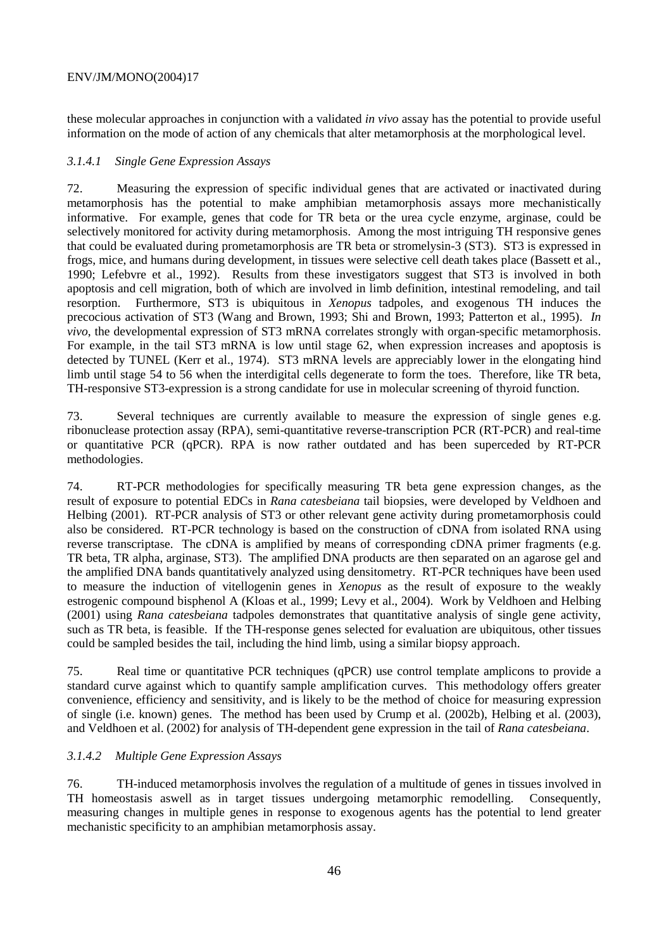these molecular approaches in conjunction with a validated *in vivo* assay has the potential to provide useful information on the mode of action of any chemicals that alter metamorphosis at the morphological level.

### *3.1.4.1 Single Gene Expression Assays*

72. Measuring the expression of specific individual genes that are activated or inactivated during metamorphosis has the potential to make amphibian metamorphosis assays more mechanistically informative. For example, genes that code for TR beta or the urea cycle enzyme, arginase, could be selectively monitored for activity during metamorphosis. Among the most intriguing TH responsive genes that could be evaluated during prometamorphosis are TR beta or stromelysin-3 (ST3). ST3 is expressed in frogs, mice, and humans during development, in tissues were selective cell death takes place (Bassett et al., 1990; Lefebvre et al., 1992). Results from these investigators suggest that ST3 is involved in both apoptosis and cell migration, both of which are involved in limb definition, intestinal remodeling, and tail resorption. Furthermore, ST3 is ubiquitous in *Xenopus* tadpoles, and exogenous TH induces the precocious activation of ST3 (Wang and Brown, 1993; Shi and Brown, 1993; Patterton et al., 1995). *In vivo*, the developmental expression of ST3 mRNA correlates strongly with organ-specific metamorphosis. For example, in the tail ST3 mRNA is low until stage 62, when expression increases and apoptosis is detected by TUNEL (Kerr et al., 1974). ST3 mRNA levels are appreciably lower in the elongating hind limb until stage 54 to 56 when the interdigital cells degenerate to form the toes. Therefore, like TR beta, TH-responsive ST3-expression is a strong candidate for use in molecular screening of thyroid function.

73. Several techniques are currently available to measure the expression of single genes e.g. ribonuclease protection assay (RPA), semi-quantitative reverse-transcription PCR (RT-PCR) and real-time or quantitative PCR (qPCR). RPA is now rather outdated and has been superceded by RT-PCR methodologies.

74. RT-PCR methodologies for specifically measuring TR beta gene expression changes, as the result of exposure to potential EDCs in *Rana catesbeiana* tail biopsies, were developed by Veldhoen and Helbing (2001). RT-PCR analysis of ST3 or other relevant gene activity during prometamorphosis could also be considered. RT-PCR technology is based on the construction of cDNA from isolated RNA using reverse transcriptase. The cDNA is amplified by means of corresponding cDNA primer fragments (e.g. TR beta, TR alpha, arginase, ST3). The amplified DNA products are then separated on an agarose gel and the amplified DNA bands quantitatively analyzed using densitometry. RT-PCR techniques have been used to measure the induction of vitellogenin genes in *Xenopus* as the result of exposure to the weakly estrogenic compound bisphenol A (Kloas et al., 1999; Levy et al., 2004). Work by Veldhoen and Helbing (2001) using *Rana catesbeiana* tadpoles demonstrates that quantitative analysis of single gene activity, such as TR beta, is feasible. If the TH-response genes selected for evaluation are ubiquitous, other tissues could be sampled besides the tail, including the hind limb, using a similar biopsy approach.

75. Real time or quantitative PCR techniques (qPCR) use control template amplicons to provide a standard curve against which to quantify sample amplification curves. This methodology offers greater convenience, efficiency and sensitivity, and is likely to be the method of choice for measuring expression of single (i.e. known) genes. The method has been used by Crump et al. (2002b), Helbing et al. (2003), and Veldhoen et al. (2002) for analysis of TH-dependent gene expression in the tail of *Rana catesbeiana*.

## *3.1.4.2 Multiple Gene Expression Assays*

76. TH-induced metamorphosis involves the regulation of a multitude of genes in tissues involved in TH homeostasis aswell as in target tissues undergoing metamorphic remodelling. Consequently, measuring changes in multiple genes in response to exogenous agents has the potential to lend greater mechanistic specificity to an amphibian metamorphosis assay.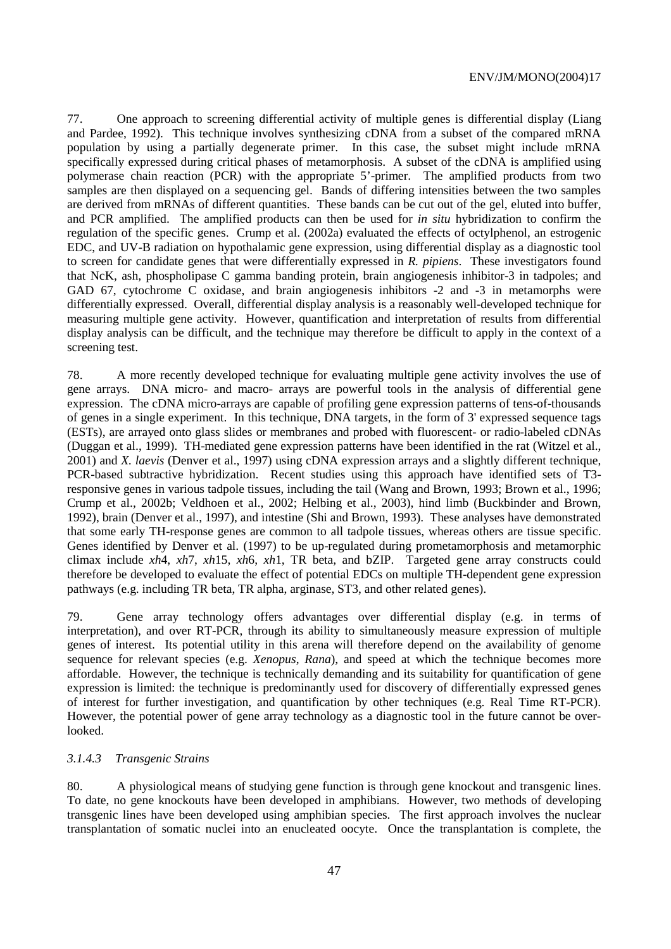77. One approach to screening differential activity of multiple genes is differential display (Liang and Pardee, 1992). This technique involves synthesizing cDNA from a subset of the compared mRNA population by using a partially degenerate primer. In this case, the subset might include mRNA specifically expressed during critical phases of metamorphosis. A subset of the cDNA is amplified using polymerase chain reaction (PCR) with the appropriate 5'-primer. The amplified products from two samples are then displayed on a sequencing gel. Bands of differing intensities between the two samples are derived from mRNAs of different quantities. These bands can be cut out of the gel, eluted into buffer, and PCR amplified. The amplified products can then be used for *in situ* hybridization to confirm the regulation of the specific genes. Crump et al. (2002a) evaluated the effects of octylphenol, an estrogenic EDC, and UV-B radiation on hypothalamic gene expression, using differential display as a diagnostic tool to screen for candidate genes that were differentially expressed in *R. pipiens*. These investigators found that NcK, ash, phospholipase C gamma banding protein, brain angiogenesis inhibitor-3 in tadpoles; and GAD 67, cytochrome C oxidase, and brain angiogenesis inhibitors -2 and -3 in metamorphs were differentially expressed. Overall, differential display analysis is a reasonably well-developed technique for measuring multiple gene activity. However, quantification and interpretation of results from differential display analysis can be difficult, and the technique may therefore be difficult to apply in the context of a screening test.

78. A more recently developed technique for evaluating multiple gene activity involves the use of gene arrays. DNA micro- and macro- arrays are powerful tools in the analysis of differential gene expression. The cDNA micro-arrays are capable of profiling gene expression patterns of tens-of-thousands of genes in a single experiment. In this technique, DNA targets, in the form of 3' expressed sequence tags (ESTs), are arrayed onto glass slides or membranes and probed with fluorescent- or radio-labeled cDNAs (Duggan et al., 1999). TH-mediated gene expression patterns have been identified in the rat (Witzel et al., 2001) and *X. laevis* (Denver et al., 1997) using cDNA expression arrays and a slightly different technique, PCR-based subtractive hybridization. Recent studies using this approach have identified sets of T3 responsive genes in various tadpole tissues, including the tail (Wang and Brown, 1993; Brown et al., 1996; Crump et al., 2002b; Veldhoen et al., 2002; Helbing et al., 2003), hind limb (Buckbinder and Brown, 1992), brain (Denver et al., 1997), and intestine (Shi and Brown, 1993). These analyses have demonstrated that some early TH-response genes are common to all tadpole tissues, whereas others are tissue specific. Genes identified by Denver et al. (1997) to be up-regulated during prometamorphosis and metamorphic climax include *xh*4, *xh*7, *xh*15, *xh*6, *xh*1, TR beta, and bZIP. Targeted gene array constructs could therefore be developed to evaluate the effect of potential EDCs on multiple TH-dependent gene expression pathways (e.g. including TR beta, TR alpha, arginase, ST3, and other related genes).

79. Gene array technology offers advantages over differential display (e.g. in terms of interpretation), and over RT-PCR, through its ability to simultaneously measure expression of multiple genes of interest. Its potential utility in this arena will therefore depend on the availability of genome sequence for relevant species (e.g. *Xenopus*, *Rana*), and speed at which the technique becomes more affordable. However, the technique is technically demanding and its suitability for quantification of gene expression is limited: the technique is predominantly used for discovery of differentially expressed genes of interest for further investigation, and quantification by other techniques (e.g. Real Time RT-PCR). However, the potential power of gene array technology as a diagnostic tool in the future cannot be overlooked.

# *3.1.4.3 Transgenic Strains*

80. A physiological means of studying gene function is through gene knockout and transgenic lines. To date, no gene knockouts have been developed in amphibians. However, two methods of developing transgenic lines have been developed using amphibian species. The first approach involves the nuclear transplantation of somatic nuclei into an enucleated oocyte. Once the transplantation is complete, the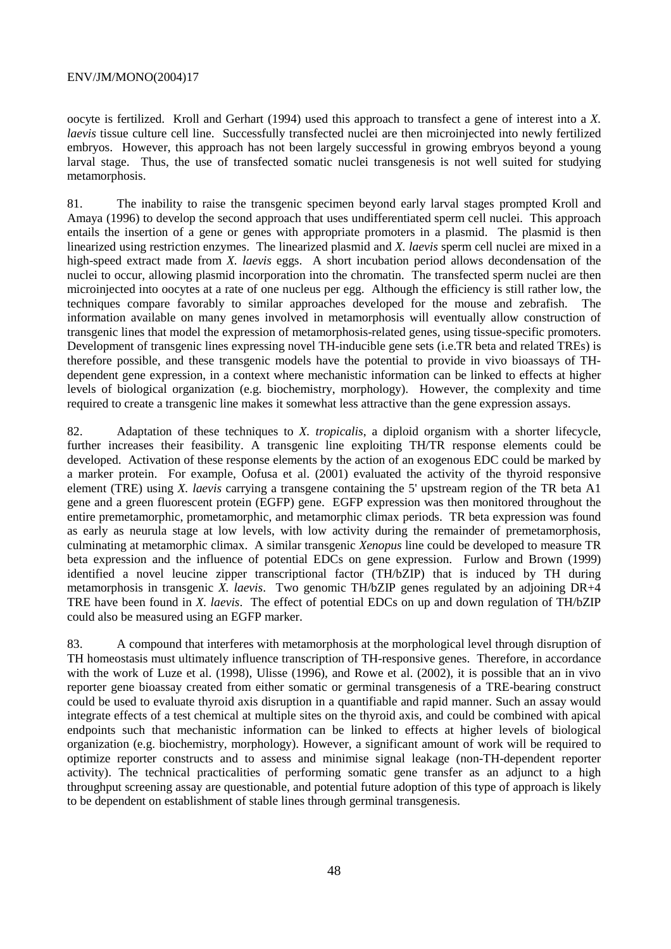oocyte is fertilized. Kroll and Gerhart (1994) used this approach to transfect a gene of interest into a *X. laevis* tissue culture cell line. Successfully transfected nuclei are then microinjected into newly fertilized embryos. However, this approach has not been largely successful in growing embryos beyond a young larval stage. Thus, the use of transfected somatic nuclei transgenesis is not well suited for studying metamorphosis.

81. The inability to raise the transgenic specimen beyond early larval stages prompted Kroll and Amaya (1996) to develop the second approach that uses undifferentiated sperm cell nuclei. This approach entails the insertion of a gene or genes with appropriate promoters in a plasmid. The plasmid is then linearized using restriction enzymes. The linearized plasmid and *X. laevis* sperm cell nuclei are mixed in a high-speed extract made from *X. laevis* eggs. A short incubation period allows decondensation of the nuclei to occur, allowing plasmid incorporation into the chromatin. The transfected sperm nuclei are then microinjected into oocytes at a rate of one nucleus per egg. Although the efficiency is still rather low, the techniques compare favorably to similar approaches developed for the mouse and zebrafish. information available on many genes involved in metamorphosis will eventually allow construction of transgenic lines that model the expression of metamorphosis-related genes, using tissue-specific promoters. Development of transgenic lines expressing novel TH-inducible gene sets (i.e.TR beta and related TREs) is therefore possible, and these transgenic models have the potential to provide in vivo bioassays of THdependent gene expression, in a context where mechanistic information can be linked to effects at higher levels of biological organization (e.g. biochemistry, morphology). However, the complexity and time required to create a transgenic line makes it somewhat less attractive than the gene expression assays.

82. Adaptation of these techniques to *X. tropicalis*, a diploid organism with a shorter lifecycle, further increases their feasibility. A transgenic line exploiting TH/TR response elements could be developed. Activation of these response elements by the action of an exogenous EDC could be marked by a marker protein. For example, Oofusa et al. (2001) evaluated the activity of the thyroid responsive element (TRE) using *X. laevis* carrying a transgene containing the 5' upstream region of the TR beta A1 gene and a green fluorescent protein (EGFP) gene. EGFP expression was then monitored throughout the entire premetamorphic, prometamorphic, and metamorphic climax periods. TR beta expression was found as early as neurula stage at low levels, with low activity during the remainder of premetamorphosis, culminating at metamorphic climax. A similar transgenic *Xenopus* line could be developed to measure TR beta expression and the influence of potential EDCs on gene expression. Furlow and Brown (1999) identified a novel leucine zipper transcriptional factor (TH/bZIP) that is induced by TH during metamorphosis in transgenic *X. laevis*. Two genomic TH/bZIP genes regulated by an adjoining DR+4 TRE have been found in *X. laevis*. The effect of potential EDCs on up and down regulation of TH/bZIP could also be measured using an EGFP marker.

83. A compound that interferes with metamorphosis at the morphological level through disruption of TH homeostasis must ultimately influence transcription of TH-responsive genes. Therefore, in accordance with the work of Luze et al. (1998), Ulisse (1996), and Rowe et al. (2002), it is possible that an in vivo reporter gene bioassay created from either somatic or germinal transgenesis of a TRE-bearing construct could be used to evaluate thyroid axis disruption in a quantifiable and rapid manner. Such an assay would integrate effects of a test chemical at multiple sites on the thyroid axis, and could be combined with apical endpoints such that mechanistic information can be linked to effects at higher levels of biological organization (e.g. biochemistry, morphology). However, a significant amount of work will be required to optimize reporter constructs and to assess and minimise signal leakage (non-TH-dependent reporter activity). The technical practicalities of performing somatic gene transfer as an adjunct to a high throughput screening assay are questionable, and potential future adoption of this type of approach is likely to be dependent on establishment of stable lines through germinal transgenesis.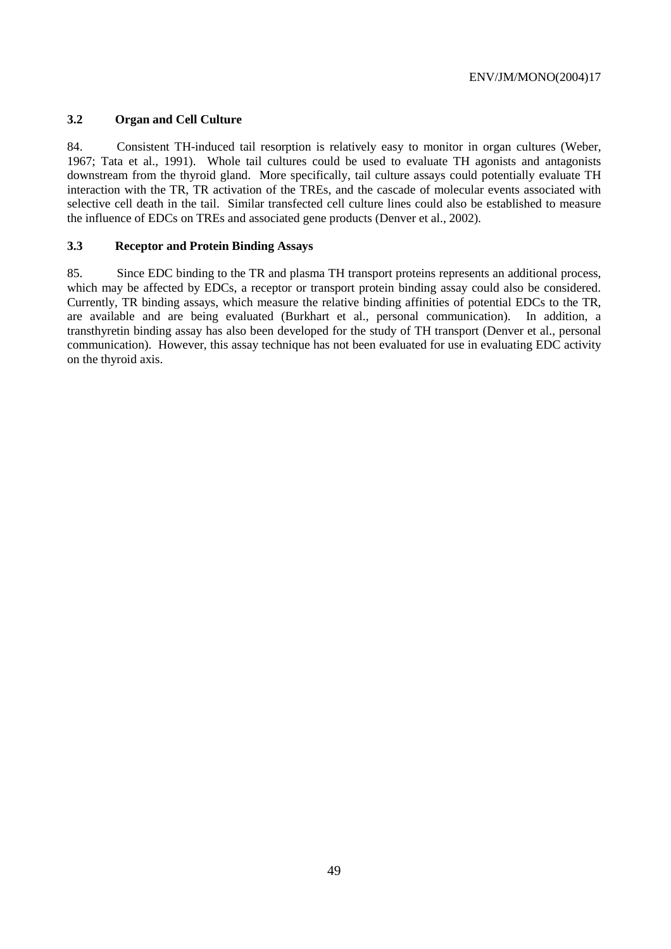# **3.2 Organ and Cell Culture**

84. Consistent TH-induced tail resorption is relatively easy to monitor in organ cultures (Weber, 1967; Tata et al., 1991). Whole tail cultures could be used to evaluate TH agonists and antagonists downstream from the thyroid gland. More specifically, tail culture assays could potentially evaluate TH interaction with the TR, TR activation of the TREs, and the cascade of molecular events associated with selective cell death in the tail. Similar transfected cell culture lines could also be established to measure the influence of EDCs on TREs and associated gene products (Denver et al., 2002).

# **3.3 Receptor and Protein Binding Assays**

85. Since EDC binding to the TR and plasma TH transport proteins represents an additional process, which may be affected by EDCs, a receptor or transport protein binding assay could also be considered. Currently, TR binding assays, which measure the relative binding affinities of potential EDCs to the TR, are available and are being evaluated (Burkhart et al., personal communication). In addition, a transthyretin binding assay has also been developed for the study of TH transport (Denver et al., personal communication). However, this assay technique has not been evaluated for use in evaluating EDC activity on the thyroid axis.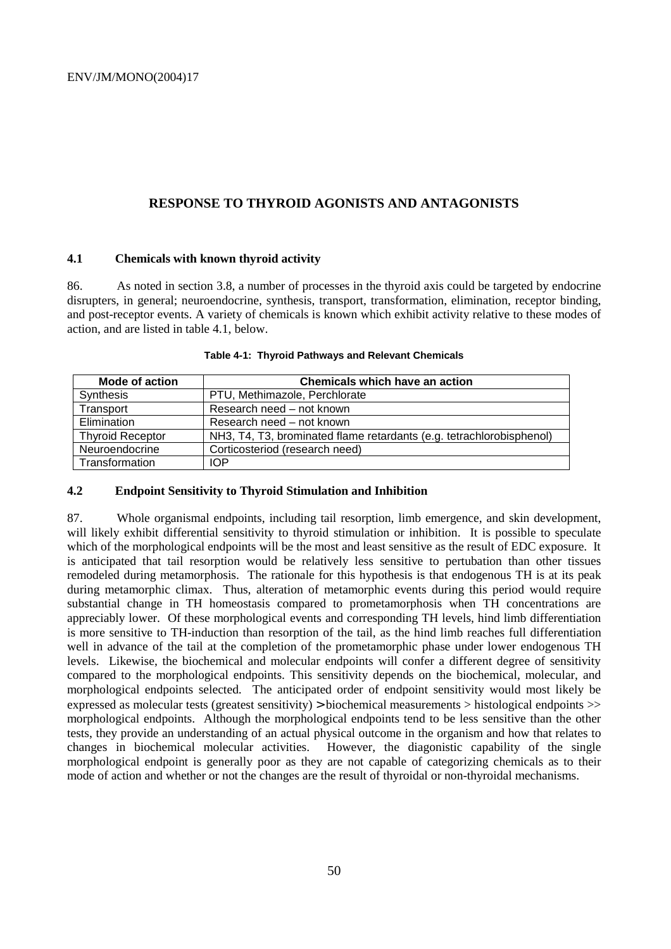# **RESPONSE TO THYROID AGONISTS AND ANTAGONISTS**

### **4.1 Chemicals with known thyroid activity**

86. As noted in section 3.8, a number of processes in the thyroid axis could be targeted by endocrine disrupters, in general; neuroendocrine, synthesis, transport, transformation, elimination, receptor binding, and post-receptor events. A variety of chemicals is known which exhibit activity relative to these modes of action, and are listed in table 4.1, below.

| <b>Mode of action</b>   | Chemicals which have an action                                       |  |  |  |
|-------------------------|----------------------------------------------------------------------|--|--|--|
| Synthesis               | PTU, Methimazole, Perchlorate                                        |  |  |  |
| Transport               | Research need – not known                                            |  |  |  |
| Elimination             | Research need - not known                                            |  |  |  |
| <b>Thyroid Receptor</b> | NH3, T4, T3, brominated flame retardants (e.g. tetrachlorobisphenol) |  |  |  |
| Neuroendocrine          | Corticosteriod (research need)                                       |  |  |  |
| Transformation          | <b>IOP</b>                                                           |  |  |  |

**Table 4-1: Thyroid Pathways and Relevant Chemicals** 

#### **4.2 Endpoint Sensitivity to Thyroid Stimulation and Inhibition**

87. Whole organismal endpoints, including tail resorption, limb emergence, and skin development, will likely exhibit differential sensitivity to thyroid stimulation or inhibition. It is possible to speculate which of the morphological endpoints will be the most and least sensitive as the result of EDC exposure. It is anticipated that tail resorption would be relatively less sensitive to pertubation than other tissues remodeled during metamorphosis. The rationale for this hypothesis is that endogenous TH is at its peak during metamorphic climax. Thus, alteration of metamorphic events during this period would require substantial change in TH homeostasis compared to prometamorphosis when TH concentrations are appreciably lower. Of these morphological events and corresponding TH levels, hind limb differentiation is more sensitive to TH-induction than resorption of the tail, as the hind limb reaches full differentiation well in advance of the tail at the completion of the prometamorphic phase under lower endogenous TH levels. Likewise, the biochemical and molecular endpoints will confer a different degree of sensitivity compared to the morphological endpoints. This sensitivity depends on the biochemical, molecular, and morphological endpoints selected. The anticipated order of endpoint sensitivity would most likely be expressed as molecular tests (greatest sensitivity) > biochemical measurements > histological endpoints >> morphological endpoints. Although the morphological endpoints tend to be less sensitive than the other tests, they provide an understanding of an actual physical outcome in the organism and how that relates to changes in biochemical molecular activities. However, the diagonistic capability of the single morphological endpoint is generally poor as they are not capable of categorizing chemicals as to their mode of action and whether or not the changes are the result of thyroidal or non-thyroidal mechanisms.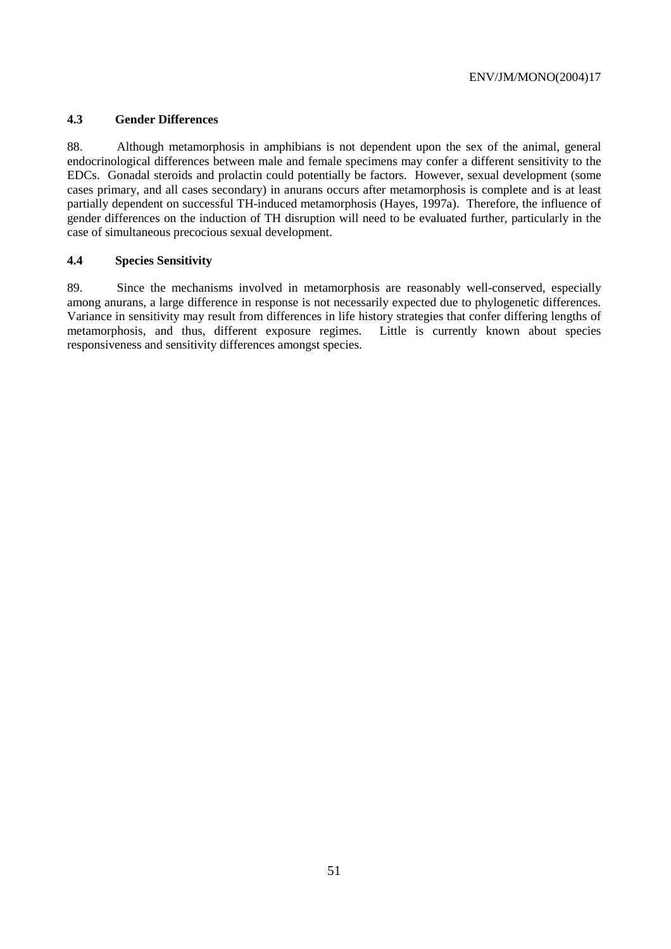## **4.3 Gender Differences**

88. Although metamorphosis in amphibians is not dependent upon the sex of the animal, general endocrinological differences between male and female specimens may confer a different sensitivity to the EDCs. Gonadal steroids and prolactin could potentially be factors. However, sexual development (some cases primary, and all cases secondary) in anurans occurs after metamorphosis is complete and is at least partially dependent on successful TH-induced metamorphosis (Hayes, 1997a). Therefore, the influence of gender differences on the induction of TH disruption will need to be evaluated further, particularly in the case of simultaneous precocious sexual development.

## **4.4 Species Sensitivity**

89. Since the mechanisms involved in metamorphosis are reasonably well-conserved, especially among anurans, a large difference in response is not necessarily expected due to phylogenetic differences. Variance in sensitivity may result from differences in life history strategies that confer differing lengths of metamorphosis, and thus, different exposure regimes. Little is currently known about species responsiveness and sensitivity differences amongst species.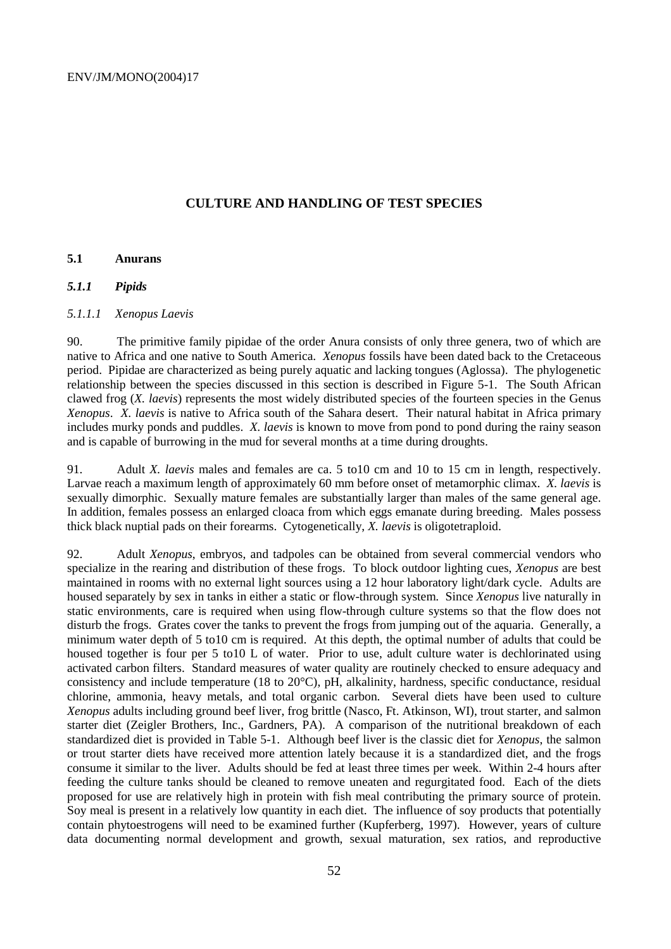# **CULTURE AND HANDLING OF TEST SPECIES**

## **5.1 Anurans**

### *5.1.1 Pipids*

### *5.1.1.1 Xenopus Laevis*

90. The primitive family pipidae of the order Anura consists of only three genera, two of which are native to Africa and one native to South America. *Xenopus* fossils have been dated back to the Cretaceous period. Pipidae are characterized as being purely aquatic and lacking tongues (Aglossa). The phylogenetic relationship between the species discussed in this section is described in Figure 5-1. The South African clawed frog (*X. laevis*) represents the most widely distributed species of the fourteen species in the Genus *Xenopus*. *X. laevis* is native to Africa south of the Sahara desert. Their natural habitat in Africa primary includes murky ponds and puddles. *X. laevis* is known to move from pond to pond during the rainy season and is capable of burrowing in the mud for several months at a time during droughts.

91. Adult *X. laevis* males and females are ca. 5 to10 cm and 10 to 15 cm in length, respectively. Larvae reach a maximum length of approximately 60 mm before onset of metamorphic climax. *X. laevis* is sexually dimorphic. Sexually mature females are substantially larger than males of the same general age. In addition, females possess an enlarged cloaca from which eggs emanate during breeding. Males possess thick black nuptial pads on their forearms. Cytogenetically, *X. laevis* is oligotetraploid.

92. Adult *Xenopus*, embryos, and tadpoles can be obtained from several commercial vendors who specialize in the rearing and distribution of these frogs. To block outdoor lighting cues, *Xenopus* are best maintained in rooms with no external light sources using a 12 hour laboratory light/dark cycle. Adults are housed separately by sex in tanks in either a static or flow-through system. Since *Xenopus* live naturally in static environments, care is required when using flow-through culture systems so that the flow does not disturb the frogs. Grates cover the tanks to prevent the frogs from jumping out of the aquaria. Generally, a minimum water depth of 5 to10 cm is required. At this depth, the optimal number of adults that could be housed together is four per 5 to10 L of water. Prior to use, adult culture water is dechlorinated using activated carbon filters. Standard measures of water quality are routinely checked to ensure adequacy and consistency and include temperature (18 to 20°C), pH, alkalinity, hardness, specific conductance, residual chlorine, ammonia, heavy metals, and total organic carbon. Several diets have been used to culture *Xenopus* adults including ground beef liver, frog brittle (Nasco, Ft. Atkinson, WI), trout starter, and salmon starter diet (Zeigler Brothers, Inc., Gardners, PA). A comparison of the nutritional breakdown of each standardized diet is provided in Table 5-1. Although beef liver is the classic diet for *Xenopus*, the salmon or trout starter diets have received more attention lately because it is a standardized diet, and the frogs consume it similar to the liver. Adults should be fed at least three times per week. Within 2-4 hours after feeding the culture tanks should be cleaned to remove uneaten and regurgitated food. Each of the diets proposed for use are relatively high in protein with fish meal contributing the primary source of protein. Soy meal is present in a relatively low quantity in each diet. The influence of soy products that potentially contain phytoestrogens will need to be examined further (Kupferberg, 1997). However, years of culture data documenting normal development and growth, sexual maturation, sex ratios, and reproductive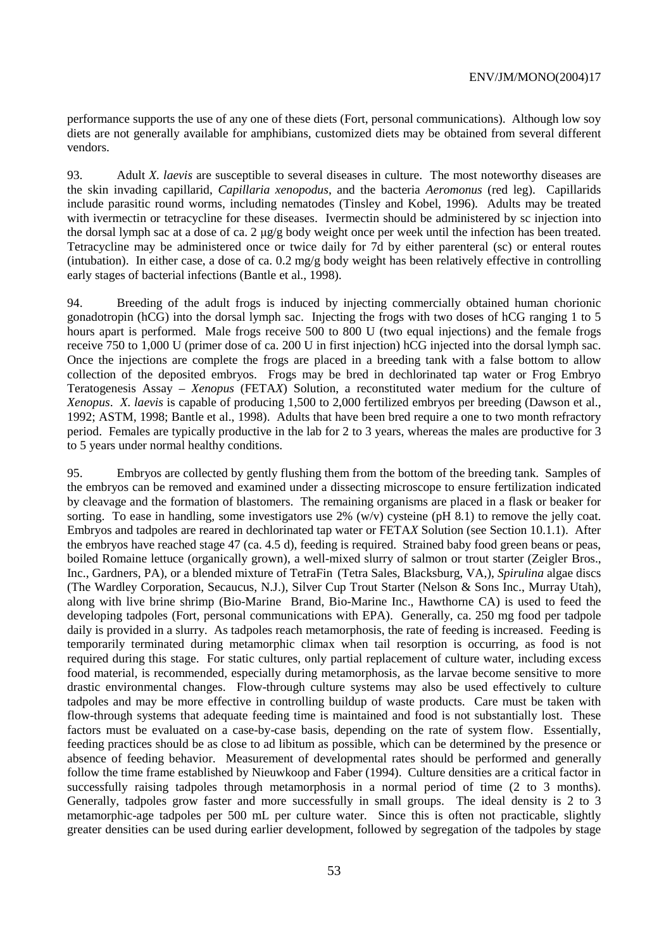performance supports the use of any one of these diets (Fort, personal communications). Although low soy diets are not generally available for amphibians, customized diets may be obtained from several different vendors.

93. Adult *X. laevis* are susceptible to several diseases in culture. The most noteworthy diseases are the skin invading capillarid, *Capillaria xenopodus*, and the bacteria *Aeromonus* (red leg). Capillarids include parasitic round worms, including nematodes (Tinsley and Kobel, 1996). Adults may be treated with ivermectin or tetracycline for these diseases. Ivermectin should be administered by sc injection into the dorsal lymph sac at a dose of ca. 2  $\mu$ g/g body weight once per week until the infection has been treated. Tetracycline may be administered once or twice daily for 7d by either parenteral (sc) or enteral routes (intubation). In either case, a dose of ca. 0.2 mg/g body weight has been relatively effective in controlling early stages of bacterial infections (Bantle et al., 1998).

94. Breeding of the adult frogs is induced by injecting commercially obtained human chorionic gonadotropin (hCG) into the dorsal lymph sac. Injecting the frogs with two doses of hCG ranging 1 to 5 hours apart is performed. Male frogs receive 500 to 800 U (two equal injections) and the female frogs receive 750 to 1,000 U (primer dose of ca. 200 U in first injection) hCG injected into the dorsal lymph sac. Once the injections are complete the frogs are placed in a breeding tank with a false bottom to allow collection of the deposited embryos. Frogs may be bred in dechlorinated tap water or Frog Embryo Teratogenesis Assay – *Xenopus* (FETA*X*) Solution, a reconstituted water medium for the culture of *Xenopus*. *X. laevis* is capable of producing 1,500 to 2,000 fertilized embryos per breeding (Dawson et al., 1992; ASTM, 1998; Bantle et al., 1998). Adults that have been bred require a one to two month refractory period. Females are typically productive in the lab for 2 to 3 years, whereas the males are productive for 3 to 5 years under normal healthy conditions.

95. Embryos are collected by gently flushing them from the bottom of the breeding tank. Samples of the embryos can be removed and examined under a dissecting microscope to ensure fertilization indicated by cleavage and the formation of blastomers. The remaining organisms are placed in a flask or beaker for sorting. To ease in handling, some investigators use  $2\%$  (w/v) cysteine (pH 8.1) to remove the jelly coat. Embryos and tadpoles are reared in dechlorinated tap water or FETA*X* Solution (see Section 10.1.1). After the embryos have reached stage 47 (ca. 4.5 d), feeding is required. Strained baby food green beans or peas, boiled Romaine lettuce (organically grown), a well-mixed slurry of salmon or trout starter (Zeigler Bros., Inc., Gardners, PA), or a blended mixture of TetraFin (Tetra Sales, Blacksburg, VA,), *Spirulina* algae discs (The Wardley Corporation, Secaucus, N.J.), Silver Cup Trout Starter (Nelson & Sons Inc., Murray Utah), along with live brine shrimp (Bio-Marine Brand, Bio-Marine Inc., Hawthorne CA) is used to feed the developing tadpoles (Fort, personal communications with EPA). Generally, ca. 250 mg food per tadpole daily is provided in a slurry. As tadpoles reach metamorphosis, the rate of feeding is increased. Feeding is temporarily terminated during metamorphic climax when tail resorption is occurring, as food is not required during this stage. For static cultures, only partial replacement of culture water, including excess food material, is recommended, especially during metamorphosis, as the larvae become sensitive to more drastic environmental changes. Flow-through culture systems may also be used effectively to culture tadpoles and may be more effective in controlling buildup of waste products. Care must be taken with flow-through systems that adequate feeding time is maintained and food is not substantially lost. These factors must be evaluated on a case-by-case basis, depending on the rate of system flow. Essentially, feeding practices should be as close to ad libitum as possible, which can be determined by the presence or absence of feeding behavior. Measurement of developmental rates should be performed and generally follow the time frame established by Nieuwkoop and Faber (1994). Culture densities are a critical factor in successfully raising tadpoles through metamorphosis in a normal period of time (2 to 3 months). Generally, tadpoles grow faster and more successfully in small groups. The ideal density is 2 to 3 metamorphic-age tadpoles per 500 mL per culture water. Since this is often not practicable, slightly greater densities can be used during earlier development, followed by segregation of the tadpoles by stage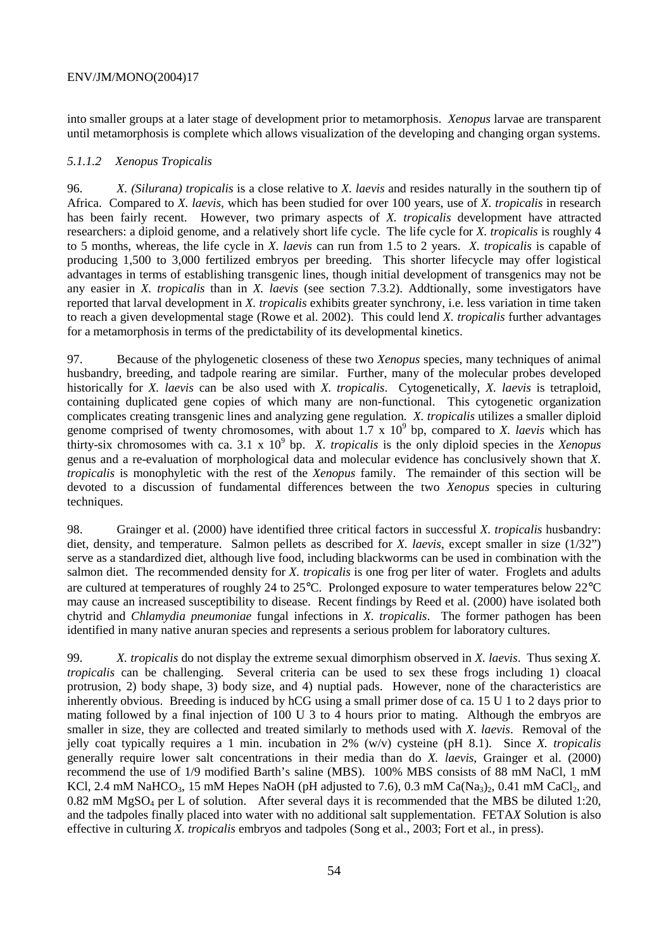into smaller groups at a later stage of development prior to metamorphosis. *Xenopus* larvae are transparent until metamorphosis is complete which allows visualization of the developing and changing organ systems.

# *5.1.1.2 Xenopus Tropicalis*

96. *X. (Silurana) tropicalis* is a close relative to *X. laevis* and resides naturally in the southern tip of Africa. Compared to *X. laevis*, which has been studied for over 100 years, use of *X. tropicalis* in research has been fairly recent. However, two primary aspects of *X. tropicalis* development have attracted researchers: a diploid genome, and a relatively short life cycle. The life cycle for *X. tropicalis* is roughly 4 to 5 months, whereas, the life cycle in *X. laevis* can run from 1.5 to 2 years. *X. tropicalis* is capable of producing 1,500 to 3,000 fertilized embryos per breeding. This shorter lifecycle may offer logistical advantages in terms of establishing transgenic lines, though initial development of transgenics may not be any easier in *X. tropicalis* than in *X. laevis* (see section 7.3.2). Addtionally, some investigators have reported that larval development in *X. tropicalis* exhibits greater synchrony, i.e. less variation in time taken to reach a given developmental stage (Rowe et al. 2002). This could lend *X. tropicalis* further advantages for a metamorphosis in terms of the predictability of its developmental kinetics.

97. Because of the phylogenetic closeness of these two *Xenopus* species, many techniques of animal husbandry, breeding, and tadpole rearing are similar. Further, many of the molecular probes developed historically for *X. laevis* can be also used with *X. tropicalis*. Cytogenetically, *X. laevis* is tetraploid, containing duplicated gene copies of which many are non-functional. This cytogenetic organization complicates creating transgenic lines and analyzing gene regulation. *X. tropicalis* utilizes a smaller diploid genome comprised of twenty chromosomes, with about  $1.7 \times 10^9$  bp, compared to *X. laevis* which has thirty-six chromosomes with ca. 3.1 x 109 bp. *X. tropicalis* is the only diploid species in the *Xenopus* genus and a re-evaluation of morphological data and molecular evidence has conclusively shown that *X. tropicalis* is monophyletic with the rest of the *Xenopus* family. The remainder of this section will be devoted to a discussion of fundamental differences between the two *Xenopus* species in culturing techniques.

98. Grainger et al. (2000) have identified three critical factors in successful *X. tropicalis* husbandry: diet, density, and temperature. Salmon pellets as described for *X. laevis*, except smaller in size (1/32") serve as a standardized diet, although live food, including blackworms can be used in combination with the salmon diet. The recommended density for *X. tropicalis* is one frog per liter of water. Froglets and adults are cultured at temperatures of roughly 24 to 25°C. Prolonged exposure to water temperatures below 22°C may cause an increased susceptibility to disease. Recent findings by Reed et al. (2000) have isolated both chytrid and *Chlamydia pneumoniae* fungal infections in *X. tropicalis*. The former pathogen has been identified in many native anuran species and represents a serious problem for laboratory cultures.

99. *X. tropicalis* do not display the extreme sexual dimorphism observed in *X. laevis*. Thus sexing *X. tropicalis* can be challenging. Several criteria can be used to sex these frogs including 1) cloacal protrusion, 2) body shape, 3) body size, and 4) nuptial pads. However, none of the characteristics are inherently obvious. Breeding is induced by hCG using a small primer dose of ca. 15 U 1 to 2 days prior to mating followed by a final injection of 100 U 3 to 4 hours prior to mating. Although the embryos are smaller in size, they are collected and treated similarly to methods used with *X. laevis*. Removal of the jelly coat typically requires a 1 min. incubation in 2% (w/v) cysteine (pH 8.1). Since *X. tropicalis* generally require lower salt concentrations in their media than do *X. laevis*, Grainger et al. (2000) recommend the use of 1/9 modified Barth's saline (MBS). 100% MBS consists of 88 mM NaCl, 1 mM KCl, 2.4 mM NaHCO<sub>3</sub>, 15 mM Hepes NaOH (pH adjusted to 7.6), 0.3 mM Ca(Na<sub>3</sub>)<sub>2</sub>, 0.41 mM CaCl<sub>2</sub>, and 0.82 mM MgSO<sub>4</sub> per L of solution. After several days it is recommended that the MBS be diluted 1:20, and the tadpoles finally placed into water with no additional salt supplementation. FETA*X* Solution is also effective in culturing *X. tropicalis* embryos and tadpoles (Song et al., 2003; Fort et al., in press).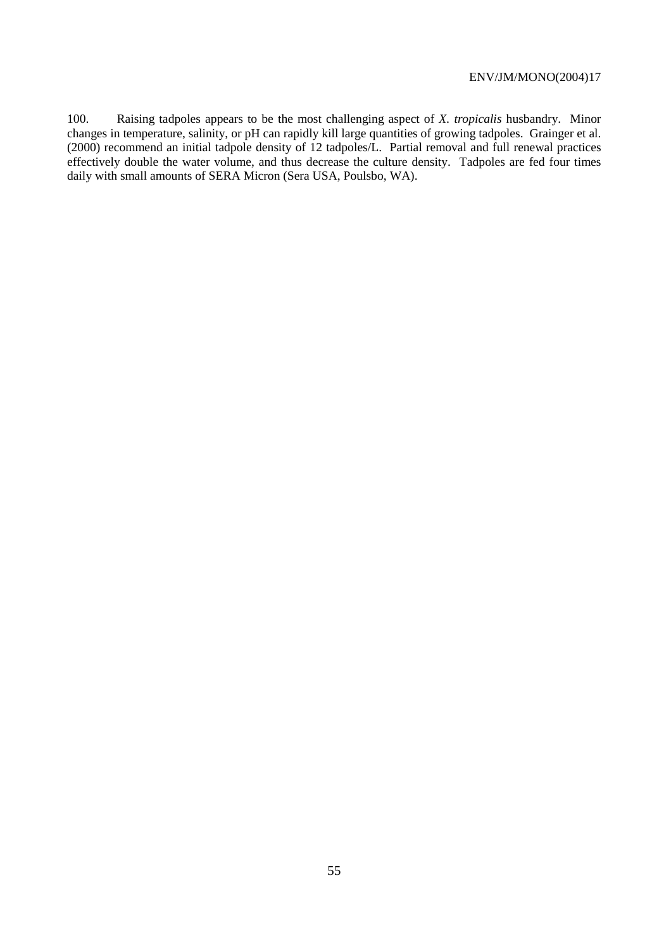100. Raising tadpoles appears to be the most challenging aspect of *X. tropicalis* husbandry. Minor changes in temperature, salinity, or pH can rapidly kill large quantities of growing tadpoles. Grainger et al. (2000) recommend an initial tadpole density of 12 tadpoles/L. Partial removal and full renewal practices effectively double the water volume, and thus decrease the culture density. Tadpoles are fed four times daily with small amounts of SERA Micron (Sera USA, Poulsbo, WA).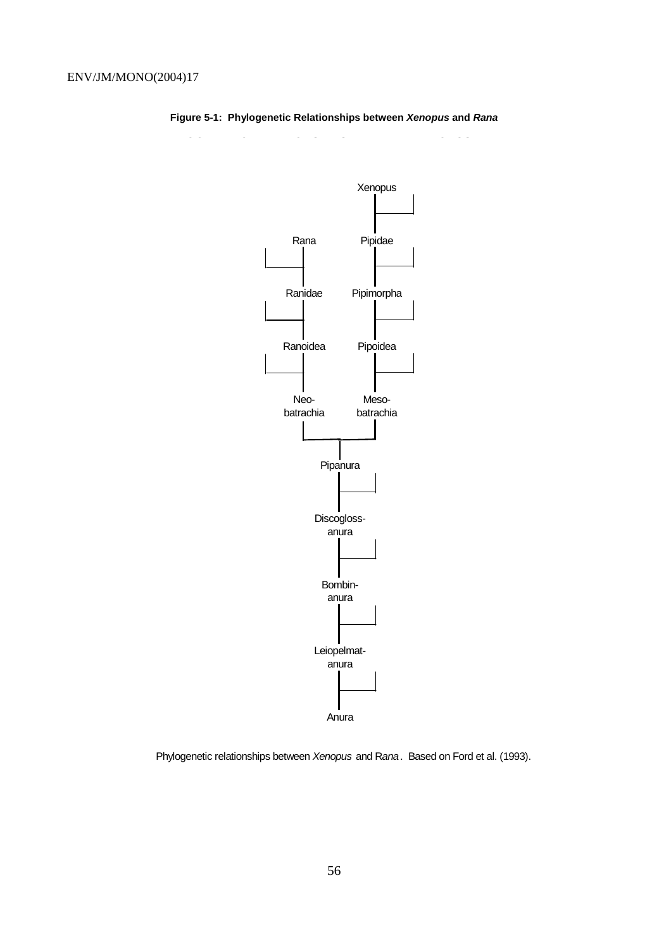

**Figure 5-1: Phylogenetic Relationships between Xenopus and Rana**

Phylogenetic relationships between Xenopus and Rana. Based on Ford et al. (1993).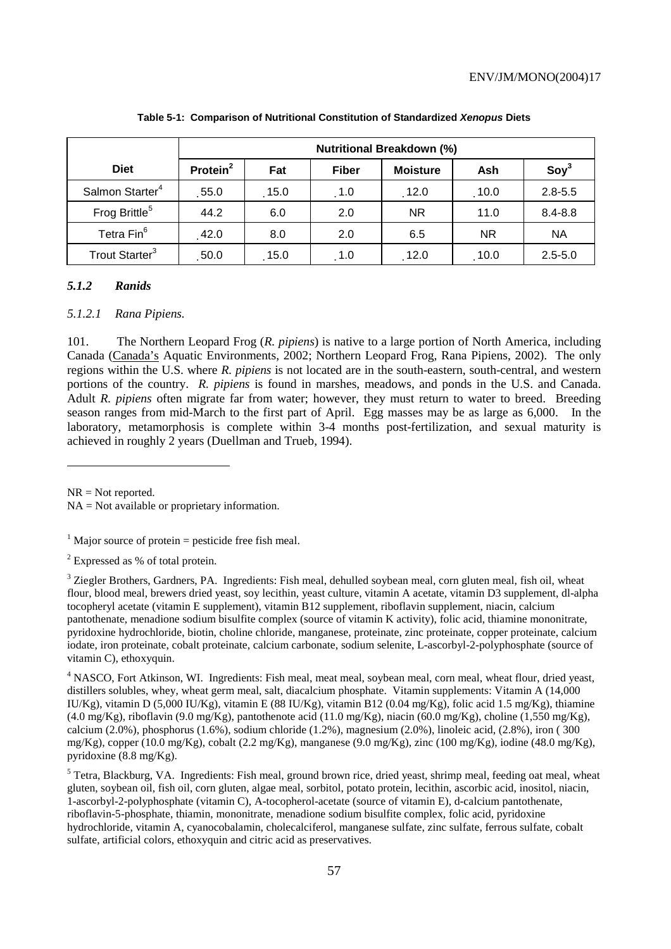|                             | <b>Nutritional Breakdown (%)</b> |      |              |                 |         |                  |
|-----------------------------|----------------------------------|------|--------------|-----------------|---------|------------------|
| <b>Diet</b>                 | Protein <sup>2</sup>             | Fat  | <b>Fiber</b> | <b>Moisture</b> | Ash     | Soy <sup>3</sup> |
| Salmon Starter <sup>4</sup> | 55.0                             | 15.0 | .1.0         | $.12.0$         | .10.0   | $2.8 - 5.5$      |
| Frog Brittle <sup>5</sup>   | 44.2                             | 6.0  | 2.0          | <b>NR</b>       | 11.0    | $8.4 - 8.8$      |
| Tetra Fin <sup>6</sup>      | 42.0                             | 8.0  | 2.0          | 6.5             | NR.     | NA               |
| Trout Starter <sup>3</sup>  | 50.0                             | 15.0 | .1.0         | $12.0$          | $.10.0$ | $2.5 - 5.0$      |

**Table 5-1: Comparison of Nutritional Constitution of Standardized Xenopus Diets** 

#### *5.1.2 Ranids*

### *5.1.2.1 Rana Pipiens.*

101. The Northern Leopard Frog (*R. pipiens*) is native to a large portion of North America, including Canada (Canada's Aquatic Environments, 2002; Northern Leopard Frog, Rana Pipiens, 2002). The only regions within the U.S. where *R. pipiens* is not located are in the south-eastern, south-central, and western portions of the country. *R. pipiens* is found in marshes, meadows, and ponds in the U.S. and Canada. Adult *R. pipiens* often migrate far from water; however, they must return to water to breed. Breeding season ranges from mid-March to the first part of April. Egg masses may be as large as 6,000. In the laboratory, metamorphosis is complete within 3-4 months post-fertilization, and sexual maturity is achieved in roughly 2 years (Duellman and Trueb, 1994).

 $NR = Not$  reported.

 $\overline{a}$ 

NA = Not available or proprietary information.

<sup>1</sup> Major source of protein = pesticide free fish meal.

 $2$  Expressed as % of total protein.

<sup>3</sup> Ziegler Brothers, Gardners, PA. Ingredients: Fish meal, dehulled soybean meal, corn gluten meal, fish oil, wheat flour, blood meal, brewers dried yeast, soy lecithin, yeast culture, vitamin A acetate, vitamin D3 supplement, dl-alpha tocopheryl acetate (vitamin E supplement), vitamin B12 supplement, riboflavin supplement, niacin, calcium pantothenate, menadione sodium bisulfite complex (source of vitamin K activity), folic acid, thiamine mononitrate, pyridoxine hydrochloride, biotin, choline chloride, manganese, proteinate, zinc proteinate, copper proteinate, calcium iodate, iron proteinate, cobalt proteinate, calcium carbonate, sodium selenite, L-ascorbyl-2-polyphosphate (source of vitamin C), ethoxyquin.

<sup>4</sup> NASCO, Fort Atkinson, WI. Ingredients: Fish meal, meat meal, soybean meal, corn meal, wheat flour, dried yeast, distillers solubles, whey, wheat germ meal, salt, diacalcium phosphate. Vitamin supplements: Vitamin A (14,000 IU/Kg), vitamin D (5,000 IU/Kg), vitamin E (88 IU/Kg), vitamin B12 (0.04 mg/Kg), folic acid 1.5 mg/Kg), thiamine (4.0 mg/Kg), riboflavin (9.0 mg/Kg), pantothenote acid (11.0 mg/Kg), niacin (60.0 mg/Kg), choline (1,550 mg/Kg), calcium (2.0%), phosphorus (1.6%), sodium chloride (1.2%), magnesium (2.0%), linoleic acid, (2.8%), iron ( 300 mg/Kg), copper (10.0 mg/Kg), cobalt (2.2 mg/Kg), manganese (9.0 mg/Kg), zinc (100 mg/Kg), iodine (48.0 mg/Kg), pyridoxine (8.8 mg/Kg).

<sup>5</sup> Tetra, Blackburg, VA. Ingredients: Fish meal, ground brown rice, dried yeast, shrimp meal, feeding oat meal, wheat gluten, soybean oil, fish oil, corn gluten, algae meal, sorbitol, potato protein, lecithin, ascorbic acid, inositol, niacin, 1-ascorbyl-2-polyphosphate (vitamin C), A-tocopherol-acetate (source of vitamin E), d-calcium pantothenate, riboflavin-5-phosphate, thiamin, mononitrate, menadione sodium bisulfite complex, folic acid, pyridoxine hydrochloride, vitamin A, cyanocobalamin, cholecalciferol, manganese sulfate, zinc sulfate, ferrous sulfate, cobalt sulfate, artificial colors, ethoxyquin and citric acid as preservatives.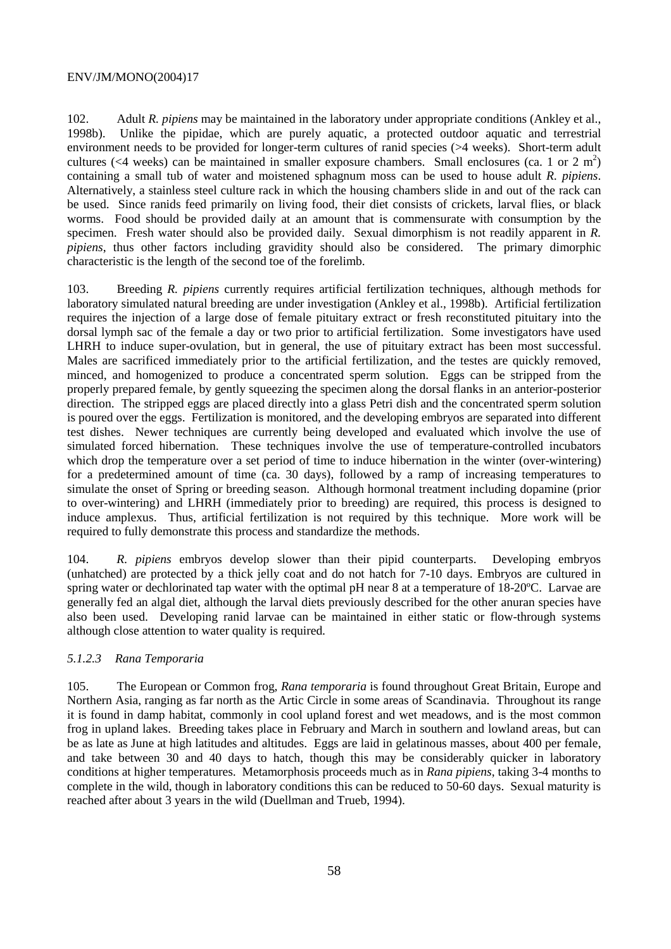102. Adult *R. pipiens* may be maintained in the laboratory under appropriate conditions (Ankley et al., 1998b). Unlike the pipidae, which are purely aquatic, a protected outdoor aquatic and terrestrial environment needs to be provided for longer-term cultures of ranid species (>4 weeks). Short-term adult cultures (<4 weeks) can be maintained in smaller exposure chambers. Small enclosures (ca. 1 or 2  $m<sup>2</sup>$ ) containing a small tub of water and moistened sphagnum moss can be used to house adult *R. pipiens*. Alternatively, a stainless steel culture rack in which the housing chambers slide in and out of the rack can be used. Since ranids feed primarily on living food, their diet consists of crickets, larval flies, or black worms. Food should be provided daily at an amount that is commensurate with consumption by the specimen. Fresh water should also be provided daily. Sexual dimorphism is not readily apparent in *R. pipiens*, thus other factors including gravidity should also be considered. The primary dimorphic characteristic is the length of the second toe of the forelimb.

103. Breeding *R. pipiens* currently requires artificial fertilization techniques, although methods for laboratory simulated natural breeding are under investigation (Ankley et al., 1998b). Artificial fertilization requires the injection of a large dose of female pituitary extract or fresh reconstituted pituitary into the dorsal lymph sac of the female a day or two prior to artificial fertilization. Some investigators have used LHRH to induce super-ovulation, but in general, the use of pituitary extract has been most successful. Males are sacrificed immediately prior to the artificial fertilization, and the testes are quickly removed, minced, and homogenized to produce a concentrated sperm solution. Eggs can be stripped from the properly prepared female, by gently squeezing the specimen along the dorsal flanks in an anterior-posterior direction. The stripped eggs are placed directly into a glass Petri dish and the concentrated sperm solution is poured over the eggs. Fertilization is monitored, and the developing embryos are separated into different test dishes. Newer techniques are currently being developed and evaluated which involve the use of simulated forced hibernation. These techniques involve the use of temperature-controlled incubators which drop the temperature over a set period of time to induce hibernation in the winter (over-wintering) for a predetermined amount of time (ca. 30 days), followed by a ramp of increasing temperatures to simulate the onset of Spring or breeding season. Although hormonal treatment including dopamine (prior to over-wintering) and LHRH (immediately prior to breeding) are required, this process is designed to induce amplexus. Thus, artificial fertilization is not required by this technique. More work will be required to fully demonstrate this process and standardize the methods.

104. *R. pipiens* embryos develop slower than their pipid counterparts. Developing embryos (unhatched) are protected by a thick jelly coat and do not hatch for 7-10 days. Embryos are cultured in spring water or dechlorinated tap water with the optimal pH near 8 at a temperature of 18-20ºC. Larvae are generally fed an algal diet, although the larval diets previously described for the other anuran species have also been used. Developing ranid larvae can be maintained in either static or flow-through systems although close attention to water quality is required.

## *5.1.2.3 Rana Temporaria*

105. The European or Common frog, *Rana temporaria* is found throughout Great Britain, Europe and Northern Asia, ranging as far north as the Artic Circle in some areas of Scandinavia. Throughout its range it is found in damp habitat, commonly in cool upland forest and wet meadows, and is the most common frog in upland lakes. Breeding takes place in February and March in southern and lowland areas, but can be as late as June at high latitudes and altitudes. Eggs are laid in gelatinous masses, about 400 per female, and take between 30 and 40 days to hatch, though this may be considerably quicker in laboratory conditions at higher temperatures. Metamorphosis proceeds much as in *Rana pipiens*, taking 3-4 months to complete in the wild, though in laboratory conditions this can be reduced to 50-60 days. Sexual maturity is reached after about 3 years in the wild (Duellman and Trueb, 1994).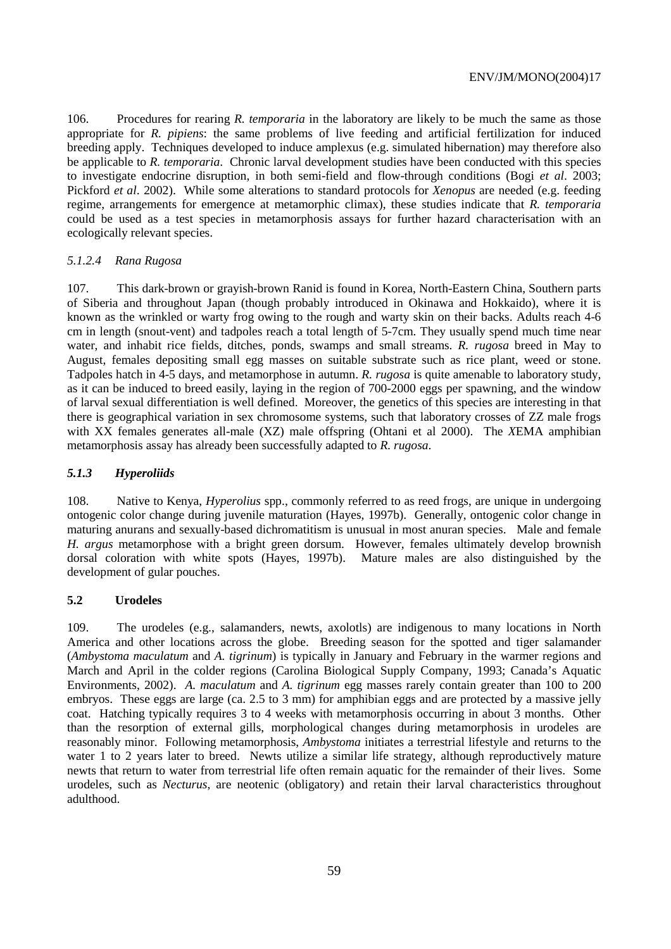106. Procedures for rearing *R. temporaria* in the laboratory are likely to be much the same as those appropriate for *R. pipiens*: the same problems of live feeding and artificial fertilization for induced breeding apply. Techniques developed to induce amplexus (e.g. simulated hibernation) may therefore also be applicable to *R. temporaria*. Chronic larval development studies have been conducted with this species to investigate endocrine disruption, in both semi-field and flow-through conditions (Bogi *et al*. 2003; Pickford *et al*. 2002). While some alterations to standard protocols for *Xenopus* are needed (e.g. feeding regime, arrangements for emergence at metamorphic climax), these studies indicate that *R. temporaria* could be used as a test species in metamorphosis assays for further hazard characterisation with an ecologically relevant species.

#### *5.1.2.4 Rana Rugosa*

107. This dark-brown or grayish-brown Ranid is found in Korea, North-Eastern China, Southern parts of Siberia and throughout Japan (though probably introduced in Okinawa and Hokkaido), where it is known as the wrinkled or warty frog owing to the rough and warty skin on their backs. Adults reach 4-6 cm in length (snout-vent) and tadpoles reach a total length of 5-7cm. They usually spend much time near water, and inhabit rice fields, ditches, ponds, swamps and small streams. *R. rugosa* breed in May to August, females depositing small egg masses on suitable substrate such as rice plant, weed or stone. Tadpoles hatch in 4-5 days, and metamorphose in autumn. *R. rugosa* is quite amenable to laboratory study, as it can be induced to breed easily, laying in the region of 700-2000 eggs per spawning, and the window of larval sexual differentiation is well defined. Moreover, the genetics of this species are interesting in that there is geographical variation in sex chromosome systems, such that laboratory crosses of ZZ male frogs with XX females generates all-male (XZ) male offspring (Ohtani et al 2000). The *X*EMA amphibian metamorphosis assay has already been successfully adapted to *R. rugosa*.

#### *5.1.3 Hyperoliids*

108. Native to Kenya, *Hyperolius* spp., commonly referred to as reed frogs, are unique in undergoing ontogenic color change during juvenile maturation (Hayes, 1997b). Generally, ontogenic color change in maturing anurans and sexually-based dichromatitism is unusual in most anuran species. Male and female *H. argus* metamorphose with a bright green dorsum. However, females ultimately develop brownish dorsal coloration with white spots (Hayes, 1997b). Mature males are also distinguished by the development of gular pouches.

#### **5.2 Urodeles**

109. The urodeles (e.g., salamanders, newts, axolotls) are indigenous to many locations in North America and other locations across the globe. Breeding season for the spotted and tiger salamander (*Ambystoma maculatum* and *A. tigrinum*) is typically in January and February in the warmer regions and March and April in the colder regions (Carolina Biological Supply Company, 1993; Canada's Aquatic Environments, 2002). *A. maculatum* and *A. tigrinum* egg masses rarely contain greater than 100 to 200 embryos. These eggs are large (ca. 2.5 to 3 mm) for amphibian eggs and are protected by a massive jelly coat. Hatching typically requires 3 to 4 weeks with metamorphosis occurring in about 3 months. Other than the resorption of external gills, morphological changes during metamorphosis in urodeles are reasonably minor. Following metamorphosis, *Ambystoma* initiates a terrestrial lifestyle and returns to the water 1 to 2 years later to breed. Newts utilize a similar life strategy, although reproductively mature newts that return to water from terrestrial life often remain aquatic for the remainder of their lives. Some urodeles, such as *Necturus*, are neotenic (obligatory) and retain their larval characteristics throughout adulthood.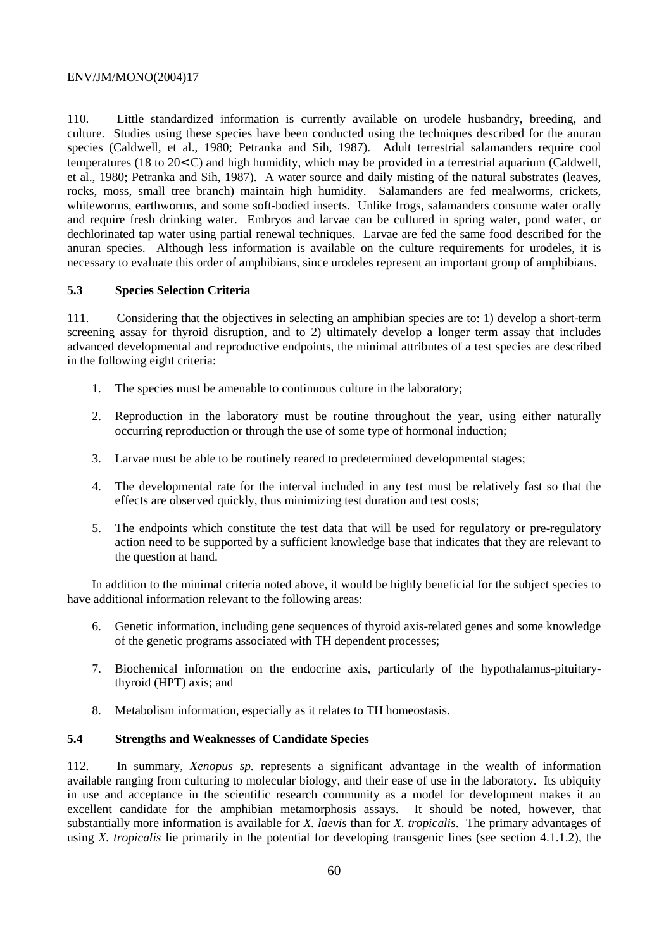110. Little standardized information is currently available on urodele husbandry, breeding, and culture. Studies using these species have been conducted using the techniques described for the anuran species (Caldwell, et al., 1980; Petranka and Sih, 1987). Adult terrestrial salamanders require cool temperatures (18 to 20< C) and high humidity, which may be provided in a terrestrial aquarium (Caldwell, et al., 1980; Petranka and Sih, 1987). A water source and daily misting of the natural substrates (leaves, rocks, moss, small tree branch) maintain high humidity. Salamanders are fed mealworms, crickets, whiteworms, earthworms, and some soft-bodied insects. Unlike frogs, salamanders consume water orally and require fresh drinking water. Embryos and larvae can be cultured in spring water, pond water, or dechlorinated tap water using partial renewal techniques. Larvae are fed the same food described for the anuran species. Although less information is available on the culture requirements for urodeles, it is necessary to evaluate this order of amphibians, since urodeles represent an important group of amphibians.

# **5.3 Species Selection Criteria**

111. Considering that the objectives in selecting an amphibian species are to: 1) develop a short-term screening assay for thyroid disruption, and to 2) ultimately develop a longer term assay that includes advanced developmental and reproductive endpoints, the minimal attributes of a test species are described in the following eight criteria:

- 1. The species must be amenable to continuous culture in the laboratory;
- 2. Reproduction in the laboratory must be routine throughout the year, using either naturally occurring reproduction or through the use of some type of hormonal induction;
- 3. Larvae must be able to be routinely reared to predetermined developmental stages;
- 4. The developmental rate for the interval included in any test must be relatively fast so that the effects are observed quickly, thus minimizing test duration and test costs;
- 5. The endpoints which constitute the test data that will be used for regulatory or pre-regulatory action need to be supported by a sufficient knowledge base that indicates that they are relevant to the question at hand.

In addition to the minimal criteria noted above, it would be highly beneficial for the subject species to have additional information relevant to the following areas:

- 6. Genetic information, including gene sequences of thyroid axis-related genes and some knowledge of the genetic programs associated with TH dependent processes;
- 7. Biochemical information on the endocrine axis, particularly of the hypothalamus-pituitarythyroid (HPT) axis; and
- 8. Metabolism information, especially as it relates to TH homeostasis.

### **5.4 Strengths and Weaknesses of Candidate Species**

112. In summary, *Xenopus sp.* represents a significant advantage in the wealth of information available ranging from culturing to molecular biology, and their ease of use in the laboratory. Its ubiquity in use and acceptance in the scientific research community as a model for development makes it an excellent candidate for the amphibian metamorphosis assays. It should be noted, however, that substantially more information is available for *X. laevis* than for *X. tropicalis*. The primary advantages of using *X. tropicalis* lie primarily in the potential for developing transgenic lines (see section 4.1.1.2), the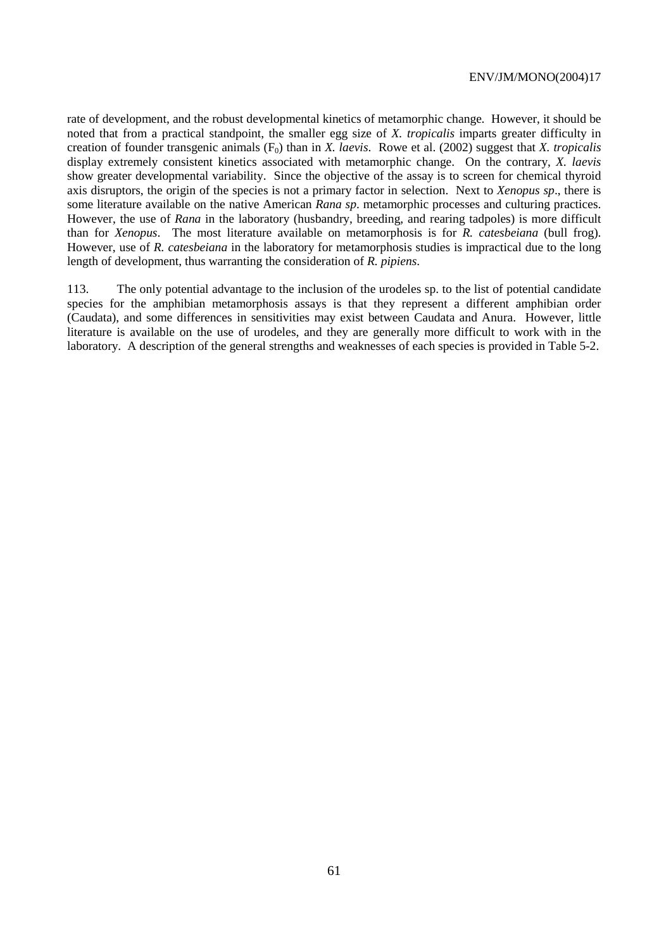rate of development, and the robust developmental kinetics of metamorphic change*.* However, it should be noted that from a practical standpoint, the smaller egg size of *X. tropicalis* imparts greater difficulty in creation of founder transgenic animals (F0) than in *X. laevis*. Rowe et al. (2002) suggest that *X. tropicalis* display extremely consistent kinetics associated with metamorphic change. On the contrary, *X. laevis* show greater developmental variability. Since the objective of the assay is to screen for chemical thyroid axis disruptors, the origin of the species is not a primary factor in selection. Next to *Xenopus sp*., there is some literature available on the native American *Rana sp*. metamorphic processes and culturing practices. However, the use of *Rana* in the laboratory (husbandry, breeding, and rearing tadpoles) is more difficult than for *Xenopus*. The most literature available on metamorphosis is for *R. catesbeiana* (bull frog). However, use of *R. catesbeiana* in the laboratory for metamorphosis studies is impractical due to the long length of development, thus warranting the consideration of *R. pipiens*.

113. The only potential advantage to the inclusion of the urodeles sp. to the list of potential candidate species for the amphibian metamorphosis assays is that they represent a different amphibian order (Caudata), and some differences in sensitivities may exist between Caudata and Anura. However, little literature is available on the use of urodeles, and they are generally more difficult to work with in the laboratory. A description of the general strengths and weaknesses of each species is provided in Table 5-2.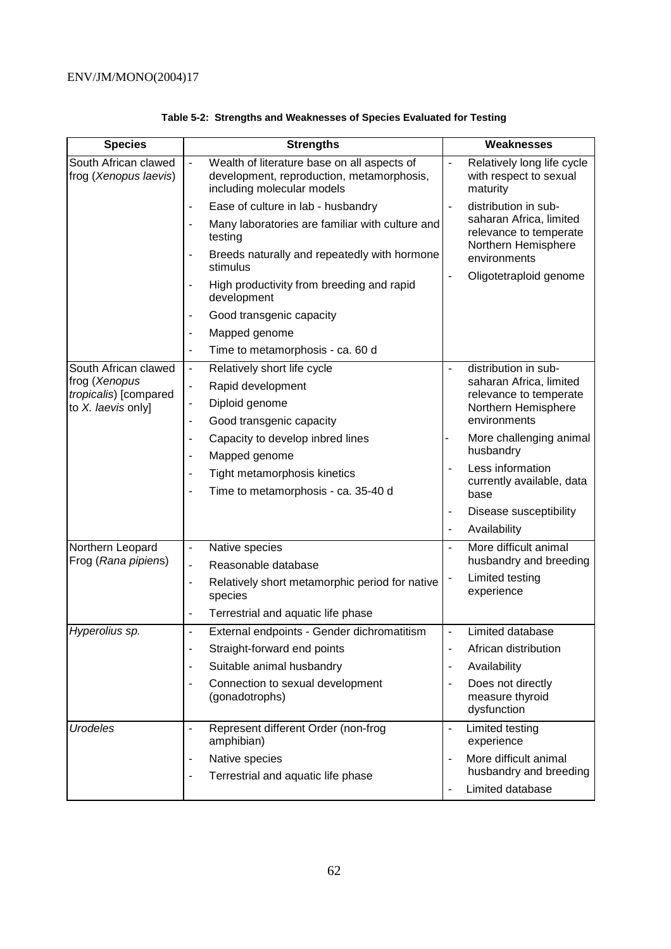| <b>Species</b>                                | <b>Strengths</b>                                                                                                       | Weaknesses                                                                         |  |
|-----------------------------------------------|------------------------------------------------------------------------------------------------------------------------|------------------------------------------------------------------------------------|--|
| South African clawed<br>frog (Xenopus laevis) | Wealth of literature base on all aspects of<br>development, reproduction, metamorphosis,<br>including molecular models | Relatively long life cycle<br>$\overline{a}$<br>with respect to sexual<br>maturity |  |
|                                               | Ease of culture in lab - husbandry<br>$\overline{a}$                                                                   | distribution in sub-<br>÷                                                          |  |
|                                               | Many laboratories are familiar with culture and<br>testing<br>Breeds naturally and repeatedly with hormone             | saharan Africa, limited<br>relevance to temperate<br>Northern Hemisphere           |  |
|                                               | stimulus                                                                                                               | environments<br>۰                                                                  |  |
|                                               | High productivity from breeding and rapid<br>development                                                               | Oligotetraploid genome                                                             |  |
|                                               | Good transgenic capacity<br>$\overline{a}$                                                                             |                                                                                    |  |
|                                               | Mapped genome<br>$\blacksquare$                                                                                        |                                                                                    |  |
|                                               | Time to metamorphosis - ca. 60 d<br>$\blacksquare$                                                                     |                                                                                    |  |
| South African clawed                          | Relatively short life cycle<br>$\blacksquare$                                                                          | distribution in sub-<br>$\overline{\phantom{a}}$                                   |  |
| frog (Xenopus<br>tropicalis) [compared        | Rapid development<br>$\overline{\phantom{a}}$                                                                          | saharan Africa, limited<br>relevance to temperate                                  |  |
| to X. laevis only]                            | Diploid genome                                                                                                         | Northern Hemisphere                                                                |  |
|                                               | Good transgenic capacity<br>$\overline{a}$                                                                             | environments                                                                       |  |
|                                               | Capacity to develop inbred lines                                                                                       | More challenging animal                                                            |  |
|                                               | Mapped genome                                                                                                          | husbandry                                                                          |  |
|                                               | Tight metamorphosis kinetics<br>Time to metamorphosis - ca. 35-40 d                                                    | Less information<br>currently available, data<br>base                              |  |
|                                               |                                                                                                                        | Disease susceptibility<br>$\overline{\phantom{a}}$                                 |  |
|                                               |                                                                                                                        | Availability<br>$\overline{\phantom{0}}$                                           |  |
| Northern Leopard                              | Native species<br>$\qquad \qquad \blacksquare$                                                                         | More difficult animal                                                              |  |
| Frog (Rana pipiens)                           | Reasonable database<br>$\overline{\phantom{a}}$                                                                        | husbandry and breeding                                                             |  |
|                                               | Relatively short metamorphic period for native<br>$\blacksquare$<br>species                                            | Limited testing<br>experience                                                      |  |
|                                               | Terrestrial and aquatic life phase                                                                                     |                                                                                    |  |
| Hyperolius sp.                                | External endpoints - Gender dichromatitism<br>$\qquad \qquad \blacksquare$                                             | Limited database<br>-                                                              |  |
|                                               | Straight-forward end points                                                                                            | African distribution<br>-                                                          |  |
|                                               | Suitable animal husbandry                                                                                              | Availability<br>$\blacksquare$                                                     |  |
|                                               | Connection to sexual development<br>(gonadotrophs)                                                                     | Does not directly<br>-<br>measure thyroid<br>dysfunction                           |  |
| <b>Urodeles</b>                               | Represent different Order (non-frog<br>÷,<br>amphibian)                                                                | Limited testing<br>$\blacksquare$<br>experience                                    |  |
|                                               | Native species<br>٠<br>Terrestrial and aquatic life phase                                                              | More difficult animal<br>husbandry and breeding                                    |  |
|                                               |                                                                                                                        | Limited database<br>٠                                                              |  |

|  | Table 5-2: Strengths and Weaknesses of Species Evaluated for Testing |  |  |  |  |
|--|----------------------------------------------------------------------|--|--|--|--|
|--|----------------------------------------------------------------------|--|--|--|--|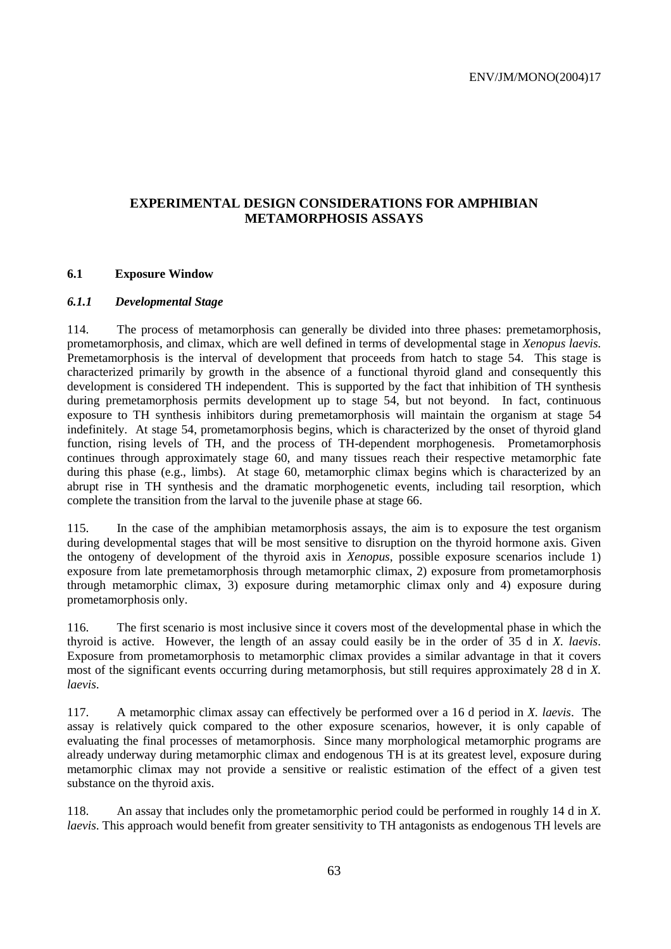# **EXPERIMENTAL DESIGN CONSIDERATIONS FOR AMPHIBIAN METAMORPHOSIS ASSAYS**

## **6.1 Exposure Window**

## *6.1.1 Developmental Stage*

114. The process of metamorphosis can generally be divided into three phases: premetamorphosis, prometamorphosis, and climax, which are well defined in terms of developmental stage in *Xenopus laevis*. Premetamorphosis is the interval of development that proceeds from hatch to stage 54. This stage is characterized primarily by growth in the absence of a functional thyroid gland and consequently this development is considered TH independent. This is supported by the fact that inhibition of TH synthesis during premetamorphosis permits development up to stage 54, but not beyond. In fact, continuous exposure to TH synthesis inhibitors during premetamorphosis will maintain the organism at stage 54 indefinitely. At stage 54, prometamorphosis begins, which is characterized by the onset of thyroid gland function, rising levels of TH, and the process of TH-dependent morphogenesis. Prometamorphosis continues through approximately stage 60, and many tissues reach their respective metamorphic fate during this phase (e.g., limbs). At stage 60, metamorphic climax begins which is characterized by an abrupt rise in TH synthesis and the dramatic morphogenetic events, including tail resorption, which complete the transition from the larval to the juvenile phase at stage 66.

115. In the case of the amphibian metamorphosis assays, the aim is to exposure the test organism during developmental stages that will be most sensitive to disruption on the thyroid hormone axis. Given the ontogeny of development of the thyroid axis in *Xenopus*, possible exposure scenarios include 1) exposure from late premetamorphosis through metamorphic climax, 2) exposure from prometamorphosis through metamorphic climax, 3) exposure during metamorphic climax only and 4) exposure during prometamorphosis only.

116. The first scenario is most inclusive since it covers most of the developmental phase in which the thyroid is active. However, the length of an assay could easily be in the order of 35 d in *X. laevis*. Exposure from prometamorphosis to metamorphic climax provides a similar advantage in that it covers most of the significant events occurring during metamorphosis, but still requires approximately 28 d in *X. laevis*.

117. A metamorphic climax assay can effectively be performed over a 16 d period in *X. laevis*. The assay is relatively quick compared to the other exposure scenarios, however, it is only capable of evaluating the final processes of metamorphosis. Since many morphological metamorphic programs are already underway during metamorphic climax and endogenous TH is at its greatest level, exposure during metamorphic climax may not provide a sensitive or realistic estimation of the effect of a given test substance on the thyroid axis.

118. An assay that includes only the prometamorphic period could be performed in roughly 14 d in *X. laevis*. This approach would benefit from greater sensitivity to TH antagonists as endogenous TH levels are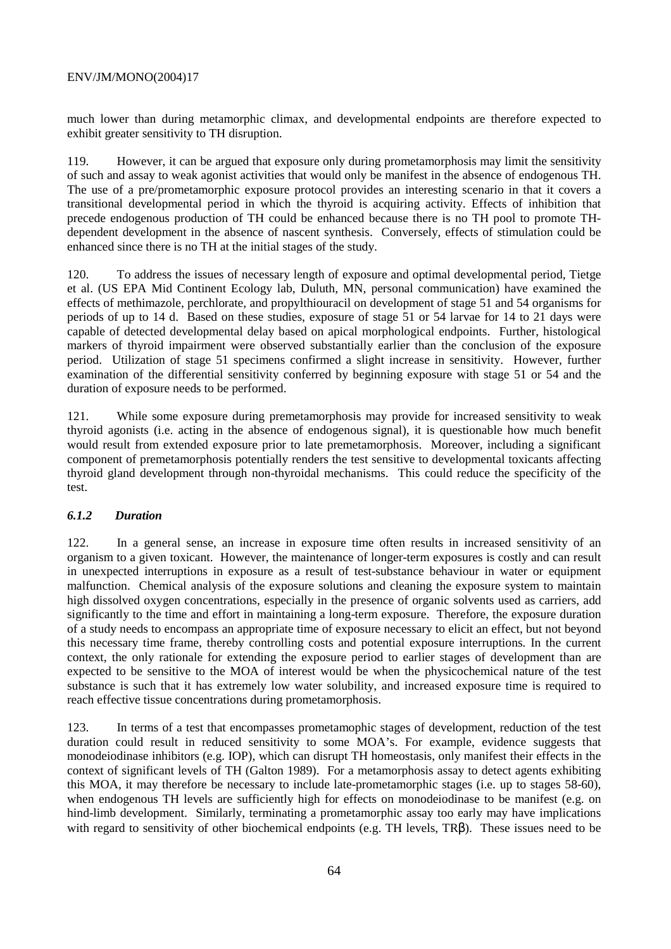much lower than during metamorphic climax, and developmental endpoints are therefore expected to exhibit greater sensitivity to TH disruption.

119. However, it can be argued that exposure only during prometamorphosis may limit the sensitivity of such and assay to weak agonist activities that would only be manifest in the absence of endogenous TH. The use of a pre/prometamorphic exposure protocol provides an interesting scenario in that it covers a transitional developmental period in which the thyroid is acquiring activity. Effects of inhibition that precede endogenous production of TH could be enhanced because there is no TH pool to promote THdependent development in the absence of nascent synthesis. Conversely, effects of stimulation could be enhanced since there is no TH at the initial stages of the study.

120. To address the issues of necessary length of exposure and optimal developmental period, Tietge et al. (US EPA Mid Continent Ecology lab, Duluth, MN, personal communication) have examined the effects of methimazole, perchlorate, and propylthiouracil on development of stage 51 and 54 organisms for periods of up to 14 d. Based on these studies, exposure of stage 51 or 54 larvae for 14 to 21 days were capable of detected developmental delay based on apical morphological endpoints. Further, histological markers of thyroid impairment were observed substantially earlier than the conclusion of the exposure period. Utilization of stage 51 specimens confirmed a slight increase in sensitivity. However, further examination of the differential sensitivity conferred by beginning exposure with stage 51 or 54 and the duration of exposure needs to be performed.

121. While some exposure during premetamorphosis may provide for increased sensitivity to weak thyroid agonists (i.e. acting in the absence of endogenous signal), it is questionable how much benefit would result from extended exposure prior to late premetamorphosis. Moreover, including a significant component of premetamorphosis potentially renders the test sensitive to developmental toxicants affecting thyroid gland development through non-thyroidal mechanisms. This could reduce the specificity of the test.

## *6.1.2 Duration*

122. In a general sense, an increase in exposure time often results in increased sensitivity of an organism to a given toxicant. However, the maintenance of longer-term exposures is costly and can result in unexpected interruptions in exposure as a result of test-substance behaviour in water or equipment malfunction. Chemical analysis of the exposure solutions and cleaning the exposure system to maintain high dissolved oxygen concentrations, especially in the presence of organic solvents used as carriers, add significantly to the time and effort in maintaining a long-term exposure. Therefore, the exposure duration of a study needs to encompass an appropriate time of exposure necessary to elicit an effect, but not beyond this necessary time frame, thereby controlling costs and potential exposure interruptions*.* In the current context, the only rationale for extending the exposure period to earlier stages of development than are expected to be sensitive to the MOA of interest would be when the physicochemical nature of the test substance is such that it has extremely low water solubility, and increased exposure time is required to reach effective tissue concentrations during prometamorphosis.

123. In terms of a test that encompasses prometamophic stages of development, reduction of the test duration could result in reduced sensitivity to some MOA's. For example, evidence suggests that monodeiodinase inhibitors (e.g. IOP), which can disrupt TH homeostasis, only manifest their effects in the context of significant levels of TH (Galton 1989). For a metamorphosis assay to detect agents exhibiting this MOA, it may therefore be necessary to include late-prometamorphic stages (i.e. up to stages 58-60), when endogenous TH levels are sufficiently high for effects on monodeiodinase to be manifest (e.g. on hind-limb development. Similarly, terminating a prometamorphic assay too early may have implications with regard to sensitivity of other biochemical endpoints (e.g. TH levels, TRβ). These issues need to be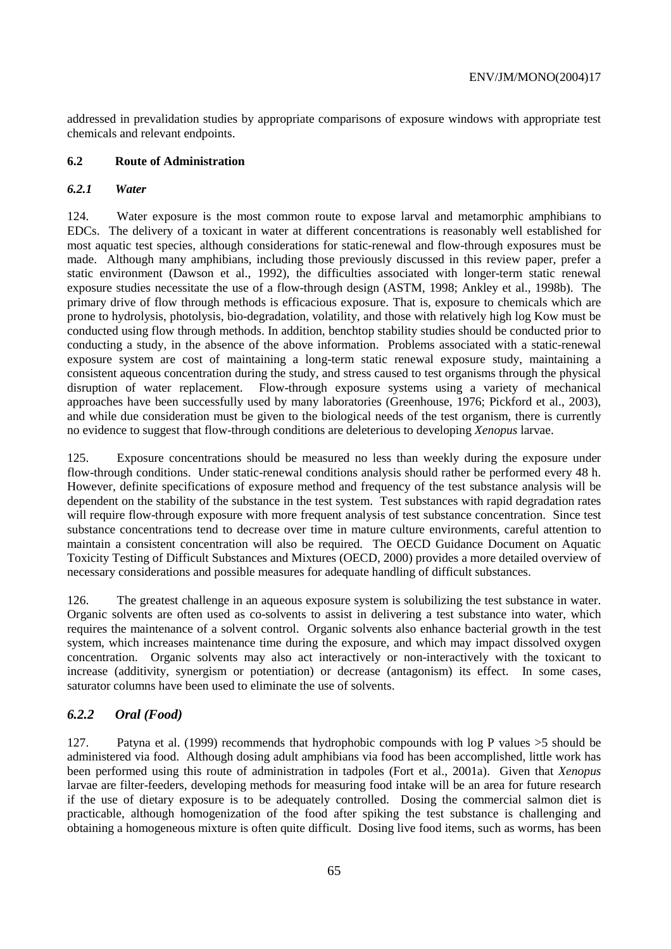addressed in prevalidation studies by appropriate comparisons of exposure windows with appropriate test chemicals and relevant endpoints.

## **6.2 Route of Administration**

## *6.2.1 Water*

124. Water exposure is the most common route to expose larval and metamorphic amphibians to EDCs. The delivery of a toxicant in water at different concentrations is reasonably well established for most aquatic test species, although considerations for static-renewal and flow-through exposures must be made. Although many amphibians, including those previously discussed in this review paper, prefer a static environment (Dawson et al., 1992), the difficulties associated with longer-term static renewal exposure studies necessitate the use of a flow-through design (ASTM, 1998; Ankley et al., 1998b). The primary drive of flow through methods is efficacious exposure. That is, exposure to chemicals which are prone to hydrolysis, photolysis, bio-degradation, volatility, and those with relatively high log Kow must be conducted using flow through methods. In addition, benchtop stability studies should be conducted prior to conducting a study, in the absence of the above information. Problems associated with a static-renewal exposure system are cost of maintaining a long-term static renewal exposure study, maintaining a consistent aqueous concentration during the study, and stress caused to test organisms through the physical disruption of water replacement. Flow-through exposure systems using a variety of mechanical approaches have been successfully used by many laboratories (Greenhouse, 1976; Pickford et al., 2003), and while due consideration must be given to the biological needs of the test organism, there is currently no evidence to suggest that flow-through conditions are deleterious to developing *Xenopus* larvae.

125. Exposure concentrations should be measured no less than weekly during the exposure under flow-through conditions. Under static-renewal conditions analysis should rather be performed every 48 h. However, definite specifications of exposure method and frequency of the test substance analysis will be dependent on the stability of the substance in the test system. Test substances with rapid degradation rates will require flow-through exposure with more frequent analysis of test substance concentration. Since test substance concentrations tend to decrease over time in mature culture environments, careful attention to maintain a consistent concentration will also be required. The OECD Guidance Document on Aquatic Toxicity Testing of Difficult Substances and Mixtures (OECD, 2000) provides a more detailed overview of necessary considerations and possible measures for adequate handling of difficult substances.

126. The greatest challenge in an aqueous exposure system is solubilizing the test substance in water. Organic solvents are often used as co-solvents to assist in delivering a test substance into water, which requires the maintenance of a solvent control. Organic solvents also enhance bacterial growth in the test system, which increases maintenance time during the exposure, and which may impact dissolved oxygen concentration. Organic solvents may also act interactively or non-interactively with the toxicant to increase (additivity, synergism or potentiation) or decrease (antagonism) its effect. In some cases, saturator columns have been used to eliminate the use of solvents.

# *6.2.2 Oral (Food)*

127. Patyna et al. (1999) recommends that hydrophobic compounds with log P values >5 should be administered via food. Although dosing adult amphibians via food has been accomplished, little work has been performed using this route of administration in tadpoles (Fort et al., 2001a). Given that *Xenopus* larvae are filter-feeders, developing methods for measuring food intake will be an area for future research if the use of dietary exposure is to be adequately controlled. Dosing the commercial salmon diet is practicable, although homogenization of the food after spiking the test substance is challenging and obtaining a homogeneous mixture is often quite difficult. Dosing live food items, such as worms, has been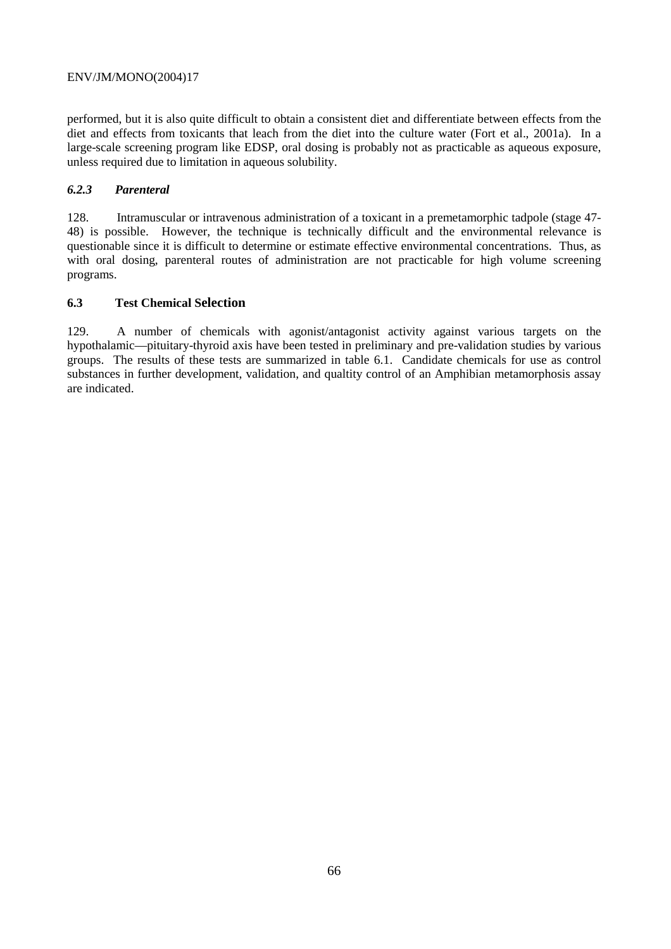performed, but it is also quite difficult to obtain a consistent diet and differentiate between effects from the diet and effects from toxicants that leach from the diet into the culture water (Fort et al., 2001a). In a large-scale screening program like EDSP, oral dosing is probably not as practicable as aqueous exposure, unless required due to limitation in aqueous solubility.

# *6.2.3 Parenteral*

128. Intramuscular or intravenous administration of a toxicant in a premetamorphic tadpole (stage 47- 48) is possible. However, the technique is technically difficult and the environmental relevance is questionable since it is difficult to determine or estimate effective environmental concentrations. Thus, as with oral dosing, parenteral routes of administration are not practicable for high volume screening programs.

# **6.3 Test Chemical Selection**

129. A number of chemicals with agonist/antagonist activity against various targets on the hypothalamic—pituitary-thyroid axis have been tested in preliminary and pre-validation studies by various groups. The results of these tests are summarized in table 6.1. Candidate chemicals for use as control substances in further development, validation, and qualtity control of an Amphibian metamorphosis assay are indicated.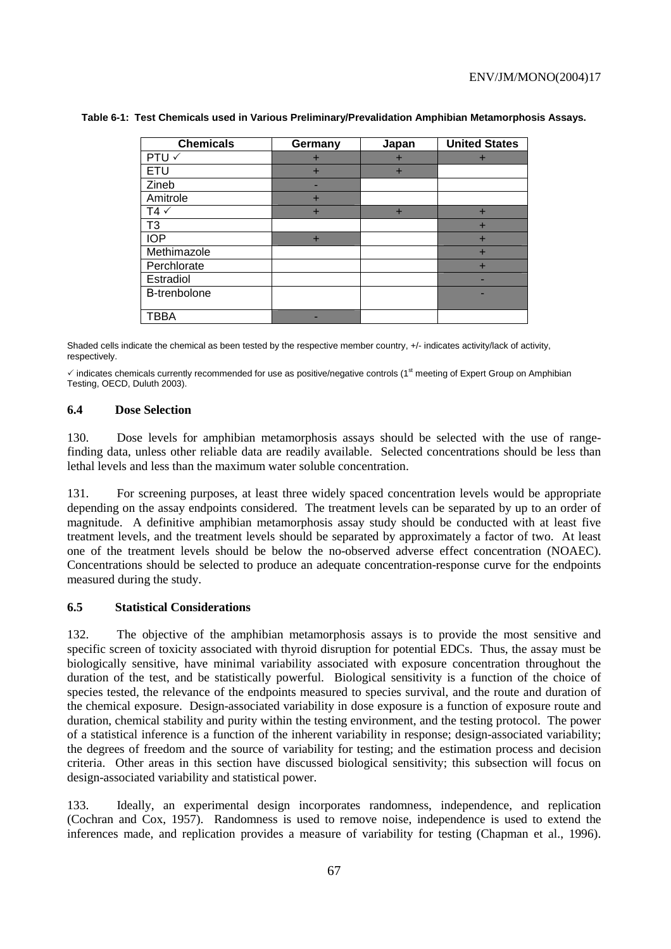| <b>Chemicals</b> | Germany | Japan | <b>United States</b> |
|------------------|---------|-------|----------------------|
| <b>PTU</b>       |         |       |                      |
| ETU              |         |       |                      |
| Zineb            |         |       |                      |
| Amitrole         |         |       |                      |
| T4 $\checkmark$  |         |       |                      |
| T3               |         |       |                      |
| <b>IOP</b>       |         |       |                      |
| Methimazole      |         |       |                      |
| Perchlorate      |         |       |                      |
| Estradiol        |         |       |                      |
| B-trenbolone     |         |       |                      |
|                  |         |       |                      |
| TBBA             |         |       |                      |

**Table 6-1: Test Chemicals used in Various Preliminary/Prevalidation Amphibian Metamorphosis Assays.** 

Shaded cells indicate the chemical as been tested by the respective member country, +/- indicates activity/lack of activity, respectively.

 $\checkmark$  indicates chemicals currently recommended for use as positive/negative controls (1<sup>st</sup> meeting of Expert Group on Amphibian Testing, OECD, Duluth 2003).

#### **6.4 Dose Selection**

130. Dose levels for amphibian metamorphosis assays should be selected with the use of rangefinding data, unless other reliable data are readily available. Selected concentrations should be less than lethal levels and less than the maximum water soluble concentration.

131. For screening purposes, at least three widely spaced concentration levels would be appropriate depending on the assay endpoints considered. The treatment levels can be separated by up to an order of magnitude. A definitive amphibian metamorphosis assay study should be conducted with at least five treatment levels, and the treatment levels should be separated by approximately a factor of two. At least one of the treatment levels should be below the no-observed adverse effect concentration (NOAEC). Concentrations should be selected to produce an adequate concentration-response curve for the endpoints measured during the study.

#### **6.5 Statistical Considerations**

132. The objective of the amphibian metamorphosis assays is to provide the most sensitive and specific screen of toxicity associated with thyroid disruption for potential EDCs. Thus, the assay must be biologically sensitive, have minimal variability associated with exposure concentration throughout the duration of the test, and be statistically powerful. Biological sensitivity is a function of the choice of species tested, the relevance of the endpoints measured to species survival, and the route and duration of the chemical exposure. Design-associated variability in dose exposure is a function of exposure route and duration, chemical stability and purity within the testing environment, and the testing protocol. The power of a statistical inference is a function of the inherent variability in response; design-associated variability; the degrees of freedom and the source of variability for testing; and the estimation process and decision criteria. Other areas in this section have discussed biological sensitivity; this subsection will focus on design-associated variability and statistical power.

133. Ideally, an experimental design incorporates randomness, independence, and replication (Cochran and Cox, 1957). Randomness is used to remove noise, independence is used to extend the inferences made, and replication provides a measure of variability for testing (Chapman et al., 1996).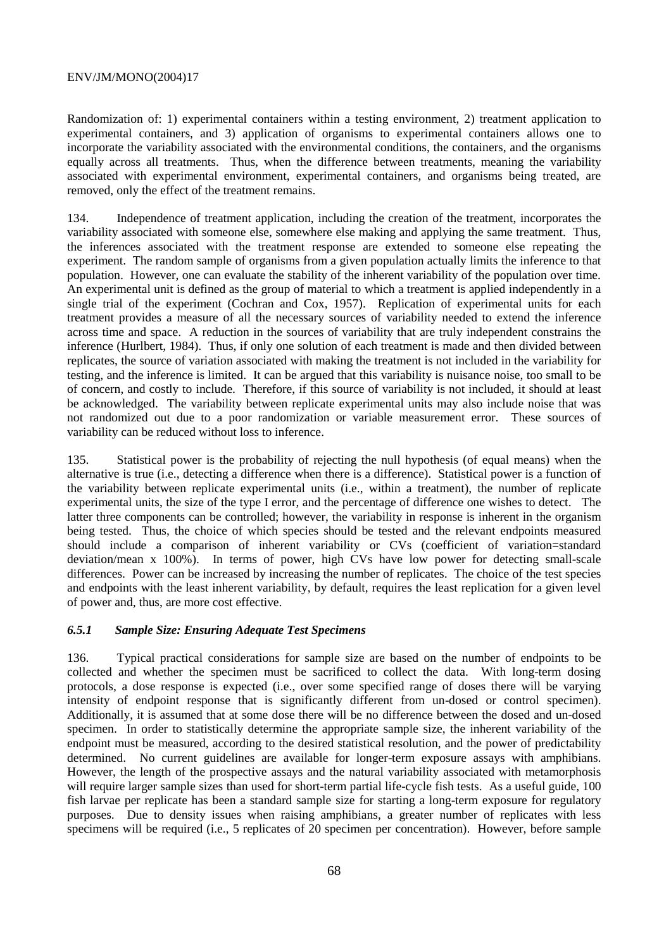Randomization of: 1) experimental containers within a testing environment, 2) treatment application to experimental containers, and 3) application of organisms to experimental containers allows one to incorporate the variability associated with the environmental conditions, the containers, and the organisms equally across all treatments. Thus, when the difference between treatments, meaning the variability associated with experimental environment, experimental containers, and organisms being treated, are removed, only the effect of the treatment remains.

134. Independence of treatment application, including the creation of the treatment, incorporates the variability associated with someone else, somewhere else making and applying the same treatment. Thus, the inferences associated with the treatment response are extended to someone else repeating the experiment. The random sample of organisms from a given population actually limits the inference to that population. However, one can evaluate the stability of the inherent variability of the population over time. An experimental unit is defined as the group of material to which a treatment is applied independently in a single trial of the experiment (Cochran and Cox, 1957). Replication of experimental units for each treatment provides a measure of all the necessary sources of variability needed to extend the inference across time and space. A reduction in the sources of variability that are truly independent constrains the inference (Hurlbert, 1984). Thus, if only one solution of each treatment is made and then divided between replicates, the source of variation associated with making the treatment is not included in the variability for testing, and the inference is limited. It can be argued that this variability is nuisance noise, too small to be of concern, and costly to include. Therefore, if this source of variability is not included, it should at least be acknowledged. The variability between replicate experimental units may also include noise that was not randomized out due to a poor randomization or variable measurement error. These sources of variability can be reduced without loss to inference.

135. Statistical power is the probability of rejecting the null hypothesis (of equal means) when the alternative is true (i.e., detecting a difference when there is a difference). Statistical power is a function of the variability between replicate experimental units (i.e., within a treatment), the number of replicate experimental units, the size of the type I error, and the percentage of difference one wishes to detect. The latter three components can be controlled; however, the variability in response is inherent in the organism being tested. Thus, the choice of which species should be tested and the relevant endpoints measured should include a comparison of inherent variability or CVs (coefficient of variation=standard deviation/mean x 100%). In terms of power, high CVs have low power for detecting small-scale differences. Power can be increased by increasing the number of replicates. The choice of the test species and endpoints with the least inherent variability, by default, requires the least replication for a given level of power and, thus, are more cost effective.

## *6.5.1 Sample Size: Ensuring Adequate Test Specimens*

136. Typical practical considerations for sample size are based on the number of endpoints to be collected and whether the specimen must be sacrificed to collect the data. With long-term dosing protocols, a dose response is expected (i.e., over some specified range of doses there will be varying intensity of endpoint response that is significantly different from un-dosed or control specimen). Additionally, it is assumed that at some dose there will be no difference between the dosed and un-dosed specimen. In order to statistically determine the appropriate sample size, the inherent variability of the endpoint must be measured, according to the desired statistical resolution, and the power of predictability determined. No current guidelines are available for longer-term exposure assays with amphibians. However, the length of the prospective assays and the natural variability associated with metamorphosis will require larger sample sizes than used for short-term partial life-cycle fish tests. As a useful guide, 100 fish larvae per replicate has been a standard sample size for starting a long-term exposure for regulatory purposes. Due to density issues when raising amphibians, a greater number of replicates with less specimens will be required (i.e., 5 replicates of 20 specimen per concentration). However, before sample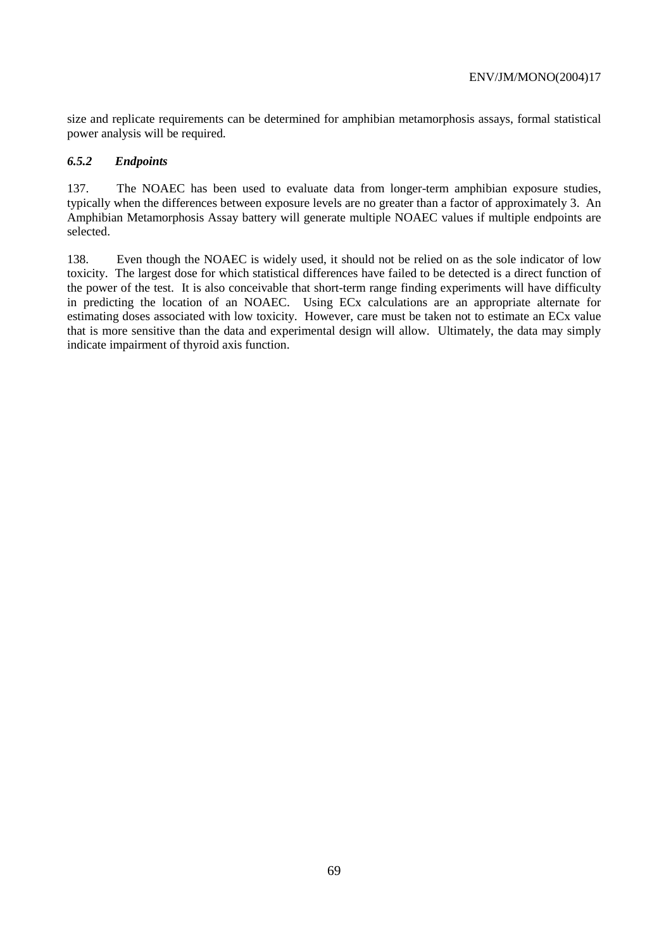size and replicate requirements can be determined for amphibian metamorphosis assays, formal statistical power analysis will be required.

## *6.5.2 Endpoints*

137. The NOAEC has been used to evaluate data from longer-term amphibian exposure studies, typically when the differences between exposure levels are no greater than a factor of approximately 3. An Amphibian Metamorphosis Assay battery will generate multiple NOAEC values if multiple endpoints are selected.

138. Even though the NOAEC is widely used, it should not be relied on as the sole indicator of low toxicity. The largest dose for which statistical differences have failed to be detected is a direct function of the power of the test. It is also conceivable that short-term range finding experiments will have difficulty in predicting the location of an NOAEC. Using ECx calculations are an appropriate alternate for estimating doses associated with low toxicity. However, care must be taken not to estimate an ECx value that is more sensitive than the data and experimental design will allow. Ultimately, the data may simply indicate impairment of thyroid axis function.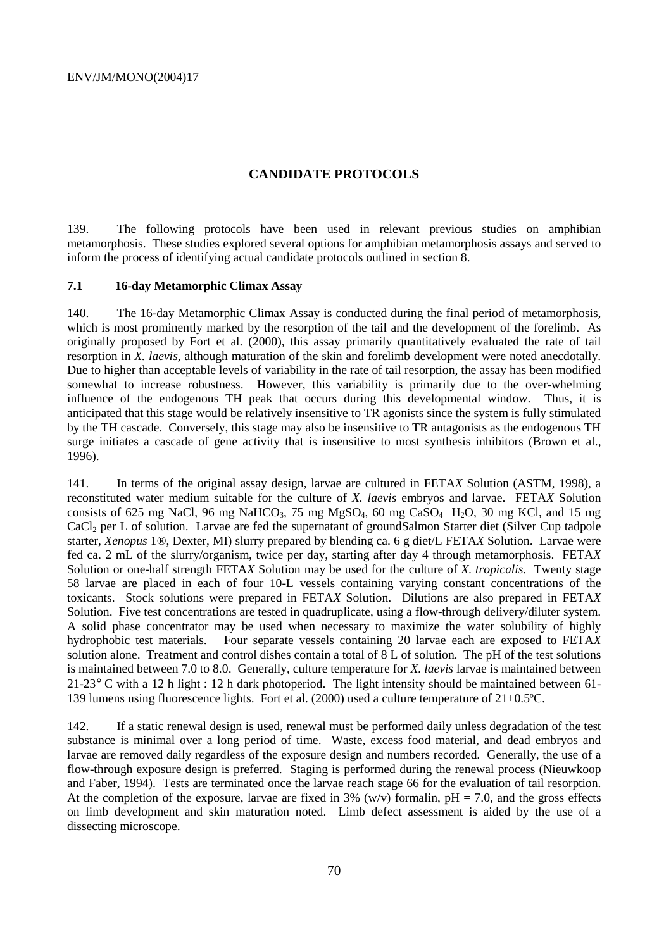# **CANDIDATE PROTOCOLS**

139. The following protocols have been used in relevant previous studies on amphibian metamorphosis. These studies explored several options for amphibian metamorphosis assays and served to inform the process of identifying actual candidate protocols outlined in section 8.

### **7.1 16-day Metamorphic Climax Assay**

140. The 16-day Metamorphic Climax Assay is conducted during the final period of metamorphosis, which is most prominently marked by the resorption of the tail and the development of the forelimb. As originally proposed by Fort et al. (2000), this assay primarily quantitatively evaluated the rate of tail resorption in *X. laevis*, although maturation of the skin and forelimb development were noted anecdotally. Due to higher than acceptable levels of variability in the rate of tail resorption, the assay has been modified somewhat to increase robustness. However, this variability is primarily due to the over-whelming influence of the endogenous TH peak that occurs during this developmental window. Thus, it is anticipated that this stage would be relatively insensitive to TR agonists since the system is fully stimulated by the TH cascade. Conversely, this stage may also be insensitive to TR antagonists as the endogenous TH surge initiates a cascade of gene activity that is insensitive to most synthesis inhibitors (Brown et al., 1996).

141. In terms of the original assay design, larvae are cultured in FETA*X* Solution (ASTM, 1998), a reconstituted water medium suitable for the culture of *X. laevis* embryos and larvae. FETA*X* Solution consists of 625 mg NaCl, 96 mg NaHCO<sub>3</sub>, 75 mg MgSO<sub>4</sub>, 60 mg CaSO<sub>4</sub> H<sub>2</sub>O, 30 mg KCl, and 15 mg CaCl<sub>2</sub> per L of solution. Larvae are fed the supernatant of groundSalmon Starter diet (Silver Cup tadpole starter, *Xenopus* 1®, Dexter, MI) slurry prepared by blending ca. 6 g diet/L FETA*X* Solution. Larvae were fed ca. 2 mL of the slurry/organism, twice per day, starting after day 4 through metamorphosis. FETA*X* Solution or one-half strength FETA*X* Solution may be used for the culture of *X. tropicalis*. Twenty stage 58 larvae are placed in each of four 10-L vessels containing varying constant concentrations of the toxicants. Stock solutions were prepared in FETA*X* Solution. Dilutions are also prepared in FETA*X* Solution. Five test concentrations are tested in quadruplicate, using a flow-through delivery/diluter system. A solid phase concentrator may be used when necessary to maximize the water solubility of highly hydrophobic test materials. Four separate vessels containing 20 larvae each are exposed to FETA*X* solution alone. Treatment and control dishes contain a total of 8 L of solution. The pH of the test solutions is maintained between 7.0 to 8.0. Generally, culture temperature for *X. laevis* larvae is maintained between 21-23° C with a 12 h light : 12 h dark photoperiod. The light intensity should be maintained between 61- 139 lumens using fluorescence lights. Fort et al. (2000) used a culture temperature of 21±0.5ºC.

142. If a static renewal design is used, renewal must be performed daily unless degradation of the test substance is minimal over a long period of time. Waste, excess food material, and dead embryos and larvae are removed daily regardless of the exposure design and numbers recorded. Generally, the use of a flow-through exposure design is preferred. Staging is performed during the renewal process (Nieuwkoop and Faber, 1994). Tests are terminated once the larvae reach stage 66 for the evaluation of tail resorption. At the completion of the exposure, larvae are fixed in 3% (w/v) formalin,  $pH = 7.0$ , and the gross effects on limb development and skin maturation noted. Limb defect assessment is aided by the use of a dissecting microscope.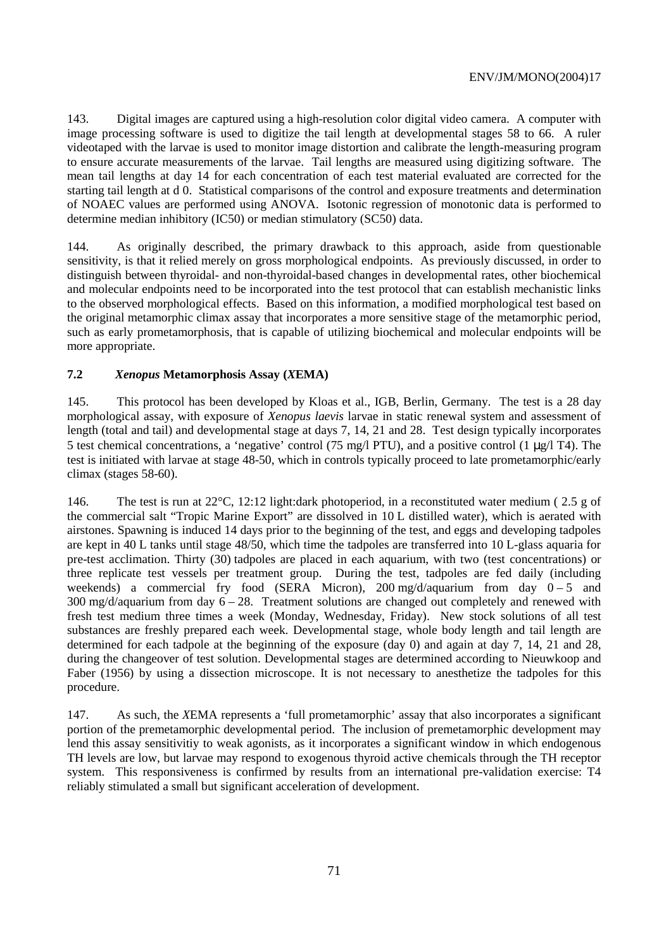143. Digital images are captured using a high-resolution color digital video camera. A computer with image processing software is used to digitize the tail length at developmental stages 58 to 66. A ruler videotaped with the larvae is used to monitor image distortion and calibrate the length-measuring program to ensure accurate measurements of the larvae. Tail lengths are measured using digitizing software. The mean tail lengths at day 14 for each concentration of each test material evaluated are corrected for the starting tail length at d 0. Statistical comparisons of the control and exposure treatments and determination of NOAEC values are performed using ANOVA. Isotonic regression of monotonic data is performed to determine median inhibitory (IC50) or median stimulatory (SC50) data.

144. As originally described, the primary drawback to this approach, aside from questionable sensitivity, is that it relied merely on gross morphological endpoints. As previously discussed, in order to distinguish between thyroidal- and non-thyroidal-based changes in developmental rates, other biochemical and molecular endpoints need to be incorporated into the test protocol that can establish mechanistic links to the observed morphological effects. Based on this information, a modified morphological test based on the original metamorphic climax assay that incorporates a more sensitive stage of the metamorphic period, such as early prometamorphosis, that is capable of utilizing biochemical and molecular endpoints will be more appropriate.

# **7.2** *Xenopus* **Metamorphosis Assay (***X***EMA)**

145. This protocol has been developed by Kloas et al., IGB, Berlin, Germany. The test is a 28 day morphological assay, with exposure of *Xenopus laevis* larvae in static renewal system and assessment of length (total and tail) and developmental stage at days 7, 14, 21 and 28. Test design typically incorporates 5 test chemical concentrations, a 'negative' control (75 mg/l PTU), and a positive control (1 µg/l T4). The test is initiated with larvae at stage 48-50, which in controls typically proceed to late prometamorphic/early climax (stages 58-60).

146. The test is run at 22°C, 12:12 light:dark photoperiod, in a reconstituted water medium ( 2.5 g of the commercial salt "Tropic Marine Export" are dissolved in 10 L distilled water), which is aerated with airstones. Spawning is induced 14 days prior to the beginning of the test, and eggs and developing tadpoles are kept in 40 L tanks until stage 48/50, which time the tadpoles are transferred into 10 L-glass aquaria for pre-test acclimation. Thirty (30) tadpoles are placed in each aquarium, with two (test concentrations) or three replicate test vessels per treatment group. During the test, tadpoles are fed daily (including weekends) a commercial fry food (SERA Micron), 200 mg/d/aquarium from day  $0-5$  and 300 mg/d/aquarium from day  $6 - 28$ . Treatment solutions are changed out completely and renewed with fresh test medium three times a week (Monday, Wednesday, Friday). New stock solutions of all test substances are freshly prepared each week. Developmental stage, whole body length and tail length are determined for each tadpole at the beginning of the exposure (day 0) and again at day 7, 14, 21 and 28, during the changeover of test solution. Developmental stages are determined according to Nieuwkoop and Faber (1956) by using a dissection microscope. It is not necessary to anesthetize the tadpoles for this procedure.

147. As such, the *X*EMA represents a 'full prometamorphic' assay that also incorporates a significant portion of the premetamorphic developmental period. The inclusion of premetamorphic development may lend this assay sensitivitiy to weak agonists, as it incorporates a significant window in which endogenous TH levels are low, but larvae may respond to exogenous thyroid active chemicals through the TH receptor system. This responsiveness is confirmed by results from an international pre-validation exercise: T4 reliably stimulated a small but significant acceleration of development.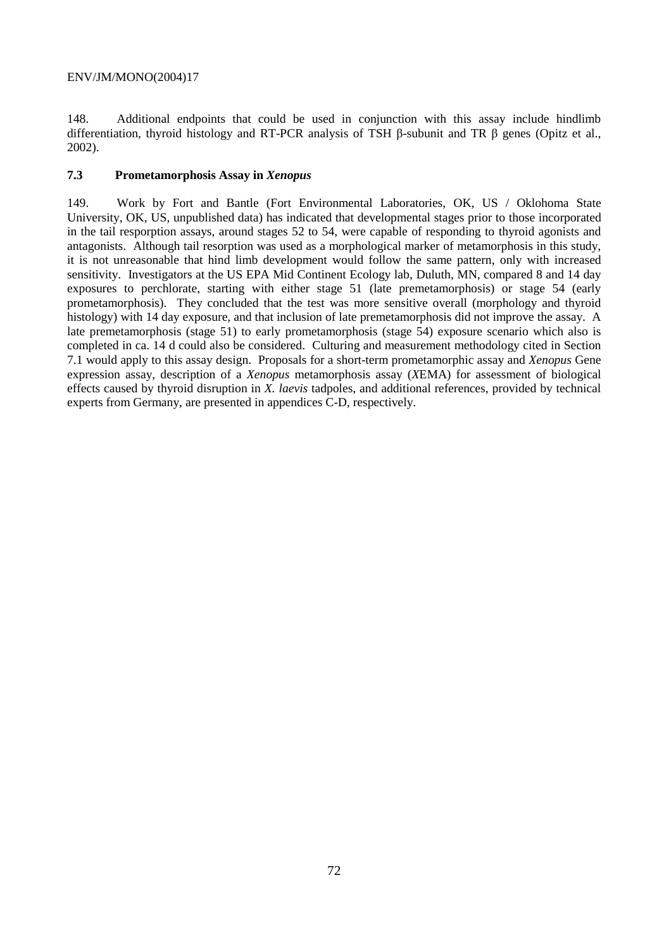148. Additional endpoints that could be used in conjunction with this assay include hindlimb differentiation, thyroid histology and RT-PCR analysis of TSH β-subunit and TR β genes (Opitz et al., 2002).

### **7.3 Prometamorphosis Assay in** *Xenopus*

149. Work by Fort and Bantle (Fort Environmental Laboratories, OK, US / Oklohoma State University, OK, US, unpublished data) has indicated that developmental stages prior to those incorporated in the tail resporption assays, around stages 52 to 54, were capable of responding to thyroid agonists and antagonists. Although tail resorption was used as a morphological marker of metamorphosis in this study, it is not unreasonable that hind limb development would follow the same pattern, only with increased sensitivity. Investigators at the US EPA Mid Continent Ecology lab, Duluth, MN, compared 8 and 14 day exposures to perchlorate, starting with either stage 51 (late premetamorphosis) or stage 54 (early prometamorphosis). They concluded that the test was more sensitive overall (morphology and thyroid histology) with 14 day exposure, and that inclusion of late premetamorphosis did not improve the assay. A late premetamorphosis (stage 51) to early prometamorphosis (stage 54) exposure scenario which also is completed in ca. 14 d could also be considered. Culturing and measurement methodology cited in Section 7.1 would apply to this assay design. Proposals for a short-term prometamorphic assay and *Xenopus* Gene expression assay, description of a *Xenopus* metamorphosis assay (*X*EMA) for assessment of biological effects caused by thyroid disruption in *X. laevis* tadpoles, and additional references, provided by technical experts from Germany, are presented in appendices C-D, respectively.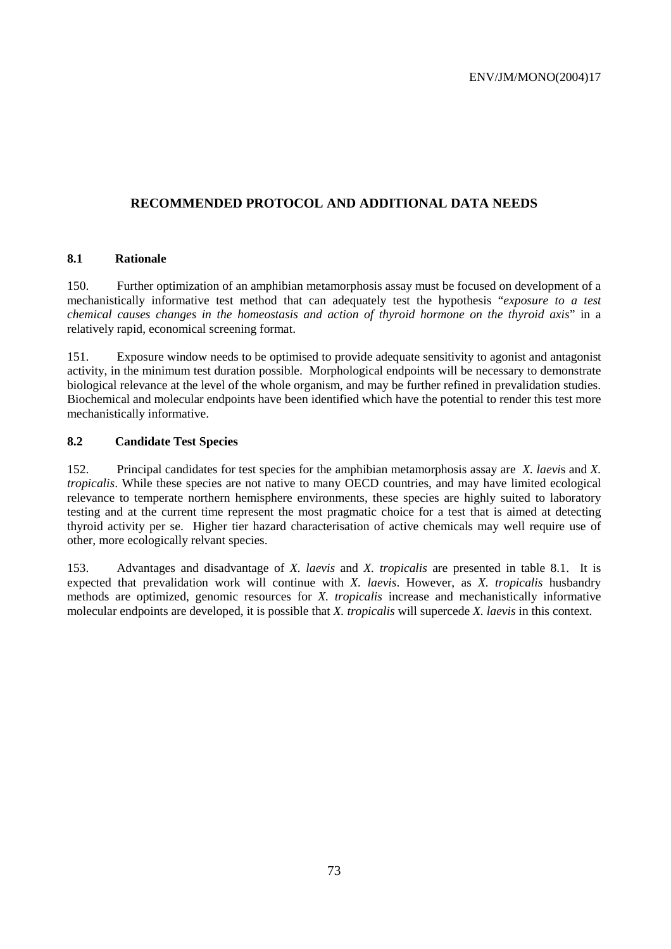# **RECOMMENDED PROTOCOL AND ADDITIONAL DATA NEEDS**

#### **8.1 Rationale**

150. Further optimization of an amphibian metamorphosis assay must be focused on development of a mechanistically informative test method that can adequately test the hypothesis "*exposure to a test chemical causes changes in the homeostasis and action of thyroid hormone on the thyroid axis*" in a relatively rapid, economical screening format.

151. Exposure window needs to be optimised to provide adequate sensitivity to agonist and antagonist activity, in the minimum test duration possible. Morphological endpoints will be necessary to demonstrate biological relevance at the level of the whole organism, and may be further refined in prevalidation studies. Biochemical and molecular endpoints have been identified which have the potential to render this test more mechanistically informative.

## **8.2 Candidate Test Species**

152. Principal candidates for test species for the amphibian metamorphosis assay are *X. laevi*s and *X. tropicalis*. While these species are not native to many OECD countries, and may have limited ecological relevance to temperate northern hemisphere environments, these species are highly suited to laboratory testing and at the current time represent the most pragmatic choice for a test that is aimed at detecting thyroid activity per se. Higher tier hazard characterisation of active chemicals may well require use of other, more ecologically relvant species.

153. Advantages and disadvantage of *X. laevis* and *X. tropicalis* are presented in table 8.1. It is expected that prevalidation work will continue with *X. laevis*. However, as *X. tropicalis* husbandry methods are optimized, genomic resources for *X. tropicalis* increase and mechanistically informative molecular endpoints are developed, it is possible that *X. tropicalis* will supercede *X. laevis* in this context.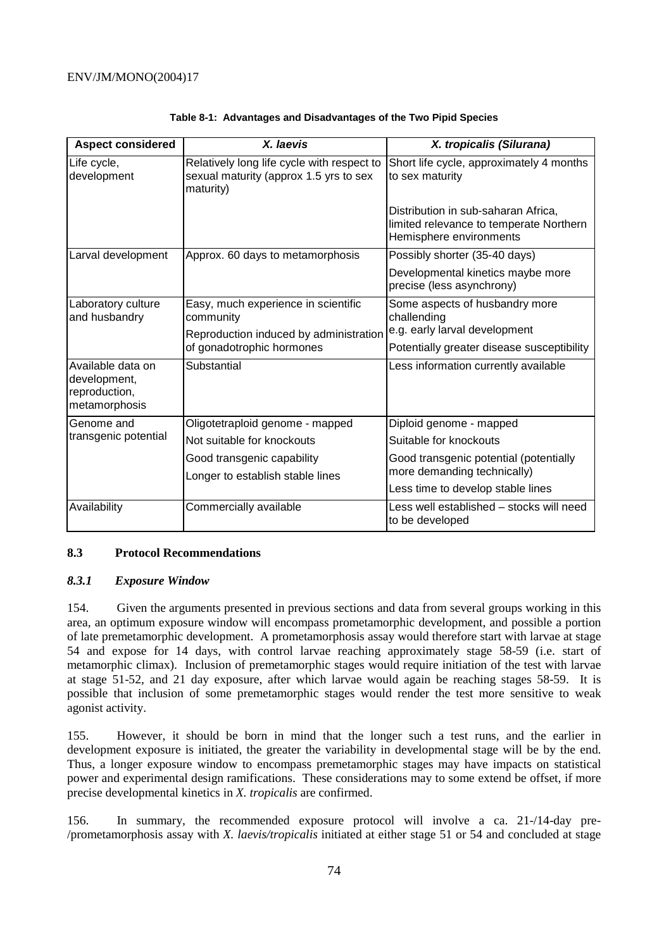| <b>Aspect considered</b>                                            | X. laevis                                                                                         | X. tropicalis (Silurana)                                                                                  |  |
|---------------------------------------------------------------------|---------------------------------------------------------------------------------------------------|-----------------------------------------------------------------------------------------------------------|--|
| Life cycle,<br>development                                          | Relatively long life cycle with respect to<br>sexual maturity (approx 1.5 yrs to sex<br>maturity) | Short life cycle, approximately 4 months<br>to sex maturity                                               |  |
|                                                                     |                                                                                                   | Distribution in sub-saharan Africa,<br>limited relevance to temperate Northern<br>Hemisphere environments |  |
| Larval development                                                  | Approx. 60 days to metamorphosis                                                                  | Possibly shorter (35-40 days)                                                                             |  |
|                                                                     |                                                                                                   | Developmental kinetics maybe more<br>precise (less asynchrony)                                            |  |
| Laboratory culture<br>and husbandry                                 | Easy, much experience in scientific<br>community<br>Reproduction induced by administration        | Some aspects of husbandry more<br>challending<br>e.g. early larval development                            |  |
|                                                                     | of gonadotrophic hormones                                                                         | Potentially greater disease susceptibility                                                                |  |
| Available data on<br>development,<br>reproduction,<br>metamorphosis | Substantial                                                                                       | Less information currently available                                                                      |  |
| Genome and<br>transgenic potential                                  | Oligotetraploid genome - mapped                                                                   | Diploid genome - mapped                                                                                   |  |
|                                                                     | Not suitable for knockouts                                                                        | Suitable for knockouts                                                                                    |  |
|                                                                     | Good transgenic capability                                                                        | Good transgenic potential (potentially<br>more demanding technically)                                     |  |
|                                                                     | Longer to establish stable lines                                                                  |                                                                                                           |  |
|                                                                     |                                                                                                   | Less time to develop stable lines                                                                         |  |
| Availability                                                        | Commercially available                                                                            | Less well established - stocks will need<br>to be developed                                               |  |

**Table 8-1: Advantages and Disadvantages of the Two Pipid Species** 

### **8.3 Protocol Recommendations**

### *8.3.1 Exposure Window*

154. Given the arguments presented in previous sections and data from several groups working in this area, an optimum exposure window will encompass prometamorphic development, and possible a portion of late premetamorphic development. A prometamorphosis assay would therefore start with larvae at stage 54 and expose for 14 days, with control larvae reaching approximately stage 58-59 (i.e. start of metamorphic climax). Inclusion of premetamorphic stages would require initiation of the test with larvae at stage 51-52, and 21 day exposure, after which larvae would again be reaching stages 58-59. It is possible that inclusion of some premetamorphic stages would render the test more sensitive to weak agonist activity.

155. However, it should be born in mind that the longer such a test runs, and the earlier in development exposure is initiated, the greater the variability in developmental stage will be by the end. Thus, a longer exposure window to encompass premetamorphic stages may have impacts on statistical power and experimental design ramifications. These considerations may to some extend be offset, if more precise developmental kinetics in *X. tropicalis* are confirmed.

156. In summary, the recommended exposure protocol will involve a ca. 21-/14-day pre- /prometamorphosis assay with *X. laevis/tropicalis* initiated at either stage 51 or 54 and concluded at stage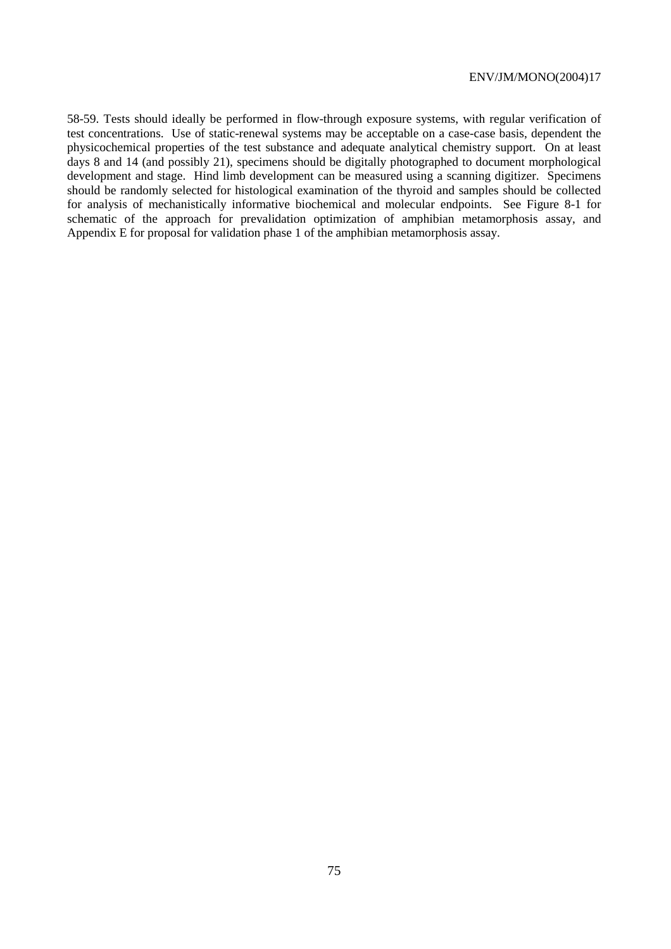58-59. Tests should ideally be performed in flow-through exposure systems, with regular verification of test concentrations. Use of static-renewal systems may be acceptable on a case-case basis, dependent the physicochemical properties of the test substance and adequate analytical chemistry support. On at least days 8 and 14 (and possibly 21), specimens should be digitally photographed to document morphological development and stage. Hind limb development can be measured using a scanning digitizer. Specimens should be randomly selected for histological examination of the thyroid and samples should be collected for analysis of mechanistically informative biochemical and molecular endpoints. See Figure 8-1 for schematic of the approach for prevalidation optimization of amphibian metamorphosis assay, and Appendix E for proposal for validation phase 1 of the amphibian metamorphosis assay.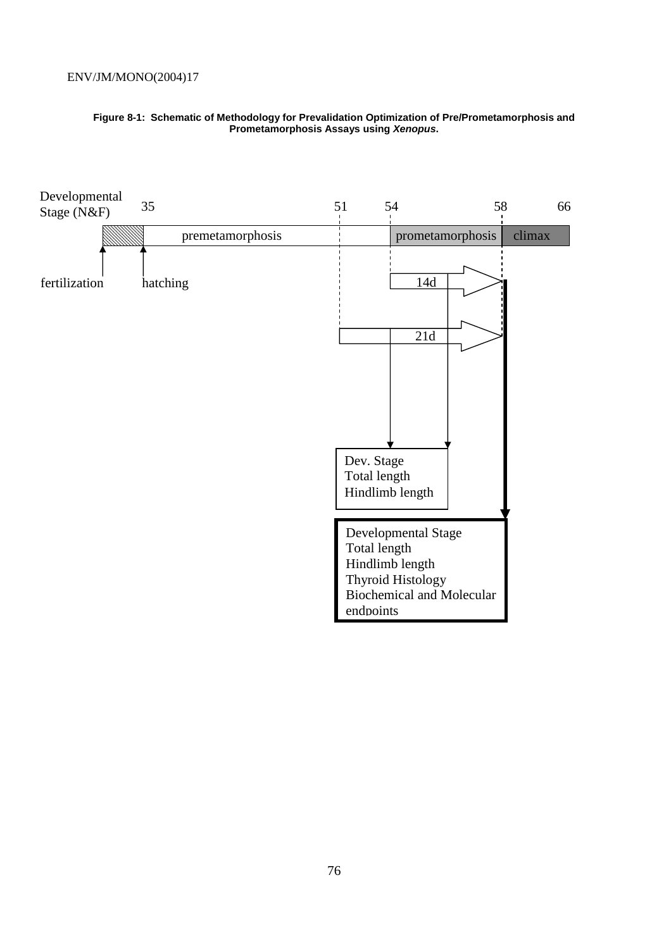#### **Figure 8-1: Schematic of Methodology for Prevalidation Optimization of Pre/Prometamorphosis and Prometamorphosis Assays using Xenopus.**

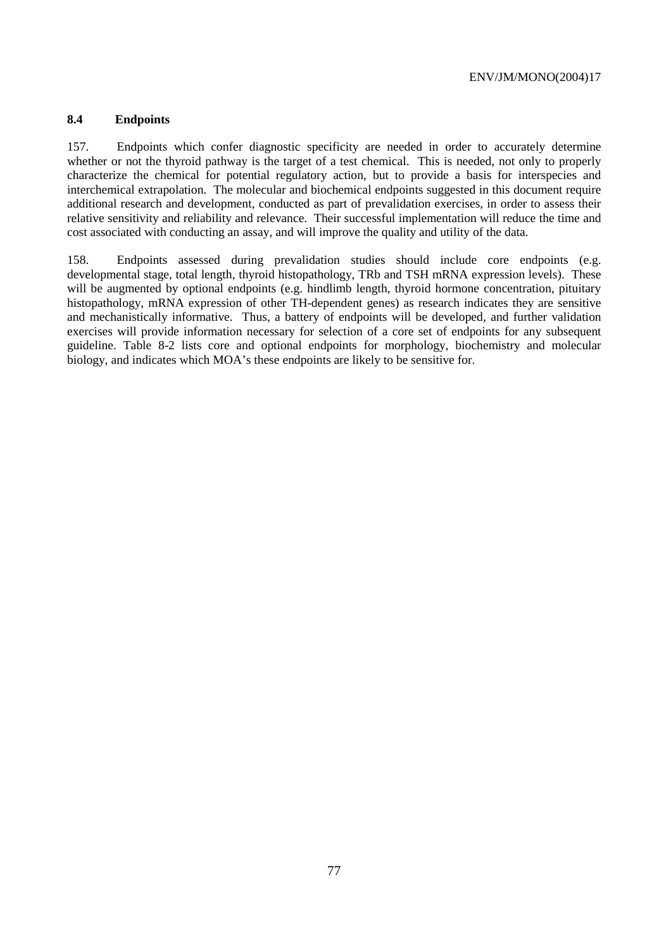## **8.4 Endpoints**

157. Endpoints which confer diagnostic specificity are needed in order to accurately determine whether or not the thyroid pathway is the target of a test chemical. This is needed, not only to properly characterize the chemical for potential regulatory action, but to provide a basis for interspecies and interchemical extrapolation. The molecular and biochemical endpoints suggested in this document require additional research and development, conducted as part of prevalidation exercises, in order to assess their relative sensitivity and reliability and relevance. Their successful implementation will reduce the time and cost associated with conducting an assay, and will improve the quality and utility of the data.

158. Endpoints assessed during prevalidation studies should include core endpoints (e.g. developmental stage, total length, thyroid histopathology, TRb and TSH mRNA expression levels). These will be augmented by optional endpoints (e.g. hindlimb length, thyroid hormone concentration, pituitary histopathology, mRNA expression of other TH-dependent genes) as research indicates they are sensitive and mechanistically informative. Thus, a battery of endpoints will be developed, and further validation exercises will provide information necessary for selection of a core set of endpoints for any subsequent guideline. Table 8-2 lists core and optional endpoints for morphology, biochemistry and molecular biology, and indicates which MOA's these endpoints are likely to be sensitive for.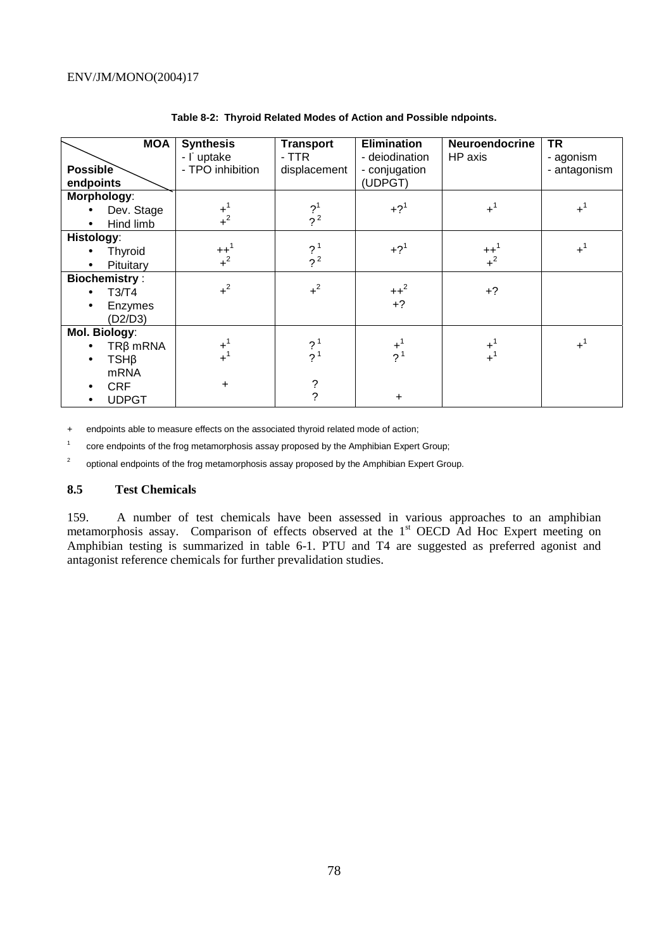| <b>MOA</b>             | <b>Synthesis</b>                     | <b>Transport</b> | <b>Elimination</b> | Neuroendocrine   | <b>TR</b>        |
|------------------------|--------------------------------------|------------------|--------------------|------------------|------------------|
|                        | - l uptake                           | - TTR            | - deiodination     | HP axis          | - agonism        |
| <b>Possible</b>        | - TPO inhibition                     | displacement     | - conjugation      |                  | - antagonism     |
| endpoints              |                                      |                  | (UDPGT)            |                  |                  |
| Morphology:            |                                      |                  |                    |                  |                  |
| Dev. Stage             | $+$ <sup>1</sup><br>$+$ <sup>2</sup> | 2 <sup>1</sup>   | $+2^{1}$           | $+$ <sup>1</sup> | $+$ <sup>1</sup> |
| Hind limb              |                                      | $2^2$            |                    |                  |                  |
| Histology:             |                                      |                  |                    |                  |                  |
| Thyroid                | $+\frac{1}{2}$                       | $?^1$            | $+2^{1}$           | $++$             |                  |
| Pituitary              |                                      | $2^2$            |                    | $+$ <sup>2</sup> |                  |
| <b>Biochemistry:</b>   |                                      |                  |                    |                  |                  |
| T3/T4                  | $+$ <sup>2</sup>                     | $+$ <sup>2</sup> | $++^2$             | $+?$             |                  |
| Enzymes                |                                      |                  | $+?$               |                  |                  |
| (D2/D3)                |                                      |                  |                    |                  |                  |
| Mol. Biology:          |                                      |                  |                    |                  |                  |
| $TR\beta$ mRNA         | $+$ <sup>1</sup>                     | 2 <sup>1</sup>   | $+$ <sup>1</sup>   | $+$ <sup>1</sup> | $+1$             |
| <b>TSH<sub>B</sub></b> | $+$ <sup>1</sup>                     | 2 <sup>1</sup>   | 2 <sup>1</sup>     | $+$ <sup>1</sup> |                  |
| <b>mRNA</b>            |                                      |                  |                    |                  |                  |
| <b>CRF</b>             | +                                    | ?                |                    |                  |                  |
| <b>UDPGT</b>           |                                      | $\mathcal{P}$    | $\ddot{}$          |                  |                  |

### **Table 8-2: Thyroid Related Modes of Action and Possible ndpoints.**

+ endpoints able to measure effects on the associated thyroid related mode of action;

<sup>1</sup> core endpoints of the frog metamorphosis assay proposed by the Amphibian Expert Group;

<sup>2</sup> optional endpoints of the frog metamorphosis assay proposed by the Amphibian Expert Group.

#### **8.5 Test Chemicals**

159. A number of test chemicals have been assessed in various approaches to an amphibian metamorphosis assay. Comparison of effects observed at the 1<sup>st</sup> OECD Ad Hoc Expert meeting on Amphibian testing is summarized in table 6-1. PTU and T4 are suggested as preferred agonist and antagonist reference chemicals for further prevalidation studies.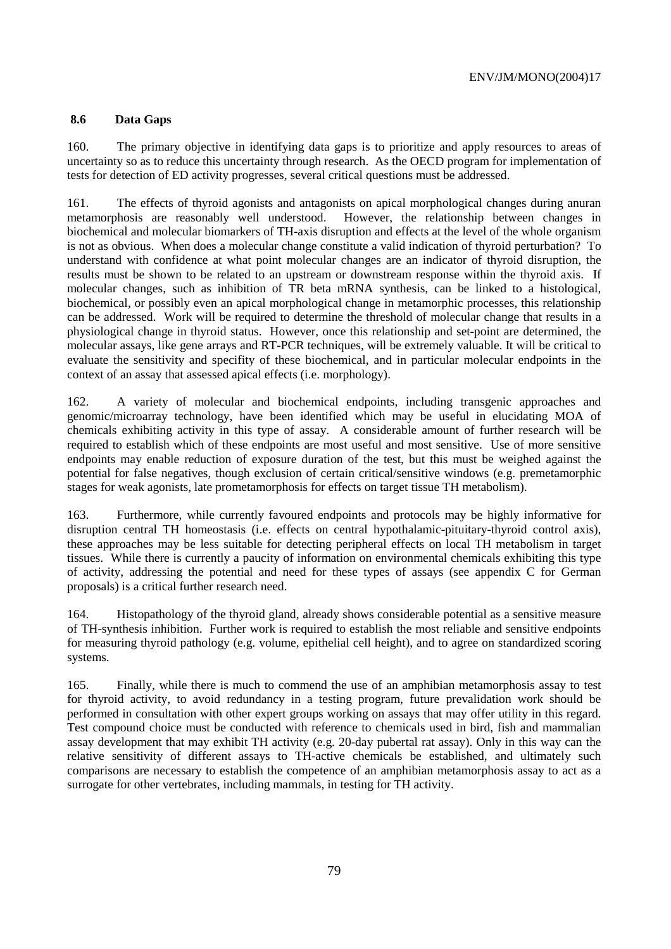# **8.6 Data Gaps**

160. The primary objective in identifying data gaps is to prioritize and apply resources to areas of uncertainty so as to reduce this uncertainty through research. As the OECD program for implementation of tests for detection of ED activity progresses, several critical questions must be addressed.

161. The effects of thyroid agonists and antagonists on apical morphological changes during anuran metamorphosis are reasonably well understood. However, the relationship between changes in biochemical and molecular biomarkers of TH-axis disruption and effects at the level of the whole organism is not as obvious. When does a molecular change constitute a valid indication of thyroid perturbation? To understand with confidence at what point molecular changes are an indicator of thyroid disruption, the results must be shown to be related to an upstream or downstream response within the thyroid axis. If molecular changes, such as inhibition of TR beta mRNA synthesis, can be linked to a histological, biochemical, or possibly even an apical morphological change in metamorphic processes, this relationship can be addressed. Work will be required to determine the threshold of molecular change that results in a physiological change in thyroid status. However, once this relationship and set-point are determined, the molecular assays, like gene arrays and RT-PCR techniques, will be extremely valuable. It will be critical to evaluate the sensitivity and specifity of these biochemical, and in particular molecular endpoints in the context of an assay that assessed apical effects (i.e. morphology).

162. A variety of molecular and biochemical endpoints, including transgenic approaches and genomic/microarray technology, have been identified which may be useful in elucidating MOA of chemicals exhibiting activity in this type of assay. A considerable amount of further research will be required to establish which of these endpoints are most useful and most sensitive. Use of more sensitive endpoints may enable reduction of exposure duration of the test, but this must be weighed against the potential for false negatives, though exclusion of certain critical/sensitive windows (e.g. premetamorphic stages for weak agonists, late prometamorphosis for effects on target tissue TH metabolism).

163. Furthermore, while currently favoured endpoints and protocols may be highly informative for disruption central TH homeostasis (i.e. effects on central hypothalamic-pituitary-thyroid control axis), these approaches may be less suitable for detecting peripheral effects on local TH metabolism in target tissues. While there is currently a paucity of information on environmental chemicals exhibiting this type of activity, addressing the potential and need for these types of assays (see appendix C for German proposals) is a critical further research need.

164. Histopathology of the thyroid gland, already shows considerable potential as a sensitive measure of TH-synthesis inhibition. Further work is required to establish the most reliable and sensitive endpoints for measuring thyroid pathology (e.g. volume, epithelial cell height), and to agree on standardized scoring systems.

165. Finally, while there is much to commend the use of an amphibian metamorphosis assay to test for thyroid activity, to avoid redundancy in a testing program, future prevalidation work should be performed in consultation with other expert groups working on assays that may offer utility in this regard. Test compound choice must be conducted with reference to chemicals used in bird, fish and mammalian assay development that may exhibit TH activity (e.g. 20-day pubertal rat assay). Only in this way can the relative sensitivity of different assays to TH-active chemicals be established, and ultimately such comparisons are necessary to establish the competence of an amphibian metamorphosis assay to act as a surrogate for other vertebrates, including mammals, in testing for TH activity.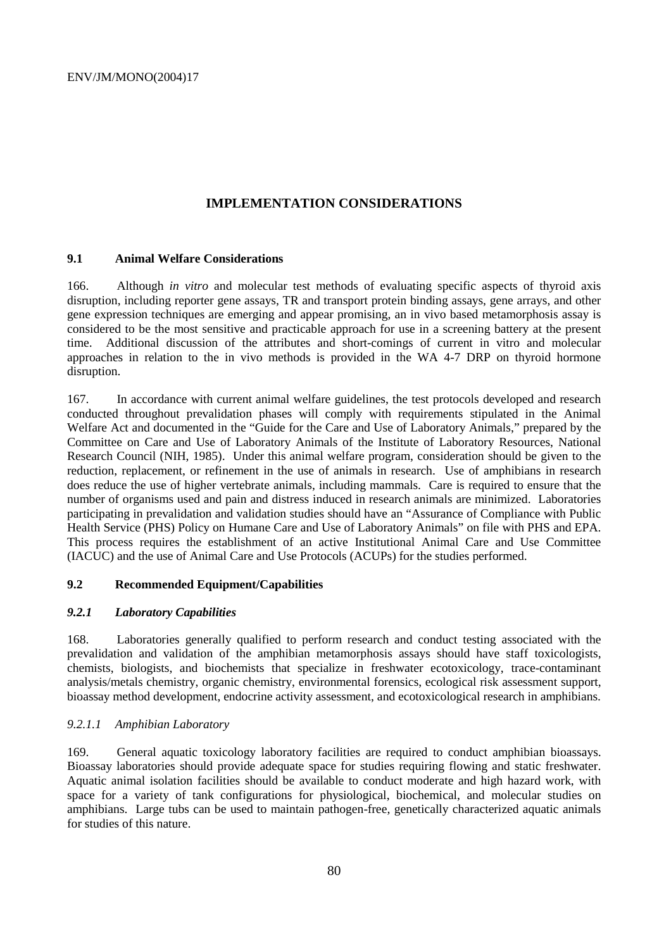## **IMPLEMENTATION CONSIDERATIONS**

#### **9.1 Animal Welfare Considerations**

166. Although *in vitro* and molecular test methods of evaluating specific aspects of thyroid axis disruption, including reporter gene assays, TR and transport protein binding assays, gene arrays, and other gene expression techniques are emerging and appear promising, an in vivo based metamorphosis assay is considered to be the most sensitive and practicable approach for use in a screening battery at the present time. Additional discussion of the attributes and short-comings of current in vitro and molecular approaches in relation to the in vivo methods is provided in the WA 4-7 DRP on thyroid hormone disruption.

167. In accordance with current animal welfare guidelines, the test protocols developed and research conducted throughout prevalidation phases will comply with requirements stipulated in the Animal Welfare Act and documented in the "Guide for the Care and Use of Laboratory Animals," prepared by the Committee on Care and Use of Laboratory Animals of the Institute of Laboratory Resources, National Research Council (NIH, 1985). Under this animal welfare program, consideration should be given to the reduction, replacement, or refinement in the use of animals in research. Use of amphibians in research does reduce the use of higher vertebrate animals, including mammals. Care is required to ensure that the number of organisms used and pain and distress induced in research animals are minimized. Laboratories participating in prevalidation and validation studies should have an "Assurance of Compliance with Public Health Service (PHS) Policy on Humane Care and Use of Laboratory Animals" on file with PHS and EPA. This process requires the establishment of an active Institutional Animal Care and Use Committee (IACUC) and the use of Animal Care and Use Protocols (ACUPs) for the studies performed.

### **9.2 Recommended Equipment/Capabilities**

### *9.2.1 Laboratory Capabilities*

168. Laboratories generally qualified to perform research and conduct testing associated with the prevalidation and validation of the amphibian metamorphosis assays should have staff toxicologists, chemists, biologists, and biochemists that specialize in freshwater ecotoxicology, trace-contaminant analysis/metals chemistry, organic chemistry, environmental forensics, ecological risk assessment support, bioassay method development, endocrine activity assessment, and ecotoxicological research in amphibians.

#### *9.2.1.1 Amphibian Laboratory*

169. General aquatic toxicology laboratory facilities are required to conduct amphibian bioassays. Bioassay laboratories should provide adequate space for studies requiring flowing and static freshwater. Aquatic animal isolation facilities should be available to conduct moderate and high hazard work, with space for a variety of tank configurations for physiological, biochemical, and molecular studies on amphibians. Large tubs can be used to maintain pathogen-free, genetically characterized aquatic animals for studies of this nature.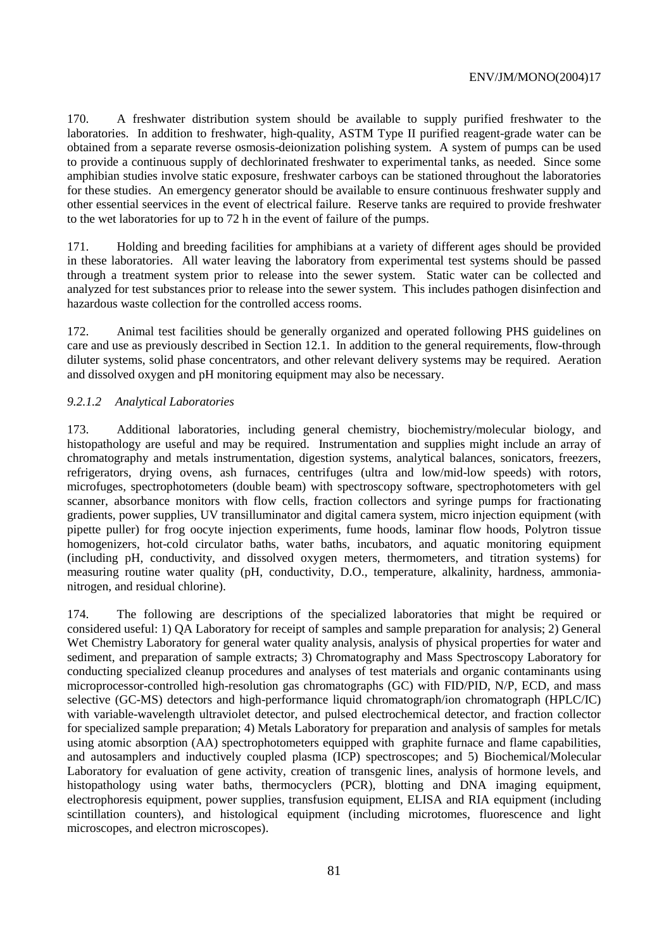170. A freshwater distribution system should be available to supply purified freshwater to the laboratories. In addition to freshwater, high-quality, ASTM Type II purified reagent-grade water can be obtained from a separate reverse osmosis-deionization polishing system. A system of pumps can be used to provide a continuous supply of dechlorinated freshwater to experimental tanks, as needed. Since some amphibian studies involve static exposure, freshwater carboys can be stationed throughout the laboratories for these studies. An emergency generator should be available to ensure continuous freshwater supply and other essential seervices in the event of electrical failure. Reserve tanks are required to provide freshwater to the wet laboratories for up to 72 h in the event of failure of the pumps.

171. Holding and breeding facilities for amphibians at a variety of different ages should be provided in these laboratories. All water leaving the laboratory from experimental test systems should be passed through a treatment system prior to release into the sewer system. Static water can be collected and analyzed for test substances prior to release into the sewer system. This includes pathogen disinfection and hazardous waste collection for the controlled access rooms.

172. Animal test facilities should be generally organized and operated following PHS guidelines on care and use as previously described in Section 12.1. In addition to the general requirements, flow-through diluter systems, solid phase concentrators, and other relevant delivery systems may be required. Aeration and dissolved oxygen and pH monitoring equipment may also be necessary.

### *9.2.1.2 Analytical Laboratories*

173. Additional laboratories, including general chemistry, biochemistry/molecular biology, and histopathology are useful and may be required. Instrumentation and supplies might include an array of chromatography and metals instrumentation, digestion systems, analytical balances, sonicators, freezers, refrigerators, drying ovens, ash furnaces, centrifuges (ultra and low/mid-low speeds) with rotors, microfuges, spectrophotometers (double beam) with spectroscopy software, spectrophotometers with gel scanner, absorbance monitors with flow cells, fraction collectors and syringe pumps for fractionating gradients, power supplies, UV transilluminator and digital camera system, micro injection equipment (with pipette puller) for frog oocyte injection experiments, fume hoods, laminar flow hoods, Polytron tissue homogenizers, hot-cold circulator baths, water baths, incubators, and aquatic monitoring equipment (including pH, conductivity, and dissolved oxygen meters, thermometers, and titration systems) for measuring routine water quality (pH, conductivity, D.O., temperature, alkalinity, hardness, ammonianitrogen, and residual chlorine).

174. The following are descriptions of the specialized laboratories that might be required or considered useful: 1) QA Laboratory for receipt of samples and sample preparation for analysis; 2) General Wet Chemistry Laboratory for general water quality analysis, analysis of physical properties for water and sediment, and preparation of sample extracts; 3) Chromatography and Mass Spectroscopy Laboratory for conducting specialized cleanup procedures and analyses of test materials and organic contaminants using microprocessor-controlled high-resolution gas chromatographs (GC) with FID/PID, N/P, ECD, and mass selective (GC-MS) detectors and high-performance liquid chromatograph/ion chromatograph (HPLC/IC) with variable-wavelength ultraviolet detector, and pulsed electrochemical detector, and fraction collector for specialized sample preparation; 4) Metals Laboratory for preparation and analysis of samples for metals using atomic absorption (AA) spectrophotometers equipped with graphite furnace and flame capabilities, and autosamplers and inductively coupled plasma (ICP) spectroscopes; and 5) Biochemical/Molecular Laboratory for evaluation of gene activity, creation of transgenic lines, analysis of hormone levels, and histopathology using water baths, thermocyclers (PCR), blotting and DNA imaging equipment, electrophoresis equipment, power supplies, transfusion equipment, ELISA and RIA equipment (including scintillation counters), and histological equipment (including microtomes, fluorescence and light microscopes, and electron microscopes).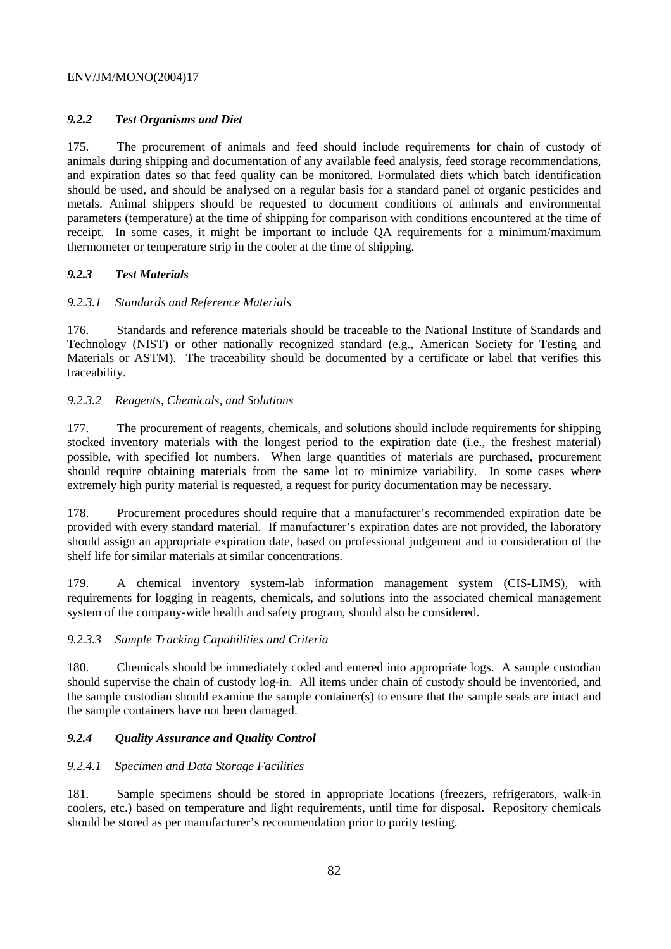## *9.2.2 Test Organisms and Diet*

175. The procurement of animals and feed should include requirements for chain of custody of animals during shipping and documentation of any available feed analysis, feed storage recommendations, and expiration dates so that feed quality can be monitored. Formulated diets which batch identification should be used, and should be analysed on a regular basis for a standard panel of organic pesticides and metals. Animal shippers should be requested to document conditions of animals and environmental parameters (temperature) at the time of shipping for comparison with conditions encountered at the time of receipt. In some cases, it might be important to include QA requirements for a minimum/maximum thermometer or temperature strip in the cooler at the time of shipping.

### *9.2.3 Test Materials*

### *9.2.3.1 Standards and Reference Materials*

176. Standards and reference materials should be traceable to the National Institute of Standards and Technology (NIST) or other nationally recognized standard (e.g., American Society for Testing and Materials or ASTM). The traceability should be documented by a certificate or label that verifies this traceability.

### *9.2.3.2 Reagents, Chemicals, and Solutions*

177. The procurement of reagents, chemicals, and solutions should include requirements for shipping stocked inventory materials with the longest period to the expiration date (i.e., the freshest material) possible, with specified lot numbers. When large quantities of materials are purchased, procurement should require obtaining materials from the same lot to minimize variability. In some cases where extremely high purity material is requested, a request for purity documentation may be necessary.

178. Procurement procedures should require that a manufacturer's recommended expiration date be provided with every standard material. If manufacturer's expiration dates are not provided, the laboratory should assign an appropriate expiration date, based on professional judgement and in consideration of the shelf life for similar materials at similar concentrations.

179. A chemical inventory system-lab information management system (CIS-LIMS), with requirements for logging in reagents, chemicals, and solutions into the associated chemical management system of the company-wide health and safety program, should also be considered.

### *9.2.3.3 Sample Tracking Capabilities and Criteria*

180. Chemicals should be immediately coded and entered into appropriate logs. A sample custodian should supervise the chain of custody log-in. All items under chain of custody should be inventoried, and the sample custodian should examine the sample container(s) to ensure that the sample seals are intact and the sample containers have not been damaged.

# *9.2.4 Quality Assurance and Quality Control*

### *9.2.4.1 Specimen and Data Storage Facilities*

181. Sample specimens should be stored in appropriate locations (freezers, refrigerators, walk-in coolers, etc.) based on temperature and light requirements, until time for disposal. Repository chemicals should be stored as per manufacturer's recommendation prior to purity testing.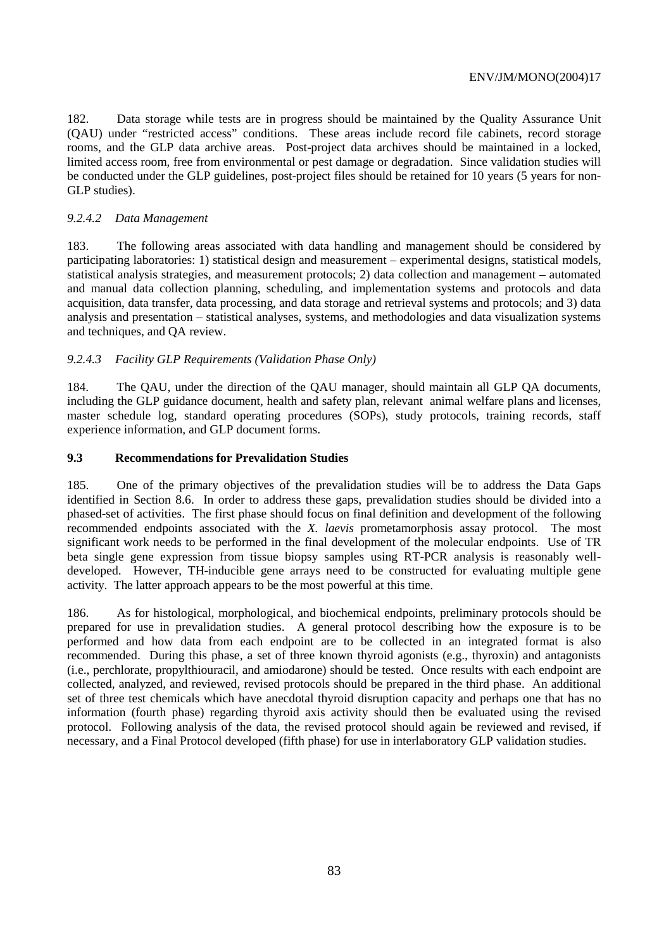182. Data storage while tests are in progress should be maintained by the Quality Assurance Unit (QAU) under "restricted access" conditions. These areas include record file cabinets, record storage rooms, and the GLP data archive areas. Post-project data archives should be maintained in a locked, limited access room, free from environmental or pest damage or degradation. Since validation studies will be conducted under the GLP guidelines, post-project files should be retained for 10 years (5 years for non-GLP studies).

#### *9.2.4.2 Data Management*

183. The following areas associated with data handling and management should be considered by participating laboratories: 1) statistical design and measurement – experimental designs, statistical models, statistical analysis strategies, and measurement protocols; 2) data collection and management – automated and manual data collection planning, scheduling, and implementation systems and protocols and data acquisition, data transfer, data processing, and data storage and retrieval systems and protocols; and 3) data analysis and presentation – statistical analyses, systems, and methodologies and data visualization systems and techniques, and QA review.

#### *9.2.4.3 Facility GLP Requirements (Validation Phase Only)*

184. The QAU, under the direction of the QAU manager, should maintain all GLP QA documents, including the GLP guidance document, health and safety plan, relevant animal welfare plans and licenses, master schedule log, standard operating procedures (SOPs), study protocols, training records, staff experience information, and GLP document forms.

#### **9.3 Recommendations for Prevalidation Studies**

185. One of the primary objectives of the prevalidation studies will be to address the Data Gaps identified in Section 8.6. In order to address these gaps, prevalidation studies should be divided into a phased-set of activities. The first phase should focus on final definition and development of the following recommended endpoints associated with the *X. laevis* prometamorphosis assay protocol. The most significant work needs to be performed in the final development of the molecular endpoints. Use of TR beta single gene expression from tissue biopsy samples using RT-PCR analysis is reasonably welldeveloped. However, TH-inducible gene arrays need to be constructed for evaluating multiple gene activity. The latter approach appears to be the most powerful at this time.

186. As for histological, morphological, and biochemical endpoints, preliminary protocols should be prepared for use in prevalidation studies. A general protocol describing how the exposure is to be performed and how data from each endpoint are to be collected in an integrated format is also recommended. During this phase, a set of three known thyroid agonists (e.g., thyroxin) and antagonists (i.e., perchlorate, propylthiouracil, and amiodarone) should be tested. Once results with each endpoint are collected, analyzed, and reviewed, revised protocols should be prepared in the third phase. An additional set of three test chemicals which have anecdotal thyroid disruption capacity and perhaps one that has no information (fourth phase) regarding thyroid axis activity should then be evaluated using the revised protocol. Following analysis of the data, the revised protocol should again be reviewed and revised, if necessary, and a Final Protocol developed (fifth phase) for use in interlaboratory GLP validation studies.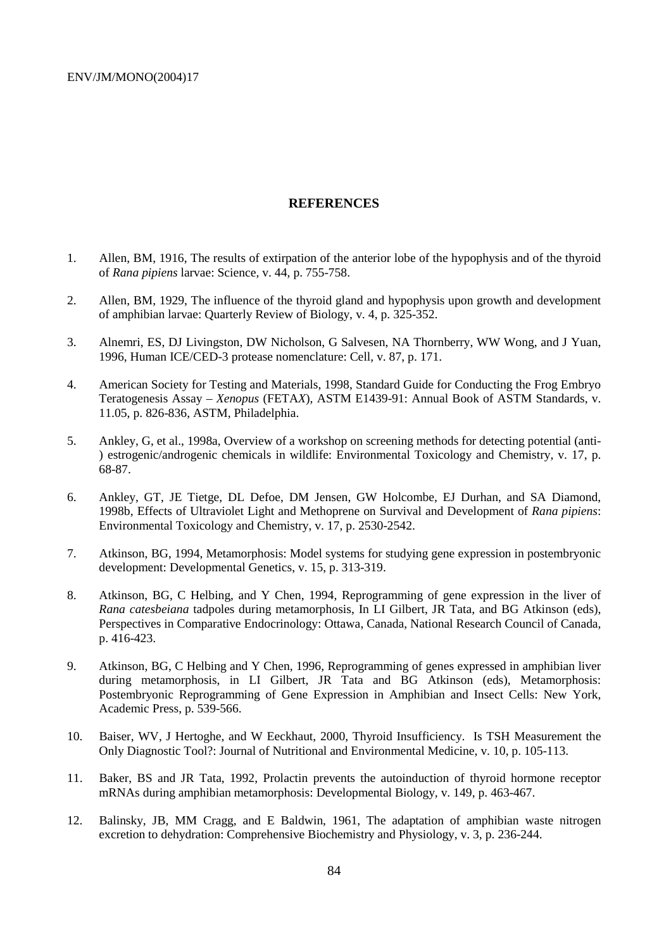### **REFERENCES**

- 1. Allen, BM, 1916, The results of extirpation of the anterior lobe of the hypophysis and of the thyroid of *Rana pipiens* larvae: Science, v. 44, p. 755-758.
- 2. Allen, BM, 1929, The influence of the thyroid gland and hypophysis upon growth and development of amphibian larvae: Quarterly Review of Biology, v. 4, p. 325-352.
- 3. Alnemri, ES, DJ Livingston, DW Nicholson, G Salvesen, NA Thornberry, WW Wong, and J Yuan, 1996, Human ICE/CED-3 protease nomenclature: Cell, v. 87, p. 171.
- 4. American Society for Testing and Materials, 1998, Standard Guide for Conducting the Frog Embryo Teratogenesis Assay – *Xenopus* (FETA*X*), ASTM E1439-91: Annual Book of ASTM Standards, v. 11.05, p. 826-836, ASTM, Philadelphia.
- 5. Ankley, G, et al., 1998a, Overview of a workshop on screening methods for detecting potential (anti- ) estrogenic/androgenic chemicals in wildlife: Environmental Toxicology and Chemistry, v. 17, p. 68-87.
- 6. Ankley, GT, JE Tietge, DL Defoe, DM Jensen, GW Holcombe, EJ Durhan, and SA Diamond, 1998b, Effects of Ultraviolet Light and Methoprene on Survival and Development of *Rana pipiens*: Environmental Toxicology and Chemistry, v. 17, p. 2530-2542.
- 7. Atkinson, BG, 1994, Metamorphosis: Model systems for studying gene expression in postembryonic development: Developmental Genetics, v. 15, p. 313-319.
- 8. Atkinson, BG, C Helbing, and Y Chen, 1994, Reprogramming of gene expression in the liver of *Rana catesbeiana* tadpoles during metamorphosis, In LI Gilbert, JR Tata, and BG Atkinson (eds), Perspectives in Comparative Endocrinology: Ottawa, Canada, National Research Council of Canada, p. 416-423.
- 9. Atkinson, BG, C Helbing and Y Chen, 1996, Reprogramming of genes expressed in amphibian liver during metamorphosis, in LI Gilbert, JR Tata and BG Atkinson (eds), Metamorphosis: Postembryonic Reprogramming of Gene Expression in Amphibian and Insect Cells: New York, Academic Press, p. 539-566.
- 10. Baiser, WV, J Hertoghe, and W Eeckhaut, 2000, Thyroid Insufficiency. Is TSH Measurement the Only Diagnostic Tool?: Journal of Nutritional and Environmental Medicine, v. 10, p. 105-113.
- 11. Baker, BS and JR Tata, 1992, Prolactin prevents the autoinduction of thyroid hormone receptor mRNAs during amphibian metamorphosis: Developmental Biology, v. 149, p. 463-467.
- 12. Balinsky, JB, MM Cragg, and E Baldwin, 1961, The adaptation of amphibian waste nitrogen excretion to dehydration: Comprehensive Biochemistry and Physiology, v. 3, p. 236-244.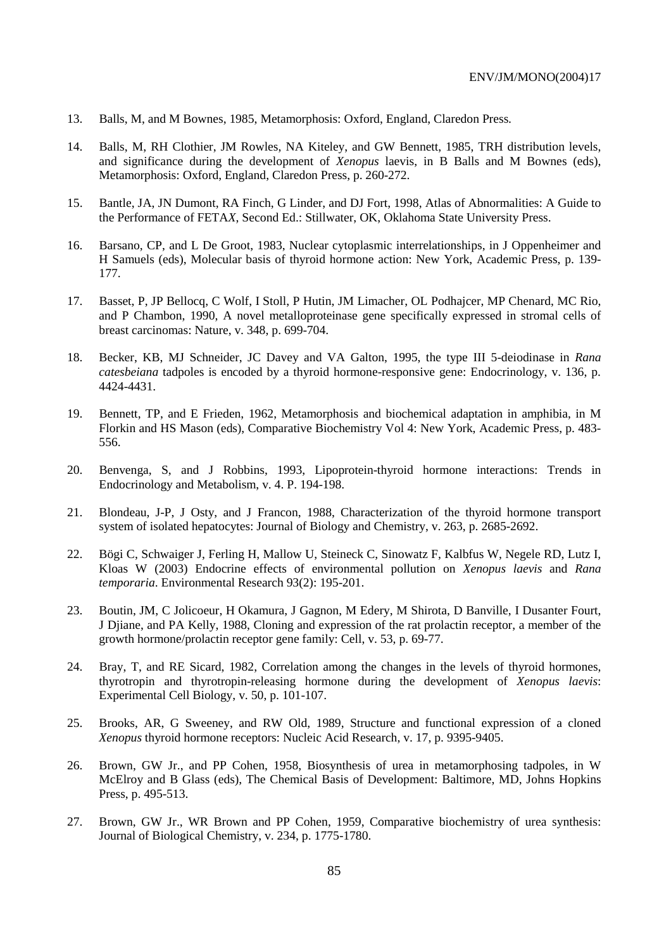- 13. Balls, M, and M Bownes, 1985, Metamorphosis: Oxford, England, Claredon Press.
- 14. Balls, M, RH Clothier, JM Rowles, NA Kiteley, and GW Bennett, 1985, TRH distribution levels, and significance during the development of *Xenopus* laevis, in B Balls and M Bownes (eds), Metamorphosis: Oxford, England, Claredon Press, p. 260-272.
- 15. Bantle, JA, JN Dumont, RA Finch, G Linder, and DJ Fort, 1998, Atlas of Abnormalities: A Guide to the Performance of FETA*X*, Second Ed.: Stillwater, OK, Oklahoma State University Press.
- 16. Barsano, CP, and L De Groot, 1983, Nuclear cytoplasmic interrelationships, in J Oppenheimer and H Samuels (eds), Molecular basis of thyroid hormone action: New York, Academic Press, p. 139- 177.
- 17. Basset, P, JP Bellocq, C Wolf, I Stoll, P Hutin, JM Limacher, OL Podhajcer, MP Chenard, MC Rio, and P Chambon, 1990, A novel metalloproteinase gene specifically expressed in stromal cells of breast carcinomas: Nature, v. 348, p. 699-704.
- 18. Becker, KB, MJ Schneider, JC Davey and VA Galton, 1995, the type III 5-deiodinase in *Rana catesbeiana* tadpoles is encoded by a thyroid hormone-responsive gene: Endocrinology, v. 136, p. 4424-4431.
- 19. Bennett, TP, and E Frieden, 1962, Metamorphosis and biochemical adaptation in amphibia, in M Florkin and HS Mason (eds), Comparative Biochemistry Vol 4: New York, Academic Press, p. 483- 556.
- 20. Benvenga, S, and J Robbins, 1993, Lipoprotein-thyroid hormone interactions: Trends in Endocrinology and Metabolism, v. 4. P. 194-198.
- 21. Blondeau, J-P, J Osty, and J Francon, 1988, Characterization of the thyroid hormone transport system of isolated hepatocytes: Journal of Biology and Chemistry, v. 263, p. 2685-2692.
- 22. Bögi C, Schwaiger J, Ferling H, Mallow U, Steineck C, Sinowatz F, Kalbfus W, Negele RD, Lutz I, Kloas W (2003) Endocrine effects of environmental pollution on *Xenopus laevis* and *Rana temporaria*. Environmental Research 93(2): 195-201.
- 23. Boutin, JM, C Jolicoeur, H Okamura, J Gagnon, M Edery, M Shirota, D Banville, I Dusanter Fourt, J Djiane, and PA Kelly, 1988, Cloning and expression of the rat prolactin receptor, a member of the growth hormone/prolactin receptor gene family: Cell, v. 53, p. 69-77.
- 24. Bray, T, and RE Sicard, 1982, Correlation among the changes in the levels of thyroid hormones, thyrotropin and thyrotropin-releasing hormone during the development of *Xenopus laevis*: Experimental Cell Biology, v. 50, p. 101-107.
- 25. Brooks, AR, G Sweeney, and RW Old, 1989, Structure and functional expression of a cloned *Xenopus* thyroid hormone receptors: Nucleic Acid Research, v. 17, p. 9395-9405.
- 26. Brown, GW Jr., and PP Cohen, 1958, Biosynthesis of urea in metamorphosing tadpoles, in W McElroy and B Glass (eds), The Chemical Basis of Development: Baltimore, MD, Johns Hopkins Press, p. 495-513.
- 27. Brown, GW Jr., WR Brown and PP Cohen, 1959, Comparative biochemistry of urea synthesis: Journal of Biological Chemistry, v. 234, p. 1775-1780.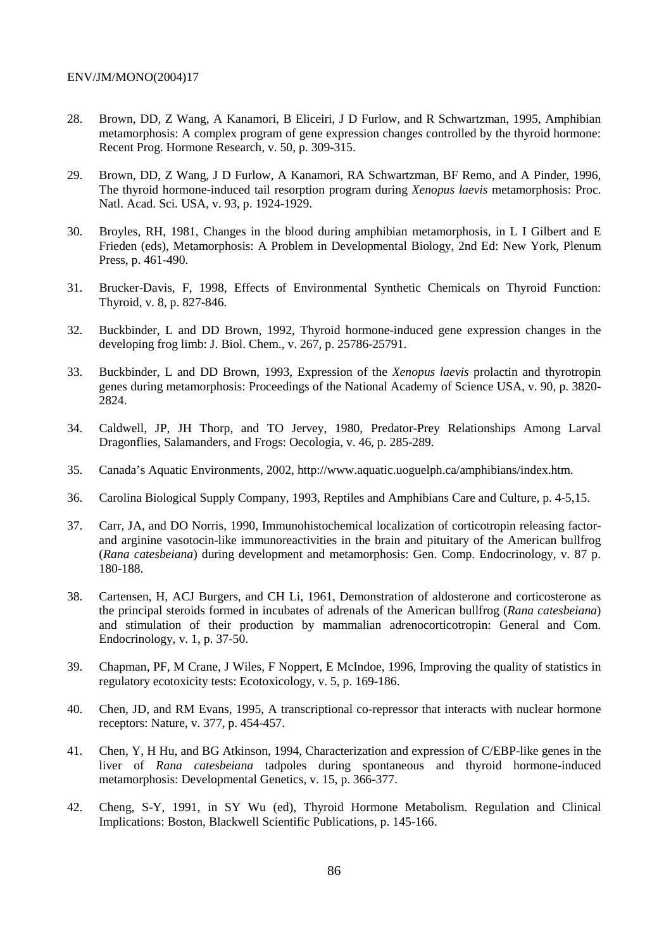- 28. Brown, DD, Z Wang, A Kanamori, B Eliceiri, J D Furlow, and R Schwartzman, 1995, Amphibian metamorphosis: A complex program of gene expression changes controlled by the thyroid hormone: Recent Prog. Hormone Research, v. 50, p. 309-315.
- 29. Brown, DD, Z Wang, J D Furlow, A Kanamori, RA Schwartzman, BF Remo, and A Pinder, 1996, The thyroid hormone-induced tail resorption program during *Xenopus laevis* metamorphosis: Proc. Natl. Acad. Sci. USA, v. 93, p. 1924-1929.
- 30. Broyles, RH, 1981, Changes in the blood during amphibian metamorphosis, in L I Gilbert and E Frieden (eds), Metamorphosis: A Problem in Developmental Biology, 2nd Ed: New York, Plenum Press, p. 461-490.
- 31. Brucker-Davis, F, 1998, Effects of Environmental Synthetic Chemicals on Thyroid Function: Thyroid, v. 8, p. 827-846.
- 32. Buckbinder, L and DD Brown, 1992, Thyroid hormone-induced gene expression changes in the developing frog limb: J. Biol. Chem., v. 267, p. 25786-25791.
- 33. Buckbinder, L and DD Brown, 1993, Expression of the *Xenopus laevis* prolactin and thyrotropin genes during metamorphosis: Proceedings of the National Academy of Science USA, v. 90, p. 3820- 2824.
- 34. Caldwell, JP, JH Thorp, and TO Jervey, 1980, Predator-Prey Relationships Among Larval Dragonflies, Salamanders, and Frogs: Oecologia, v. 46, p. 285-289.
- 35. Canada's Aquatic Environments, 2002, http://www.aquatic.uoguelph.ca/amphibians/index.htm.
- 36. Carolina Biological Supply Company, 1993, Reptiles and Amphibians Care and Culture, p. 4-5,15.
- 37. Carr, JA, and DO Norris, 1990, Immunohistochemical localization of corticotropin releasing factorand arginine vasotocin-like immunoreactivities in the brain and pituitary of the American bullfrog (*Rana catesbeiana*) during development and metamorphosis: Gen. Comp. Endocrinology, v. 87 p. 180-188.
- 38. Cartensen, H, ACJ Burgers, and CH Li, 1961, Demonstration of aldosterone and corticosterone as the principal steroids formed in incubates of adrenals of the American bullfrog (*Rana catesbeiana*) and stimulation of their production by mammalian adrenocorticotropin: General and Com. Endocrinology, v. 1, p. 37-50.
- 39. Chapman, PF, M Crane, J Wiles, F Noppert, E McIndoe, 1996, Improving the quality of statistics in regulatory ecotoxicity tests: Ecotoxicology, v. 5, p. 169-186.
- 40. Chen, JD, and RM Evans, 1995, A transcriptional co-repressor that interacts with nuclear hormone receptors: Nature, v. 377, p. 454-457.
- 41. Chen, Y, H Hu, and BG Atkinson, 1994, Characterization and expression of C/EBP-like genes in the liver of *Rana catesbeiana* tadpoles during spontaneous and thyroid hormone-induced metamorphosis: Developmental Genetics, v. 15, p. 366-377.
- 42. Cheng, S-Y, 1991, in SY Wu (ed), Thyroid Hormone Metabolism. Regulation and Clinical Implications: Boston, Blackwell Scientific Publications, p. 145-166.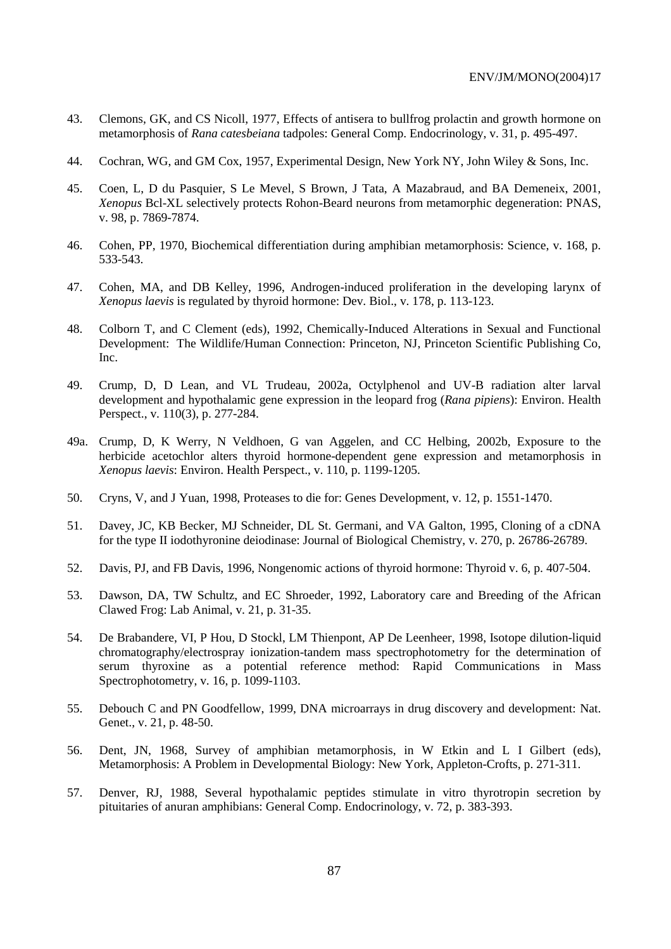- 43. Clemons, GK, and CS Nicoll, 1977, Effects of antisera to bullfrog prolactin and growth hormone on metamorphosis of *Rana catesbeiana* tadpoles: General Comp. Endocrinology, v. 31, p. 495-497.
- 44. Cochran, WG, and GM Cox, 1957, Experimental Design, New York NY, John Wiley & Sons, Inc.
- 45. Coen, L, D du Pasquier, S Le Mevel, S Brown, J Tata, A Mazabraud, and BA Demeneix, 2001, *Xenopus* Bcl-XL selectively protects Rohon-Beard neurons from metamorphic degeneration: PNAS, v. 98, p. 7869-7874.
- 46. Cohen, PP, 1970, Biochemical differentiation during amphibian metamorphosis: Science, v. 168, p. 533-543.
- 47. Cohen, MA, and DB Kelley, 1996, Androgen-induced proliferation in the developing larynx of *Xenopus laevis* is regulated by thyroid hormone: Dev. Biol., v. 178, p. 113-123.
- 48. Colborn T, and C Clement (eds), 1992, Chemically-Induced Alterations in Sexual and Functional Development: The Wildlife/Human Connection: Princeton, NJ, Princeton Scientific Publishing Co, Inc.
- 49. Crump, D, D Lean, and VL Trudeau, 2002a, Octylphenol and UV-B radiation alter larval development and hypothalamic gene expression in the leopard frog (*Rana pipiens*): Environ. Health Perspect., v. 110(3), p. 277-284.
- 49a. Crump, D, K Werry, N Veldhoen, G van Aggelen, and CC Helbing, 2002b, Exposure to the herbicide acetochlor alters thyroid hormone-dependent gene expression and metamorphosis in *Xenopus laevis*: Environ. Health Perspect., v. 110, p. 1199-1205.
- 50. Cryns, V, and J Yuan, 1998, Proteases to die for: Genes Development, v. 12, p. 1551-1470.
- 51. Davey, JC, KB Becker, MJ Schneider, DL St. Germani, and VA Galton, 1995, Cloning of a cDNA for the type II iodothyronine deiodinase: Journal of Biological Chemistry, v. 270, p. 26786-26789.
- 52. Davis, PJ, and FB Davis, 1996, Nongenomic actions of thyroid hormone: Thyroid v. 6, p. 407-504.
- 53. Dawson, DA, TW Schultz, and EC Shroeder, 1992, Laboratory care and Breeding of the African Clawed Frog: Lab Animal, v. 21, p. 31-35.
- 54. De Brabandere, VI, P Hou, D Stockl, LM Thienpont, AP De Leenheer, 1998, Isotope dilution-liquid chromatography/electrospray ionization-tandem mass spectrophotometry for the determination of serum thyroxine as a potential reference method: Rapid Communications in Mass Spectrophotometry, v. 16, p. 1099-1103.
- 55. Debouch C and PN Goodfellow, 1999, DNA microarrays in drug discovery and development: Nat. Genet., v. 21, p. 48-50.
- 56. Dent, JN, 1968, Survey of amphibian metamorphosis, in W Etkin and L I Gilbert (eds), Metamorphosis: A Problem in Developmental Biology: New York, Appleton-Crofts, p. 271-311.
- 57. Denver, RJ, 1988, Several hypothalamic peptides stimulate in vitro thyrotropin secretion by pituitaries of anuran amphibians: General Comp. Endocrinology, v. 72, p. 383-393.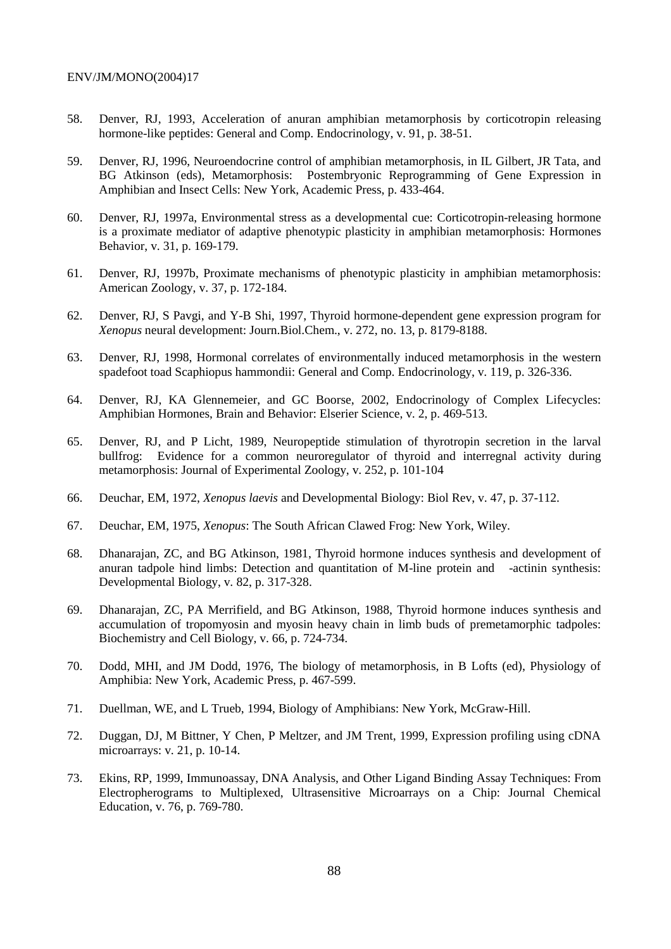- 58. Denver, RJ, 1993, Acceleration of anuran amphibian metamorphosis by corticotropin releasing hormone-like peptides: General and Comp. Endocrinology, v. 91, p. 38-51.
- 59. Denver, RJ, 1996, Neuroendocrine control of amphibian metamorphosis, in IL Gilbert, JR Tata, and BG Atkinson (eds), Metamorphosis: Postembryonic Reprogramming of Gene Expression in Amphibian and Insect Cells: New York, Academic Press, p. 433-464.
- 60. Denver, RJ, 1997a, Environmental stress as a developmental cue: Corticotropin-releasing hormone is a proximate mediator of adaptive phenotypic plasticity in amphibian metamorphosis: Hormones Behavior, v. 31, p. 169-179.
- 61. Denver, RJ, 1997b, Proximate mechanisms of phenotypic plasticity in amphibian metamorphosis: American Zoology, v. 37, p. 172-184.
- 62. Denver, RJ, S Pavgi, and Y-B Shi, 1997, Thyroid hormone-dependent gene expression program for *Xenopus* neural development: Journ.Biol.Chem., v. 272, no. 13, p. 8179-8188.
- 63. Denver, RJ, 1998, Hormonal correlates of environmentally induced metamorphosis in the western spadefoot toad Scaphiopus hammondii: General and Comp. Endocrinology, v. 119, p. 326-336.
- 64. Denver, RJ, KA Glennemeier, and GC Boorse, 2002, Endocrinology of Complex Lifecycles: Amphibian Hormones, Brain and Behavior: Elserier Science, v. 2, p. 469-513.
- 65. Denver, RJ, and P Licht, 1989, Neuropeptide stimulation of thyrotropin secretion in the larval bullfrog: Evidence for a common neuroregulator of thyroid and interregnal activity during metamorphosis: Journal of Experimental Zoology, v. 252, p. 101-104
- 66. Deuchar, EM, 1972, *Xenopus laevis* and Developmental Biology: Biol Rev, v. 47, p. 37-112.
- 67. Deuchar, EM, 1975, *Xenopus*: The South African Clawed Frog: New York, Wiley.
- 68. Dhanarajan, ZC, and BG Atkinson, 1981, Thyroid hormone induces synthesis and development of anuran tadpole hind limbs: Detection and quantitation of M-line protein and -actinin synthesis: Developmental Biology, v. 82, p. 317-328.
- 69. Dhanarajan, ZC, PA Merrifield, and BG Atkinson, 1988, Thyroid hormone induces synthesis and accumulation of tropomyosin and myosin heavy chain in limb buds of premetamorphic tadpoles: Biochemistry and Cell Biology, v. 66, p. 724-734.
- 70. Dodd, MHI, and JM Dodd, 1976, The biology of metamorphosis, in B Lofts (ed), Physiology of Amphibia: New York, Academic Press, p. 467-599.
- 71. Duellman, WE, and L Trueb, 1994, Biology of Amphibians: New York, McGraw-Hill.
- 72. Duggan, DJ, M Bittner, Y Chen, P Meltzer, and JM Trent, 1999, Expression profiling using cDNA microarrays: v. 21, p. 10-14.
- 73. Ekins, RP, 1999, Immunoassay, DNA Analysis, and Other Ligand Binding Assay Techniques: From Electropherograms to Multiplexed, Ultrasensitive Microarrays on a Chip: Journal Chemical Education, v. 76, p. 769-780.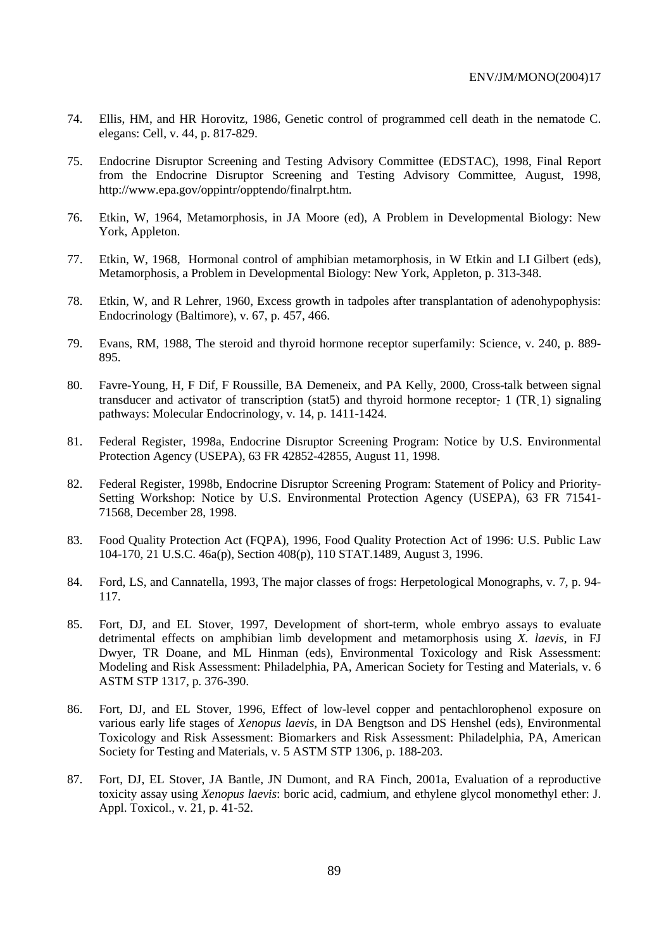- 74. Ellis, HM, and HR Horovitz, 1986, Genetic control of programmed cell death in the nematode C. elegans: Cell, v. 44, p. 817-829.
- 75. Endocrine Disruptor Screening and Testing Advisory Committee (EDSTAC), 1998, Final Report from the Endocrine Disruptor Screening and Testing Advisory Committee, August, 1998, http://www.epa.gov/oppintr/opptendo/finalrpt.htm.
- 76. Etkin, W, 1964, Metamorphosis, in JA Moore (ed), A Problem in Developmental Biology: New York, Appleton.
- 77. Etkin, W, 1968, Hormonal control of amphibian metamorphosis, in W Etkin and LI Gilbert (eds), Metamorphosis, a Problem in Developmental Biology: New York, Appleton, p. 313-348.
- 78. Etkin, W, and R Lehrer, 1960, Excess growth in tadpoles after transplantation of adenohypophysis: Endocrinology (Baltimore), v. 67, p. 457, 466.
- 79. Evans, RM, 1988, The steroid and thyroid hormone receptor superfamily: Science, v. 240, p. 889- 895.
- 80. Favre-Young, H, F Dif, F Roussille, BA Demeneix, and PA Kelly, 2000, Cross-talk between signal transducer and activator of transcription (stat5) and thyroid hormone receptor-  $1$  (TR  $1$ ) signaling pathways: Molecular Endocrinology, v. 14, p. 1411-1424.
- 81. Federal Register, 1998a, Endocrine Disruptor Screening Program: Notice by U.S. Environmental Protection Agency (USEPA), 63 FR 42852-42855, August 11, 1998.
- 82. Federal Register, 1998b, Endocrine Disruptor Screening Program: Statement of Policy and Priority-Setting Workshop: Notice by U.S. Environmental Protection Agency (USEPA), 63 FR 71541- 71568, December 28, 1998.
- 83. Food Quality Protection Act (FQPA), 1996, Food Quality Protection Act of 1996: U.S. Public Law 104-170, 21 U.S.C. 46a(p), Section 408(p), 110 STAT.1489, August 3, 1996.
- 84. Ford, LS, and Cannatella, 1993, The major classes of frogs: Herpetological Monographs, v. 7, p. 94- 117.
- 85. Fort, DJ, and EL Stover, 1997, Development of short-term, whole embryo assays to evaluate detrimental effects on amphibian limb development and metamorphosis using *X. laevis*, in FJ Dwyer, TR Doane, and ML Hinman (eds), Environmental Toxicology and Risk Assessment: Modeling and Risk Assessment: Philadelphia, PA, American Society for Testing and Materials, v. 6 ASTM STP 1317, p. 376-390.
- 86. Fort, DJ, and EL Stover, 1996, Effect of low-level copper and pentachlorophenol exposure on various early life stages of *Xenopus laevis*, in DA Bengtson and DS Henshel (eds), Environmental Toxicology and Risk Assessment: Biomarkers and Risk Assessment: Philadelphia, PA, American Society for Testing and Materials, v. 5 ASTM STP 1306, p. 188-203.
- 87. Fort, DJ, EL Stover, JA Bantle, JN Dumont, and RA Finch, 2001a, Evaluation of a reproductive toxicity assay using *Xenopus laevis*: boric acid, cadmium, and ethylene glycol monomethyl ether: J. Appl. Toxicol., v. 21, p. 41-52.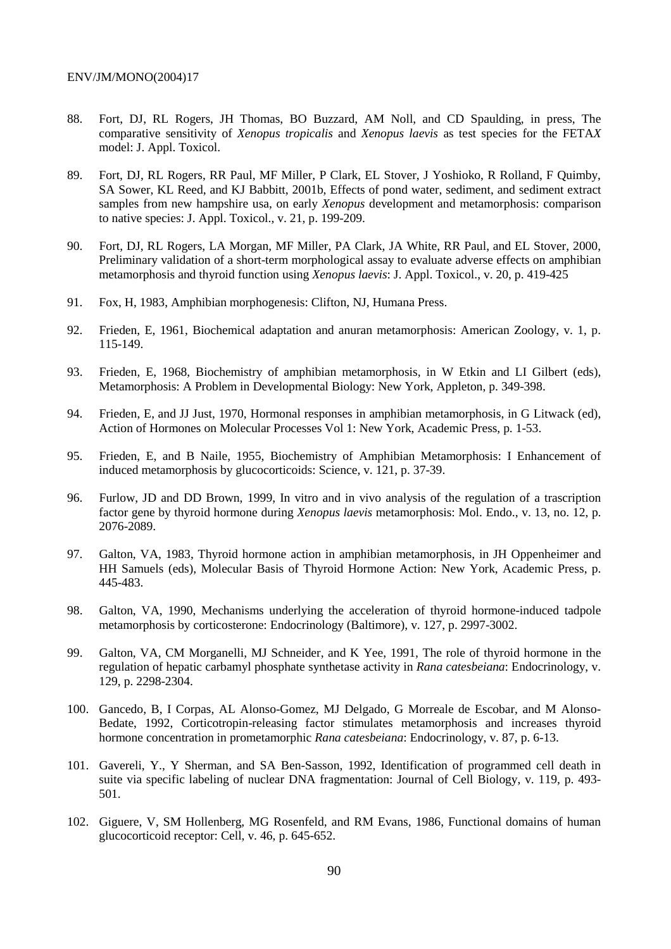- 88. Fort, DJ, RL Rogers, JH Thomas, BO Buzzard, AM Noll, and CD Spaulding, in press, The comparative sensitivity of *Xenopus tropicalis* and *Xenopus laevis* as test species for the FETA*X* model: J. Appl. Toxicol.
- 89. Fort, DJ, RL Rogers, RR Paul, MF Miller, P Clark, EL Stover, J Yoshioko, R Rolland, F Quimby, SA Sower, KL Reed, and KJ Babbitt, 2001b, Effects of pond water, sediment, and sediment extract samples from new hampshire usa, on early *Xenopus* development and metamorphosis: comparison to native species: J. Appl. Toxicol., v. 21, p. 199-209.
- 90. Fort, DJ, RL Rogers, LA Morgan, MF Miller, PA Clark, JA White, RR Paul, and EL Stover, 2000, Preliminary validation of a short-term morphological assay to evaluate adverse effects on amphibian metamorphosis and thyroid function using *Xenopus laevis*: J. Appl. Toxicol., v. 20, p. 419-425
- 91. Fox, H, 1983, Amphibian morphogenesis: Clifton, NJ, Humana Press.
- 92. Frieden, E, 1961, Biochemical adaptation and anuran metamorphosis: American Zoology, v. 1, p. 115-149.
- 93. Frieden, E, 1968, Biochemistry of amphibian metamorphosis, in W Etkin and LI Gilbert (eds), Metamorphosis: A Problem in Developmental Biology: New York, Appleton, p. 349-398.
- 94. Frieden, E, and JJ Just, 1970, Hormonal responses in amphibian metamorphosis, in G Litwack (ed), Action of Hormones on Molecular Processes Vol 1: New York, Academic Press, p. 1-53.
- 95. Frieden, E, and B Naile, 1955, Biochemistry of Amphibian Metamorphosis: I Enhancement of induced metamorphosis by glucocorticoids: Science, v. 121, p. 37-39.
- 96. Furlow, JD and DD Brown, 1999, In vitro and in vivo analysis of the regulation of a trascription factor gene by thyroid hormone during *Xenopus laevis* metamorphosis: Mol. Endo., v. 13, no. 12, p. 2076-2089.
- 97. Galton, VA, 1983, Thyroid hormone action in amphibian metamorphosis, in JH Oppenheimer and HH Samuels (eds), Molecular Basis of Thyroid Hormone Action: New York, Academic Press, p. 445-483.
- 98. Galton, VA, 1990, Mechanisms underlying the acceleration of thyroid hormone-induced tadpole metamorphosis by corticosterone: Endocrinology (Baltimore), v. 127, p. 2997-3002.
- 99. Galton, VA, CM Morganelli, MJ Schneider, and K Yee, 1991, The role of thyroid hormone in the regulation of hepatic carbamyl phosphate synthetase activity in *Rana catesbeiana*: Endocrinology, v. 129, p. 2298-2304.
- 100. Gancedo, B, I Corpas, AL Alonso-Gomez, MJ Delgado, G Morreale de Escobar, and M Alonso-Bedate, 1992, Corticotropin-releasing factor stimulates metamorphosis and increases thyroid hormone concentration in prometamorphic *Rana catesbeiana*: Endocrinology, v. 87, p. 6-13.
- 101. Gavereli, Y., Y Sherman, and SA Ben-Sasson, 1992, Identification of programmed cell death in suite via specific labeling of nuclear DNA fragmentation: Journal of Cell Biology, v. 119, p. 493- 501.
- 102. Giguere, V, SM Hollenberg, MG Rosenfeld, and RM Evans, 1986, Functional domains of human glucocorticoid receptor: Cell, v. 46, p. 645-652.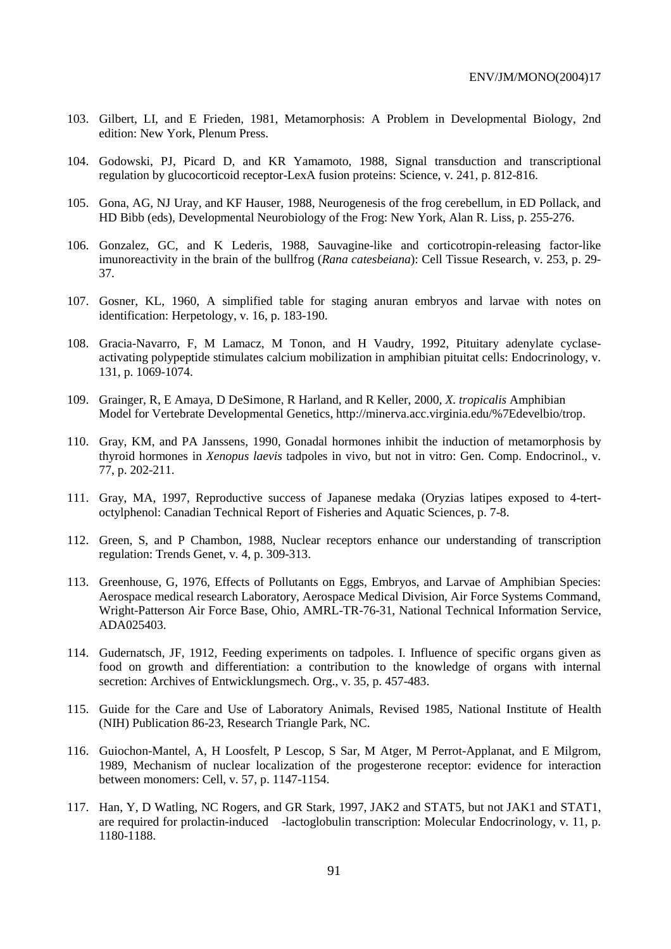- 103. Gilbert, LI, and E Frieden, 1981, Metamorphosis: A Problem in Developmental Biology, 2nd edition: New York, Plenum Press.
- 104. Godowski, PJ, Picard D, and KR Yamamoto, 1988, Signal transduction and transcriptional regulation by glucocorticoid receptor-LexA fusion proteins: Science, v. 241, p. 812-816.
- 105. Gona, AG, NJ Uray, and KF Hauser, 1988, Neurogenesis of the frog cerebellum, in ED Pollack, and HD Bibb (eds), Developmental Neurobiology of the Frog: New York, Alan R. Liss, p. 255-276.
- 106. Gonzalez, GC, and K Lederis, 1988, Sauvagine-like and corticotropin-releasing factor-like imunoreactivity in the brain of the bullfrog (*Rana catesbeiana*): Cell Tissue Research, v. 253, p. 29- 37.
- 107. Gosner, KL, 1960, A simplified table for staging anuran embryos and larvae with notes on identification: Herpetology, v. 16, p. 183-190.
- 108. Gracia-Navarro, F, M Lamacz, M Tonon, and H Vaudry, 1992, Pituitary adenylate cyclaseactivating polypeptide stimulates calcium mobilization in amphibian pituitat cells: Endocrinology, v. 131, p. 1069-1074.
- 109. Grainger, R, E Amaya, D DeSimone, R Harland, and R Keller, 2000, *X. tropicalis* Amphibian Model for Vertebrate Developmental Genetics, http://minerva.acc.virginia.edu/%7Edevelbio/trop.
- 110. Gray, KM, and PA Janssens, 1990, Gonadal hormones inhibit the induction of metamorphosis by thyroid hormones in *Xenopus laevis* tadpoles in vivo, but not in vitro: Gen. Comp. Endocrinol., v. 77, p. 202-211.
- 111. Gray, MA, 1997, Reproductive success of Japanese medaka (Oryzias latipes exposed to 4-tertoctylphenol: Canadian Technical Report of Fisheries and Aquatic Sciences, p. 7-8.
- 112. Green, S, and P Chambon, 1988, Nuclear receptors enhance our understanding of transcription regulation: Trends Genet, v. 4, p. 309-313.
- 113. Greenhouse, G, 1976, Effects of Pollutants on Eggs, Embryos, and Larvae of Amphibian Species: Aerospace medical research Laboratory, Aerospace Medical Division, Air Force Systems Command, Wright-Patterson Air Force Base, Ohio, AMRL-TR-76-31, National Technical Information Service, ADA025403.
- 114. Gudernatsch, JF, 1912, Feeding experiments on tadpoles. I. Influence of specific organs given as food on growth and differentiation: a contribution to the knowledge of organs with internal secretion: Archives of Entwicklungsmech. Org., v. 35, p. 457-483.
- 115. Guide for the Care and Use of Laboratory Animals, Revised 1985, National Institute of Health (NIH) Publication 86-23, Research Triangle Park, NC.
- 116. Guiochon-Mantel, A, H Loosfelt, P Lescop, S Sar, M Atger, M Perrot-Applanat, and E Milgrom, 1989, Mechanism of nuclear localization of the progesterone receptor: evidence for interaction between monomers: Cell, v. 57, p. 1147-1154.
- 117. Han, Y, D Watling, NC Rogers, and GR Stark, 1997, JAK2 and STAT5, but not JAK1 and STAT1, are required for prolactin-induced -lactoglobulin transcription: Molecular Endocrinology, v. 11, p. 1180-1188.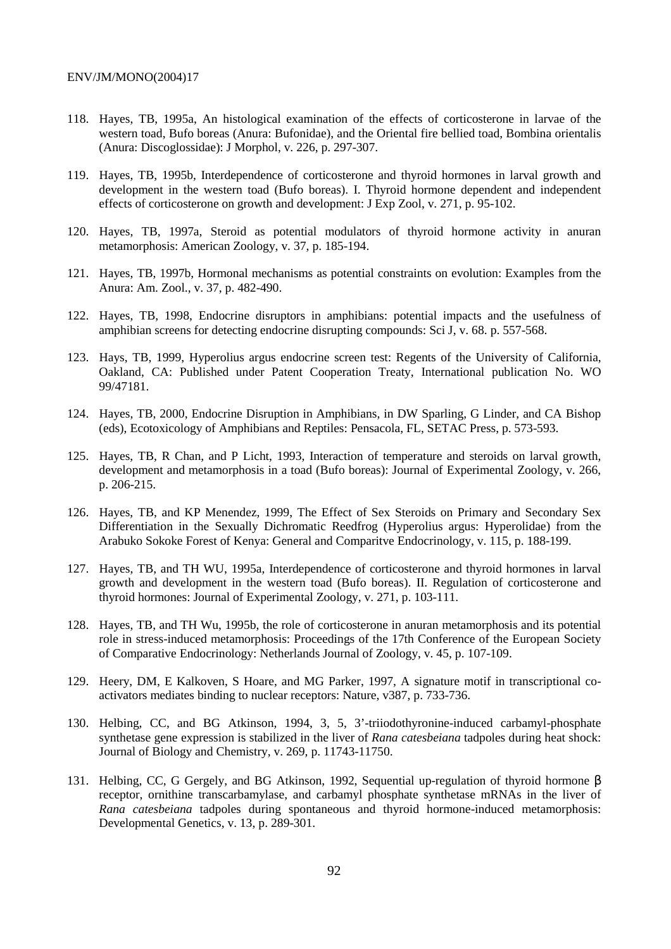- 118. Hayes, TB, 1995a, An histological examination of the effects of corticosterone in larvae of the western toad, Bufo boreas (Anura: Bufonidae), and the Oriental fire bellied toad, Bombina orientalis (Anura: Discoglossidae): J Morphol, v. 226, p. 297-307.
- 119. Hayes, TB, 1995b, Interdependence of corticosterone and thyroid hormones in larval growth and development in the western toad (Bufo boreas). I. Thyroid hormone dependent and independent effects of corticosterone on growth and development: J Exp Zool, v. 271, p. 95-102.
- 120. Hayes, TB, 1997a, Steroid as potential modulators of thyroid hormone activity in anuran metamorphosis: American Zoology, v. 37, p. 185-194.
- 121. Hayes, TB, 1997b, Hormonal mechanisms as potential constraints on evolution: Examples from the Anura: Am. Zool., v. 37, p. 482-490.
- 122. Hayes, TB, 1998, Endocrine disruptors in amphibians: potential impacts and the usefulness of amphibian screens for detecting endocrine disrupting compounds: Sci J, v. 68. p. 557-568.
- 123. Hays, TB, 1999, Hyperolius argus endocrine screen test: Regents of the University of California, Oakland, CA: Published under Patent Cooperation Treaty, International publication No. WO 99/47181.
- 124. Hayes, TB, 2000, Endocrine Disruption in Amphibians, in DW Sparling, G Linder, and CA Bishop (eds), Ecotoxicology of Amphibians and Reptiles: Pensacola, FL, SETAC Press, p. 573-593.
- 125. Hayes, TB, R Chan, and P Licht, 1993, Interaction of temperature and steroids on larval growth, development and metamorphosis in a toad (Bufo boreas): Journal of Experimental Zoology, v. 266, p. 206-215.
- 126. Hayes, TB, and KP Menendez, 1999, The Effect of Sex Steroids on Primary and Secondary Sex Differentiation in the Sexually Dichromatic Reedfrog (Hyperolius argus: Hyperolidae) from the Arabuko Sokoke Forest of Kenya: General and Comparitve Endocrinology, v. 115, p. 188-199.
- 127. Hayes, TB, and TH WU, 1995a, Interdependence of corticosterone and thyroid hormones in larval growth and development in the western toad (Bufo boreas). II. Regulation of corticosterone and thyroid hormones: Journal of Experimental Zoology, v. 271, p. 103-111.
- 128. Hayes, TB, and TH Wu, 1995b, the role of corticosterone in anuran metamorphosis and its potential role in stress-induced metamorphosis: Proceedings of the 17th Conference of the European Society of Comparative Endocrinology: Netherlands Journal of Zoology, v. 45, p. 107-109.
- 129. Heery, DM, E Kalkoven, S Hoare, and MG Parker, 1997, A signature motif in transcriptional coactivators mediates binding to nuclear receptors: Nature, v387, p. 733-736.
- 130. Helbing, CC, and BG Atkinson, 1994, 3, 5, 3'-triiodothyronine-induced carbamyl-phosphate synthetase gene expression is stabilized in the liver of *Rana catesbeiana* tadpoles during heat shock: Journal of Biology and Chemistry, v. 269, p. 11743-11750.
- 131. Helbing, CC, G Gergely, and BG Atkinson, 1992, Sequential up-regulation of thyroid hormone β receptor, ornithine transcarbamylase, and carbamyl phosphate synthetase mRNAs in the liver of *Rana catesbeiana* tadpoles during spontaneous and thyroid hormone-induced metamorphosis: Developmental Genetics, v. 13, p. 289-301.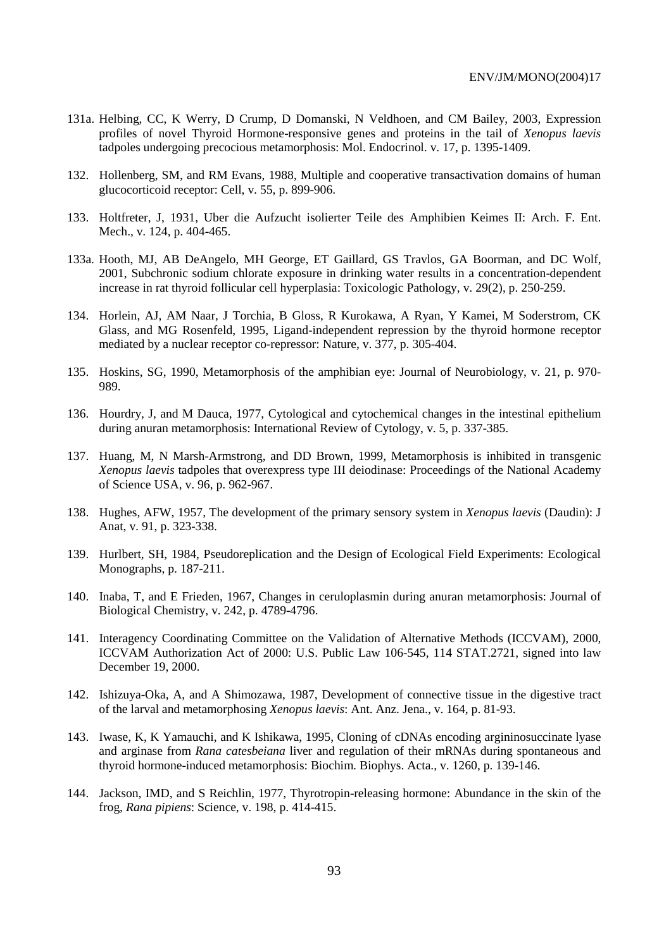- 131a. Helbing, CC, K Werry, D Crump, D Domanski, N Veldhoen, and CM Bailey, 2003, Expression profiles of novel Thyroid Hormone-responsive genes and proteins in the tail of *Xenopus laevis* tadpoles undergoing precocious metamorphosis: Mol. Endocrinol. v. 17, p. 1395-1409.
- 132. Hollenberg, SM, and RM Evans, 1988, Multiple and cooperative transactivation domains of human glucocorticoid receptor: Cell, v. 55, p. 899-906.
- 133. Holtfreter, J, 1931, Uber die Aufzucht isolierter Teile des Amphibien Keimes II: Arch. F. Ent. Mech., v. 124, p. 404-465.
- 133a. Hooth, MJ, AB DeAngelo, MH George, ET Gaillard, GS Travlos, GA Boorman, and DC Wolf, 2001, Subchronic sodium chlorate exposure in drinking water results in a concentration-dependent increase in rat thyroid follicular cell hyperplasia: Toxicologic Pathology, v. 29(2), p. 250-259.
- 134. Horlein, AJ, AM Naar, J Torchia, B Gloss, R Kurokawa, A Ryan, Y Kamei, M Soderstrom, CK Glass, and MG Rosenfeld, 1995, Ligand-independent repression by the thyroid hormone receptor mediated by a nuclear receptor co-repressor: Nature, v. 377, p. 305-404.
- 135. Hoskins, SG, 1990, Metamorphosis of the amphibian eye: Journal of Neurobiology, v. 21, p. 970- 989.
- 136. Hourdry, J, and M Dauca, 1977, Cytological and cytochemical changes in the intestinal epithelium during anuran metamorphosis: International Review of Cytology, v. 5, p. 337-385.
- 137. Huang, M, N Marsh-Armstrong, and DD Brown, 1999, Metamorphosis is inhibited in transgenic *Xenopus laevis* tadpoles that overexpress type III deiodinase: Proceedings of the National Academy of Science USA, v. 96, p. 962-967.
- 138. Hughes, AFW, 1957, The development of the primary sensory system in *Xenopus laevis* (Daudin): J Anat, v. 91, p. 323-338.
- 139. Hurlbert, SH, 1984, Pseudoreplication and the Design of Ecological Field Experiments: Ecological Monographs, p. 187-211.
- 140. Inaba, T, and E Frieden, 1967, Changes in ceruloplasmin during anuran metamorphosis: Journal of Biological Chemistry, v. 242, p. 4789-4796.
- 141. Interagency Coordinating Committee on the Validation of Alternative Methods (ICCVAM), 2000, ICCVAM Authorization Act of 2000: U.S. Public Law 106-545, 114 STAT.2721, signed into law December 19, 2000.
- 142. Ishizuya-Oka, A, and A Shimozawa, 1987, Development of connective tissue in the digestive tract of the larval and metamorphosing *Xenopus laevis*: Ant. Anz. Jena., v. 164, p. 81-93.
- 143. Iwase, K, K Yamauchi, and K Ishikawa, 1995, Cloning of cDNAs encoding argininosuccinate lyase and arginase from *Rana catesbeiana* liver and regulation of their mRNAs during spontaneous and thyroid hormone-induced metamorphosis: Biochim. Biophys. Acta., v. 1260, p. 139-146.
- 144. Jackson, IMD, and S Reichlin, 1977, Thyrotropin-releasing hormone: Abundance in the skin of the frog, *Rana pipiens*: Science, v. 198, p. 414-415.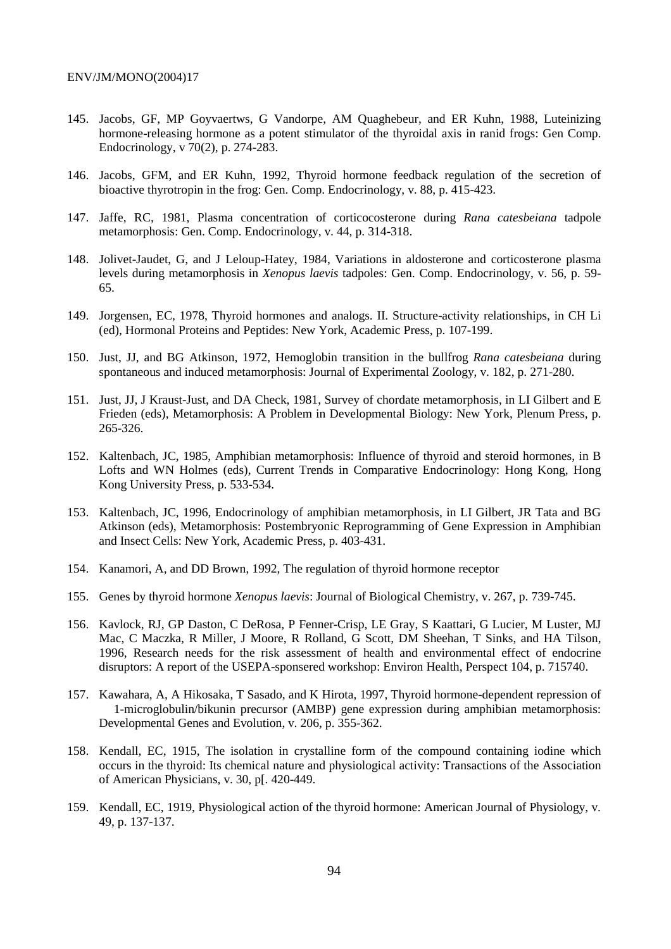- 145. Jacobs, GF, MP Goyvaertws, G Vandorpe, AM Quaghebeur, and ER Kuhn, 1988, Luteinizing hormone-releasing hormone as a potent stimulator of the thyroidal axis in ranid frogs: Gen Comp. Endocrinology, v 70(2), p. 274-283.
- 146. Jacobs, GFM, and ER Kuhn, 1992, Thyroid hormone feedback regulation of the secretion of bioactive thyrotropin in the frog: Gen. Comp. Endocrinology, v. 88, p. 415-423.
- 147. Jaffe, RC, 1981, Plasma concentration of corticocosterone during *Rana catesbeiana* tadpole metamorphosis: Gen. Comp. Endocrinology, v. 44, p. 314-318.
- 148. Jolivet-Jaudet, G, and J Leloup-Hatey, 1984, Variations in aldosterone and corticosterone plasma levels during metamorphosis in *Xenopus laevis* tadpoles: Gen. Comp. Endocrinology, v. 56, p. 59- 65.
- 149. Jorgensen, EC, 1978, Thyroid hormones and analogs. II. Structure-activity relationships, in CH Li (ed), Hormonal Proteins and Peptides: New York, Academic Press, p. 107-199.
- 150. Just, JJ, and BG Atkinson, 1972, Hemoglobin transition in the bullfrog *Rana catesbeiana* during spontaneous and induced metamorphosis: Journal of Experimental Zoology, v. 182, p. 271-280.
- 151. Just, JJ, J Kraust-Just, and DA Check, 1981, Survey of chordate metamorphosis, in LI Gilbert and E Frieden (eds), Metamorphosis: A Problem in Developmental Biology: New York, Plenum Press, p. 265-326.
- 152. Kaltenbach, JC, 1985, Amphibian metamorphosis: Influence of thyroid and steroid hormones, in B Lofts and WN Holmes (eds), Current Trends in Comparative Endocrinology: Hong Kong, Hong Kong University Press, p. 533-534.
- 153. Kaltenbach, JC, 1996, Endocrinology of amphibian metamorphosis, in LI Gilbert, JR Tata and BG Atkinson (eds), Metamorphosis: Postembryonic Reprogramming of Gene Expression in Amphibian and Insect Cells: New York, Academic Press, p. 403-431.
- 154. Kanamori, A, and DD Brown, 1992, The regulation of thyroid hormone receptor
- 155. Genes by thyroid hormone *Xenopus laevis*: Journal of Biological Chemistry, v. 267, p. 739-745.
- 156. Kavlock, RJ, GP Daston, C DeRosa, P Fenner-Crisp, LE Gray, S Kaattari, G Lucier, M Luster, MJ Mac, C Maczka, R Miller, J Moore, R Rolland, G Scott, DM Sheehan, T Sinks, and HA Tilson, 1996, Research needs for the risk assessment of health and environmental effect of endocrine disruptors: A report of the USEPA-sponsered workshop: Environ Health, Perspect 104, p. 715740.
- 157. Kawahara, A, A Hikosaka, T Sasado, and K Hirota, 1997, Thyroid hormone-dependent repression of 1-microglobulin/bikunin precursor (AMBP) gene expression during amphibian metamorphosis: Developmental Genes and Evolution, v. 206, p. 355-362.
- 158. Kendall, EC, 1915, The isolation in crystalline form of the compound containing iodine which occurs in the thyroid: Its chemical nature and physiological activity: Transactions of the Association of American Physicians, v. 30, p[. 420-449.
- 159. Kendall, EC, 1919, Physiological action of the thyroid hormone: American Journal of Physiology, v. 49, p. 137-137.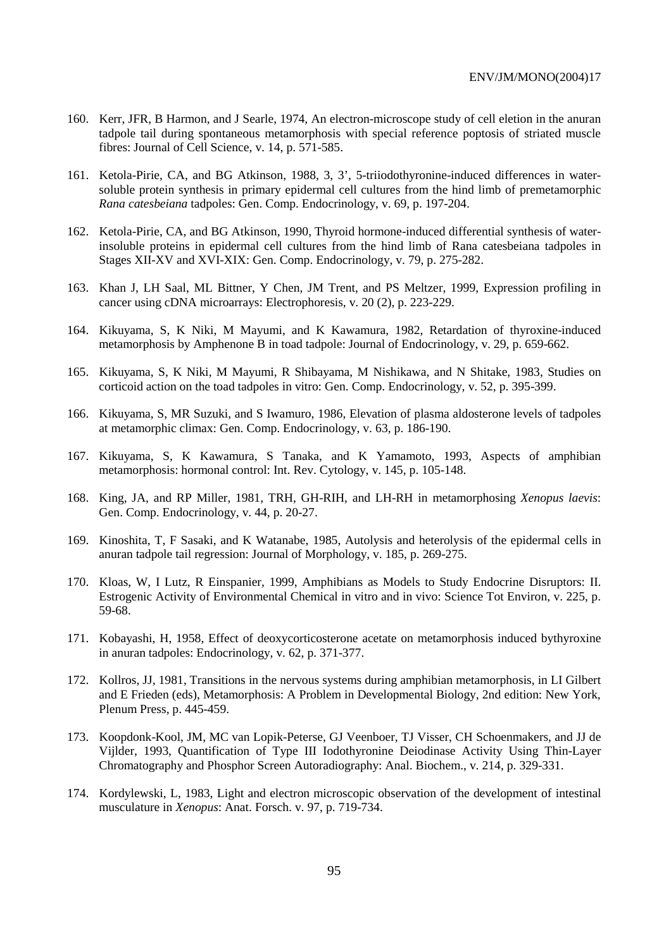- 160. Kerr, JFR, B Harmon, and J Searle, 1974, An electron-microscope study of cell eletion in the anuran tadpole tail during spontaneous metamorphosis with special reference poptosis of striated muscle fibres: Journal of Cell Science, v. 14, p. 571-585.
- 161. Ketola-Pirie, CA, and BG Atkinson, 1988, 3, 3', 5-triiodothyronine-induced differences in watersoluble protein synthesis in primary epidermal cell cultures from the hind limb of premetamorphic *Rana catesbeiana* tadpoles: Gen. Comp. Endocrinology, v. 69, p. 197-204.
- 162. Ketola-Pirie, CA, and BG Atkinson, 1990, Thyroid hormone-induced differential synthesis of waterinsoluble proteins in epidermal cell cultures from the hind limb of Rana catesbeiana tadpoles in Stages XII-XV and XVI-XIX: Gen. Comp. Endocrinology, v. 79, p. 275-282.
- 163. Khan J, LH Saal, ML Bittner, Y Chen, JM Trent, and PS Meltzer, 1999, Expression profiling in cancer using cDNA microarrays: Electrophoresis, v. 20 (2), p. 223-229.
- 164. Kikuyama, S, K Niki, M Mayumi, and K Kawamura, 1982, Retardation of thyroxine-induced metamorphosis by Amphenone B in toad tadpole: Journal of Endocrinology, v. 29, p. 659-662.
- 165. Kikuyama, S, K Niki, M Mayumi, R Shibayama, M Nishikawa, and N Shitake, 1983, Studies on corticoid action on the toad tadpoles in vitro: Gen. Comp. Endocrinology, v. 52, p. 395-399.
- 166. Kikuyama, S, MR Suzuki, and S Iwamuro, 1986, Elevation of plasma aldosterone levels of tadpoles at metamorphic climax: Gen. Comp. Endocrinology, v. 63, p. 186-190.
- 167. Kikuyama, S, K Kawamura, S Tanaka, and K Yamamoto, 1993, Aspects of amphibian metamorphosis: hormonal control: Int. Rev. Cytology, v. 145, p. 105-148.
- 168. King, JA, and RP Miller, 1981, TRH, GH-RIH, and LH-RH in metamorphosing *Xenopus laevis*: Gen. Comp. Endocrinology, v. 44, p. 20-27.
- 169. Kinoshita, T, F Sasaki, and K Watanabe, 1985, Autolysis and heterolysis of the epidermal cells in anuran tadpole tail regression: Journal of Morphology, v. 185, p. 269-275.
- 170. Kloas, W, I Lutz, R Einspanier, 1999, Amphibians as Models to Study Endocrine Disruptors: II. Estrogenic Activity of Environmental Chemical in vitro and in vivo: Science Tot Environ, v. 225, p. 59-68.
- 171. Kobayashi, H, 1958, Effect of deoxycorticosterone acetate on metamorphosis induced bythyroxine in anuran tadpoles: Endocrinology, v. 62, p. 371-377.
- 172. Kollros, JJ, 1981, Transitions in the nervous systems during amphibian metamorphosis, in LI Gilbert and E Frieden (eds), Metamorphosis: A Problem in Developmental Biology, 2nd edition: New York, Plenum Press, p. 445-459.
- 173. Koopdonk-Kool, JM, MC van Lopik-Peterse, GJ Veenboer, TJ Visser, CH Schoenmakers, and JJ de Vijlder, 1993, Quantification of Type III Iodothyronine Deiodinase Activity Using Thin-Layer Chromatography and Phosphor Screen Autoradiography: Anal. Biochem., v. 214, p. 329-331.
- 174. Kordylewski, L, 1983, Light and electron microscopic observation of the development of intestinal musculature in *Xenopus*: Anat. Forsch. v. 97, p. 719-734.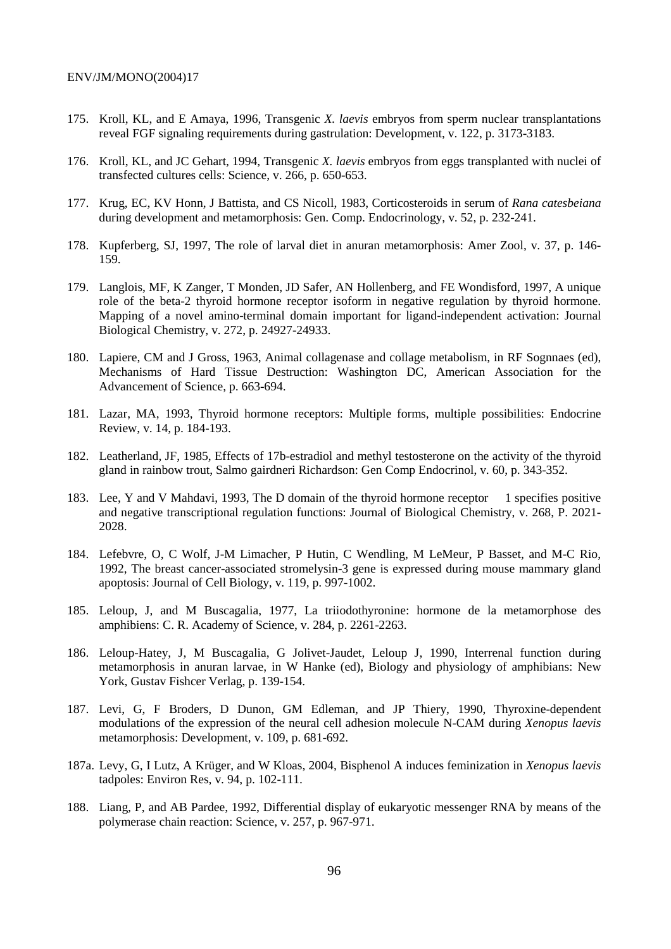- 175. Kroll, KL, and E Amaya, 1996, Transgenic *X. laevis* embryos from sperm nuclear transplantations reveal FGF signaling requirements during gastrulation: Development, v. 122, p. 3173-3183.
- 176. Kroll, KL, and JC Gehart, 1994, Transgenic *X. laevis* embryos from eggs transplanted with nuclei of transfected cultures cells: Science, v. 266, p. 650-653.
- 177. Krug, EC, KV Honn, J Battista, and CS Nicoll, 1983, Corticosteroids in serum of *Rana catesbeiana* during development and metamorphosis: Gen. Comp. Endocrinology, v. 52, p. 232-241.
- 178. Kupferberg, SJ, 1997, The role of larval diet in anuran metamorphosis: Amer Zool, v. 37, p. 146- 159.
- 179. Langlois, MF, K Zanger, T Monden, JD Safer, AN Hollenberg, and FE Wondisford, 1997, A unique role of the beta-2 thyroid hormone receptor isoform in negative regulation by thyroid hormone. Mapping of a novel amino-terminal domain important for ligand-independent activation: Journal Biological Chemistry, v. 272, p. 24927-24933.
- 180. Lapiere, CM and J Gross, 1963, Animal collagenase and collage metabolism, in RF Sognnaes (ed), Mechanisms of Hard Tissue Destruction: Washington DC, American Association for the Advancement of Science, p. 663-694.
- 181. Lazar, MA, 1993, Thyroid hormone receptors: Multiple forms, multiple possibilities: Endocrine Review, v. 14, p. 184-193.
- 182. Leatherland, JF, 1985, Effects of 17b-estradiol and methyl testosterone on the activity of the thyroid gland in rainbow trout, Salmo gairdneri Richardson: Gen Comp Endocrinol, v. 60, p. 343-352.
- 183. Lee, Y and V Mahdavi, 1993, The D domain of the thyroid hormone receptor 1 specifies positive and negative transcriptional regulation functions: Journal of Biological Chemistry, v. 268, P. 2021- 2028.
- 184. Lefebvre, O, C Wolf, J-M Limacher, P Hutin, C Wendling, M LeMeur, P Basset, and M-C Rio, 1992, The breast cancer-associated stromelysin-3 gene is expressed during mouse mammary gland apoptosis: Journal of Cell Biology, v. 119, p. 997-1002.
- 185. Leloup, J, and M Buscagalia, 1977, La triiodothyronine: hormone de la metamorphose des amphibiens: C. R. Academy of Science, v. 284, p. 2261-2263.
- 186. Leloup-Hatey, J, M Buscagalia, G Jolivet-Jaudet, Leloup J, 1990, Interrenal function during metamorphosis in anuran larvae, in W Hanke (ed), Biology and physiology of amphibians: New York, Gustav Fishcer Verlag, p. 139-154.
- 187. Levi, G, F Broders, D Dunon, GM Edleman, and JP Thiery, 1990, Thyroxine-dependent modulations of the expression of the neural cell adhesion molecule N-CAM during *Xenopus laevis* metamorphosis: Development, v. 109, p. 681-692.
- 187a. Levy, G, I Lutz, A Krüger, and W Kloas, 2004, Bisphenol A induces feminization in *Xenopus laevis* tadpoles: Environ Res, v. 94, p. 102-111.
- 188. Liang, P, and AB Pardee, 1992, Differential display of eukaryotic messenger RNA by means of the polymerase chain reaction: Science, v. 257, p. 967-971.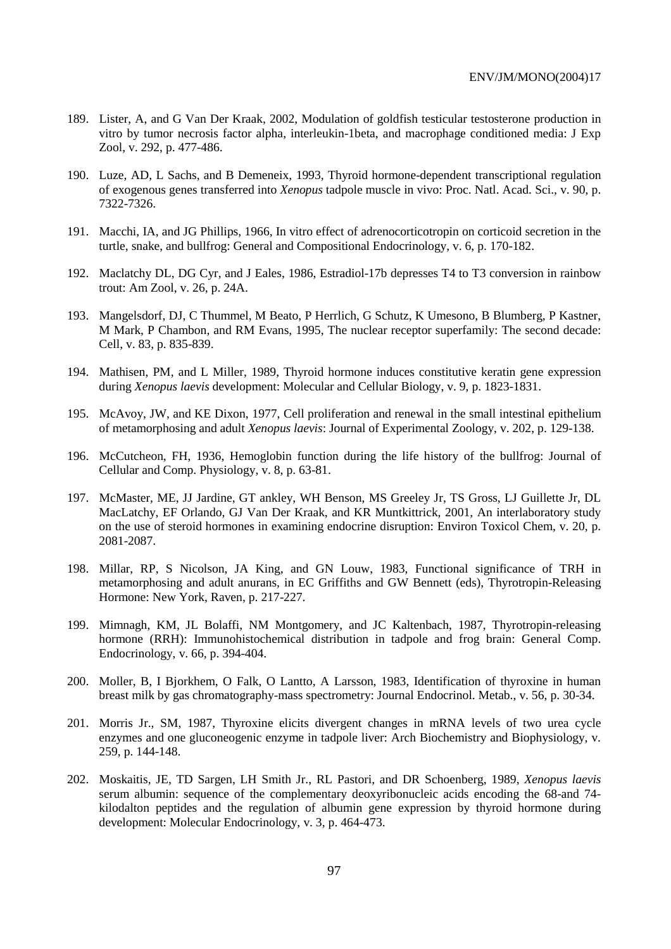- 189. Lister, A, and G Van Der Kraak, 2002, Modulation of goldfish testicular testosterone production in vitro by tumor necrosis factor alpha, interleukin-1beta, and macrophage conditioned media: J Exp Zool, v. 292, p. 477-486.
- 190. Luze, AD, L Sachs, and B Demeneix, 1993, Thyroid hormone-dependent transcriptional regulation of exogenous genes transferred into *Xenopus* tadpole muscle in vivo: Proc. Natl. Acad. Sci., v. 90, p. 7322-7326.
- 191. Macchi, IA, and JG Phillips, 1966, In vitro effect of adrenocorticotropin on corticoid secretion in the turtle, snake, and bullfrog: General and Compositional Endocrinology, v. 6, p. 170-182.
- 192. Maclatchy DL, DG Cyr, and J Eales, 1986, Estradiol-17b depresses T4 to T3 conversion in rainbow trout: Am Zool, v. 26, p. 24A.
- 193. Mangelsdorf, DJ, C Thummel, M Beato, P Herrlich, G Schutz, K Umesono, B Blumberg, P Kastner, M Mark, P Chambon, and RM Evans, 1995, The nuclear receptor superfamily: The second decade: Cell, v. 83, p. 835-839.
- 194. Mathisen, PM, and L Miller, 1989, Thyroid hormone induces constitutive keratin gene expression during *Xenopus laevis* development: Molecular and Cellular Biology, v. 9, p. 1823-1831.
- 195. McAvoy, JW, and KE Dixon, 1977, Cell proliferation and renewal in the small intestinal epithelium of metamorphosing and adult *Xenopus laevis*: Journal of Experimental Zoology, v. 202, p. 129-138.
- 196. McCutcheon, FH, 1936, Hemoglobin function during the life history of the bullfrog: Journal of Cellular and Comp. Physiology, v. 8, p. 63-81.
- 197. McMaster, ME, JJ Jardine, GT ankley, WH Benson, MS Greeley Jr, TS Gross, LJ Guillette Jr, DL MacLatchy, EF Orlando, GJ Van Der Kraak, and KR Muntkittrick, 2001, An interlaboratory study on the use of steroid hormones in examining endocrine disruption: Environ Toxicol Chem, v. 20, p. 2081-2087.
- 198. Millar, RP, S Nicolson, JA King, and GN Louw, 1983, Functional significance of TRH in metamorphosing and adult anurans, in EC Griffiths and GW Bennett (eds), Thyrotropin-Releasing Hormone: New York, Raven, p. 217-227.
- 199. Mimnagh, KM, JL Bolaffi, NM Montgomery, and JC Kaltenbach, 1987, Thyrotropin-releasing hormone (RRH): Immunohistochemical distribution in tadpole and frog brain: General Comp. Endocrinology, v. 66, p. 394-404.
- 200. Moller, B, I Bjorkhem, O Falk, O Lantto, A Larsson, 1983, Identification of thyroxine in human breast milk by gas chromatography-mass spectrometry: Journal Endocrinol. Metab., v. 56, p. 30-34.
- 201. Morris Jr., SM, 1987, Thyroxine elicits divergent changes in mRNA levels of two urea cycle enzymes and one gluconeogenic enzyme in tadpole liver: Arch Biochemistry and Biophysiology, v. 259, p. 144-148.
- 202. Moskaitis, JE, TD Sargen, LH Smith Jr., RL Pastori, and DR Schoenberg, 1989, *Xenopus laevis* serum albumin: sequence of the complementary deoxyribonucleic acids encoding the 68-and 74 kilodalton peptides and the regulation of albumin gene expression by thyroid hormone during development: Molecular Endocrinology, v. 3, p. 464-473.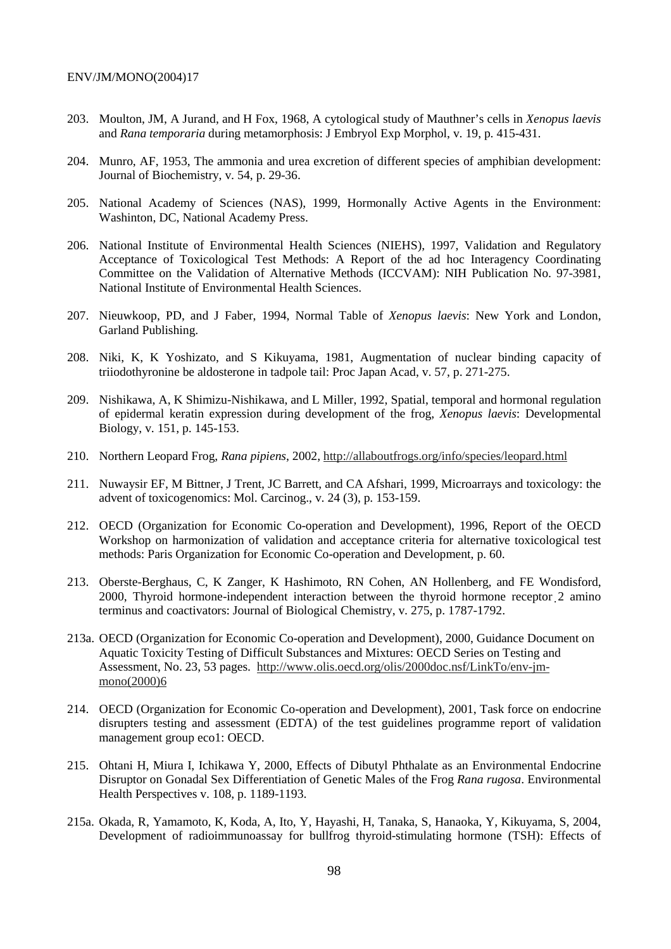- 203. Moulton, JM, A Jurand, and H Fox, 1968, A cytological study of Mauthner's cells in *Xenopus laevis* and *Rana temporaria* during metamorphosis: J Embryol Exp Morphol, v. 19, p. 415-431.
- 204. Munro, AF, 1953, The ammonia and urea excretion of different species of amphibian development: Journal of Biochemistry, v. 54, p. 29-36.
- 205. National Academy of Sciences (NAS), 1999, Hormonally Active Agents in the Environment: Washinton, DC, National Academy Press.
- 206. National Institute of Environmental Health Sciences (NIEHS), 1997, Validation and Regulatory Acceptance of Toxicological Test Methods: A Report of the ad hoc Interagency Coordinating Committee on the Validation of Alternative Methods (ICCVAM): NIH Publication No. 97-3981, National Institute of Environmental Health Sciences.
- 207. Nieuwkoop, PD, and J Faber, 1994, Normal Table of *Xenopus laevis*: New York and London, Garland Publishing.
- 208. Niki, K, K Yoshizato, and S Kikuyama, 1981, Augmentation of nuclear binding capacity of triiodothyronine be aldosterone in tadpole tail: Proc Japan Acad, v. 57, p. 271-275.
- 209. Nishikawa, A, K Shimizu-Nishikawa, and L Miller, 1992, Spatial, temporal and hormonal regulation of epidermal keratin expression during development of the frog, *Xenopus laevis*: Developmental Biology, v. 151, p. 145-153.
- 210. Northern Leopard Frog, *Rana pipiens*, 2002, http://allaboutfrogs.org/info/species/leopard.html
- 211. Nuwaysir EF, M Bittner, J Trent, JC Barrett, and CA Afshari, 1999, Microarrays and toxicology: the advent of toxicogenomics: Mol. Carcinog., v. 24 (3), p. 153-159.
- 212. OECD (Organization for Economic Co-operation and Development), 1996, Report of the OECD Workshop on harmonization of validation and acceptance criteria for alternative toxicological test methods: Paris Organization for Economic Co-operation and Development, p. 60.
- 213. Oberste-Berghaus, C, K Zanger, K Hashimoto, RN Cohen, AN Hollenberg, and FE Wondisford, 2000, Thyroid hormone-independent interaction between the thyroid hormone receptor 2 amino terminus and coactivators: Journal of Biological Chemistry, v. 275, p. 1787-1792.
- 213a. OECD (Organization for Economic Co-operation and Development), 2000, Guidance Document on Aquatic Toxicity Testing of Difficult Substances and Mixtures: OECD Series on Testing and Assessment, No. 23, 53 pages. http://www.olis.oecd.org/olis/2000doc.nsf/LinkTo/env-jmmono(2000)6
- 214. OECD (Organization for Economic Co-operation and Development), 2001, Task force on endocrine disrupters testing and assessment (EDTA) of the test guidelines programme report of validation management group eco1: OECD.
- 215. Ohtani H, Miura I, Ichikawa Y, 2000, Effects of Dibutyl Phthalate as an Environmental Endocrine Disruptor on Gonadal Sex Differentiation of Genetic Males of the Frog *Rana rugosa*. Environmental Health Perspectives v. 108, p. 1189-1193.
- 215a. Okada, R, Yamamoto, K, Koda, A, Ito, Y, Hayashi, H, Tanaka, S, Hanaoka, Y, Kikuyama, S, 2004, Development of radioimmunoassay for bullfrog thyroid-stimulating hormone (TSH): Effects of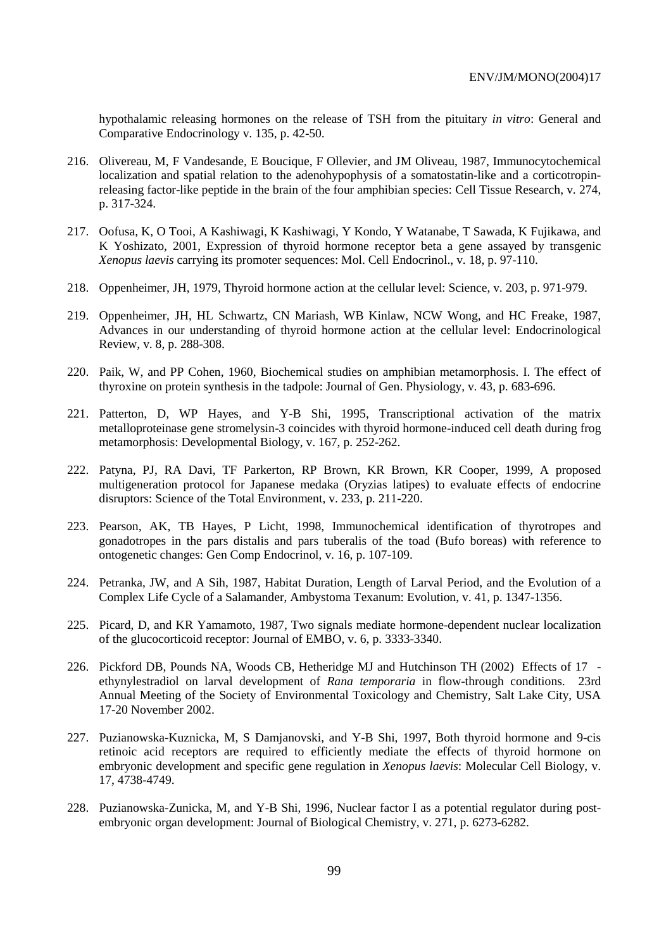hypothalamic releasing hormones on the release of TSH from the pituitary *in vitro*: General and Comparative Endocrinology v. 135, p. 42-50.

- 216. Olivereau, M, F Vandesande, E Boucique, F Ollevier, and JM Oliveau, 1987, Immunocytochemical localization and spatial relation to the adenohypophysis of a somatostatin-like and a corticotropinreleasing factor-like peptide in the brain of the four amphibian species: Cell Tissue Research, v. 274, p. 317-324.
- 217. Oofusa, K, O Tooi, A Kashiwagi, K Kashiwagi, Y Kondo, Y Watanabe, T Sawada, K Fujikawa, and K Yoshizato, 2001, Expression of thyroid hormone receptor beta a gene assayed by transgenic *Xenopus laevis* carrying its promoter sequences: Mol. Cell Endocrinol., v. 18, p. 97-110.
- 218. Oppenheimer, JH, 1979, Thyroid hormone action at the cellular level: Science, v. 203, p. 971-979.
- 219. Oppenheimer, JH, HL Schwartz, CN Mariash, WB Kinlaw, NCW Wong, and HC Freake, 1987, Advances in our understanding of thyroid hormone action at the cellular level: Endocrinological Review, v. 8, p. 288-308.
- 220. Paik, W, and PP Cohen, 1960, Biochemical studies on amphibian metamorphosis. I. The effect of thyroxine on protein synthesis in the tadpole: Journal of Gen. Physiology, v. 43, p. 683-696.
- 221. Patterton, D, WP Hayes, and Y-B Shi, 1995, Transcriptional activation of the matrix metalloproteinase gene stromelysin-3 coincides with thyroid hormone-induced cell death during frog metamorphosis: Developmental Biology, v. 167, p. 252-262.
- 222. Patyna, PJ, RA Davi, TF Parkerton, RP Brown, KR Brown, KR Cooper, 1999, A proposed multigeneration protocol for Japanese medaka (Oryzias latipes) to evaluate effects of endocrine disruptors: Science of the Total Environment, v. 233, p. 211-220.
- 223. Pearson, AK, TB Hayes, P Licht, 1998, Immunochemical identification of thyrotropes and gonadotropes in the pars distalis and pars tuberalis of the toad (Bufo boreas) with reference to ontogenetic changes: Gen Comp Endocrinol, v. 16, p. 107-109.
- 224. Petranka, JW, and A Sih, 1987, Habitat Duration, Length of Larval Period, and the Evolution of a Complex Life Cycle of a Salamander, Ambystoma Texanum: Evolution, v. 41, p. 1347-1356.
- 225. Picard, D, and KR Yamamoto, 1987, Two signals mediate hormone-dependent nuclear localization of the glucocorticoid receptor: Journal of EMBO, v. 6, p. 3333-3340.
- 226. Pickford DB, Pounds NA, Woods CB, Hetheridge MJ and Hutchinson TH (2002) Effects of 17 ethynylestradiol on larval development of *Rana temporaria* in flow-through conditions. 23rd Annual Meeting of the Society of Environmental Toxicology and Chemistry, Salt Lake City, USA 17-20 November 2002.
- 227. Puzianowska-Kuznicka, M, S Damjanovski, and Y-B Shi, 1997, Both thyroid hormone and 9-cis retinoic acid receptors are required to efficiently mediate the effects of thyroid hormone on embryonic development and specific gene regulation in *Xenopus laevis*: Molecular Cell Biology, v. 17, 4738-4749.
- 228. Puzianowska-Zunicka, M, and Y-B Shi, 1996, Nuclear factor I as a potential regulator during postembryonic organ development: Journal of Biological Chemistry, v. 271, p. 6273-6282.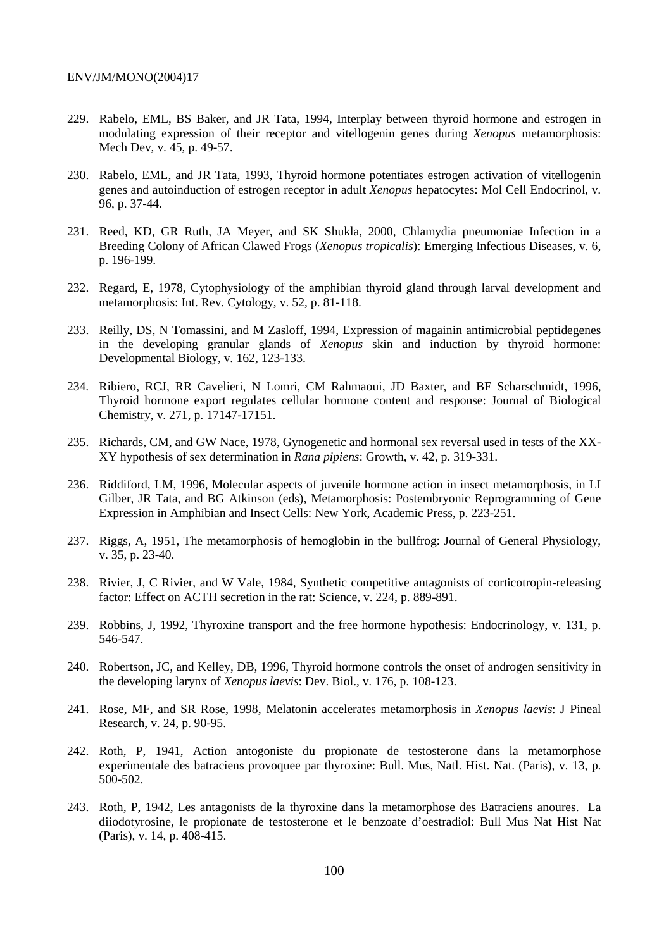- 229. Rabelo, EML, BS Baker, and JR Tata, 1994, Interplay between thyroid hormone and estrogen in modulating expression of their receptor and vitellogenin genes during *Xenopus* metamorphosis: Mech Dev, v. 45, p. 49-57.
- 230. Rabelo, EML, and JR Tata, 1993, Thyroid hormone potentiates estrogen activation of vitellogenin genes and autoinduction of estrogen receptor in adult *Xenopus* hepatocytes: Mol Cell Endocrinol, v. 96, p. 37-44.
- 231. Reed, KD, GR Ruth, JA Meyer, and SK Shukla, 2000, Chlamydia pneumoniae Infection in a Breeding Colony of African Clawed Frogs (*Xenopus tropicalis*): Emerging Infectious Diseases, v. 6, p. 196-199.
- 232. Regard, E, 1978, Cytophysiology of the amphibian thyroid gland through larval development and metamorphosis: Int. Rev. Cytology, v. 52, p. 81-118.
- 233. Reilly, DS, N Tomassini, and M Zasloff, 1994, Expression of magainin antimicrobial peptidegenes in the developing granular glands of *Xenopus* skin and induction by thyroid hormone: Developmental Biology, v. 162, 123-133.
- 234. Ribiero, RCJ, RR Cavelieri, N Lomri, CM Rahmaoui, JD Baxter, and BF Scharschmidt, 1996, Thyroid hormone export regulates cellular hormone content and response: Journal of Biological Chemistry, v. 271, p. 17147-17151.
- 235. Richards, CM, and GW Nace, 1978, Gynogenetic and hormonal sex reversal used in tests of the XX-XY hypothesis of sex determination in *Rana pipiens*: Growth, v. 42, p. 319-331.
- 236. Riddiford, LM, 1996, Molecular aspects of juvenile hormone action in insect metamorphosis, in LI Gilber, JR Tata, and BG Atkinson (eds), Metamorphosis: Postembryonic Reprogramming of Gene Expression in Amphibian and Insect Cells: New York, Academic Press, p. 223-251.
- 237. Riggs, A, 1951, The metamorphosis of hemoglobin in the bullfrog: Journal of General Physiology, v. 35, p. 23-40.
- 238. Rivier, J, C Rivier, and W Vale, 1984, Synthetic competitive antagonists of corticotropin-releasing factor: Effect on ACTH secretion in the rat: Science, v. 224, p. 889-891.
- 239. Robbins, J, 1992, Thyroxine transport and the free hormone hypothesis: Endocrinology, v. 131, p. 546-547.
- 240. Robertson, JC, and Kelley, DB, 1996, Thyroid hormone controls the onset of androgen sensitivity in the developing larynx of *Xenopus laevis*: Dev. Biol., v. 176, p. 108-123.
- 241. Rose, MF, and SR Rose, 1998, Melatonin accelerates metamorphosis in *Xenopus laevis*: J Pineal Research, v. 24, p. 90-95.
- 242. Roth, P, 1941, Action antogoniste du propionate de testosterone dans la metamorphose experimentale des batraciens provoquee par thyroxine: Bull. Mus, Natl. Hist. Nat. (Paris), v. 13, p. 500-502.
- 243. Roth, P, 1942, Les antagonists de la thyroxine dans la metamorphose des Batraciens anoures. La diiodotyrosine, le propionate de testosterone et le benzoate d'oestradiol: Bull Mus Nat Hist Nat (Paris), v. 14, p. 408-415.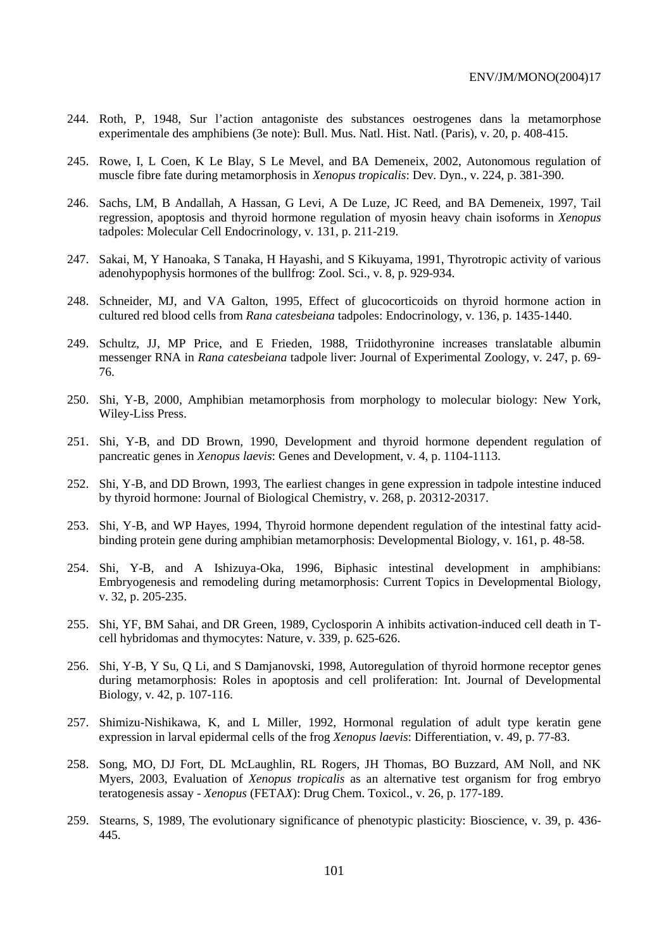- 244. Roth, P, 1948, Sur l'action antagoniste des substances oestrogenes dans la metamorphose experimentale des amphibiens (3e note): Bull. Mus. Natl. Hist. Natl. (Paris), v. 20, p. 408-415.
- 245. Rowe, I, L Coen, K Le Blay, S Le Mevel, and BA Demeneix, 2002, Autonomous regulation of muscle fibre fate during metamorphosis in *Xenopus tropicalis*: Dev. Dyn., v. 224, p. 381-390.
- 246. Sachs, LM, B Andallah, A Hassan, G Levi, A De Luze, JC Reed, and BA Demeneix, 1997, Tail regression, apoptosis and thyroid hormone regulation of myosin heavy chain isoforms in *Xenopus* tadpoles: Molecular Cell Endocrinology, v. 131, p. 211-219.
- 247. Sakai, M, Y Hanoaka, S Tanaka, H Hayashi, and S Kikuyama, 1991, Thyrotropic activity of various adenohypophysis hormones of the bullfrog: Zool. Sci., v. 8, p. 929-934.
- 248. Schneider, MJ, and VA Galton, 1995, Effect of glucocorticoids on thyroid hormone action in cultured red blood cells from *Rana catesbeiana* tadpoles: Endocrinology, v. 136, p. 1435-1440.
- 249. Schultz, JJ, MP Price, and E Frieden, 1988, Triidothyronine increases translatable albumin messenger RNA in *Rana catesbeiana* tadpole liver: Journal of Experimental Zoology, v. 247, p. 69- 76.
- 250. Shi, Y-B, 2000, Amphibian metamorphosis from morphology to molecular biology: New York, Wiley-Liss Press.
- 251. Shi, Y-B, and DD Brown, 1990, Development and thyroid hormone dependent regulation of pancreatic genes in *Xenopus laevis*: Genes and Development, v. 4, p. 1104-1113.
- 252. Shi, Y-B, and DD Brown, 1993, The earliest changes in gene expression in tadpole intestine induced by thyroid hormone: Journal of Biological Chemistry, v. 268, p. 20312-20317.
- 253. Shi, Y-B, and WP Hayes, 1994, Thyroid hormone dependent regulation of the intestinal fatty acidbinding protein gene during amphibian metamorphosis: Developmental Biology, v. 161, p. 48-58.
- 254. Shi, Y-B, and A Ishizuya-Oka, 1996, Biphasic intestinal development in amphibians: Embryogenesis and remodeling during metamorphosis: Current Topics in Developmental Biology, v. 32, p. 205-235.
- 255. Shi, YF, BM Sahai, and DR Green, 1989, Cyclosporin A inhibits activation-induced cell death in Tcell hybridomas and thymocytes: Nature, v. 339, p. 625-626.
- 256. Shi, Y-B, Y Su, Q Li, and S Damjanovski, 1998, Autoregulation of thyroid hormone receptor genes during metamorphosis: Roles in apoptosis and cell proliferation: Int. Journal of Developmental Biology, v. 42, p. 107-116.
- 257. Shimizu-Nishikawa, K, and L Miller, 1992, Hormonal regulation of adult type keratin gene expression in larval epidermal cells of the frog *Xenopus laevis*: Differentiation, v. 49, p. 77-83.
- 258. Song, MO, DJ Fort, DL McLaughlin, RL Rogers, JH Thomas, BO Buzzard, AM Noll, and NK Myers, 2003, Evaluation of *Xenopus tropicalis* as an alternative test organism for frog embryo teratogenesis assay - *Xenopus* (FETA*X*): Drug Chem. Toxicol., v. 26, p. 177-189.
- 259. Stearns, S, 1989, The evolutionary significance of phenotypic plasticity: Bioscience, v. 39, p. 436- 445.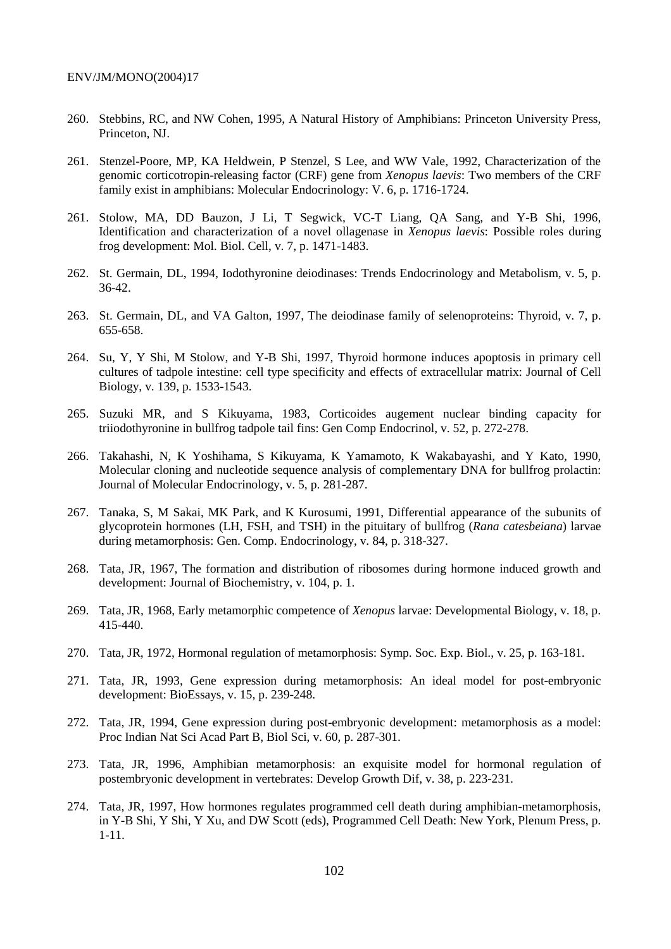- 260. Stebbins, RC, and NW Cohen, 1995, A Natural History of Amphibians: Princeton University Press, Princeton, NJ.
- 261. Stenzel-Poore, MP, KA Heldwein, P Stenzel, S Lee, and WW Vale, 1992, Characterization of the genomic corticotropin-releasing factor (CRF) gene from *Xenopus laevis*: Two members of the CRF family exist in amphibians: Molecular Endocrinology: V. 6, p. 1716-1724.
- 261. Stolow, MA, DD Bauzon, J Li, T Segwick, VC-T Liang, QA Sang, and Y-B Shi, 1996, Identification and characterization of a novel ollagenase in *Xenopus laevis*: Possible roles during frog development: Mol. Biol. Cell, v. 7, p. 1471-1483.
- 262. St. Germain, DL, 1994, Iodothyronine deiodinases: Trends Endocrinology and Metabolism, v. 5, p. 36-42.
- 263. St. Germain, DL, and VA Galton, 1997, The deiodinase family of selenoproteins: Thyroid, v. 7, p. 655-658.
- 264. Su, Y, Y Shi, M Stolow, and Y-B Shi, 1997, Thyroid hormone induces apoptosis in primary cell cultures of tadpole intestine: cell type specificity and effects of extracellular matrix: Journal of Cell Biology, v. 139, p. 1533-1543.
- 265. Suzuki MR, and S Kikuyama, 1983, Corticoides augement nuclear binding capacity for triiodothyronine in bullfrog tadpole tail fins: Gen Comp Endocrinol, v. 52, p. 272-278.
- 266. Takahashi, N, K Yoshihama, S Kikuyama, K Yamamoto, K Wakabayashi, and Y Kato, 1990, Molecular cloning and nucleotide sequence analysis of complementary DNA for bullfrog prolactin: Journal of Molecular Endocrinology, v. 5, p. 281-287.
- 267. Tanaka, S, M Sakai, MK Park, and K Kurosumi, 1991, Differential appearance of the subunits of glycoprotein hormones (LH, FSH, and TSH) in the pituitary of bullfrog (*Rana catesbeiana*) larvae during metamorphosis: Gen. Comp. Endocrinology, v. 84, p. 318-327.
- 268. Tata, JR, 1967, The formation and distribution of ribosomes during hormone induced growth and development: Journal of Biochemistry, v. 104, p. 1.
- 269. Tata, JR, 1968, Early metamorphic competence of *Xenopus* larvae: Developmental Biology, v. 18, p. 415-440.
- 270. Tata, JR, 1972, Hormonal regulation of metamorphosis: Symp. Soc. Exp. Biol., v. 25, p. 163-181.
- 271. Tata, JR, 1993, Gene expression during metamorphosis: An ideal model for post-embryonic development: BioEssays, v. 15, p. 239-248.
- 272. Tata, JR, 1994, Gene expression during post-embryonic development: metamorphosis as a model: Proc Indian Nat Sci Acad Part B, Biol Sci, v. 60, p. 287-301.
- 273. Tata, JR, 1996, Amphibian metamorphosis: an exquisite model for hormonal regulation of postembryonic development in vertebrates: Develop Growth Dif, v. 38, p. 223-231.
- 274. Tata, JR, 1997, How hormones regulates programmed cell death during amphibian-metamorphosis, in Y-B Shi, Y Shi, Y Xu, and DW Scott (eds), Programmed Cell Death: New York, Plenum Press, p. 1-11.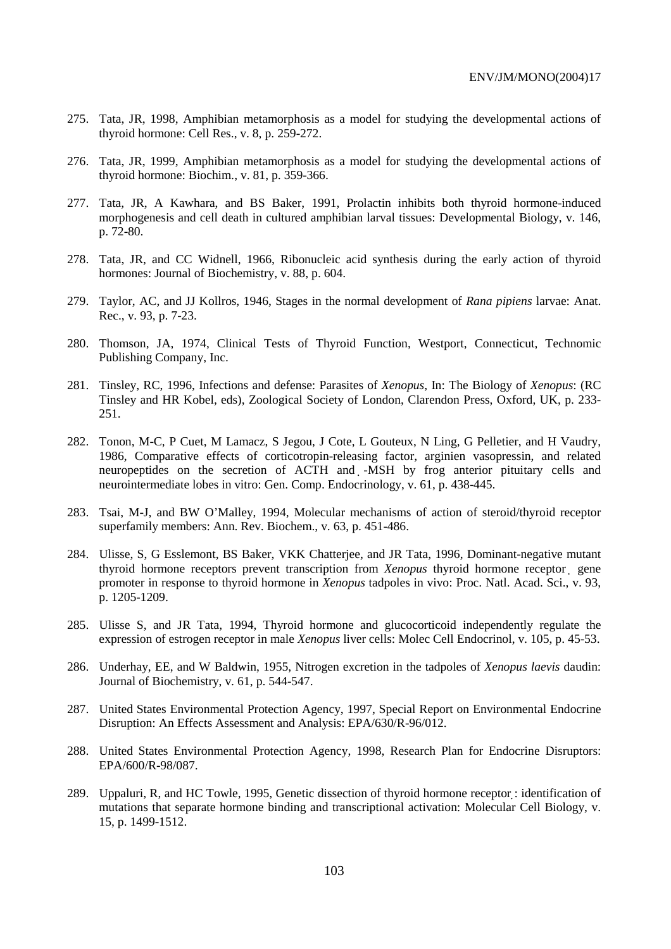- 275. Tata, JR, 1998, Amphibian metamorphosis as a model for studying the developmental actions of thyroid hormone: Cell Res., v. 8, p. 259-272.
- 276. Tata, JR, 1999, Amphibian metamorphosis as a model for studying the developmental actions of thyroid hormone: Biochim., v. 81, p. 359-366.
- 277. Tata, JR, A Kawhara, and BS Baker, 1991, Prolactin inhibits both thyroid hormone-induced morphogenesis and cell death in cultured amphibian larval tissues: Developmental Biology, v. 146, p. 72-80.
- 278. Tata, JR, and CC Widnell, 1966, Ribonucleic acid synthesis during the early action of thyroid hormones: Journal of Biochemistry, v. 88, p. 604.
- 279. Taylor, AC, and JJ Kollros, 1946, Stages in the normal development of *Rana pipiens* larvae: Anat. Rec., v. 93, p. 7-23.
- 280. Thomson, JA, 1974, Clinical Tests of Thyroid Function, Westport, Connecticut, Technomic Publishing Company, Inc.
- 281. Tinsley, RC, 1996, Infections and defense: Parasites of *Xenopus*, In: The Biology of *Xenopus*: (RC Tinsley and HR Kobel, eds), Zoological Society of London, Clarendon Press, Oxford, UK, p. 233- 251.
- 282. Tonon, M-C, P Cuet, M Lamacz, S Jegou, J Cote, L Gouteux, N Ling, G Pelletier, and H Vaudry, 1986, Comparative effects of corticotropin-releasing factor, arginien vasopressin, and related neuropeptides on the secretion of ACTH and -MSH by frog anterior pituitary cells and neurointermediate lobes in vitro: Gen. Comp. Endocrinology, v. 61, p. 438-445.
- 283. Tsai, M-J, and BW O'Malley, 1994, Molecular mechanisms of action of steroid/thyroid receptor superfamily members: Ann. Rev. Biochem., v. 63, p. 451-486.
- 284. Ulisse, S, G Esslemont, BS Baker, VKK Chatterjee, and JR Tata, 1996, Dominant-negative mutant thyroid hormone receptors prevent transcription from *Xenopus* thyroid hormone receptor gene promoter in response to thyroid hormone in *Xenopus* tadpoles in vivo: Proc. Natl. Acad. Sci., v. 93, p. 1205-1209.
- 285. Ulisse S, and JR Tata, 1994, Thyroid hormone and glucocorticoid independently regulate the expression of estrogen receptor in male *Xenopus* liver cells: Molec Cell Endocrinol, v. 105, p. 45-53.
- 286. Underhay, EE, and W Baldwin, 1955, Nitrogen excretion in the tadpoles of *Xenopus laevis* daudin: Journal of Biochemistry, v. 61, p. 544-547.
- 287. United States Environmental Protection Agency, 1997, Special Report on Environmental Endocrine Disruption: An Effects Assessment and Analysis: EPA/630/R-96/012.
- 288. United States Environmental Protection Agency, 1998, Research Plan for Endocrine Disruptors: EPA/600/R-98/087.
- 289. Uppaluri, R, and HC Towle, 1995, Genetic dissection of thyroid hormone receptor : identification of mutations that separate hormone binding and transcriptional activation: Molecular Cell Biology, v. 15, p. 1499-1512.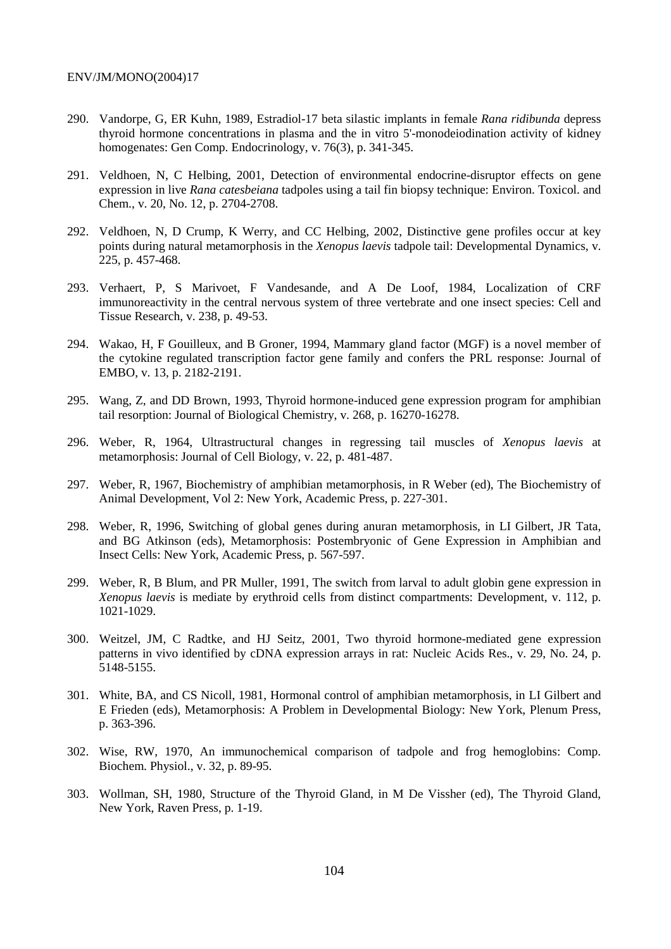- 290. Vandorpe, G, ER Kuhn, 1989, Estradiol-17 beta silastic implants in female *Rana ridibunda* depress thyroid hormone concentrations in plasma and the in vitro 5'-monodeiodination activity of kidney homogenates: Gen Comp. Endocrinology, v. 76(3), p. 341-345.
- 291. Veldhoen, N, C Helbing, 2001, Detection of environmental endocrine-disruptor effects on gene expression in live *Rana catesbeiana* tadpoles using a tail fin biopsy technique: Environ. Toxicol. and Chem., v. 20, No. 12, p. 2704-2708.
- 292. Veldhoen, N, D Crump, K Werry, and CC Helbing, 2002, Distinctive gene profiles occur at key points during natural metamorphosis in the *Xenopus laevis* tadpole tail: Developmental Dynamics, v. 225, p. 457-468.
- 293. Verhaert, P, S Marivoet, F Vandesande, and A De Loof, 1984, Localization of CRF immunoreactivity in the central nervous system of three vertebrate and one insect species: Cell and Tissue Research, v. 238, p. 49-53.
- 294. Wakao, H, F Gouilleux, and B Groner, 1994, Mammary gland factor (MGF) is a novel member of the cytokine regulated transcription factor gene family and confers the PRL response: Journal of EMBO, v. 13, p. 2182-2191.
- 295. Wang, Z, and DD Brown, 1993, Thyroid hormone-induced gene expression program for amphibian tail resorption: Journal of Biological Chemistry, v. 268, p. 16270-16278.
- 296. Weber, R, 1964, Ultrastructural changes in regressing tail muscles of *Xenopus laevis* at metamorphosis: Journal of Cell Biology, v. 22, p. 481-487.
- 297. Weber, R, 1967, Biochemistry of amphibian metamorphosis, in R Weber (ed), The Biochemistry of Animal Development, Vol 2: New York, Academic Press, p. 227-301.
- 298. Weber, R, 1996, Switching of global genes during anuran metamorphosis, in LI Gilbert, JR Tata, and BG Atkinson (eds), Metamorphosis: Postembryonic of Gene Expression in Amphibian and Insect Cells: New York, Academic Press, p. 567-597.
- 299. Weber, R, B Blum, and PR Muller, 1991, The switch from larval to adult globin gene expression in *Xenopus laevis* is mediate by erythroid cells from distinct compartments: Development, v. 112, p. 1021-1029.
- 300. Weitzel, JM, C Radtke, and HJ Seitz, 2001, Two thyroid hormone-mediated gene expression patterns in vivo identified by cDNA expression arrays in rat: Nucleic Acids Res., v. 29, No. 24, p. 5148-5155.
- 301. White, BA, and CS Nicoll, 1981, Hormonal control of amphibian metamorphosis, in LI Gilbert and E Frieden (eds), Metamorphosis: A Problem in Developmental Biology: New York, Plenum Press, p. 363-396.
- 302. Wise, RW, 1970, An immunochemical comparison of tadpole and frog hemoglobins: Comp. Biochem. Physiol., v. 32, p. 89-95.
- 303. Wollman, SH, 1980, Structure of the Thyroid Gland, in M De Vissher (ed), The Thyroid Gland, New York, Raven Press, p. 1-19.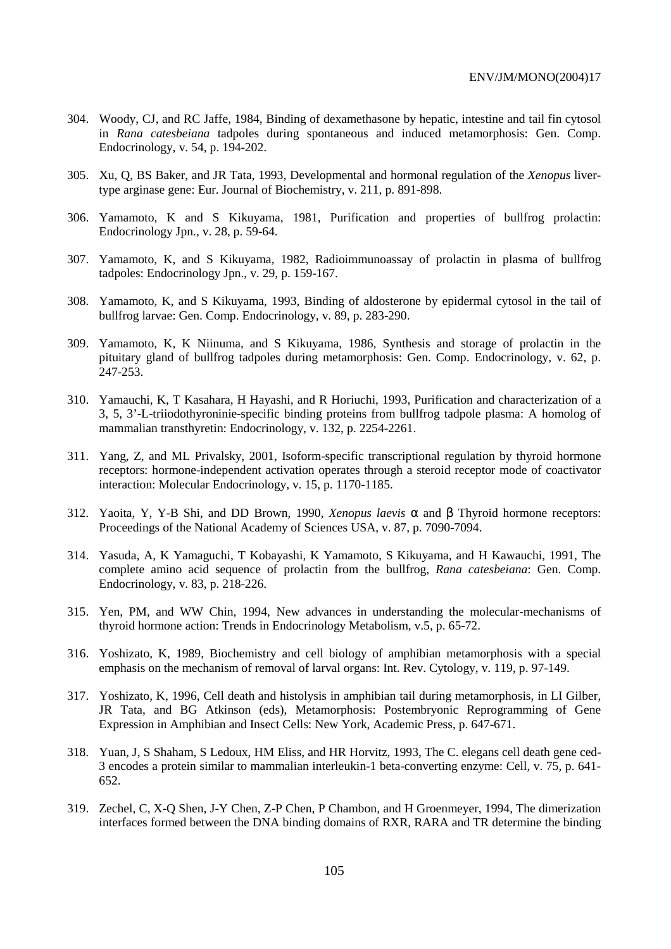- 304. Woody, CJ, and RC Jaffe, 1984, Binding of dexamethasone by hepatic, intestine and tail fin cytosol in *Rana catesbeiana* tadpoles during spontaneous and induced metamorphosis: Gen. Comp. Endocrinology, v. 54, p. 194-202.
- 305. Xu, Q, BS Baker, and JR Tata, 1993, Developmental and hormonal regulation of the *Xenopus* livertype arginase gene: Eur. Journal of Biochemistry, v. 211, p. 891-898.
- 306. Yamamoto, K and S Kikuyama, 1981, Purification and properties of bullfrog prolactin: Endocrinology Jpn., v. 28, p. 59-64.
- 307. Yamamoto, K, and S Kikuyama, 1982, Radioimmunoassay of prolactin in plasma of bullfrog tadpoles: Endocrinology Jpn., v. 29, p. 159-167.
- 308. Yamamoto, K, and S Kikuyama, 1993, Binding of aldosterone by epidermal cytosol in the tail of bullfrog larvae: Gen. Comp. Endocrinology, v. 89, p. 283-290.
- 309. Yamamoto, K, K Niinuma, and S Kikuyama, 1986, Synthesis and storage of prolactin in the pituitary gland of bullfrog tadpoles during metamorphosis: Gen. Comp. Endocrinology, v. 62, p. 247-253.
- 310. Yamauchi, K, T Kasahara, H Hayashi, and R Horiuchi, 1993, Purification and characterization of a 3, 5, 3'-L-triiodothyroninie-specific binding proteins from bullfrog tadpole plasma: A homolog of mammalian transthyretin: Endocrinology, v. 132, p. 2254-2261.
- 311. Yang, Z, and ML Privalsky, 2001, Isoform-specific transcriptional regulation by thyroid hormone receptors: hormone-independent activation operates through a steroid receptor mode of coactivator interaction: Molecular Endocrinology, v. 15, p. 1170-1185.
- 312. Yaoita, Y, Y-B Shi, and DD Brown, 1990, *Xenopus laevis* α and β Thyroid hormone receptors: Proceedings of the National Academy of Sciences USA, v. 87, p. 7090-7094.
- 314. Yasuda, A, K Yamaguchi, T Kobayashi, K Yamamoto, S Kikuyama, and H Kawauchi, 1991, The complete amino acid sequence of prolactin from the bullfrog, *Rana catesbeiana*: Gen. Comp. Endocrinology, v. 83, p. 218-226.
- 315. Yen, PM, and WW Chin, 1994, New advances in understanding the molecular-mechanisms of thyroid hormone action: Trends in Endocrinology Metabolism, v.5, p. 65-72.
- 316. Yoshizato, K, 1989, Biochemistry and cell biology of amphibian metamorphosis with a special emphasis on the mechanism of removal of larval organs: Int. Rev. Cytology, v. 119, p. 97-149.
- 317. Yoshizato, K, 1996, Cell death and histolysis in amphibian tail during metamorphosis, in LI Gilber, JR Tata, and BG Atkinson (eds), Metamorphosis: Postembryonic Reprogramming of Gene Expression in Amphibian and Insect Cells: New York, Academic Press, p. 647-671.
- 318. Yuan, J, S Shaham, S Ledoux, HM Eliss, and HR Horvitz, 1993, The C. elegans cell death gene ced-3 encodes a protein similar to mammalian interleukin-1 beta-converting enzyme: Cell, v. 75, p. 641- 652.
- 319. Zechel, C, X-Q Shen, J-Y Chen, Z-P Chen, P Chambon, and H Groenmeyer, 1994, The dimerization interfaces formed between the DNA binding domains of RXR, RARA and TR determine the binding